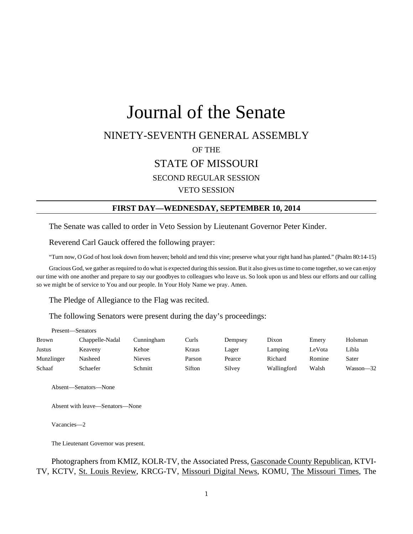# Journal of the Senate NINETY-SEVENTH GENERAL ASSEMBLY OF THE STATE OF MISSOURI SECOND REGULAR SESSION VETO SESSION

### **FIRST DAY—WEDNESDAY, SEPTEMBER 10, 2014**

The Senate was called to order in Veto Session by Lieutenant Governor Peter Kinder.

Reverend Carl Gauck offered the following prayer:

"Turn now, O God of host look down from heaven; behold and tend this vine; preserve what your right hand has planted." (Psalm 80:14-15)

Gracious God, we gather as required to do what is expected during this session. But it also gives us time to come together, so we can enjoy our time with one another and prepare to say our goodbyes to colleagues who leave us. So look upon us and bless our efforts and our calling so we might be of service to You and our people. In Your Holy Name we pray. Amen.

The Pledge of Allegiance to the Flag was recited.

The following Senators were present during the day's proceedings:

| Present—Senators |                 |            |        |         |             |        |           |
|------------------|-----------------|------------|--------|---------|-------------|--------|-----------|
| <b>Brown</b>     | Chappelle-Nadal | Cunningham | Curls  | Dempsey | Dixon       | Emery  | Holsman   |
| Justus           | Keaveny         | Kehoe      | Kraus  | Lager   | Lamping     | LeVota | Libla     |
| Munzlinger       | Nasheed         | Nieves     | Parson | Pearce  | Richard     | Romine | Sater     |
| Schaaf           | Schaefer        | Schmitt    | Sifton | Silvey  | Wallingford | Walsh  | Wasson-32 |

Absent—Senators—None

Absent with leave—Senators—None

Vacancies—2

The Lieutenant Governor was present.

Photographers from KMIZ, KOLR-TV, the Associated Press, Gasconade County Republican, KTVI-TV, KCTV, St. Louis Review, KRCG-TV, Missouri Digital News, KOMU, The Missouri Times, The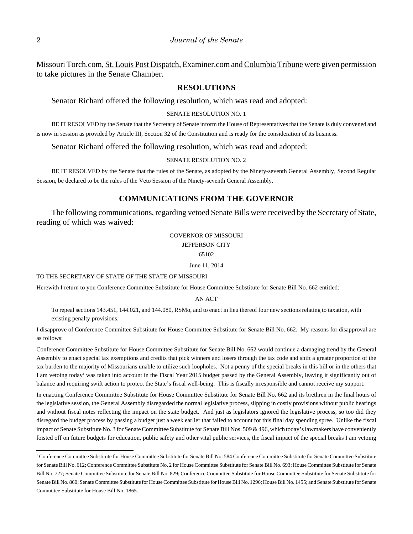Missouri Torch.com, St. Louis Post Dispatch, Examiner.com and Columbia Tribune were given permission to take pictures in the Senate Chamber.

### **RESOLUTIONS**

Senator Richard offered the following resolution, which was read and adopted:

### SENATE RESOLUTION NO. 1

BE IT RESOLVED by the Senate that the Secretary of Senate inform the House of Representatives that the Senate is duly convened and is now in session as provided by Article III, Section 32 of the Constitution and is ready for the consideration of its business.

Senator Richard offered the following resolution, which was read and adopted:

#### SENATE RESOLUTION NO. 2

BE IT RESOLVED by the Senate that the rules of the Senate, as adopted by the Ninety-seventh General Assembly, Second Regular Session, be declared to be the rules of the Veto Session of the Ninety-seventh General Assembly.

### **COMMUNICATIONS FROM THE GOVERNOR**

The following communications, regarding vetoed Senate Bills were received by the Secretary of State, reading of which was waived:

> GOVERNOR OF MISSOURI JEFFERSON CITY 65102

> > June 11, 2014

#### TO THE SECRETARY OF STATE OF THE STATE OF MISSOURI

Herewith I return to you Conference Committee Substitute for House Committee Substitute for Senate Bill No. 662 entitled:

AN ACT

To repeal sections 143.451, 144.021, and 144.080, RSMo, and to enact in lieu thereof four new sections relating to taxation, with existing penalty provisions.

I disapprove of Conference Committee Substitute for House Committee Substitute for Senate Bill No. 662. My reasons for disapproval are as follows:

Conference Committee Substitute for House Committee Substitute for Senate Bill No. 662 would continue a damaging trend by the General Assembly to enact special tax exemptions and credits that pick winners and losers through the tax code and shift a greater proportion of the tax burden to the majority of Missourians unable to utilize such loopholes. Not a penny of the special breaks in this bill or in the others that I am vetoing today<sup>1</sup> was taken into account in the Fiscal Year 2015 budget passed by the General Assembly, leaving it significantly out of balance and requiring swift action to protect the State's fiscal well-being. This is fiscally irresponsible and cannot receive my support.

In enacting Conference Committee Substitute for House Committee Substitute for Senate Bill No. 662 and its brethren in the final hours of the legislative session, the General Assembly disregarded the normal legislative process, slipping in costly provisions without public hearings and without fiscal notes reflecting the impact on the state budget. And just as legislators ignored the legislative process, so too did they disregard the budget process by passing a budget just a week earlier that failed to account for this final day spending spree. Unlike the fiscal impact of Senate Substitute No. 3 for Senate Committee Substitute for Senate Bill Nos. 509 & 496, which today's lawmakers have conveniently foisted off on future budgets for education, public safety and other vital public services, the fiscal impact of the special breaks I am vetoing

l

<sup>&</sup>lt;sup>1</sup> Conference Committee Substitute for House Committee Substitute for Senate Bill No. 584 Conference Committee Substitute for Senate Committee Substitute for Senate Bill No. 612; Conference Committee Substitute No. 2 for House Committee Substitute for Senate Bill No. 693; House Committee Substitute for Senate Bill No. 727; Senate Committee Substitute for Senate Bill No. 829; Conference Committee Substitute for House Committee Substitute for Senate Substitute for Senate Bill No. 860; Senate Committee Substitute for House Committee Substitute for House Bill No. 1296; House Bill No. 1455; and Senate Substitute for Senate Committee Substitute for House Bill No. 1865.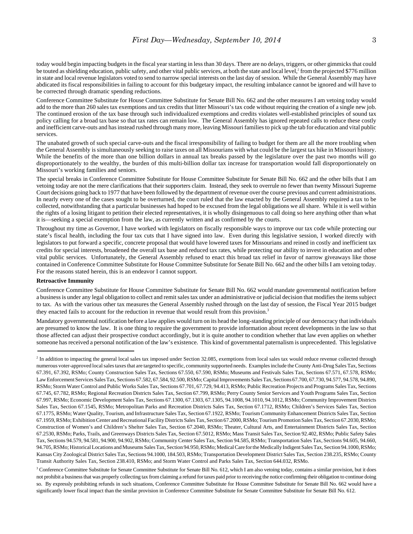today would begin impacting budgets in the fiscal year starting in less than 30 days. There are no delays, triggers, or other gimmicks that could be touted as shielding education, public safety, and other vital public services, at both the state and local level,<sup>2</sup> from the projected \$776 million in state and local revenue legislators voted to send to narrow special interests on the last day of session. While the General Assembly may have abdicated its fiscal responsibilities in failing to account for this budgetary impact, the resulting imbalance cannot be ignored and will have to be corrected through dramatic spending reductions.

Conference Committee Substitute for House Committee Substitute for Senate Bill No. 662 and the other measures I am vetoing today would add to the more than 260 sales tax exemptions and tax credits that litter Missouri's tax code without requiring the creation of a single new job. The continued erosion of the tax base through such individualized exemptions and credits violates well-established principles of sound tax policy calling for a broad tax base so that tax rates can remain low. The General Assembly has ignored repeated calls to reduce these costly and inefficient carve-outs and has instead rushed through many more, leaving Missouri families to pick up the tab for education and vital public services.

The unabated growth of such special carve-outs and the fiscal irresponsibility of failing to budget for them are all the more troubling when the General Assembly is simultaneously seeking to raise taxes on all Missourians with what could be the largest tax hike in Missouri history. While the benefits of the more than one billion dollars in annual tax breaks passed by the legislature over the past two months will go disproportionately to the wealthy, the burden of this multi-billion dollar tax increase for transportation would fall disproportionately on Missouri's working families and seniors.

The special breaks in Conference Committee Substitute for House Committee Substitute for Senate Bill No. 662 and the other bills that I am vetoing today are not the mere clarifications that their supporters claim. Instead, they seek to overrule no fewer than twenty Missouri Supreme Court decisions going back to 1977 that have been followed by the department of revenue over the course previous and current administrations. In nearly every one of the cases sought to be overturned, the court ruled that the law enacted by the General Assembly required a tax to be collected, notwithstanding that a particular businesses had hoped to be excused from the legal obligations we all share. While it is well within the rights of a losing litigant to petition their elected representatives, it is wholly disingenuous to call doing so here anything other than what it is—seeking a special exemption from the law, as currently written and as confirmed by the courts.

Throughout my time as Governor, I have worked with legislators on fiscally responsible ways to improve our tax code while protecting our state's fiscal health, including the four tax cuts that I have signed into law. Even during this legislative session, I worked directly with legislators to put forward a specific, concrete proposal that would have lowered taxes for Missourians and reined in costly and inefficient tax credits for special interests, broadened the overall tax base and reduced tax rates, while protecting our ability to invest in education and other vital public services. Unfortunately, the General Assembly refused to enact this broad tax relief in favor of narrow giveaways like those contained in Conference Committee Substitute for House Committee Substitute for Senate Bill No. 662 and the other bills I am vetoing today. For the reasons stated herein, this is an endeavor I cannot support.

#### **Retroactive Immunity**

Conference Committee Substitute for House Committee Substitute for Senate Bill No. 662 would mandate governmental notification before a business is under any legal obligation to collect and remit sales tax under an administrative or judicial decision that modifies the items subject to tax. As with the various other tax measures the General Assembly rushed through on the last day of session, the Fiscal Year 2015 budget they enacted fails to account for the reduction in revenue that would result from this provision.<sup>3</sup>

Mandatory governmental notification before a law applies would turn on its head the long-standing principle of our democracy that individuals are presumed to know the law. It is one thing to require the government to provide information about recent developments in the law so that those affected can adjust their prospective conduct accordingly, but it is quite another to condition whether that law even applies on whether someone has received a personal notification of the law's existence. This kind of governmental paternalism is unprecedented. This legislative

<sup>3</sup> Conference Committee Substitute for Senate Committee Substitute for Senate Bill No. 612, which I am also vetoing today, contains a similar provision, but it does not prohibit a business that was properly collecting tax from claiming a refund for taxes paid prior to receiving the notice confirming their obligation to continue doing so. By expressly prohibiting refunds in such situations, Conference Committee Substitute for House Committee Substitute for Senate Bill No. 662 would have a significantly lower fiscal impact than the similar provision in Conference Committee Substitute for Senate Committee Substitute for Senate Bill No. 612.

<sup>&</sup>lt;sup>2</sup> In addition to impacting the general local sales tax imposed under Section 32.085, exemptions from local sales tax would reduce revenue collected through numerous voter-approved local sales taxes that are targeted to specific, community supported needs. Examples include the County Anti-Drug Sales Tax, Sections 67.391, 67.392, RSMo; County Construction Sales Tax, Sections 67.550, 67.590, RSMo; Museums and Festivals Sales Tax, Sections 67.571, 67.578, RSMo; Law Enforcement Services Sales Tax, Sections 67.582, 67.584, 92.500, RSMo; Capital Improvements Sales Tax, Sections 67.700, 67.730, 94.577, 94.578, 94.890, RSMo; Storm Water Control and Public Works Sales Tax, Sections 67.701, 67.729, 94.413, RSMo; Public Recreation Projects and Programs Sales Tax, Sections 67.745, 67.782, RSMo; Regional Recreation Districts Sales Tax, Section 67.799, RSMo; Perry County Senior Services and Youth Programs Sales Tax, Section 67.997, RSMo; Economic Development Sales Tax, Sections 67.1300, 67.1303, 67.1305, 94.1008, 94.1010, 94.1012, RSMo; Community Improvement Districts Sales Tax, Section 67.1545, RSMo; Metropolitan Parks and Recreation Districts Sales Tax, Section 67.1712, RSMo; Children's Services Sales Tax, Section 67.1775, RSMo; Water Quality, Tourism, and Infrastructure Sales Tax, Section 67.1922, RSMo; Tourism Community Enhancement Districts Sales Tax, Section 67.1959, RSMo; Exhibition Center and Recreational Facility Districts Sales Tax, Section 67.2000, RSMo; Tourism Promotion Sales Tax, Section 67.2030, RSMo; Construction of Women's and Children's Shelter Sales Tax, Section 67.2040, RSMo; Theater, Cultural Arts, and Entertainment Districts Sales Tax, Section 67.2530, RSMo; Parks, Trails, and Greenways Districts Sales Tax, Section 67.5012, RSMo; Mass Transit Sales Tax, Section 92.402, RSMo; Public Safety Sales Tax, Sections 94.579, 94.581, 94.900, 94.902, RSMo; Community Center Sales Tax, Section 94.585, RSMo; Transportation Sales Tax, Sections 94.605, 94.660, 94.705, RSMo; Historical Locations and Museums Sales Tax, Section 94.950, RSMo; Medical Care for the Medically Indigent Sales Tax, Section 94.1000, RSMo; Kansas City Zoological District Sales Tax, Sections 94.1000, 184.503, RSMo; Transportation Development District Sales Tax, Section 238.235, RSMo; County Transit Authority Sales Tax, Section 238.410, RSMo; and Storm Water Control and Parks Sales Tax, Section 644.032, RSMo.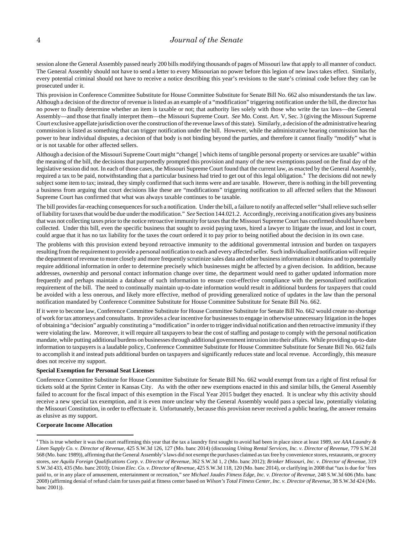session alone the General Assembly passed nearly 200 bills modifying thousands of pages of Missouri law that apply to all manner of conduct. The General Assembly should not have to send a letter to every Missourian no power before this legion of new laws takes effect. Similarly, every potential criminal should not have to receive a notice describing this year's revisions to the state's criminal code before they can be prosecuted under it.

This provision in Conference Committee Substitute for House Committee Substitute for Senate Bill No. 662 also misunderstands the tax law. Although a decision of the director of revenue is listed as an example of a "modification" triggering notification under the bill, the director has no power to finally determine whether an item is taxable or not; that authority lies solely with those who write the tax laws—the General Assembly—and those that finally interpret them—the Missouri Supreme Court. *See* Mo. Const. Art. V, Sec. 3 (giving the Missouri Supreme Court exclusive appellate jurisdiction over the construction of the revenue laws of this state). Similarly, a decision of the administrative hearing commission is listed as something that can trigger notification under the bill. However, while the administrative hearing commission has the power to hear individual disputes, a decision of that body is not binding beyond the parties, and therefore it cannot finally "modify" what is or is not taxable for other affected sellers.

Although a decision of the Missouri Supreme Court might "change[ ] which items of tangible personal property or services are taxable" within the meaning of the bill, the decisions that purportedly prompted this provision and many of the new exemptions passed on the final day of the legislative session did not. In each of those cases, the Missouri Supreme Court found that the current law, as enacted by the General Assembly, required a tax to be paid, notwithstanding that a particular business had tried to get out of this legal obligation.<sup>4</sup> The decisions did not newly subject some item to tax; instead, they simply confirmed that such items were and are taxable. However, there is nothing in the bill preventing a business from arguing that court decisions like these are "modifications" triggering notification to all affected sellers that the Missouri Supreme Court has confirmed that what was always taxable continues to be taxable.

The bill provides far-reaching consequences for such a notification. Under the bill, a failure to notify an affected seller "shall relieve such seller of liability for taxes that would be due under the modification." *See* Section 144.021.2. Accordingly, receiving a notification gives any business that was not collecting taxes prior to the notice retroactive immunity for taxes that the Missouri Supreme Court has confirmed should have been collected. Under this bill, even the specific business that sought to avoid paying taxes, hired a lawyer to litigate the issue, and lost in court, could argue that it has no tax liability for the taxes the court ordered it to pay prior to being notified about the decision in its own case.

The problems with this provision extend beyond retroactive immunity to the additional governmental intrusion and burden on taxpayers resulting from the requirement to provide a personal notification to each and every affected seller. Such individualized notification will require the department of revenue to more closely and more frequently scrutinize sales data and other business information it obtains and to potentially require additional information in order to determine precisely which businesses might be affected by a given decision. In addition, because addresses, ownership and personal contact information change over time, the department would need to gather updated information more frequently and perhaps maintain a database of such information to ensure cost-effective compliance with the personalized notification requirement of the bill. The need to continually maintain up-to-date information would result in additional burdens for taxpayers that could be avoided with a less onerous, and likely more effective, method of providing generalized notice of updates in the law than the personal notification mandated by Conference Committee Substitute for House Committee Substitute for Senate Bill No. 662.

If it were to become law, Conference Committee Substitute for House Committee Substitute for Senate Bill No. 662 would create no shortage of work for tax attorneys and consultants. It provides a clear incentive for businesses to engage in otherwise unnecessary litigation in the hopes of obtaining a "decision" arguably constituting a "modification" in order to trigger individual notification and then retroactive immunity if they were violating the law. Moreover, it will require all taxpayers to bear the cost of staffing and postage to comply with the personal notification mandate, while putting additional burdens on businesses through additional government intrusion into their affairs. While providing up-to-date information to taxpayers is a laudable policy, Conference Committee Substitute for House Committee Substitute for Senate Bill No. 662 fails to accomplish it and instead puts additional burden on taxpayers and significantly reduces state and local revenue. Accordingly, this measure does not receive my support.

#### **Special Exemption for Personal Seat Licenses**

Conference Committee Substitute for House Committee Substitute for Senate Bill No. 662 would exempt from tax a right of first refusal for tickets sold at the Sprint Center in Kansas City. As with the other new exemptions enacted in this and similar bills, the General Assembly failed to account for the fiscal impact of this exemption in the Fiscal Year 2015 budget they enacted. It is unclear why this activity should receive a new special tax exemption, and it is even more unclear why the General Assembly would pass a special law, potentially violating the Missouri Constitution, in order to effectuate it. Unfortunately, because this provision never received a public hearing, the answer remains as elusive as my support.

#### **Corporate Income Allocation**

<sup>4</sup> This is true whether it was the court reaffirming this year that the tax a laundry first sought to avoid had been in place since at least 1989, *see AAA Laundry & Linen Supply Co. v. Director of Revenue*, 425 S.W.3d 126, 127 (Mo. banc 2014) (discussing *Unitog Rental Services, Inc. v. Director of Revenue,* 779 S.W.2d 568 (Mo. banc 1989)), affirming that the General Assembly's laws did not exempt the purchases claimed as tax free by convenience stores, restaurants, or grocery stores, *see Aquila Foreign Qualifications Corp. v. Director of Revenue*, 362 S.W.3d 1, 2 (Mo. banc 2012); *Brinker Missouri, Inc. v. Director of Revenue*, 319 S.W.3d 433, 435 (Mo. banc 2010); *Union Elec. Co. v. Director of Revenue*, 425 S.W.3d 118, 120 (Mo. banc 2014), or clarifying in 2008 that "tax is due for 'fees paid to, or in any place of amusement, entertainment or recreation," *see Michael Jaudes Fitness Edge, Inc. v. Director of Revenue*, 248 S.W.3d 606 (Mo. banc 2008) (affirming denial of refund claim for taxes paid at fitness center based on *Wilson's Total Fitness Center, Inc. v. Director of Revenue*, 38 S.W.3d 424 (Mo. banc 2001)).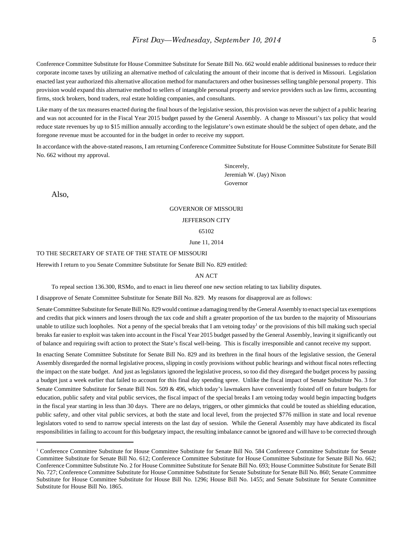Conference Committee Substitute for House Committee Substitute for Senate Bill No. 662 would enable additional businesses to reduce their corporate income taxes by utilizing an alternative method of calculating the amount of their income that is derived in Missouri. Legislation enacted last year authorized this alternative allocation method for manufacturers and other businesses selling tangible personal property. This provision would expand this alternative method to sellers of intangible personal property and service providers such as law firms, accounting firms, stock brokers, bond traders, real estate holding companies, and consultants.

Like many of the tax measures enacted during the final hours of the legislative session, this provision was never the subject of a public hearing and was not accounted for in the Fiscal Year 2015 budget passed by the General Assembly. A change to Missouri's tax policy that would reduce state revenues by up to \$15 million annually according to the legislature's own estimate should be the subject of open debate, and the foregone revenue must be accounted for in the budget in order to receive my support.

In accordance with the above-stated reasons, I am returning Conference Committee Substitute for House Committee Substitute for Senate Bill No. 662 without my approval.

> Sincerely, Jeremiah W. (Jay) Nixon Governor

Also,

#### GOVERNOR OF MISSOURI

#### JEFFERSON CITY

65102

June 11, 2014

#### TO THE SECRETARY OF STATE OF THE STATE OF MISSOURI

Herewith I return to you Senate Committee Substitute for Senate Bill No. 829 entitled:

#### AN ACT

To repeal section 136.300, RSMo, and to enact in lieu thereof one new section relating to tax liability disputes.

I disapprove of Senate Committee Substitute for Senate Bill No. 829. My reasons for disapproval are as follows:

Senate Committee Substitute for Senate Bill No. 829 would continue a damaging trend by the General Assembly to enact special tax exemptions and credits that pick winners and losers through the tax code and shift a greater proportion of the tax burden to the majority of Missourians unable to utilize such loopholes. Not a penny of the special breaks that I am vetoing today<sup>1</sup> or the provisions of this bill making such special breaks far easier to exploit was taken into account in the Fiscal Year 2015 budget passed by the General Assembly, leaving it significantly out of balance and requiring swift action to protect the State's fiscal well-being. This is fiscally irresponsible and cannot receive my support.

In enacting Senate Committee Substitute for Senate Bill No. 829 and its brethren in the final hours of the legislative session, the General Assembly disregarded the normal legislative process, slipping in costly provisions without public hearings and without fiscal notes reflecting the impact on the state budget. And just as legislators ignored the legislative process, so too did they disregard the budget process by passing a budget just a week earlier that failed to account for this final day spending spree. Unlike the fiscal impact of Senate Substitute No. 3 for Senate Committee Substitute for Senate Bill Nos. 509 & 496, which today's lawmakers have conveniently foisted off on future budgets for education, public safety and vital public services, the fiscal impact of the special breaks I am vetoing today would begin impacting budgets in the fiscal year starting in less than 30 days. There are no delays, triggers, or other gimmicks that could be touted as shielding education, public safety, and other vital public services, at both the state and local level, from the projected \$776 million in state and local revenue legislators voted to send to narrow special interests on the last day of session. While the General Assembly may have abdicated its fiscal responsibilities in failing to account for this budgetary impact, the resulting imbalance cannot be ignored and will have to be corrected through

<sup>&</sup>lt;sup>1</sup> Conference Committee Substitute for House Committee Substitute for Senate Bill No. 584 Conference Committee Substitute for Senate Committee Substitute for Senate Bill No. 612; Conference Committee Substitute for House Committee Substitute for Senate Bill No. 662; Conference Committee Substitute No. 2 for House Committee Substitute for Senate Bill No. 693; House Committee Substitute for Senate Bill No. 727; Conference Committee Substitute for House Committee Substitute for Senate Substitute for Senate Bill No. 860; Senate Committee Substitute for House Committee Substitute for House Bill No. 1296; House Bill No. 1455; and Senate Substitute for Senate Committee Substitute for House Bill No. 1865.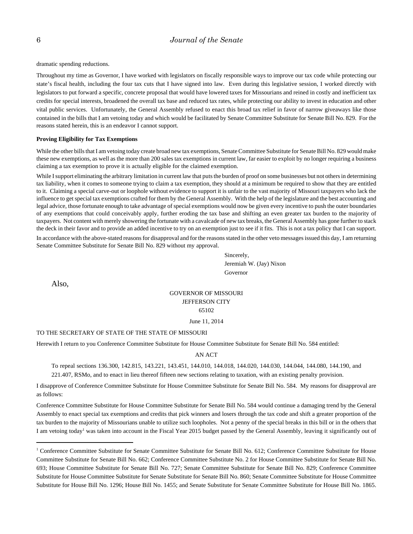dramatic spending reductions.

Throughout my time as Governor, I have worked with legislators on fiscally responsible ways to improve our tax code while protecting our state's fiscal health, including the four tax cuts that I have signed into law. Even during this legislative session, I worked directly with legislators to put forward a specific, concrete proposal that would have lowered taxes for Missourians and reined in costly and inefficient tax credits for special interests, broadened the overall tax base and reduced tax rates, while protecting our ability to invest in education and other vital public services. Unfortunately, the General Assembly refused to enact this broad tax relief in favor of narrow giveaways like those contained in the bills that I am vetoing today and which would be facilitated by Senate Committee Substitute for Senate Bill No. 829. For the reasons stated herein, this is an endeavor I cannot support.

#### **Proving Eligibility for Tax Exemptions**

While the other bills that I am vetoing today create broad new tax exemptions, Senate Committee Substitute for Senate Bill No. 829 would make these new exemptions, as well as the more than 200 sales tax exemptions in current law, far easier to exploit by no longer requiring a business claiming a tax exemption to prove it is actually eligible for the claimed exemption.

While I support eliminating the arbitrary limitation in current law that puts the burden of proof on some businesses but not others in determining tax liability, when it comes to someone trying to claim a tax exemption, they should at a minimum be required to show that they are entitled to it. Claiming a special carve-out or loophole without evidence to support it is unfair to the vast majority of Missouri taxpayers who lack the influence to get special tax exemptions crafted for them by the General Assembly. With the help of the legislature and the best accounting and legal advice, those fortunate enough to take advantage of special exemptions would now be given every incentive to push the outer boundaries of any exemptions that could conceivably apply, further eroding the tax base and shifting an even greater tax burden to the majority of taxpayers. Not content with merely showering the fortunate with a cavalcade of new tax breaks, the General Assembly has gone further to stack the deck in their favor and to provide an added incentive to try on an exemption just to see if it fits. This is not a tax policy that I can support.

In accordance with the above-stated reasons for disapproval and for the reasons stated in the other veto messages issued this day, I am returning Senate Committee Substitute for Senate Bill No. 829 without my approval.

> Sincerely, Jeremiah W. (Jay) Nixon Governor

Also,

### GOVERNOR OF MISSOURI JEFFERSON CITY 65102

June 11, 2014

#### TO THE SECRETARY OF STATE OF THE STATE OF MISSOURI

Herewith I return to you Conference Committee Substitute for House Committee Substitute for Senate Bill No. 584 entitled:

#### AN ACT

To repeal sections 136.300, 142.815, 143.221, 143.451, 144.010, 144.018, 144.020, 144.030, 144.044, 144.080, 144.190, and 221.407, RSMo, and to enact in lieu thereof fifteen new sections relating to taxation, with an existing penalty provision.

I disapprove of Conference Committee Substitute for House Committee Substitute for Senate Bill No. 584. My reasons for disapproval are as follows:

Conference Committee Substitute for House Committee Substitute for Senate Bill No. 584 would continue a damaging trend by the General Assembly to enact special tax exemptions and credits that pick winners and losers through the tax code and shift a greater proportion of the tax burden to the majority of Missourians unable to utilize such loopholes. Not a penny of the special breaks in this bill or in the others that I am vetoing today<sup>1</sup> was taken into account in the Fiscal Year 2015 budget passed by the General Assembly, leaving it significantly out of

<sup>&</sup>lt;sup>1</sup> Conference Committee Substitute for Senate Committee Substitute for Senate Bill No. 612; Conference Committee Substitute for House Committee Substitute for Senate Bill No. 662; Conference Committee Substitute No. 2 for House Committee Substitute for Senate Bill No. 693; House Committee Substitute for Senate Bill No. 727; Senate Committee Substitute for Senate Bill No. 829; Conference Committee Substitute for House Committee Substitute for Senate Substitute for Senate Bill No. 860; Senate Committee Substitute for House Committee Substitute for House Bill No. 1296; House Bill No. 1455; and Senate Substitute for Senate Committee Substitute for House Bill No. 1865.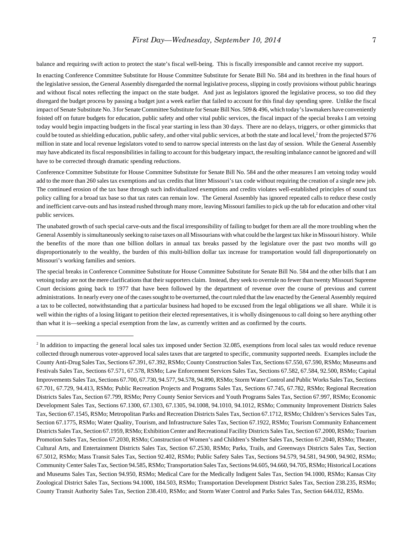balance and requiring swift action to protect the state's fiscal well-being. This is fiscally irresponsible and cannot receive my support.

In enacting Conference Committee Substitute for House Committee Substitute for Senate Bill No. 584 and its brethren in the final hours of the legislative session, the General Assembly disregarded the normal legislative process, slipping in costly provisions without public hearings and without fiscal notes reflecting the impact on the state budget. And just as legislators ignored the legislative process, so too did they disregard the budget process by passing a budget just a week earlier that failed to account for this final day spending spree. Unlike the fiscal impact of Senate Substitute No. 3 for Senate Committee Substitute for Senate Bill Nos. 509 & 496, which today's lawmakers have conveniently foisted off on future budgets for education, public safety and other vital public services, the fiscal impact of the special breaks I am vetoing today would begin impacting budgets in the fiscal year starting in less than 30 days. There are no delays, triggers, or other gimmicks that could be touted as shielding education, public safety, and other vital public services, at both the state and local level, $\epsilon$  from the projected \$776 million in state and local revenue legislators voted to send to narrow special interests on the last day of session. While the General Assembly may have abdicated its fiscal responsibilities in failing to account for this budgetary impact, the resulting imbalance cannot be ignored and will have to be corrected through dramatic spending reductions.

Conference Committee Substitute for House Committee Substitute for Senate Bill No. 584 and the other measures I am vetoing today would add to the more than 260 sales tax exemptions and tax credits that litter Missouri's tax code without requiring the creation of a single new job. The continued erosion of the tax base through such individualized exemptions and credits violates well-established principles of sound tax policy calling for a broad tax base so that tax rates can remain low. The General Assembly has ignored repeated calls to reduce these costly and inefficient carve-outs and has instead rushed through many more, leaving Missouri families to pick up the tab for education and other vital public services.

The unabated growth of such special carve-outs and the fiscal irresponsibility of failing to budget for them are all the more troubling when the General Assembly is simultaneously seeking to raise taxes on all Missourians with what could be the largest tax hike in Missouri history. While the benefits of the more than one billion dollars in annual tax breaks passed by the legislature over the past two months will go disproportionately to the wealthy, the burden of this multi-billion dollar tax increase for transportation would fall disproportionately on Missouri's working families and seniors.

The special breaks in Conference Committee Substitute for House Committee Substitute for Senate Bill No. 584 and the other bills that I am vetoing today are not the mere clarifications that their supporters claim. Instead, they seek to overrule no fewer than twenty Missouri Supreme Court decisions going back to 1977 that have been followed by the department of revenue over the course of previous and current administrations. In nearly every one of the cases sought to be overturned, the court ruled that the law enacted by the General Assembly required a tax to be collected, notwithstanding that a particular business had hoped to be excused from the legal obligations we all share. While it is well within the rights of a losing litigant to petition their elected representatives, it is wholly disingenuous to call doing so here anything other than what it is—seeking a special exemption from the law, as currently written and as confirmed by the courts.

 $<sup>2</sup>$  In addition to impacting the general local sales tax imposed under Section 32.085, exemptions from local sales tax would reduce revenue</sup> collected through numerous voter-approved local sales taxes that are targeted to specific, community supported needs. Examples include the County Anti-Drug Sales Tax, Sections 67.391, 67.392, RSMo; County Construction Sales Tax, Sections 67.550, 67.590, RSMo; Museums and Festivals Sales Tax, Sections 67.571, 67.578, RSMo; Law Enforcement Services Sales Tax, Sections 67.582, 67.584, 92.500, RSMo; Capital Improvements Sales Tax, Sections 67.700, 67.730, 94.577, 94.578, 94.890, RSMo; Storm Water Control and Public Works Sales Tax, Sections 67.701, 67.729, 94.413, RSMo; Public Recreation Projects and Programs Sales Tax, Sections 67.745, 67.782, RSMo; Regional Recreation Districts Sales Tax, Section 67.799, RSMo; Perry County Senior Services and Youth Programs Sales Tax, Section 67.997, RSMo; Economic Development Sales Tax, Sections 67.1300, 67.1303, 67.1305, 94.1008, 94.1010, 94.1012, RSMo; Community Improvement Districts Sales Tax, Section 67.1545, RSMo; Metropolitan Parks and Recreation Districts Sales Tax, Section 67.1712, RSMo; Children's Services Sales Tax, Section 67.1775, RSMo; Water Quality, Tourism, and Infrastructure Sales Tax, Section 67.1922, RSMo; Tourism Community Enhancement Districts Sales Tax, Section 67.1959, RSMo; Exhibition Center and Recreational Facility Districts Sales Tax, Section 67.2000, RSMo; Tourism Promotion Sales Tax, Section 67.2030, RSMo; Construction of Women's and Children's Shelter Sales Tax, Section 67.2040, RSMo; Theater, Cultural Arts, and Entertainment Districts Sales Tax, Section 67.2530, RSMo; Parks, Trails, and Greenways Districts Sales Tax, Section 67.5012, RSMo; Mass Transit Sales Tax, Section 92.402, RSMo; Public Safety Sales Tax, Sections 94.579, 94.581, 94.900, 94.902, RSMo; Community Center Sales Tax, Section 94.585, RSMo; Transportation Sales Tax, Sections 94.605, 94.660, 94.705, RSMo; Historical Locations and Museums Sales Tax, Section 94.950, RSMo; Medical Care for the Medically Indigent Sales Tax, Section 94.1000, RSMo; Kansas City Zoological District Sales Tax, Sections 94.1000, 184.503, RSMo; Transportation Development District Sales Tax, Section 238.235, RSMo; County Transit Authority Sales Tax, Section 238.410, RSMo; and Storm Water Control and Parks Sales Tax, Section 644.032, RSMo.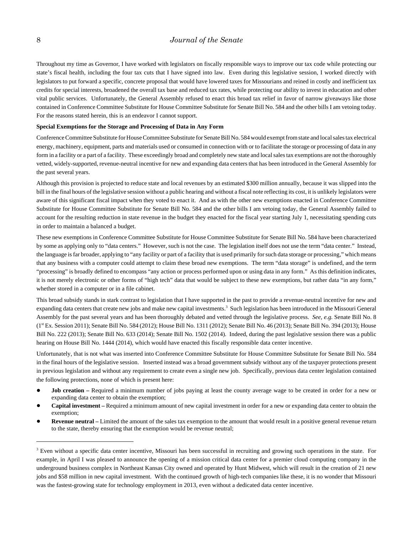Throughout my time as Governor, I have worked with legislators on fiscally responsible ways to improve our tax code while protecting our state's fiscal health, including the four tax cuts that I have signed into law. Even during this legislative session, I worked directly with legislators to put forward a specific, concrete proposal that would have lowered taxes for Missourians and reined in costly and inefficient tax credits for special interests, broadened the overall tax base and reduced tax rates, while protecting our ability to invest in education and other vital public services. Unfortunately, the General Assembly refused to enact this broad tax relief in favor of narrow giveaways like those contained in Conference Committee Substitute for House Committee Substitute for Senate Bill No. 584 and the other bills I am vetoing today. For the reasons stated herein, this is an endeavor I cannot support.

#### **Special Exemptions for the Storage and Processing of Data in Any Form**

Conference Committee Substitute for House Committee Substitute for Senate Bill No. 584 would exempt from state and local sales tax electrical energy, machinery, equipment, parts and materials used or consumed in connection with or to facilitate the storage or processing of data in any form in a facility or a part of a facility. These exceedingly broad and completely new state and local sales tax exemptions are not the thoroughly vetted, widely-supported, revenue-neutral incentive for new and expanding data centers that has been introduced in the General Assembly for the past several years.

Although this provision is projected to reduce state and local revenues by an estimated \$300 million annually, because it was slipped into the bill in the final hours of the legislative session without a public hearing and without a fiscal note reflecting its cost, it is unlikely legislators were aware of this significant fiscal impact when they voted to enact it. And as with the other new exemptions enacted in Conference Committee Substitute for House Committee Substitute for Senate Bill No. 584 and the other bills I am vetoing today, the General Assembly failed to account for the resulting reduction in state revenue in the budget they enacted for the fiscal year starting July 1, necessitating spending cuts in order to maintain a balanced a budget.

These new exemptions in Conference Committee Substitute for House Committee Substitute for Senate Bill No. 584 have been characterized by some as applying only to "data centers." However, such is not the case. The legislation itself does not use the term "data center." Instead, the language is far broader, applying to "any facility or part of a facility that is used primarily for such data storage or processing," which means that any business with a computer could attempt to claim these broad new exemptions. The term "data storage" is undefined, and the term "processing" is broadly defined to encompass "any action or process performed upon or using data in any form." As this definition indicates, it is not merely electronic or other forms of "high tech" data that would be subject to these new exemptions, but rather data "in any form," whether stored in a computer or in a file cabinet.

This broad subsidy stands in stark contrast to legislation that I have supported in the past to provide a revenue-neutral incentive for new and expanding data centers that create new jobs and make new capital investments.<sup>3</sup> Such legislation has been introduced in the Missouri General Assembly for the past several years and has been thoroughly debated and vetted through the legislative process. *See, e.g.* Senate Bill No. 8 (1st Ex. Session 2011); Senate Bill No. 584 (2012); House Bill No. 1311 (2012); Senate Bill No. 46 (2013); Senate Bill No. 394 (2013); House Bill No. 222 (2013); Senate Bill No. 633 (2014); Senate Bill No. 1502 (2014). Indeed, during the past legislative session there was a public hearing on House Bill No. 1444 (2014), which would have enacted this fiscally responsible data center incentive.

Unfortunately, that is not what was inserted into Conference Committee Substitute for House Committee Substitute for Senate Bill No. 584 in the final hours of the legislative session. Inserted instead was a broad government subsidy without any of the taxpayer protections present in previous legislation and without any requirement to create even a single new job. Specifically, previous data center legislation contained the following protections, none of which is present here:

- ! **Job creation** Required a minimum number of jobs paying at least the county average wage to be created in order for a new or expanding data center to obtain the exemption;
- ! **Capital investment** Required a minimum amount of new capital investment in order for a new or expanding data center to obtain the exemption;
- **Revenue neutral** Limited the amount of the sales tax exemption to the amount that would result in a positive general revenue return to the state, thereby ensuring that the exemption would be revenue neutral;

<sup>&</sup>lt;sup>3</sup> Even without a specific data center incentive, Missouri has been successful in recruiting and growing such operations in the state. For example, in April I was pleased to announce the opening of a mission critical data center for a premier cloud computing company in the underground business complex in Northeast Kansas City owned and operated by Hunt Midwest, which will result in the creation of 21 new jobs and \$58 million in new capital investment. With the continued growth of high-tech companies like these, it is no wonder that Missouri was the fastest-growing state for technology employment in 2013, even without a dedicated data center incentive.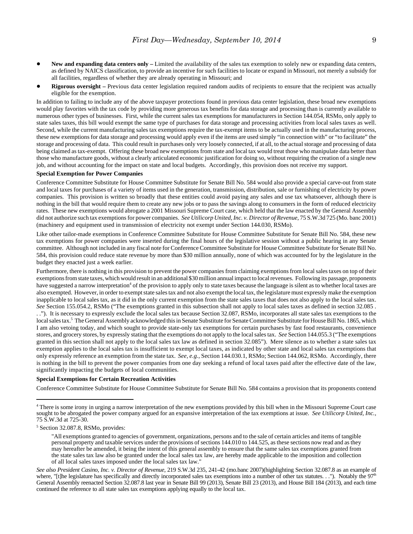- ! **New and expanding data centers only** Limited the availability of the sales tax exemption to solely new or expanding data centers, as defined by NAICS classification, to provide an incentive for such facilities to locate or expand in Missouri, not merely a subsidy for all facilities, regardless of whether they are already operating in Missouri; and
- **Rigorous oversight** Previous data center legislation required random audits of recipients to ensure that the recipient was actually eligible for the exemption.

In addition to failing to include any of the above taxpayer protections found in previous data center legislation, these broad new exemptions would play favorites with the tax code by providing more generous tax benefits for data storage and processing than is currently available to numerous other types of businesses. First, while the current sales tax exemptions for manufacturers in Section 144.054, RSMo, only apply to state sales taxes, this bill would exempt the same type of purchases for data storage and processing activities from local sales taxes as well. Second, while the current manufacturing sales tax exemptions require the tax-exempt items to be actually used in the manufacturing process, these new exemptions for data storage and processing would apply even if the items are used simply "in connection with" or "to facilitate" the storage and processing of data. This could result in purchases only very loosely connected, if at all, to the actual storage and processing of data being claimed as tax-exempt. Offering these broad new exemptions from state and local tax would treat those who manipulate data better than those who manufacture goods, without a clearly articulated economic justification for doing so, without requiring the creation of a single new job, and without accounting for the impact on state and local budgets. Accordingly, this provision does not receive my support.

#### **Special Exemption for Power Companies**

Conference Committee Substitute for House Committee Substitute for Senate Bill No. 584 would also provide a special carve-out from state and local taxes for purchases of a variety of items used in the generation, transmission, distribution, sale or furnishing of electricity by power companies. This provision is written so broadly that these entities could avoid paying any sales and use tax whatsoever, although there is nothing in the bill that would require them to create any new jobs or to pass the savings along to consumers in the form of reduced electricity rates. These new exemptions would abrogate a 2001 Missouri Supreme Court case, which held that the law enacted by the General Assembly did not authorize such tax exemptions for power companies. *See Utilicorp United, Inc. v. Director of Revenue,* 75 S.W.3d 725 (Mo. banc 2001) (machinery and equipment used in transmission of electricity not exempt under Section 144.030, RSMo).

Like other tailor-made exemptions in Conference Committee Substitute for House Committee Substitute for Senate Bill No. 584, these new tax exemptions for power companies were inserted during the final hours of the legislative session without a public hearing in any Senate committee. Although not included in any fiscal note for Conference Committee Substitute for House Committee Substitute for Senate Bill No. 584, this provision could reduce state revenue by more than \$30 million annually, none of which was accounted for by the legislature in the budget they enacted just a week earlier.

Furthermore, there is nothing in this provision to prevent the power companies from claiming exemptions from local sales taxes on top of their exemptions from state taxes, which would result in an additional \$30 million annual impact to local revenues. Following its passage, proponents have suggested a narrow interpretation<sup>4</sup> of the provision to apply only to state taxes because the language is silent as to whether local taxes are also exempted. However, in order to exempt state sales tax and not also exempt the local tax, the legislature must expressly make the exemption inapplicable to local sales tax, as it did in the only current exemption from the state sales taxes that does not also apply to the local sales tax. *See* Section 155.054.2, RSMo ("The exemptions granted in this subsection shall not apply to local sales taxes as defined in section 32.085 . . ."). It is necessary to expressly exclude the local sales tax because Section 32.087, RSMo, incorporates all state sales tax exemptions to the local sales tax.<sup>5</sup> The General Assembly acknowledged this in Senate Substitute for Senate Committee Substitute for House Bill No. 1865, which I am also vetoing today, and which sought to provide state-only tax exemptions for certain purchases by fast food restaurants, convenience stores, and grocery stores, by expressly stating that the exemptions do not apply to the local sales tax. *See* Section 144.055.3 ("The exemptions granted in this section shall not apply to the local sales tax law as defined in section 32.085"). Mere silence as to whether a state sales tax exemption applies to the local sales tax is insufficient to exempt local taxes, as indicated by other state and local sales tax exemptions that only expressly reference an exemption from the state tax. *See, e.g.*, Section 144.030.1, RSMo; Section 144.062, RSMo. Accordingly, there is nothing in the bill to prevent the power companies from one day seeking a refund of local taxes paid after the effective date of the law, significantly impacting the budgets of local communities.

#### **Special Exemptions for Certain Recreation Activities**

Conference Committee Substitute for House Committee Substitute for Senate Bill No. 584 contains a provision that its proponents contend

<sup>&</sup>lt;sup>4</sup> There is some irony in urging a narrow interpretation of the new exemptions provided by this bill when in the Missouri Supreme Court case sought to be abrogated the power company argued for an expansive interpretation of the tax exemptions at issue. *See Utilicorp United, Inc.,* 75 S.W.3d at 725-30.

<sup>&</sup>lt;sup>5</sup> Section 32.087.8, RSMo, provides:

<sup>&</sup>quot;All exemptions granted to agencies of government, organizations, persons and to the sale of certain articles and items of tangible personal property and taxable services under the provisions of sections 144.010 to 144.525, as these sections now read and as they may hereafter be amended, it being the intent of this general assembly to ensure that the same sales tax exemptions granted from the state sales tax law also be granted under the local sales tax law, are hereby made applicable to the imposition and collection of all local sales taxes imposed under the local sales tax law."

*See also President Casino, Inc. v. Director of Revenue,* 219 S.W.3d 235, 241-42 (mo.banc 2007)(highlighting Section 32.087.8 as an example of where, "[t]he legislature has specifically and directly incorporated sales tax exemptions into a number of other tax statutes. . ."). Notably the  $97<sup>th</sup>$ General Assembly reenacted Section 32.087.8 last year in Senate Bill 99 (2013), Senate Bill 23 (2013), and House Bill 184 (2013), and each time continued the reference to all state sales tax exemptions applying equally to the local tax.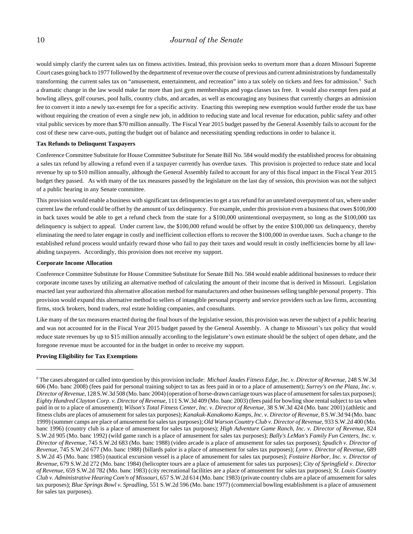would simply clarify the current sales tax on fitness activities. Instead, this provision seeks to overturn more than a dozen Missouri Supreme Court cases going back to 1977 followed by the department of revenue over the course of previous and current administrations by fundamentally transforming the current sales tax on "amusement, entertainment, and recreation" into a tax solely on tickets and fees for admission.<sup>6</sup> Such a dramatic change in the law would make far more than just gym memberships and yoga classes tax free. It would also exempt fees paid at bowling alleys, golf courses, pool halls, country clubs, and arcades, as well as encouraging any business that currently charges an admission fee to convert it into a newly tax-exempt fee for a specific activity. Enacting this sweeping new exemption would further erode the tax base without requiring the creation of even a single new job, in addition to reducing state and local revenue for education, public safety and other vital public services by more than \$70 million annually. The Fiscal Year 2015 budget passed by the General Assembly fails to account for the cost of these new carve-outs, putting the budget out of balance and necessitating spending reductions in order to balance it.

#### **Tax Refunds to Delinquent Taxpayers**

Conference Committee Substitute for House Committee Substitute for Senate Bill No. 584 would modify the established process for obtaining a sales tax refund by allowing a refund even if a taxpayer currently has overdue taxes. This provision is projected to reduce state and local revenue by up to \$10 million annually, although the General Assembly failed to account for any of this fiscal impact in the Fiscal Year 2015 budget they passed. As with many of the tax measures passed by the legislature on the last day of session, this provision was not the subject of a public hearing in any Senate committee.

This provision would enable a business with significant tax delinquencies to get a tax refund for an unrelated overpayment of tax, where under current law the refund could be offset by the amount of tax delinquency. For example, under this provision even a business that owes \$100,000 in back taxes would be able to get a refund check from the state for a \$100,000 unintentional overpayment, so long as the \$100,000 tax delinquency is subject to appeal. Under current law, the \$100,000 refund would be offset by the entire \$100,000 tax delinquency, thereby eliminating the need to later engage in costly and inefficient collection efforts to recover the \$100,000 in overdue taxes. Such a change to the established refund process would unfairly reward those who fail to pay their taxes and would result in costly inefficiencies borne by all lawabiding taxpayers. Accordingly, this provision does not receive my support.

#### **Corporate Income Allocation**

Conference Committee Substitute for House Committee Substitute for Senate Bill No. 584 would enable additional businesses to reduce their corporate income taxes by utilizing an alternative method of calculating the amount of their income that is derived in Missouri. Legislation enacted last year authorized this alternative allocation method for manufacturers and other businesses selling tangible personal property. This provision would expand this alternative method to sellers of intangible personal property and service providers such as law firms, accounting firms, stock brokers, bond traders, real estate holding companies, and consultants.

Like many of the tax measures enacted during the final hours of the legislative session, this provision was never the subject of a public hearing and was not accounted for in the Fiscal Year 2015 budget passed by the General Assembly. A change to Missouri's tax policy that would reduce state revenues by up to \$15 million annually according to the legislature's own estimate should be the subject of open debate, and the foregone revenue must be accounted for in the budget in order to receive my support.

#### **Proving Eligibility for Tax Exemptions**

<sup>6</sup> The cases abrogated or called into question by this provision include: *Michael Jaudes Fitness Edge, Inc. v. Director of Revenue*, 248 S.W.3d 606 (Mo. banc 2008) (fees paid for personal training subject to tax as fees paid in or to a place of amusement); *Surrey's on the Plaza, Inc. v. Director of Revenue*, 128 S.W.3d 508 (Mo. banc 2004) (operation of horse-drawn carriage tours was place of amusement for sales tax purposes); *Eighty Hundred Clayton Corp. v. Director of Revenue*, 111 S.W.3d 409 (Mo. banc 2003) (fees paid for bowling shoe rental subject to tax when paid in or to a place of amusement); *Wilson's Total Fitness Center, Inc. v. Director of Revenue*, 38 S.W.3d 424 (Mo. banc 2001) (athletic and fitness clubs are places of amusement for sales tax purposes); *Kanakuk-Kanakomo Kamps, Inc. v. Director of Revenue*, 8 S.W.3d 94 (Mo. banc 1999) (summer camps are place of amusement for sales tax purposes); *Old Warson Country Club v. Director of Revenue*, 933 S.W.2d 400 (Mo. banc 1996) (country club is a place of amusement for sales tax purposes); *High Adventure Game Ranch, Inc. v. Director of Revenue*, 824 S.W.2d 905 (Mo. banc 1992) (wild game ranch is a place of amusement for sales tax purposes); *Bally's LeMan's Family Fun Centers, Inc. v. Director of Revenue*, 745 S.W.2d 683 (Mo. banc 1988) (video arcade is a place of amusement for sales tax purposes); *Spudich v. Director of Revenue*, 745 S.W.2d 677 (Mo. banc 1988) (billards palor is a place of amusement for sales tax purposes); *Lynn v. Director of Revenue*, 689 S.W.2d 45 (Mo. banc 1985) (nautical excursion vessel is a place of amusement for sales tax purposes); *Fostaire Harbor, Inc. v. Director of Revenue*, 679 S.W.2d 272 (Mo. banc 1984) (helicopter tours are a place of amusement for sales tax purposes); *City of Springfield v. Director of Revenue*, 659 S.W.2d 782 (Mo. banc 1983) (city recreational facilities are a place of amusement for sales tax purposes); *St. Louis Country Club v. Administrative Hearing Com'n of Missouri*, 657 S.W.2d 614 (Mo. banc 1983) (private country clubs are a place of amusement for sales tax purposes); *Blue Springs Bowl v. Spradling*, 551 S.W.2d 596 (Mo. banc 1977) (commercial bowling establishment is a place of amusement for sales tax purposes).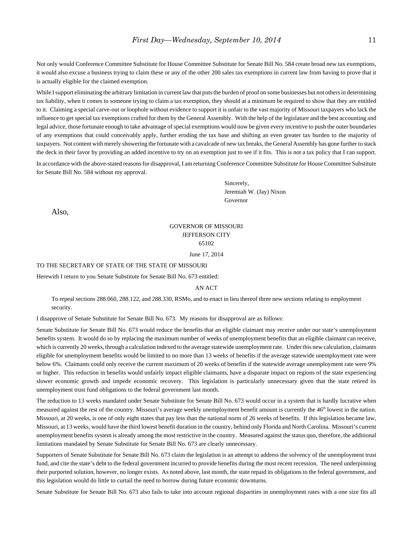Not only would Conference Committee Substitute for House Committee Substitute for Senate Bill No. 584 create broad new tax exemptions, it would also excuse a business trying to claim these or any of the other 200 sales tax exemptions in current law from having to prove that it is actually eligible for the claimed exemption.

While I support eliminating the arbitrary limitation in current law that puts the burden of proof on some businesses but not others in determining tax liability, when it comes to someone trying to claim a tax exemption, they should at a minimum be required to show that they are entitled to it. Claiming a special carve-out or loophole without evidence to support it is unfair to the vast majority of Missouri taxpayers who lack the influence to get special tax exemptions crafted for them by the General Assembly. With the help of the legislature and the best accounting and legal advice, those fortunate enough to take advantage of special exemptions would now be given every incentive to push the outer boundaries of any exemptions that could conceivably apply, further eroding the tax base and shifting an even greater tax burden to the majority of taxpayers. Not content with merely showering the fortunate with a cavalcade of new tax breaks, the General Assembly has gone further to stack the deck in their favor by providing an added incentive to try on an exemption just to see if it fits. This is not a tax policy that I can support.

In accordance with the above-stated reasons for disapproval, I am returning Conference Committee Substitute for House Committee Substitute for Senate Bill No. 584 without my approval.

> Sincerely, Jeremiah W. (Jay) Nixon Governor

Also,

### GOVERNOR OF MISSOURI JEFFERSON CITY 65102

June 17, 2014

#### TO THE SECRETARY OF STATE OF THE STATE OF MISSOURI

Herewith I return to you Senate Substitute for Senate Bill No. 673 entitled:

#### AN ACT

To repeal sections 288.060, 288.122, and 288.330, RSMo, and to enact in lieu thereof three new sections relating to employment security.

I disapprove of Senate Substitute for Senate Bill No. 673. My reasons for disapproval are as follows:

Senate Substitute for Senate Bill No. 673 would reduce the benefits that an eligible claimant may receive under our state's unemployment benefits system. It would do so by replacing the maximum number of weeks of unemployment benefits that an eligible claimant can receive, which is currently 20 weeks, through a calculation indexed to the average statewide unemployment rate. Under this new calculation, claimants eligible for unemployment benefits would be limited to no more than 13 weeks of benefits if the average statewide unemployment rate were below 6%. Claimants could only receive the current maximum of 20 weeks of benefits if the statewide average unemployment rate were 9% or higher. This reduction in benefits would unfairly impact eligible claimants, have a disparate impact on regions of the state experiencing slower economic growth and impede economic recovery. This legislation is particularly unnecessary given that the state retired its unemployment trust fund obligations to the federal government last month.

The reduction to 13 weeks mandated under Senate Substitute for Senate Bill No. 673 would occur in a system that is hardly lucrative when measured against the rest of the country. Missouri's average weekly unemployment benefit amount is currently the 46<sup>th</sup> lowest in the nation. Missouri, at 20 weeks, is one of only eight states that pay less than the national norm of 26 weeks of benefits. If this legislation became law, Missouri, at 13 weeks, would have the third lowest benefit duration in the country, behind only Florida and North Carolina. Missouri's current unemployment benefits system is already among the most restrictive in the country. Measured against the status quo, therefore, the additional limitations mandated by Senate Substitute for Senate Bill No. 673 are clearly unnecessary.

Supporters of Senate Substitute for Senate Bill No. 673 claim the legislation is an attempt to address the solvency of the unemployment trust fund, and cite the state's debt to the federal government incurred to provide benefits during the most recent recession. The need underpinning their purported solution, however, no longer exists. As noted above, last month, the state repaid its obligations to the federal government, and this legislation would do little to curtail the need to borrow during future economic downturns.

Senate Substitute for Senate Bill No. 673 also fails to take into account regional disparities in unemployment rates with a one size fits all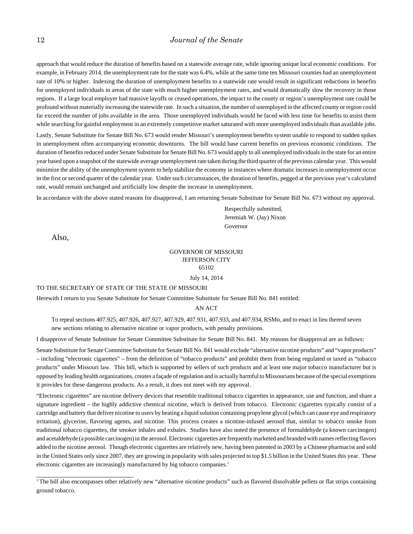approach that would reduce the duration of benefits based on a statewide average rate, while ignoring unique local economic conditions. For example, in February 2014, the unemployment rate for the state was 6.4%, while at the same time ten Missouri counties had an unemployment rate of 10% or higher. Indexing the duration of unemployment benefits to a statewide rate would result in significant reductions in benefits for unemployed individuals in areas of the state with much higher unemployment rates, and would dramatically slow the recovery in those regions. If a large local employer had massive layoffs or ceased operations, the impact to the county or region's unemployment rate could be profound without materially increasing the statewide rate. In such a situation, the number of unemployed in the affected county or region could far exceed the number of jobs available in the area. Those unemployed individuals would be faced with less time for benefits to assist them while searching for gainful employment in an extremely competitive market saturated with more unemployed individuals than available jobs.

Lastly, Senate Substitute for Senate Bill No. 673 would render Missouri's unemployment benefits system unable to respond to sudden spikes in unemployment often accompanying economic downturns. The bill would base current benefits on previous economic conditions. The duration of benefits reduced under Senate Substitute for Senate Bill No. 673 would apply to all unemployed individuals in the state for an entire year based upon a snapshot of the statewide average unemployment rate taken during the third quarter of the previous calendar year. This would minimize the ability of the unemployment system to help stabilize the economy in instances where dramatic increases in unemployment occur in the first or second quarter of the calendar year. Under such circumstances, the duration of benefits, pegged at the previous year's calculated rate, would remain unchanged and artificially low despite the increase in unemployment.

In accordance with the above stated reasons for disapproval, I am returning Senate Substitute for Senate Bill No. 673 without my approval.

Respectfully submitted, Jeremiah W. (Jay) Nixon Governor

Also,

### GOVERNOR OF MISSOURI JEFFERSON CITY 65102

July 14, 2014

#### TO THE SECRETARY OF STATE OF THE STATE OF MISSOURI

Herewith I return to you Senate Substitute for Senate Committee Substitute for Senate Bill No. 841 entitled:

### AN ACT

To repeal sections 407.925, 407.926, 407.927, 407.929, 407.931, 407.933, and 407.934, RSMo, and to enact in lieu thereof seven new sections relating to alternative nicotine or vapor products, with penalty provisions.

I disapprove of Senate Substitute for Senate Committee Substitute for Senate Bill No. 841. My reasons for disapproval are as follows:

Senate Substitute for Senate Committee Substitute for Senate Bill No. 841 would exclude "alternative nicotine products" and "vapor products" – including "electronic cigarettes" – from the definition of "tobacco products" and prohibit them from being regulated or taxed as "tobacco products" under Missouri law. This bill, which is supported by sellers of such products and at least one major tobacco manufacturer but is opposed by leading health organizations, creates a façade of regulation and is actually harmful to Missourians because of the special exemptions it provides for these dangerous products. As a result, it does not meet with my approval.

"Electronic cigarettes" are nicotine delivery devices that resemble traditional tobacco cigarettes in appearance, use and function, and share a signature ingredient – the highly addictive chemical nicotine, which is derived from tobacco. Electronic cigarettes typically consist of a cartridge and battery that deliver nicotine to users by heating a liquid solution containing propylene glycol (which can cause eye and respiratory irritation), glycerine, flavoring agents, and nicotine. This process creates a nicotine-infused aerosol that, similar to tobacco smoke from traditional tobacco cigarettes, the smoker inhales and exhales. Studies have also noted the presence of formaldehyde (a known carcinogen) and acetaldehyde (a possible carcinogen) in the aerosol. Electronic cigarettes are frequently marketed and branded with names reflecting flavors added to the nicotine aerosol. Though electronic cigarettes are relatively new, having been patented in 2003 by a Chinese pharmacist and sold in the United States only since 2007, they are growing in popularity with sales projected to top \$1.5 billion in the United States this year. These electronic cigarettes are increasingly manufactured by big tobacco companies.<sup>1</sup>

<sup>&</sup>lt;sup>1</sup> The bill also encompasses other relatively new "alternative nicotine products" such as flavored dissolvable pellets or flat strips containing ground tobacco.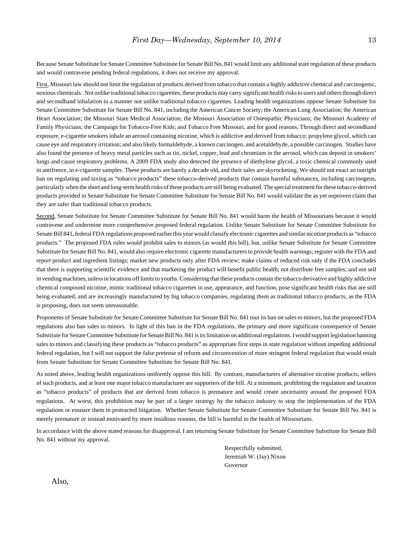Because Senate Substitute for Senate Committee Substitute for Senate Bill No. 841 would limit any additional state regulation of these products and would contravene pending federal regulations, it does not receive my approval.

First, Missouri law should not limit the regulation of products derived from tobacco that contain a highly addictive chemical and carcinogenic, noxious chemicals. Not unlike traditional tobacco cigarettes, these products may carry significant health risks to users and others through direct and secondhand inhalation in a manner not unlike traditional tobacco cigarettes. Leading health organizations oppose Senate Substitute for Senate Committee Substitute for Senate Bill No. 841, including the American Cancer Society; the American Lung Association; the American Heart Association; the Missouri State Medical Association; the Missouri Association of Osteopathic Physicians; the Missouri Academy of Family Physicians; the Campaign for Tobacco-Free Kids; and Tobacco Free Missouri, and for good reasons. Through direct and secondhand exposure, e-cigarette smokers inhale an aerosol containing nicotine, which is addictive and derived from tobacco; propylene glycol, which can cause eye and respiratory irritation; and also likely formaldehyde, a known carcinogen, and acetaldehyde, a possible carcinogen. Studies have also found the presence of heavy metal particles such as tin, nickel, copper, lead and chromium in the aerosol, which can deposit in smokers' lungs and cause respiratory problems. A 2009 FDA study also detected the presence of diethylene glycol, a toxic chemical commonly used in antifreeze, in e-cigarette samples. These products are barely a decade old, and their sales are skyrocketing. We should not enact an outright ban on regulating and taxing as "tobacco products" these tobacco-derived products that contain harmful substances, including carcinogens, particularly when the short and long-term health risks of these products are still being evaluated. The special treatment for these tobacco-derived products provided in Senate Substitute for Senate Committee Substitute for Senate Bill No. 841 would validate the as yet unproven claim that they are safer than traditional tobacco products.

Second, Senate Substitute for Senate Committee Substitute for Senate Bill No. 841 would harm the health of Missourians because it would contravene and undermine more comprehensive proposed federal regulation. Unlike Senate Substitute for Senate Committee Substitute for Senate Bill 841, federal FDA regulations proposed earlier this year would classify electronic cigarettes and similar nicotine products as "tobacco products." The proposed FDA rules would prohibit sales to minors (as would this bill), but, unlike Senate Substitute for Senate Committee Substitute for Senate Bill No. 841, would also require electronic cigarette manufacturers to provide health warnings; register with the FDA and report product and ingredient listings; market new products only after FDA review; make claims of reduced risk only if the FDA concludes that there is supporting scientific evidence and that marketing the product will benefit public health; not distribute free samples; and not sell in vending machines, unless in locations off limits to youths. Considering that these products contain the tobacco derivative and highly addictive chemical compound nicotine, mimic traditional tobacco cigarettes in use, appearance, and function, pose significant health risks that are still being evaluated, and are increasingly manufactured by big tobacco companies, regulating them as traditional tobacco products, as the FDA is proposing, does not seem unreasonable.

Proponents of Senate Substitute for Senate Committee Substitute for Senate Bill No. 841 tout its ban on sales to minors, but the proposed FDA regulations also ban sales to minors. In light of this ban in the FDA regulations, the primary and more significant consequence of Senate Substitute for Senate Committee Substitute for Senate Bill No. 841 is its limitation on additional regulations. I would support legislation banning sales to minors and classifying these products as "tobacco products" as appropriate first steps in state regulation without impeding additional federal regulation, but I will not support the false pretense of reform and circumvention of more stringent federal regulation that would result from Senate Substitute for Senate Committee Substitute for Senate Bill No. 841.

As noted above, leading health organizations uniformly oppose this bill. By contrast, manufacturers of alternative nicotine products, sellers of such products, and at least one major tobacco manufacturer are supporters of the bill. At a minimum, prohibiting the regulation and taxation as "tobacco products" of products that are derived from tobacco is premature and would create uncertainty around the proposed FDA regulations. At worst, this prohibition may be part of a larger strategy by the tobacco industry to stop the implementation of the FDA regulations or ensnare them in protracted litigation. Whether Senate Substitute for Senate Committee Substitute for Senate Bill No. 841 is merely premature or instead motivated by more insidious reasons, the bill is harmful to the health of Missourians.

In accordance with the above stated reasons for disapproval, I am returning Senate Substitute for Senate Committee Substitute for Senate Bill No. 841 without my approval.

> Respectfully submitted, Jeremiah W. (Jay) Nixon Governor

Also,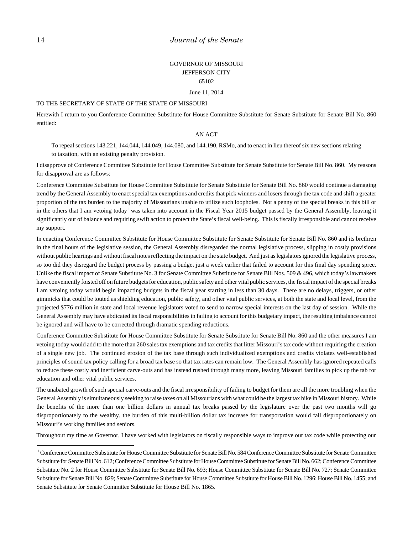### GOVERNOR OF MISSOURI JEFFERSON CITY 65102

June 11, 2014

#### TO THE SECRETARY OF STATE OF THE STATE OF MISSOURI

Herewith I return to you Conference Committee Substitute for House Committee Substitute for Senate Substitute for Senate Bill No. 860 entitled:

#### AN ACT

To repeal sections 143.221, 144.044, 144.049, 144.080, and 144.190, RSMo, and to enact in lieu thereof six new sections relating to taxation, with an existing penalty provision.

I disapprove of Conference Committee Substitute for House Committee Substitute for Senate Substitute for Senate Bill No. 860. My reasons for disapproval are as follows:

Conference Committee Substitute for House Committee Substitute for Senate Substitute for Senate Bill No. 860 would continue a damaging trend by the General Assembly to enact special tax exemptions and credits that pick winners and losers through the tax code and shift a greater proportion of the tax burden to the majority of Missourians unable to utilize such loopholes. Not a penny of the special breaks in this bill or in the others that I am vetoing today<sup>1</sup> was taken into account in the Fiscal Year 2015 budget passed by the General Assembly, leaving it significantly out of balance and requiring swift action to protect the State's fiscal well-being. This is fiscally irresponsible and cannot receive my support.

In enacting Conference Committee Substitute for House Committee Substitute for Senate Substitute for Senate Bill No. 860 and its brethren in the final hours of the legislative session, the General Assembly disregarded the normal legislative process, slipping in costly provisions without public hearings and without fiscal notes reflecting the impact on the state budget. And just as legislators ignored the legislative process, so too did they disregard the budget process by passing a budget just a week earlier that failed to account for this final day spending spree. Unlike the fiscal impact of Senate Substitute No. 3 for Senate Committee Substitute for Senate Bill Nos. 509 & 496, which today's lawmakers have conveniently foisted off on future budgets for education, public safety and other vital public services, the fiscal impact of the special breaks I am vetoing today would begin impacting budgets in the fiscal year starting in less than 30 days. There are no delays, triggers, or other gimmicks that could be touted as shielding education, public safety, and other vital public services, at both the state and local level, from the projected \$776 million in state and local revenue legislators voted to send to narrow special interests on the last day of session. While the General Assembly may have abdicated its fiscal responsibilities in failing to account for this budgetary impact, the resulting imbalance cannot be ignored and will have to be corrected through dramatic spending reductions.

Conference Committee Substitute for House Committee Substitute for Senate Substitute for Senate Bill No. 860 and the other measures I am vetoing today would add to the more than 260 sales tax exemptions and tax credits that litter Missouri's tax code without requiring the creation of a single new job. The continued erosion of the tax base through such individualized exemptions and credits violates well-established principles of sound tax policy calling for a broad tax base so that tax rates can remain low. The General Assembly has ignored repeated calls to reduce these costly and inefficient carve-outs and has instead rushed through many more, leaving Missouri families to pick up the tab for education and other vital public services.

The unabated growth of such special carve-outs and the fiscal irresponsibility of failing to budget for them are all the more troubling when the General Assembly is simultaneously seeking to raise taxes on all Missourians with what could be the largest tax hike in Missouri history. While the benefits of the more than one billion dollars in annual tax breaks passed by the legislature over the past two months will go disproportionately to the wealthy, the burden of this multi-billion dollar tax increase for transportation would fall disproportionately on Missouri's working families and seniors.

Throughout my time as Governor, I have worked with legislators on fiscally responsible ways to improve our tax code while protecting our

<sup>&</sup>lt;sup>1</sup> Conference Committee Substitute for House Committee Substitute for Senate Bill No. 584 Conference Committee Substitute for Senate Committee Substitute for Senate Bill No. 612; Conference Committee Substitute for House Committee Substitute for Senate Bill No. 662; Conference Committee Substitute No. 2 for House Committee Substitute for Senate Bill No. 693; House Committee Substitute for Senate Bill No. 727; Senate Committee Substitute for Senate Bill No. 829; Senate Committee Substitute for House Committee Substitute for House Bill No. 1296; House Bill No. 1455; and Senate Substitute for Senate Committee Substitute for House Bill No. 1865.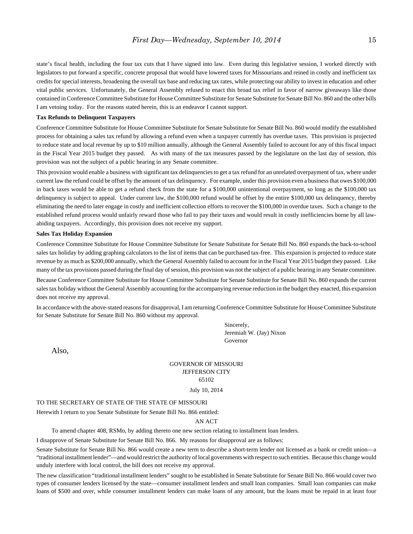state's fiscal health, including the four tax cuts that I have signed into law. Even during this legislative session, I worked directly with legislators to put forward a specific, concrete proposal that would have lowered taxes for Missourians and reined in costly and inefficient tax credits for special interests, broadening the overall tax base and reducing tax rates, while protecting our ability to invest in education and other vital public services. Unfortunately, the General Assembly refused to enact this broad tax relief in favor of narrow giveaways like those contained in Conference Committee Substitute for House Committee Substitute for Senate Substitute for Senate Bill No. 860 and the other bills I am vetoing today. For the reasons stated herein, this is an endeavor I cannot support.

#### **Tax Refunds to Delinquent Taxpayers**

Conference Committee Substitute for House Committee Substitute for Senate Substitute for Senate Bill No. 860 would modify the established process for obtaining a sales tax refund by allowing a refund even when a taxpayer currently has overdue taxes. This provision is projected to reduce state and local revenue by up to \$10 million annually, although the General Assembly failed to account for any of this fiscal impact in the Fiscal Year 2015 budget they passed. As with many of the tax measures passed by the legislature on the last day of session, this provision was not the subject of a public hearing in any Senate committee.

This provision would enable a business with significant tax delinquencies to get a tax refund for an unrelated overpayment of tax, where under current law the refund could be offset by the amount of tax delinquency. For example, under this provision even a business that owes \$100,000 in back taxes would be able to get a refund check from the state for a \$100,000 unintentional overpayment, so long as the \$100,000 tax delinquency is subject to appeal. Under current law, the \$100,000 refund would be offset by the entire \$100,000 tax delinquency, thereby eliminating the need to later engage in costly and inefficient collection efforts to recover the \$100,000 in overdue taxes. Such a change to the established refund process would unfairly reward those who fail to pay their taxes and would result in costly inefficiencies borne by all lawabiding taxpayers. Accordingly, this provision does not receive my support.

#### **Sales Tax Holiday Expansion**

Conference Committee Substitute for House Committee Substitute for Senate Substitute for Senate Bill No. 860 expands the back-to-school sales tax holiday by adding graphing calculators to the list of items that can be purchased tax-free. This expansion is projected to reduce state revenue by as much as \$200,000 annually, which the General Assembly failed to account for in the Fiscal Year 2015 budget they passed. Like many of the tax provisions passed during the final day of session, this provision was not the subject of a public hearing in any Senate committee.

Because Conference Committee Substitute for House Committee Substitute for Senate Substitute for Senate Bill No. 860 expands the current sales tax holiday without the General Assembly accounting for the accompanying revenue reduction in the budget they enacted, this expansion does not receive my approval.

In accordance with the above-stated reasons for disapproval, I am returning Conference Committee Substitute for House Committee Substitute for Senate Substitute for Senate Bill No. 860 without my approval.

> Sincerely, Jeremiah W. (Jay) Nixon Governor

Also,

### GOVERNOR OF MISSOURI JEFFERSON CITY 65102

July 10, 2014

#### TO THE SECRETARY OF STATE OF THE STATE OF MISSOURI

Herewith I return to you Senate Substitute for Senate Bill No. 866 entitled:

AN ACT

To amend chapter 408, RSMo, by adding thereto one new section relating to installment loan lenders.

I disapprove of Senate Substitute for Senate Bill No. 866. My reasons for disapproval are as follows:

Senate Substitute for Senate Bill No. 866 would create a new term to describe a short-term lender not licensed as a bank or credit union—a "traditional installment lender"—and would restrict the authority of local governments with respect to such entities. Because this change would unduly interfere with local control, the bill does not receive my approval.

The new classification "traditional installment lenders" sought to be established in Senate Substitute for Senate Bill No. 866 would cover two types of consumer lenders licensed by the state—consumer installment lenders and small loan companies. Small loan companies can make loans of \$500 and over, while consumer installment lenders can make loans of any amount, but the loans must be repaid in at least four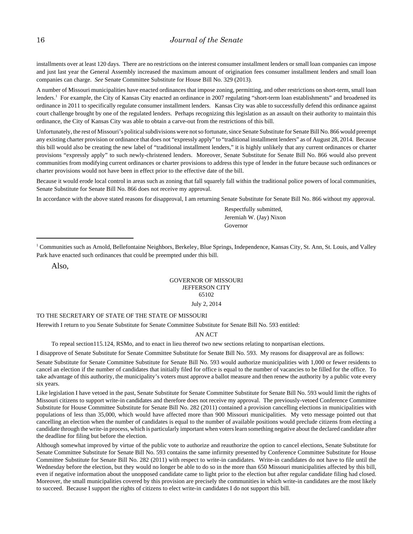installments over at least 120 days. There are no restrictions on the interest consumer installment lenders or small loan companies can impose and just last year the General Assembly increased the maximum amount of origination fees consumer installment lenders and small loan companies can charge. *See* Senate Committee Substitute for House Bill No. 329 (2013).

A number of Missouri municipalities have enacted ordinances that impose zoning, permitting, and other restrictions on short-term, small loan lenders.<sup>1</sup> For example, the City of Kansas City enacted an ordinance in 2007 regulating "short-term loan establishments" and broadened its ordinance in 2011 to specifically regulate consumer installment lenders. Kansas City was able to successfully defend this ordinance against court challenge brought by one of the regulated lenders. Perhaps recognizing this legislation as an assault on their authority to maintain this ordinance, the City of Kansas City was able to obtain a carve-out from the restrictions of this bill.

Unfortunately, the rest of Missouri's political subdivisions were not so fortunate, since Senate Substitute for Senate Bill No. 866 would preempt any existing charter provision or ordinance that does not "expressly apply" to "traditional installment lenders" as of August 28, 2014. Because this bill would also be creating the new label of "traditional installment lenders," it is highly unlikely that any current ordinances or charter provisions "expressly apply" to such newly-christened lenders. Moreover, Senate Substitute for Senate Bill No. 866 would also prevent communities from modifying current ordinances or charter provisions to address this type of lender in the future because such ordinances or charter provisions would not have been in effect prior to the effective date of the bill.

Because it would erode local control in areas such as zoning that fall squarely fall within the traditional police powers of local communities, Senate Substitute for Senate Bill No. 866 does not receive my approval.

In accordance with the above stated reasons for disapproval, I am returning Senate Substitute for Senate Bill No. 866 without my approval.

Respectfully submitted, Jeremiah W. (Jay) Nixon Governor

<sup>1</sup> Communities such as Arnold, Bellefontaine Neighbors, Berkeley, Blue Springs, Independence, Kansas City, St. Ann, St. Louis, and Valley Park have enacted such ordinances that could be preempted under this bill.

Also,

#### GOVERNOR OF MISSOURI JEFFERSON CITY 65102 July 2, 2014

#### TO THE SECRETARY OF STATE OF THE STATE OF MISSOURI

Herewith I return to you Senate Substitute for Senate Committee Substitute for Senate Bill No. 593 entitled:

AN ACT

To repeal section115.124, RSMo, and to enact in lieu thereof two new sections relating to nonpartisan elections.

I disapprove of Senate Substitute for Senate Committee Substitute for Senate Bill No. 593. My reasons for disapproval are as follows:

Senate Substitute for Senate Committee Substitute for Senate Bill No. 593 would authorize municipalities with 1,000 or fewer residents to cancel an election if the number of candidates that initially filed for office is equal to the number of vacancies to be filled for the office. To take advantage of this authority, the municipality's voters must approve a ballot measure and then renew the authority by a public vote every six years.

Like legislation I have vetoed in the past, Senate Substitute for Senate Committee Substitute for Senate Bill No. 593 would limit the rights of Missouri citizens to support write-in candidates and therefore does not receive my approval. The previously-vetoed Conference Committee Substitute for House Committee Substitute for Senate Bill No. 282 (2011) contained a provision cancelling elections in municipalities with populations of less than 35,000, which would have affected more than 900 Missouri municipalities. My veto message pointed out that cancelling an election when the number of candidates is equal to the number of available positions would preclude citizens from electing a candidate through the write-in process, which is particularly important when voters learn something negative about the declared candidate after the deadline for filing but before the election.

Although somewhat improved by virtue of the public vote to authorize and reauthorize the option to cancel elections, Senate Substitute for Senate Committee Substitute for Senate Bill No. 593 contains the same infirmity presented by Conference Committee Substitute for House Committee Substitute for Senate Bill No. 282 (2011) with respect to write-in candidates. Write-in candidates do not have to file until the Wednesday before the election, but they would no longer be able to do so in the more than 650 Missouri municipalities affected by this bill, even if negative information about the unopposed candidate came to light prior to the election but after regular candidate filing had closed. Moreover, the small municipalities covered by this provision are precisely the communities in which write-in candidates are the most likely to succeed. Because I support the rights of citizens to elect write-in candidates I do not support this bill.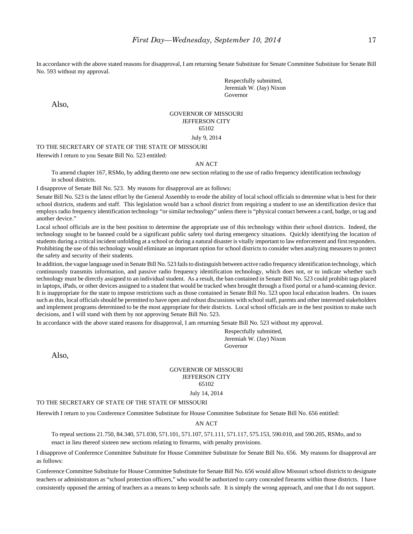In accordance with the above stated reasons for disapproval, I am returning Senate Substitute for Senate Committee Substitute for Senate Bill No. 593 without my approval.

> Respectfully submitted, Jeremiah W. (Jay) Nixon Governor

Also,

#### GOVERNOR OF MISSOURI JEFFERSON CITY 65102 July 9, 2014

TO THE SECRETARY OF STATE OF THE STATE OF MISSOURI

Herewith I return to you Senate Bill No. 523 entitled:

#### AN ACT

To amend chapter 167, RSMo, by adding thereto one new section relating to the use of radio frequency identification technology in school districts.

I disapprove of Senate Bill No. 523. My reasons for disapproval are as follows:

Senate Bill No. 523 is the latest effort by the General Assembly to erode the ability of local school officials to determine what is best for their school districts, students and staff. This legislation would ban a school district from requiring a student to use an identification device that employs radio frequency identification technology "or similar technology" unless there is "physical contact between a card, badge, or tag and another device."

Local school officials are in the best position to determine the appropriate use of this technology within their school districts. Indeed, the technology sought to be banned could be a significant public safety tool during emergency situations. Quickly identifying the location of students during a critical incident unfolding at a school or during a natural disaster is vitally important to law enforcement and first responders. Prohibiting the use of this technology would eliminate an important option for school districts to consider when analyzing measures to protect the safety and security of their students.

In addition, the vague language used in Senate Bill No. 523 fails to distinguish between active radio frequency identification technology, which continuously transmits information, and passive radio frequency identification technology, which does not, or to indicate whether such technology must be directly assigned to an individual student. As a result, the ban contained in Senate Bill No. 523 could prohibit tags placed in laptops, iPads, or other devices assigned to a student that would be tracked when brought through a fixed portal or a hand-scanning device. It is inappropriate for the state to impose restrictions such as those contained in Senate Bill No. 523 upon local education leaders. On issues such as this, local officials should be permitted to have open and robust discussions with school staff, parents and other interested stakeholders and implement programs determined to be the most appropriate for their districts. Local school officials are in the best position to make such decisions, and I will stand with them by not approving Senate Bill No. 523.

In accordance with the above stated reasons for disapproval, I am returning Senate Bill No. 523 without my approval.

Respectfully submitted, Jeremiah W. (Jay) Nixon Governor

Also,

### GOVERNOR OF MISSOURI JEFFERSON CITY 65102

July 14, 2014

#### TO THE SECRETARY OF STATE OF THE STATE OF MISSOURI

Herewith I return to you Conference Committee Substitute for House Committee Substitute for Senate Bill No. 656 entitled:

AN ACT

To repeal sections 21.750, 84.340, 571.030, 571.101, 571.107, 571.111, 571.117, 575.153, 590.010, and 590.205, RSMo, and to enact in lieu thereof sixteen new sections relating to firearms, with penalty provisions.

I disapprove of Conference Committee Substitute for House Committee Substitute for Senate Bill No. 656. My reasons for disapproval are as follows:

Conference Committee Substitute for House Committee Substitute for Senate Bill No. 656 would allow Missouri school districts to designate teachers or administrators as "school protection officers," who would be authorized to carry concealed firearms within those districts. I have consistently opposed the arming of teachers as a means to keep schools safe. It is simply the wrong approach, and one that I do not support.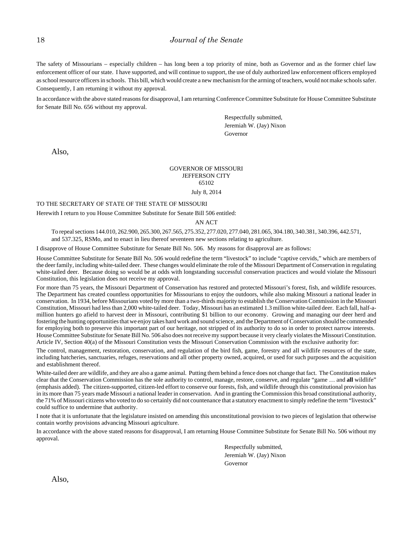The safety of Missourians – especially children – has long been a top priority of mine, both as Governor and as the former chief law enforcement officer of our state. I have supported, and will continue to support, the use of duly authorized law enforcement officers employed as school resource officers in schools. This bill, which would create a new mechanism for the arming of teachers, would not make schools safer. Consequently, I am returning it without my approval.

In accordance with the above stated reasons for disapproval, I am returning Conference Committee Substitute for House Committee Substitute for Senate Bill No. 656 without my approval.

> Respectfully submitted, Jeremiah W. (Jay) Nixon Governor

Also,

### GOVERNOR OF MISSOURI JEFFERSON CITY 65102

### July 8, 2014

#### TO THE SECRETARY OF STATE OF THE STATE OF MISSOURI

Herewith I return to you House Committee Substitute for Senate Bill 506 entitled:

#### AN ACT

To repeal sections 144.010, 262.900, 265.300, 267.565, 275.352, 277.020, 277.040, 281.065, 304.180, 340.381, 340.396, 442.571, and 537.325, RSMo, and to enact in lieu thereof seventeen new sections relating to agriculture.

I disapprove of House Committee Substitute for Senate Bill No. 506. My reasons for disapproval are as follows:

House Committee Substitute for Senate Bill No. 506 would redefine the term "livestock" to include "captive cervids," which are members of the deer family, including white-tailed deer. These changes would eliminate the role of the Missouri Department of Conservation in regulating white-tailed deer. Because doing so would be at odds with longstanding successful conservation practices and would violate the Missouri Constitution, this legislation does not receive my approval.

For more than 75 years, the Missouri Department of Conservation has restored and protected Missouri's forest, fish, and wildlife resources. The Department has created countless opportunities for Missourians to enjoy the outdoors, while also making Missouri a national leader in conservation. In 1934, before Missourians voted by more than a two-thirds majority to establish the Conservation Commission in the Missouri Constitution, Missouri had less than 2,000 white-tailed deer. Today, Missouri has an estimated 1.3 million white-tailed deer. Each fall, half-amillion hunters go afield to harvest deer in Missouri, contributing \$1 billion to our economy. Growing and managing our deer herd and fostering the hunting opportunities that we enjoy takes hard work and sound science, and the Department of Conservation should be commended for employing both to preserve this important part of our heritage, not stripped of its authority to do so in order to protect narrow interests. House Committee Substitute for Senate Bill No. 506 also does not receive my support because it very clearly violates the Missouri Constitution. Article IV, Section 40(a) of the Missouri Constitution vests the Missouri Conservation Commission with the exclusive authority for:

The control, management, restoration, conservation, and regulation of the bird fish, game, forestry and all wildlife resources of the state, including hatcheries, sanctuaries, refuges, reservations and all other property owned, acquired, or used for such purposes and the acquisition and establishment thereof.

White-tailed deer are wildlife, and they are also a game animal. Putting them behind a fence does not change that fact. The Constitution makes clear that the Conservation Commission has the sole authority to control, manage, restore, conserve, and regulate "game … and **all** wildlife" (emphasis added). The citizen-supported, citizen-led effort to conserve our forests, fish, and wildlife through this constitutional provision has in its more than 75 years made Missouri a national leader in conservation. And in granting the Commission this broad constitutional authority, the 71% of Missouri citizens who voted to do so certainly did not countenance that a statutory enactment to simply redefine the term "livestock" could suffice to undermine that authority.

I note that it is unfortunate that the legislature insisted on amending this unconstitutional provision to two pieces of legislation that otherwise contain worthy provisions advancing Missouri agriculture.

In accordance with the above stated reasons for disapproval, I am returning House Committee Substitute for Senate Bill No. 506 without my approval.

> Respectfully submitted, Jeremiah W. (Jay) Nixon Governor

Also,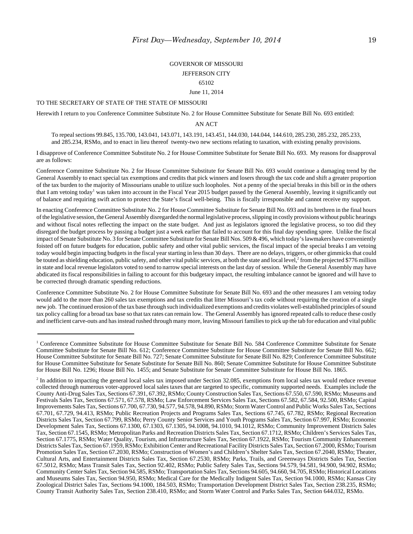### GOVERNOR OF MISSOURI JEFFERSON CITY 65102

June 11, 2014

#### TO THE SECRETARY OF STATE OF THE STATE OF MISSOURI

Herewith I return to you Conference Committee Substitute No. 2 for House Committee Substitute for Senate Bill No. 693 entitled:

AN ACT

To repeal sections 99.845, 135.700, 143.041, 143.071, 143.191, 143.451, 144.030, 144.044, 144.610, 285.230, 285.232, 285.233, and 285.234, RSMo, and to enact in lieu thereof twenty-two new sections relating to taxation, with existing penalty provisions.

I disapprove of Conference Committee Substitute No. 2 for House Committee Substitute for Senate Bill No. 693. My reasons for disapproval are as follows:

Conference Committee Substitute No. 2 for House Committee Substitute for Senate Bill No. 693 would continue a damaging trend by the General Assembly to enact special tax exemptions and credits that pick winners and losers through the tax code and shift a greater proportion of the tax burden to the majority of Missourians unable to utilize such loopholes. Not a penny of the special breaks in this bill or in the others that I am vetoing today<sup>1</sup> was taken into account in the Fiscal Year 2015 budget passed by the General Assembly, leaving it significantly out of balance and requiring swift action to protect the State's fiscal well-being. This is fiscally irresponsible and cannot receive my support.

In enacting Conference Committee Substitute No. 2 for House Committee Substitute for Senate Bill No. 693 and its brethren in the final hours of the legislative session, the General Assembly disregarded the normal legislative process, slipping in costly provisions without public hearings and without fiscal notes reflecting the impact on the state budget. And just as legislators ignored the legislative process, so too did they disregard the budget process by passing a budget just a week earlier that failed to account for this final day spending spree. Unlike the fiscal impact of Senate Substitute No. 3 for Senate Committee Substitute for Senate Bill Nos. 509 & 496, which today's lawmakers have conveniently foisted off on future budgets for education, public safety and other vital public services, the fiscal impact of the special breaks I am vetoing today would begin impacting budgets in the fiscal year starting in less than 30 days. There are no delays, triggers, or other gimmicks that could be touted as shielding education, public safety, and other vital public services, at both the state and local level,<sup>2</sup> from the projected \$776 million in state and local revenue legislators voted to send to narrow special interests on the last day of session. While the General Assembly may have abdicated its fiscal responsibilities in failing to account for this budgetary impact, the resulting imbalance cannot be ignored and will have to be corrected through dramatic spending reductions.

Conference Committee Substitute No. 2 for House Committee Substitute for Senate Bill No. 693 and the other measures I am vetoing today would add to the more than 260 sales tax exemptions and tax credits that litter Missouri's tax code without requiring the creation of a single new job. The continued erosion of the tax base through such individualized exemptions and credits violates well-established principles of sound tax policy calling for a broad tax base so that tax rates can remain low. The General Assembly has ignored repeated calls to reduce these costly and inefficient carve-outs and has instead rushed through many more, leaving Missouri families to pick up the tab for education and vital public

<sup>&</sup>lt;sup>1</sup> Conference Committee Substitute for House Committee Substitute for Senate Bill No. 584 Conference Committee Substitute for Senate Committee Substitute for Senate Bill No. 612; Conference Committee Substitute for House Committee Substitute for Senate Bill No. 662; House Committee Substitute for Senate Bill No. 727; Senate Committee Substitute for Senate Bill No. 829; Conference Committee Substitute for House Committee Substitute for Senate Substitute for Senate Bill No. 860; Senate Committee Substitute for House Committee Substitute for House Bill No. 1296; House Bill No. 1455; and Senate Substitute for Senate Committee Substitute for House Bill No. 1865.

 $<sup>2</sup>$  In addition to impacting the general local sales tax imposed under Section 32.085, exemptions from local sales tax would reduce revenue</sup> collected through numerous voter-approved local sales taxes that are targeted to specific, community supported needs. Examples include the County Anti-Drug Sales Tax, Sections 67.391, 67.392, RSMo; County Construction Sales Tax, Sections 67.550, 67.590, RSMo; Museums and Festivals Sales Tax, Sections 67.571, 67.578, RSMo; Law Enforcement Services Sales Tax, Sections 67.582, 67.584, 92.500, RSMo; Capital Improvements Sales Tax, Sections 67.700, 67.730, 94.577, 94.578, 94.890, RSMo; Storm Water Control and Public Works Sales Tax, Sections 67.701, 67.729, 94.413, RSMo; Public Recreation Projects and Programs Sales Tax, Sections 67.745, 67.782, RSMo; Regional Recreation Districts Sales Tax, Section 67.799, RSMo; Perry County Senior Services and Youth Programs Sales Tax, Section 67.997, RSMo; Economic Development Sales Tax, Sections 67.1300, 67.1303, 67.1305, 94.1008, 94.1010, 94.1012, RSMo; Community Improvement Districts Sales Tax, Section 67.1545, RSMo; Metropolitan Parks and Recreation Districts Sales Tax, Section 67.1712, RSMo; Children's Services Sales Tax, Section 67.1775, RSMo; Water Quality, Tourism, and Infrastructure Sales Tax, Section 67.1922, RSMo; Tourism Community Enhancement Districts Sales Tax, Section 67.1959, RSMo; Exhibition Center and Recreational Facility Districts Sales Tax, Section 67.2000, RSMo; Tourism Promotion Sales Tax, Section 67.2030, RSMo; Construction of Women's and Children's Shelter Sales Tax, Section 67.2040, RSMo; Theater, Cultural Arts, and Entertainment Districts Sales Tax, Section 67.2530, RSMo; Parks, Trails, and Greenways Districts Sales Tax, Section 67.5012, RSMo; Mass Transit Sales Tax, Section 92.402, RSMo; Public Safety Sales Tax, Sections 94.579, 94.581, 94.900, 94.902, RSMo; Community Center Sales Tax, Section 94.585, RSMo; Transportation Sales Tax, Sections 94.605, 94.660, 94.705, RSMo; Historical Locations and Museums Sales Tax, Section 94.950, RSMo; Medical Care for the Medically Indigent Sales Tax, Section 94.1000, RSMo; Kansas City Zoological District Sales Tax, Sections 94.1000, 184.503, RSMo; Transportation Development District Sales Tax, Section 238.235, RSMo; County Transit Authority Sales Tax, Section 238.410, RSMo; and Storm Water Control and Parks Sales Tax, Section 644.032, RSMo.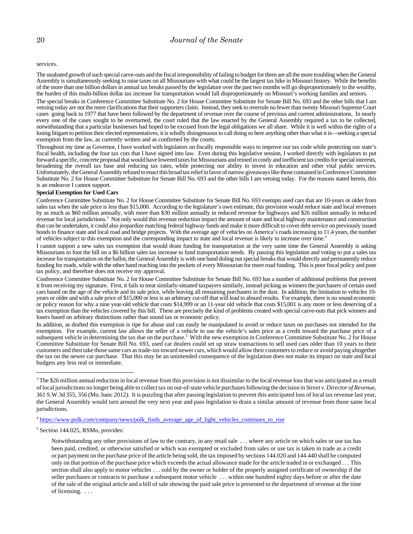services.

The unabated growth of such special carve-outs and the fiscal irresponsibility of failing to budget for them are all the more troubling when the General Assembly is simultaneously seeking to raise taxes on all Missourians with what could be the largest tax hike in Missouri history. While the benefits of the more than one billion dollars in annual tax breaks passed by the legislature over the past two months will go disproportionately to the wealthy, the burden of this multi-billion dollar tax increase for transportation would fall disproportionately on Missouri's working families and seniors.

The special breaks in Conference Committee Substitute No. 2 for House Committee Substitute for Senate Bill No. 693 and the other bills that I am vetoing today are not the mere clarifications that their supporters claim. Instead, they seek to overrule no fewer than twenty Missouri Supreme Court cases going back to 1977 that have been followed by the department of revenue over the course of previous and current administrations. In nearly every one of the cases sought to be overturned, the court ruled that the law enacted by the General Assembly required a tax to be collected, notwithstanding that a particular businesses had hoped to be excused from the legal obligations we all share. While it is well within the rights of a losing litigant to petition their elected representatives, it is wholly disingenuous to call doing so here anything other than what it is—seeking a special exemption from the law, as currently written and as confirmed by the courts.

Throughout my time as Governor, I have worked with legislators on fiscally responsible ways to improve our tax code while protecting our state's fiscal health, including the four tax cuts that I have signed into law. Even during this legislative session, I worked directly with legislators to put forward a specific, concrete proposal that would have lowered taxes for Missourians and reined in costly and inefficient tax credits for special interests, broadening the overall tax base and reducing tax rates, while protecting our ability to invest in education and other vital public services. Unfortunately, the General Assembly refused to enact this broad tax relief in favor of narrow giveaways like those contained in Conference Committee Substitute No. 2 for House Committee Substitute for Senate Bill No. 693 and the other bills I am vetoing today. For the reasons stated herein, this is an endeavor I cannot support.

#### **Special Exemption for Used Cars**

Conference Committee Substitute No. 2 for House Committee Substitute for Senate Bill No. 693 exempts used cars that are 10-years or older from sales tax when the sale price is less than \$15,000. According to the legislature's own estimate, this provision would reduce state and local revenues by as much as \$60 million annually, with more than \$30 million annually in reduced revenue for highways and \$26 million annually in reduced revenue for local jurisdictions.<sup>3</sup> Not only would this revenue reduction impact the amount of state and local highway maintenance and construction that can be undertaken, it could also jeopardize matching federal highway funds and make it more difficult to cover debt service on previously issued bonds to finance state and local road and bridge projects. With the average age of vehicles on America's roads increasing to 11.4 years, the number of vehicles subject to this exemption and the corresponding impact to state and local revenue is likely to increase over time.4

I cannot support a new sales tax exemption that would drain funding for transportation at the very same time the General Assembly is asking Missourians to foot the bill on a \$6 billion sales tax increase to fund transportation needs. By passing this legislation and voting to put a sales tax increase for transportation on the ballot, the General Assembly is with one hand doling out special breaks that would directly and permanently reduce funding for roads, while with the other hand reaching into the pockets of every Missourian for more road funding. This is poor fiscal policy and poor tax policy, and therefore does not receive my approval.

Conference Committee Substitute No. 2 for House Committee Substitute for Senate Bill No. 693 has a number of additional problems that prevent it from receiving my signature. First, it fails to treat similarly-situated taxpayers similarly, instead picking as winners the purchasers of certain used cars based on the age of the vehicle and its sale price, while leaving all remaining purchasers in the dust. In addition, the limitation to vehicles 10 years or older and with a sale price of \$15,000 or less is an arbitrary cut-off that will lead to absurd results. For example, there is no sound economic or policy reason for why a nine year-old vehicle that costs \$14,999 or an 11-year old vehicle that costs \$15,001 is any more or less deserving of a tax exemption than the vehicles covered by this bill. These are precisely the kind of problems created with special carve-outs that pick winners and losers based on arbitrary distinctions rather than sound tax or economic policy.

In addition, as drafted this exemption is ripe for abuse and can easily be manipulated to avoid or reduce taxes on purchases not intended for the exemption. For example, current law allows the seller of a vehicle to use the vehicle's sales price as a credit toward the purchase price of a subsequent vehicle in determining the tax due on the purchase.<sup>5</sup> With the new exemption in Conference Committee Substitute No. 2 for House Committee Substitute for Senate Bill No. 693, used car dealers could set up straw transactions to sell used cars older than 10 years to their customers and then take those same cars as trade-ins toward newer cars, which would allow their customers to reduce or avoid paying altogether the tax on the newer car purchase. That this may be an unintended consequence of the legislation does not make its impact on state and local budgets any less real or immediate.

<sup>4</sup> https://www.polk.com/company/news/polk\_finds\_average\_age\_of\_light\_vehicles\_continues\_to\_rise

5 Section 144.025, RSMo, provides:

 $^3$  The \$26 million annual reduction in local revenue from this provision is not dissimilar to the local revenue loss that was anticipated as a result of local jurisdictions no longer being able to collect tax on out-of-state vehicle purchases following the decision in *Street v. Director of Revenue,* 361 S.W.3d 355, 356 (Mo. banc 2012). It is puzzling that after passing legislation to prevent this anticipated loss of local tax revenue last year, the General Assembly would turn around the very next year and pass legislation to drain a similar amount of revenue from those same local jurisdictions.

Notwithstanding any other provisions of law to the contrary, in any retail sale . . . where any article on which sales or use tax has been paid, credited, or otherwise satisfied or which was exempted or excluded from sales or use tax is taken in trade as a credit or part payment on the purchase price of the article being sold, the tax imposed by sections 144.020 and 144.440 shall be computed only on that portion of the purchase price which exceeds the actual allowance made for the article traded in or exchanged . . . This section shall also apply to motor vehicles . . . sold by the owner or holder of the properly assigned certificate of ownership if the seller purchases or contracts to purchase a subsequent motor vehicle . . . within one hundred eighty days before or after the date of the sale of the original article and a bill of sale showing the paid sale price is presented to the department of revenue at the time of licensing. . . .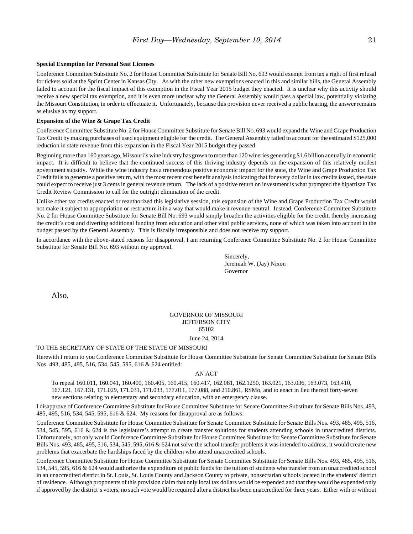#### **Special Exemption for Personal Seat Licenses**

Conference Committee Substitute No. 2 for House Committee Substitute for Senate Bill No. 693 would exempt from tax a right of first refusal for tickets sold at the Sprint Center in Kansas City. As with the other new exemptions enacted in this and similar bills, the General Assembly failed to account for the fiscal impact of this exemption in the Fiscal Year 2015 budget they enacted. It is unclear why this activity should receive a new special tax exemption, and it is even more unclear why the General Assembly would pass a special law, potentially violating the Missouri Constitution, in order to effectuate it. Unfortunately, because this provision never received a public hearing, the answer remains as elusive as my support.

#### **Expansion of the Wine & Grape Tax Credit**

Conference Committee Substitute No. 2 for House Committee Substitute for Senate Bill No. 693 would expand the Wine and Grape Production Tax Credit by making purchases of used equipment eligible for the credit. The General Assembly failed to account for the estimated \$125,000 reduction in state revenue from this expansion in the Fiscal Year 2015 budget they passed.

Beginning more than 160 years ago, Missouri's wine industry has grown to more than 120 wineries generating \$1.6 billion annually in economic impact. It is difficult to believe that the continued success of this thriving industry depends on the expansion of this relatively modest government subsidy. While the wine industry has a tremendous positive economic impact for the state, the Wine and Grape Production Tax Credit fails to generate a positive return, with the most recent cost benefit analysis indicating that for every dollar in tax credits issued, the state could expect to receive just 3 cents in general revenue return. The lack of a positive return on investment is what prompted the bipartisan Tax Credit Review Commission to call for the outright elimination of the credit.

Unlike other tax credits enacted or reauthorized this legislative session, this expansion of the Wine and Grape Production Tax Credit would not make it subject to appropriation or restructure it in a way that would make it revenue-neutral. Instead, Conference Committee Substitute No. 2 for House Committee Substitute for Senate Bill No. 693 would simply broaden the activities eligible for the credit, thereby increasing the credit's cost and diverting additional funding from education and other vital public services, none of which was taken into account in the budget passed by the General Assembly. This is fiscally irresponsible and does not receive my support.

In accordance with the above-stated reasons for disapproval, I am returning Conference Committee Substitute No. 2 for House Committee Substitute for Senate Bill No. 693 without my approval.

> Sincerely, Jeremiah W. (Jay) Nixon Governor

Also,

### GOVERNOR OF MISSOURI JEFFERSON CITY 65102

#### June 24, 2014

#### TO THE SECRETARY OF STATE OF THE STATE OF MISSOURI

Herewith I return to you Conference Committee Substitute for House Committee Substitute for Senate Committee Substitute for Senate Bills Nos. 493, 485, 495, 516, 534, 545, 595, 616 & 624 entitled:

#### AN ACT

To repeal 160.011, 160.041, 160.400, 160.405, 160.415, 160.417, 162.081, 162.1250, 163.021, 163.036, 163.073, 163.410, 167.121, 167.131, 171.029, 171.031, 171.033, 177.011, 177.088, and 210.861, RSMo, and to enact in lieu thereof forty-seven new sections relating to elementary and secondary education, with an emergency clause.

I disapprove of Conference Committee Substitute for House Committee Substitute for Senate Committee Substitute for Senate Bills Nos. 493, 485, 495, 516, 534, 545, 595, 616 & 624. My reasons for disapproval are as follows:

Conference Committee Substitute for House Committee Substitute for Senate Committee Substitute for Senate Bills Nos. 493, 485, 495, 516, 534, 545, 595, 616 & 624 is the legislature's attempt to create transfer solutions for students attending schools in unaccredited districts. Unfortunately, not only would Conference Committee Substitute for House Committee Substitute for Senate Committee Substitute for Senate Bills Nos. 493, 485, 495, 516, 534, 545, 595, 616 & 624 not solve the school transfer problems it was intended to address, it would create new problems that exacerbate the hardships faced by the children who attend unaccredited schools.

Conference Committee Substitute for House Committee Substitute for Senate Committee Substitute for Senate Bills Nos. 493, 485, 495, 516, 534, 545, 595, 616 & 624 would authorize the expenditure of public funds for the tuition of students who transfer from an unaccredited school in an unaccredited district in St. Louis, St. Louis County and Jackson County to private, nonsectarian schools located in the students' district of residence. Although proponents of this provision claim that only local tax dollars would be expended and that they would be expended only if approved by the district's voters, no such vote would be required after a district has been unaccredited for three years. Either with or without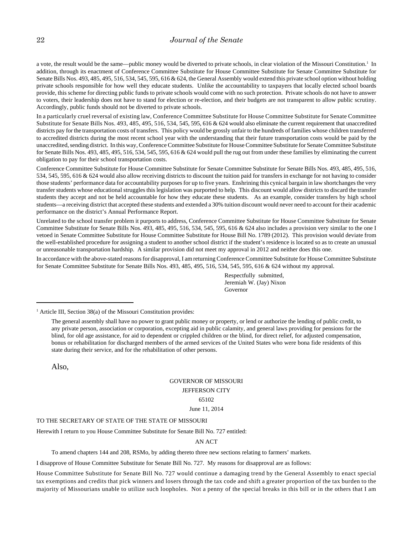a vote, the result would be the same—public money would be diverted to private schools, in clear violation of the Missouri Constitution.<sup>1</sup> In addition, through its enactment of Conference Committee Substitute for House Committee Substitute for Senate Committee Substitute for Senate Bills Nos. 493, 485, 495, 516, 534, 545, 595, 616 & 624, the General Assembly would extend this private school option without holding private schools responsible for how well they educate students. Unlike the accountability to taxpayers that locally elected school boards provide, this scheme for directing public funds to private schools would come with no such protection. Private schools do not have to answer to voters, their leadership does not have to stand for election or re-election, and their budgets are not transparent to allow public scrutiny. Accordingly, public funds should not be diverted to private schools.

In a particularly cruel reversal of existing law, Conference Committee Substitute for House Committee Substitute for Senate Committee Substitute for Senate Bills Nos. 493, 485, 495, 516, 534, 545, 595, 616 & 624 would also eliminate the current requirement that unaccredited districts pay for the transportation costs of transfers. This policy would be grossly unfair to the hundreds of families whose children transferred to accredited districts during the most recent school year with the understanding that their future transportation costs would be paid by the unaccredited, sending district. In this way, Conference Committee Substitute for House Committee Substitute for Senate Committee Substitute for Senate Bills Nos. 493, 485, 495, 516, 534, 545, 595, 616 & 624 would pull the rug out from under these families by eliminating the current obligation to pay for their school transportation costs.

Conference Committee Substitute for House Committee Substitute for Senate Committee Substitute for Senate Bills Nos. 493, 485, 495, 516, 534, 545, 595, 616 & 624 would also allow receiving districts to discount the tuition paid for transfers in exchange for not having to consider those students' performance data for accountability purposes for up to five years. Enshrining this cynical bargain in law shortchanges the very transfer students whose educational struggles this legislation was purported to help. This discount would allow districts to discard the transfer students they accept and not be held accountable for how they educate these students. As an example, consider transfers by high school students—a receiving district that accepted these students and extended a 30% tuition discount would never need to account for their academic performance on the district's Annual Performance Report.

Unrelated to the school transfer problem it purports to address, Conference Committee Substitute for House Committee Substitute for Senate Committee Substitute for Senate Bills Nos. 493, 485, 495, 516, 534, 545, 595, 616 & 624 also includes a provision very similar to the one I vetoed in Senate Committee Substitute for House Committee Substitute for House Bill No. 1789 (2012). This provision would deviate from the well-established procedure for assigning a student to another school district if the student's residence is located so as to create an unusual or unreasonable transportation hardship. A similar provision did not meet my approval in 2012 and neither does this one.

In accordance with the above-stated reasons for disapproval, I am returning Conference Committee Substitute for House Committee Substitute for Senate Committee Substitute for Senate Bills Nos. 493, 485, 495, 516, 534, 545, 595, 616 & 624 without my approval.

> Respectfully submitted, Jeremiah W. (Jay) Nixon Governor

 $<sup>1</sup>$  Article III, Section 38(a) of the Missouri Constitution provides:</sup>

The general assembly shall have no power to grant public money or property, or lend or authorize the lending of public credit, to any private person, association or corporation, excepting aid in public calamity, and general laws providing for pensions for the blind, for old age assistance, for aid to dependent or crippled children or the blind, for direct relief, for adjusted compensation, bonus or rehabilitation for discharged members of the armed services of the United States who were bona fide residents of this state during their service, and for the rehabilitation of other persons.

Also,

### GOVERNOR OF MISSOURI JEFFERSON CITY 65102 June 11, 2014

#### TO THE SECRETARY OF STATE OF THE STATE OF MISSOURI

Herewith I return to you House Committee Substitute for Senate Bill No. 727 entitled:

#### AN ACT

To amend chapters 144 and 208, RSMo, by adding thereto three new sections relating to farmers' markets.

I disapprove of House Committee Substitute for Senate Bill No. 727. My reasons for disapproval are as follows:

House Committee Substitute for Senate Bill No. 727 would continue a damaging trend by the General Assembly to enact special tax exemptions and credits that pick winners and losers through the tax code and shift a greater proportion of the tax burden to the majority of Missourians unable to utilize such loopholes. Not a penny of the special breaks in this bill or in the others that I am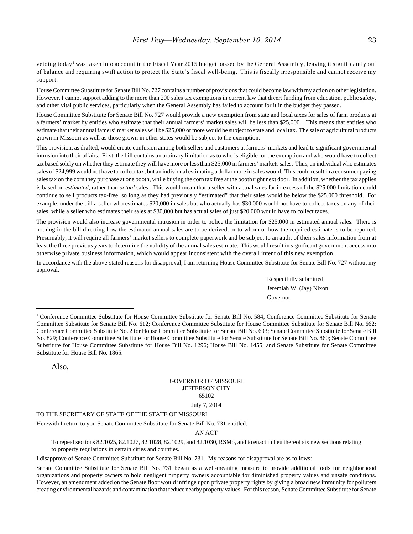vetoing today<sup>1</sup> was taken into account in the Fiscal Year 2015 budget passed by the General Assembly, leaving it significantly out of balance and requiring swift action to protect the State's fiscal well-being. This is fiscally irresponsible and cannot receive my support.

House Committee Substitute for Senate Bill No. 727 contains a number of provisions that could become law with my action on other legislation. However, I cannot support adding to the more than 200 sales tax exemptions in current law that divert funding from education, public safety, and other vital public services, particularly when the General Assembly has failed to account for it in the budget they passed.

House Committee Substitute for Senate Bill No. 727 would provide a new exemption from state and local taxes for sales of farm products at a farmers' market by entities who estimate that their annual farmers' market sales will be less than \$25,000. This means that entities who estimate that their annual famers' market sales will be \$25,000 or more would be subject to state and local tax. The sale of agricultural products grown in Missouri as well as those grown in other states would be subject to the exemption.

This provision, as drafted, would create confusion among both sellers and customers at farmers' markets and lead to significant governmental intrusion into their affairs. First, the bill contains an arbitrary limitation as to who is eligible for the exemption and who would have to collect tax based solely on whether they estimate they will have more or less than \$25,000 in farmers' markets sales. Thus, an individual who estimates sales of \$24,999 would not have to collect tax, but an individual estimating a dollar more in sales would. This could result in a consumer paying sales tax on the corn they purchase at one booth, while buying the corn tax free at the booth right next door. In addition, whether the tax applies is based on *estimated*, rather than *actual* sales. This would mean that a seller with actual sales far in excess of the \$25,000 limitation could continue to sell products tax-free, so long as they had previously "estimated" that their sales would be below the \$25,000 threshold. For example, under the bill a seller who estimates \$20,000 in sales but who actually has \$30,000 would not have to collect taxes on any of their sales, while a seller who estimates their sales at \$30,000 but has actual sales of just \$20,000 would have to collect taxes.

The provision would also increase governmental intrusion in order to police the limitation for \$25,000 in estimated annual sales. There is nothing in the bill directing how the estimated annual sales are to be derived, or to whom or how the required estimate is to be reported. Presumably, it will require all farmers' market sellers to complete paperwork and be subject to an audit of their sales information from at least the three previous years to determine the validity of the annual sales estimate. This would result in significant government access into otherwise private business information, which would appear inconsistent with the overall intent of this new exemption.

In accordance with the above-stated reasons for disapproval, I am returning House Committee Substitute for Senate Bill No. 727 without my approval.

> Respectfully submitted, Jeremiah W. (Jay) Nixon Governor

Also,

#### GOVERNOR OF MISSOURI JEFFERSON CITY 65102 July 7, 2014

TO THE SECRETARY OF STATE OF THE STATE OF MISSOURI

Herewith I return to you Senate Committee Substitute for Senate Bill No. 731 entitled:

#### AN ACT

To repeal sections 82.1025, 82.1027, 82.1028, 82.1029, and 82.1030, RSMo, and to enact in lieu thereof six new sections relating to property regulations in certain cities and counties.

I disapprove of Senate Committee Substitute for Senate Bill No. 731. My reasons for disapproval are as follows:

Senate Committee Substitute for Senate Bill No. 731 began as a well-meaning measure to provide additional tools for neighborhood organizations and property owners to hold negligent property owners accountable for diminished property values and unsafe conditions. However, an amendment added on the Senate floor would infringe upon private property rights by giving a broad new immunity for polluters creating environmental hazards and contamination that reduce nearby property values. For this reason, Senate Committee Substitute for Senate

<sup>&</sup>lt;sup>1</sup> Conference Committee Substitute for House Committee Substitute for Senate Bill No. 584; Conference Committee Substitute for Senate Committee Substitute for Senate Bill No. 612; Conference Committee Substitute for House Committee Substitute for Senate Bill No. 662; Conference Committee Substitute No. 2 for House Committee Substitute for Senate Bill No. 693; Senate Committee Substitute for Senate Bill No. 829; Conference Committee Substitute for House Committee Substitute for Senate Substitute for Senate Bill No. 860; Senate Committee Substitute for House Committee Substitute for House Bill No. 1296; House Bill No. 1455; and Senate Substitute for Senate Committee Substitute for House Bill No. 1865.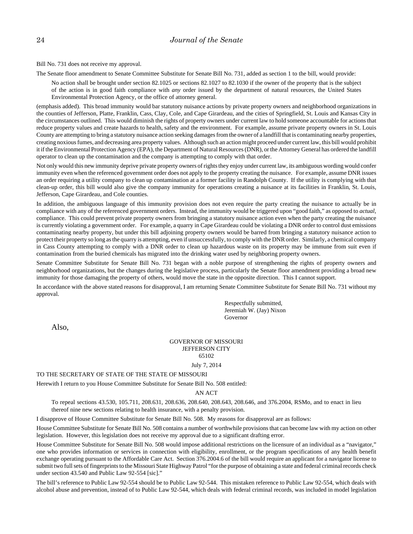Bill No. 731 does not receive my approval.

The Senate floor amendment to Senate Committee Substitute for Senate Bill No. 731, added as section 1 to the bill, would provide:

No action shall be brought under section 82.1025 or sections 82.1027 to 82.1030 if the owner of the property that is the subject of the action is in good faith compliance with *any* order issued by the department of natural resources, the United States Environmental Protection Agency, or the office of attorney general.

(emphasis added). This broad immunity would bar statutory nuisance actions by private property owners and neighborhood organizations in the counties of Jefferson, Platte, Franklin, Cass, Clay, Cole, and Cape Girardeau, and the cities of Springfield, St. Louis and Kansas City in the circumstances outlined. This would diminish the rights of property owners under current law to hold someone accountable for actions that reduce property values and create hazards to health, safety and the environment. For example, assume private property owners in St. Louis County are attempting to bring a statutory nuisance action seeking damages from the owner of a landfill that is contaminating nearby properties, creating noxious fumes, and decreasing area property values. Although such an action might proceed under current law, this bill would prohibit it if the Environmental Protection Agency (EPA), the Department of Natural Resources (DNR), or the Attorney General has ordered the landfill operator to clean up the contamination and the company is attempting to comply with that order.

Not only would this new immunity deprive private property owners of rights they enjoy under current law, its ambiguous wording would confer immunity even when the referenced government order does not apply to the property creating the nuisance. For example, assume DNR issues an order requiring a utility company to clean up contamination at a former facility in Randolph County. If the utility is complying with that clean-up order, this bill would also give the company immunity for operations creating a nuisance at its facilities in Franklin, St. Louis, Jefferson, Cape Girardeau, and Cole counties.

In addition, the ambiguous language of this immunity provision does not even require the party creating the nuisance to actually be in compliance with any of the referenced government orders. Instead, the immunity would be triggered upon "good faith," as opposed to *actual*, compliance. This could prevent private property owners from bringing a statutory nuisance action even when the party creating the nuisance is currently violating a government order. For example, a quarry in Cape Girardeau could be violating a DNR order to control dust emissions contaminating nearby property, but under this bill adjoining property owners would be barred from bringing a statutory nuisance action to protect their property so long as the quarry is attempting, even if unsuccessfully, to comply with the DNR order. Similarly, a chemical company in Cass County attempting to comply with a DNR order to clean up hazardous waste on its property may be immune from suit even if contamination from the buried chemicals has migrated into the drinking water used by neighboring property owners.

Senate Committee Substitute for Senate Bill No. 731 began with a noble purpose of strengthening the rights of property owners and neighborhood organizations, but the changes during the legislative process, particularly the Senate floor amendment providing a broad new immunity for those damaging the property of others, would move the state in the opposite direction. This I cannot support.

In accordance with the above stated reasons for disapproval, I am returning Senate Committee Substitute for Senate Bill No. 731 without my approval.

> Respectfully submitted, Jeremiah W. (Jay) Nixon Governor

Also,

#### GOVERNOR OF MISSOURI JEFFERSON CITY 65102 July 7, 2014

#### TO THE SECRETARY OF STATE OF THE STATE OF MISSOURI

Herewith I return to you House Committee Substitute for Senate Bill No. 508 entitled:

#### AN ACT

To repeal sections 43.530, 105.711, 208.631, 208.636, 208.640, 208.643, 208.646, and 376.2004, RSMo, and to enact in lieu thereof nine new sections relating to health insurance, with a penalty provision.

I disapprove of House Committee Substitute for Senate Bill No. 508. My reasons for disapproval are as follows:

House Committee Substitute for Senate Bill No. 508 contains a number of worthwhile provisions that can become law with my action on other legislation. However, this legislation does not receive my approval due to a significant drafting error.

House Committee Substitute for Senate Bill No. 508 would impose additional restrictions on the licensure of an individual as a "navigator," one who provides information or services in connection with eligibility, enrollment, or the program specifications of any health benefit exchange operating pursuant to the Affordable Care Act. Section 376.2004.6 of the bill would require an applicant for a navigator license to submit two full sets of fingerprints to the Missouri State Highway Patrol "for the purpose of obtaining a state and federal criminal records check under section 43.540 and Public Law 92-554 [sic]."

The bill's reference to Public Law 92-554 should be to Public Law 92-544. This mistaken reference to Public Law 92-554, which deals with alcohol abuse and prevention, instead of to Public Law 92-544, which deals with federal criminal records, was included in model legislation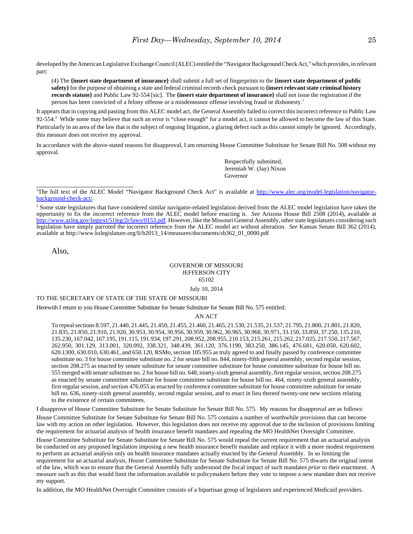developed by the American Legislative Exchange Council (ALEC) entitled the "Navigator Background Check Act," which provides, in relevant part:

(4) The **{insert state department of insurance}** shall submit a full set of fingerprints to the **{insert state department of public safety}** for the purpose of obtaining a state and federal criminal records check pursuant to **{insert relevant state criminal history records statute}** and Public Law 92-554 [sic]. The **{insert state department of insurance}** shall not issue the registration if the person has been convicted of a felony offense or a misdemeanor offense involving fraud or dishonesty.1

It appears that in copying and pasting from this ALEC model act, the General Assembly failed to correct this incorrect reference to Public Law 92-554.<sup>2</sup> While some may believe that such an error is "close enough" for a model act, it cannot be allowed to become the law of this State. Particularly in an area of the law that is the subject of ongoing litigation, a glaring defect such as this cannot simply be ignored. Accordingly, this measure does not receive my approval.

In accordance with the above-stated reasons for disapproval, I am returning House Committee Substitute for Senate Bill No. 508 without my approval.

> Respectfully submitted, Jeremiah W. (Jay) Nixon Governor

Also,

### GOVERNOR OF MISSOURI JEFFERSON CITY 65102

July 10, 2014

### TO THE SECRETARY OF STATE OF THE STATE OF MISSOURI

Herewith I return to you House Committee Substitute for Senate Substitute for Senate Bill No. 575 entitled:

#### AN ACT

To repeal sections 8.597, 21.440, 21.445, 21.450, 21.455, 21.460, 21.465, 21.530, 21.535, 21.537, 21.795, 21.800, 21.801, 21.820, 21.835, 21.850, 21.910, 21.920, 30.953, 30.954, 30.956, 30.959, 30.962, 30.965, 30.968, 30.971, 33.150, 33.850, 37.250, 135.210, 135.230, 167.042, 167.195, 191.115, 191.934, 197.291, 208.952, 208.955, 210.153, 215.261, 215.262, 217.025, 217.550, 217.567, 262.950, 301.129, 313.001, 320.092, 338.321, 348.439, 361.120, 376.1190, 383.250, 386.145, 476.681, 620.050, 620.602, 620.1300, 630.010, 630.461, and 650.120, RSMo, section 105.955 as truly agreed to and finally passed by conference committee substitute no. 3 for house committee substitute no. 2 for senate bill no. 844, ninety-fifth general assembly, second regular session, section 208.275 as enacted by senate substitute for senate committee substitute for house committee substitute for house bill no. 555 merged with senate substitute no. 2 for house bill no. 648, ninety-sixth general assembly, first regular session, section 208.275 as enacted by senate committee substitute for house committee substitute for house bill no. 464, ninety-sixth general assembly, first regular session, and section 476.055 as enacted by conference committee substitute for house committee substitute for senate bill no. 636, ninety-sixth general assembly, second regular session, and to enact in lieu thereof twenty-one new sections relating to the existence of certain committees.

I disapprove of House Committee Substitute for Senate Substitute for Senate Bill No. 575. My reasons for disapproval are as follows:

House Committee Substitute for Senate Substitute for Senate Bill No. 575 contains a number of worthwhile provisions that can become law with my action on other legislation. However, this legislation does not receive my approval due to the inclusion of provisions limiting the requirement for actuarial analysis of health insurance benefit mandates and repealing the MO HealthNet Oversight Committee.

House Committee Substitute for Senate Substitute for Senate Bill No. 575 would repeal the current requirement that an actuarial analysis be conducted on any proposed legislation imposing a new health insurance benefit mandate and replace it with a more modest requirement to perform an actuarial analysis only on health insurance mandates actually enacted by the General Assembly. In so limiting the requirement for an actuarial analysis, House Committee Substitute for Senate Substitute for Senate Bill No. 575 thwarts the original intent of the law, which was to ensure that the General Assembly fully understood the fiscal impact of such mandates *prior* to their enactment. A measure such as this that would limit the information available to policymakers before they vote to impose a new mandate does not receive my support.

In addition, the MO HealthNet Oversight Committee consists of a bipartisan group of legislators and experienced Medicaid providers.

<sup>&</sup>lt;sup>1</sup>The full text of the ALEC Model "Navigator Background Check Act" is available at http://www.alec.org/model-legislation/navigatorbackground-check-act/.

<sup>&</sup>lt;sup>2</sup> Some state legislatures that have considered similar navigator-related legislation derived from the ALEC model legislation have taken the opportunity to fix the incorrect reference from the ALEC model before enacting it. *See* Arizona House Bill 2508 (2014), available at http://www.azleg.gov/legtext/51leg/2r/laws/0153.pdf. However, like the Missouri General Assembly, other state legislatures considering such legislation have simply parroted the incorrect reference from the ALEC model act without alteration. *See* Kansas Senate Bill 362 (2014), available at http://www.kslegislature.org/li/b2013\_14/measures/documents/sb362\_01\_0000.pdf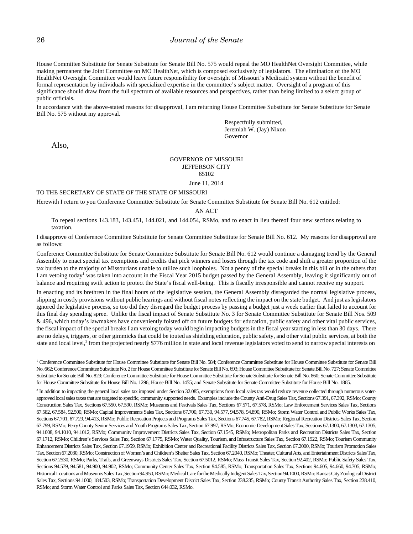House Committee Substitute for Senate Substitute for Senate Bill No. 575 would repeal the MO HealthNet Oversight Committee, while making permanent the Joint Committee on MO HealthNet, which is composed exclusively of legislators. The elimination of the MO HealthNet Oversight Committee would leave future responsibility for oversight of Missouri's Medicaid system without the benefit of formal representation by individuals with specialized expertise in the committee's subject matter. Oversight of a program of this significance should draw from the full spectrum of available resources and perspectives, rather than being limited to a select group of public officials.

In accordance with the above-stated reasons for disapproval, I am returning House Committee Substitute for Senate Substitute for Senate Bill No. 575 without my approval.

> Respectfully submitted, Jeremiah W. (Jay) Nixon Governor

Also,

### GOVERNOR OF MISSOURI JEFFERSON CITY 65102

June 11, 2014

TO THE SECRETARY OF STATE OF THE STATE OF MISSOURI

Herewith I return to you Conference Committee Substitute for Senate Committee Substitute for Senate Bill No. 612 entitled:

AN ACT

To repeal sections 143.183, 143.451, 144.021, and 144.054, RSMo, and to enact in lieu thereof four new sections relating to taxation.

I disapprove of Conference Committee Substitute for Senate Committee Substitute for Senate Bill No. 612. My reasons for disapproval are as follows:

Conference Committee Substitute for Senate Committee Substitute for Senate Bill No. 612 would continue a damaging trend by the General Assembly to enact special tax exemptions and credits that pick winners and losers through the tax code and shift a greater proportion of the tax burden to the majority of Missourians unable to utilize such loopholes. Not a penny of the special breaks in this bill or in the others that I am vetoing today<sup>1</sup> was taken into account in the Fiscal Year 2015 budget passed by the General Assembly, leaving it significantly out of balance and requiring swift action to protect the State's fiscal well-being. This is fiscally irresponsible and cannot receive my support.

In enacting and its brethren in the final hours of the legislative session, the General Assembly disregarded the normal legislative process, slipping in costly provisions without public hearings and without fiscal notes reflecting the impact on the state budget. And just as legislators ignored the legislative process, so too did they disregard the budget process by passing a budget just a week earlier that failed to account for this final day spending spree. Unlike the fiscal impact of Senate Substitute No. 3 for Senate Committee Substitute for Senate Bill Nos. 509 & 496, which today's lawmakers have conveniently foisted off on future budgets for education, public safety and other vital public services, the fiscal impact of the special breaks I am vetoing today would begin impacting budgets in the fiscal year starting in less than 30 days. There are no delays, triggers, or other gimmicks that could be touted as shielding education, public safety, and other vital public services, at both the state and local level,<sup>2</sup> from the projected nearly \$776 million in state and local revenue legislators voted to send to narrow special interests on

<sup>&</sup>lt;sup>1</sup> Conference Committee Substitute for House Committee Substitute for Senate Bill No. 584; Conference Committee Substitute for House Committee Substitute for Senate Bill No. 662; Conference Committee Substitute No. 2 for House Committee Substitute for Senate Bill No. 693; House Committee Substitute for Senate Bill No. 727; Senate Committee Substitute for Senate Bill No. 829; Conference Committee Substitute for House Committee Substitute for Senate Substitute for Senate Bill No. 860; Senate Committee Substitute for House Committee Substitute for House Bill No. 1296; House Bill No. 1455; and Senate Substitute for Senate Committee Substitute for House Bill No. 1865.

<sup>&</sup>lt;sup>2</sup> In addition to impacting the general local sales tax imposed under Section 32.085, exemptions from local sales tax would reduce revenue collected through numerous voterapproved local sales taxes that are targeted to specific, community supported needs. Examples include the County Anti-Drug Sales Tax, Sections 67.391, 67.392, RSMo; County Construction Sales Tax, Sections 67.550, 67.590, RSMo; Museums and Festivals Sales Tax, Sections 67.571, 67.578, RSMo; Law Enforcement Services Sales Tax, Sections 67.582, 67.584, 92.500, RSMo; Capital Improvements Sales Tax, Sections 67.700, 67.730, 94.577, 94.578, 94.890, RSMo; Storm Water Control and Public Works Sales Tax, Sections 67.701, 67.729, 94.413, RSMo; Public Recreation Projects and Programs Sales Tax, Sections 67.745, 67.782, RSMo; Regional Recreation Districts Sales Tax, Section 67.799, RSMo; Perry County Senior Services and Youth Programs Sales Tax, Section 67.997, RSMo; Economic Development Sales Tax, Sections 67.1300, 67.1303, 67.1305, 94.1008, 94.1010, 94.1012, RSMo; Community Improvement Districts Sales Tax, Section 67.1545, RSMo; Metropolitan Parks and Recreation Districts Sales Tax, Section 67.1712, RSMo; Children's Services Sales Tax, Section 67.1775, RSMo; Water Quality, Tourism, and Infrastructure Sales Tax, Section 67.1922, RSMo; Tourism Community Enhancement Districts Sales Tax, Section 67.1959, RSMo; Exhibition Center and Recreational Facility Districts Sales Tax, Section 67.2000, RSMo; Tourism Promotion Sales Tax, Section 67.2030, RSMo; Construction of Women's and Children's Shelter Sales Tax, Section 67.2040, RSMo; Theater, Cultural Arts, and Entertainment Districts Sales Tax, Section 67.2530, RSMo; Parks, Trails, and Greenways Districts Sales Tax, Section 67.5012, RSMo; Mass Transit Sales Tax, Section 92.402, RSMo; Public Safety Sales Tax, Sections 94.579, 94.581, 94.900, 94.902, RSMo; Community Center Sales Tax, Section 94.585, RSMo; Transportation Sales Tax, Sections 94.605, 94.660, 94.705, RSMo; Historical Locations and Museums Sales Tax, Section 94.950, RSMo; Medical Care for the Medically Indigent Sales Tax, Section 94.1000, RSMo; Kansas City Zoological District Sales Tax, Sections 94.1000, 184.503, RSMo; Transportation Development District Sales Tax, Section 238.235, RSMo; County Transit Authority Sales Tax, Section 238.410, RSMo; and Storm Water Control and Parks Sales Tax, Section 644.032, RSMo.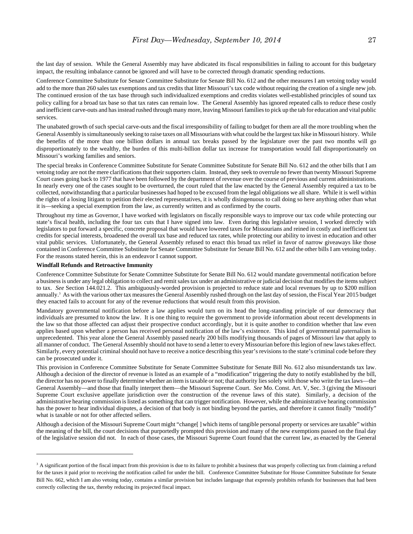the last day of session. While the General Assembly may have abdicated its fiscal responsibilities in failing to account for this budgetary impact, the resulting imbalance cannot be ignored and will have to be corrected through dramatic spending reductions.

Conference Committee Substitute for Senate Committee Substitute for Senate Bill No. 612 and the other measures I am vetoing today would add to the more than 260 sales tax exemptions and tax credits that litter Missouri's tax code without requiring the creation of a single new job. The continued erosion of the tax base through such individualized exemptions and credits violates well-established principles of sound tax policy calling for a broad tax base so that tax rates can remain low. The General Assembly has ignored repeated calls to reduce these costly and inefficient carve-outs and has instead rushed through many more, leaving Missouri families to pick up the tab for education and vital public services.

The unabated growth of such special carve-outs and the fiscal irresponsibility of failing to budget for them are all the more troubling when the General Assembly is simultaneously seeking to raise taxes on all Missourians with what could be the largest tax hike in Missouri history. While the benefits of the more than one billion dollars in annual tax breaks passed by the legislature over the past two months will go disproportionately to the wealthy, the burden of this multi-billion dollar tax increase for transportation would fall disproportionately on Missouri's working families and seniors.

The special breaks in Conference Committee Substitute for Senate Committee Substitute for Senate Bill No. 612 and the other bills that I am vetoing today are not the mere clarifications that their supporters claim. Instead, they seek to overrule no fewer than twenty Missouri Supreme Court cases going back to 1977 that have been followed by the department of revenue over the course of previous and current administrations. In nearly every one of the cases sought to be overturned, the court ruled that the law enacted by the General Assembly required a tax to be collected, notwithstanding that a particular businesses had hoped to be excused from the legal obligations we all share. While it is well within the rights of a losing litigant to petition their elected representatives, it is wholly disingenuous to call doing so here anything other than what it is—seeking a special exemption from the law, as currently written and as confirmed by the courts.

Throughout my time as Governor, I have worked with legislators on fiscally responsible ways to improve our tax code while protecting our state's fiscal health, including the four tax cuts that I have signed into law. Even during this legislative session, I worked directly with legislators to put forward a specific, concrete proposal that would have lowered taxes for Missourians and reined in costly and inefficient tax credits for special interests, broadened the overall tax base and reduced tax rates, while protecting our ability to invest in education and other vital public services. Unfortunately, the General Assembly refused to enact this broad tax relief in favor of narrow giveaways like those contained in Conference Committee Substitute for Senate Committee Substitute for Senate Bill No. 612 and the other bills I am vetoing today. For the reasons stated herein, this is an endeavor I cannot support.

#### **Windfall Refunds and Retroactive Immunity**

Conference Committee Substitute for Senate Committee Substitute for Senate Bill No. 612 would mandate governmental notification before a business is under any legal obligation to collect and remit sales tax under an administrative or judicial decision that modifies the items subject to tax. *See* Section 144.021.2. This ambiguously-worded provision is projected to reduce state and local revenues by up to \$200 million annually.<sup>3</sup> As with the various other tax measures the General Assembly rushed through on the last day of session, the Fiscal Year 2015 budget they enacted fails to account for any of the revenue reductions that would result from this provision.

Mandatory governmental notification before a law applies would turn on its head the long-standing principle of our democracy that individuals are presumed to know the law. It is one thing to require the government to provide information about recent developments in the law so that those affected can adjust their prospective conduct accordingly, but it is quite another to condition whether that law even applies based upon whether a person has received personal notification of the law's existence. This kind of governmental paternalism is unprecedented. This year alone the General Assembly passed nearly 200 bills modifying thousands of pages of Missouri law that apply to all manner of conduct. The General Assembly should not have to send a letter to every Missourian before this legion of new laws takes effect. Similarly, every potential criminal should not have to receive a notice describing this year's revisions to the state's criminal code before they can be prosecuted under it.

This provision in Conference Committee Substitute for Senate Committee Substitute for Senate Bill No. 612 also misunderstands tax law. Although a decision of the director of revenue is listed as an example of a "modification" triggering the duty to notify established by the bill, the director has no power to finally determine whether an item is taxable or not; that authority lies solely with those who write the tax laws—the General Assembly—and those that finally interpret them—the Missouri Supreme Court. *See* Mo. Const. Art. V, Sec. 3 (giving the Missouri Supreme Court exclusive appellate jurisdiction over the construction of the revenue laws of this state). Similarly, a decision of the administrative hearing commission is listed as something that can trigger notification. However, while the administrative hearing commission has the power to hear individual disputes, a decision of that body is not binding beyond the parties, and therefore it cannot finally "modify" what is taxable or not for other affected sellers.

Although a decision of the Missouri Supreme Court might "change[ ] which items of tangible personal property or services are taxable" within the meaning of the bill, the court decisions that purportedly prompted this provision and many of the new exemptions passed on the final day of the legislative session did not. In each of those cases, the Missouri Supreme Court found that the current law, as enacted by the General

<sup>&</sup>lt;sup>3</sup> A significant portion of the fiscal impact from this provision is due to its failure to prohibit a business that was properly collecting tax from claiming a refund for the taxes it paid prior to receiving the notification called for under the bill. Conference Committee Substitute for House Committee Substitute for Senate Bill No. 662, which I am also vetoing today, contains a similar provision but includes language that expressly prohibits refunds for businesses that had been correctly collecting the tax, thereby reducing its projected fiscal impact.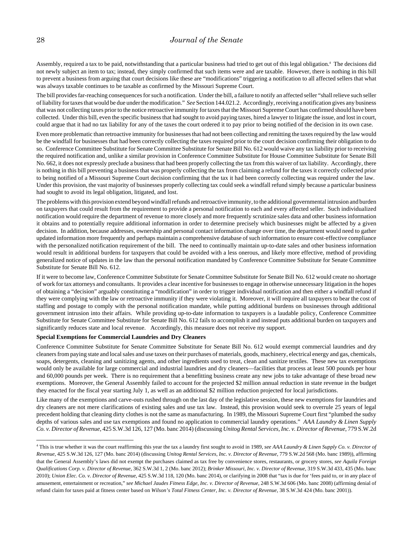Assembly, required a tax to be paid, notwithstanding that a particular business had tried to get out of this legal obligation.4 The decisions did not newly subject an item to tax; instead, they simply confirmed that such items were and are taxable. However, there is nothing in this bill to prevent a business from arguing that court decisions like these are "modifications" triggering a notification to all affected sellers that what was always taxable continues to be taxable as confirmed by the Missouri Supreme Court.

The bill provides far-reaching consequences for such a notification. Under the bill, a failure to notify an affected seller "shall relieve such seller of liability for taxes that would be due under the modification." *See* Section 144.021.2. Accordingly, receiving a notification gives any business that was not collecting taxes prior to the notice retroactive immunity for taxes that the Missouri Supreme Court has confirmed should have been collected. Under this bill, even the specific business that had sought to avoid paying taxes, hired a lawyer to litigate the issue, and lost in court, could argue that it had no tax liability for any of the taxes the court ordered it to pay prior to being notified of the decision in its own case.

Even more problematic than retroactive immunity for businesses that had not been collecting and remitting the taxes required by the law would be the windfall for businesses that had been correctly collecting the taxes required prior to the court decision confirming their obligation to do so. Conference Committee Substitute for Senate Committee Substitute for Senate Bill No. 612 would waive any tax liability prior to receiving the required notification and, unlike a similar provision in Conference Committee Substitute for House Committee Substitute for Senate Bill No. 662, it does not expressly preclude a business that had been properly collecting the tax from this waiver of tax liability. Accordingly, there is nothing in this bill preventing a business that was properly collecting the tax from claiming a refund for the taxes it correctly collected prior to being notified of a Missouri Supreme Court decision confirming that the tax it had been correctly collecting was required under the law. Under this provision, the vast majority of businesses properly collecting tax could seek a windfall refund simply because a particular business had sought to avoid its legal obligation, litigated, and lost.

The problems with this provision extend beyond windfall refunds and retroactive immunity, to the additional governmental intrusion and burden on taxpayers that could result from the requirement to provide a personal notification to each and every affected seller. Such individualized notification would require the department of revenue to more closely and more frequently scrutinize sales data and other business information it obtains and to potentially require additional information in order to determine precisely which businesses might be affected by a given decision. In addition, because addresses, ownership and personal contact information change over time, the department would need to gather updated information more frequently and perhaps maintain a comprehensive database of such information to ensure cost-effective compliance with the personalized notification requirement of the bill. The need to continually maintain up-to-date sales and other business information would result in additional burdens for taxpayers that could be avoided with a less onerous, and likely more effective, method of providing generalized notice of updates in the law than the personal notification mandated by Conference Committee Substitute for Senate Committee Substitute for Senate Bill No. 612.

If it were to become law, Conference Committee Substitute for Senate Committee Substitute for Senate Bill No. 612 would create no shortage of work for tax attorneys and consultants. It provides a clear incentive for businesses to engage in otherwise unnecessary litigation in the hopes of obtaining a "decision" arguably constituting a "modification" in order to trigger individual notification and then either a windfall refund if they were complying with the law or retroactive immunity if they were violating it. Moreover, it will require all taxpayers to bear the cost of staffing and postage to comply with the personal notification mandate, while putting additional burdens on businesses through additional government intrusion into their affairs. While providing up-to-date information to taxpayers is a laudable policy, Conference Committee Substitute for Senate Committee Substitute for Senate Bill No. 612 fails to accomplish it and instead puts additional burden on taxpayers and significantly reduces state and local revenue. Accordingly, this measure does not receive my support.

#### **Special Exemptions for Commercial Laundries and Dry Cleaners**

Conference Committee Substitute for Senate Committee Substitute for Senate Bill No. 612 would exempt commercial laundries and dry cleaners from paying state and local sales and use taxes on their purchases of materials, goods, machinery, electrical energy and gas, chemicals, soaps, detergents, cleaning and sanitizing agents, and other ingredients used to treat, clean and sanitize textiles. These new tax exemptions would only be available for large commercial and industrial laundries and dry cleaners—facilities that process at least 500 pounds per hour and 60,000 pounds per week. There is no requirement that a benefitting business create any new jobs to take advantage of these broad new exemptions. Moreover, the General Assembly failed to account for the projected \$2 million annual reduction in state revenue in the budget they enacted for the fiscal year starting July 1, as well as an additional \$2 million reduction projected for local jurisdictions.

Like many of the exemptions and carve-outs rushed through on the last day of the legislative session, these new exemptions for laundries and dry cleaners are not mere clarifications of existing sales and use tax law. Instead, this provision would seek to overrule 25 years of legal precedent holding that cleaning dirty clothes is not the same as manufacturing. In 1989, the Missouri Supreme Court first "plumbed the sudsy depths of various sales and use tax exemptions and found no application to commercial laundry operations." *AAA Laundry & Linen Supply Co. v. Director of Revenue*, 425 S.W.3d 126, 127 (Mo. banc 2014) (discussing *Unitog Rental Services, Inc. v. Director of Revenue*, 779 S.W.2d

<sup>4</sup> This is true whether it was the court reaffirming this year the tax a laundry first sought to avoid in 1989, *see AAA Laundry & Linen Supply Co. v. Director of Revenue*, 425 S.W.3d 126, 127 (Mo. banc 2014) (discussing *Unitog Rental Services, Inc. v. Director of Revenue,* 779 S.W.2d 568 (Mo. banc 1989)), affirming that the General Assembly's laws did not exempt the purchases claimed as tax free by convenience stores, restaurants, or grocery stores, *see Aquila Foreign Qualifications Corp. v. Director of Revenue*, 362 S.W.3d 1, 2 (Mo. banc 2012); *Brinker Missouri, Inc. v. Director of Revenue*, 319 S.W.3d 433, 435 (Mo. banc 2010); *Union Elec. Co. v. Director of Revenue*, 425 S.W.3d 118, 120 (Mo. banc 2014), or clarifying in 2008 that "tax is due for 'fees paid to, or in any place of amusement, entertainment or recreation," *see Michael Jaudes Fitness Edge, Inc. v. Director of Revenue*, 248 S.W.3d 606 (Mo. banc 2008) (affirming denial of refund claim for taxes paid at fitness center based on *Wilson's Total Fitness Center, Inc. v. Director of Revenue*, 38 S.W.3d 424 (Mo. banc 2001)).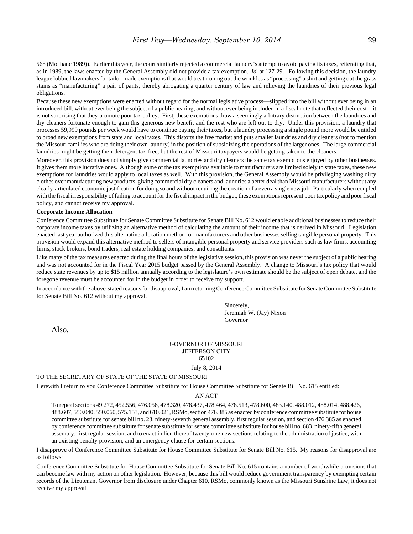568 (Mo. banc 1989)). Earlier this year, the court similarly rejected a commercial laundry's attempt to avoid paying its taxes, reiterating that, as in 1989, the laws enacted by the General Assembly did not provide a tax exemption. *Id.* at 127-29. Following this decision, the laundry league lobbied lawmakers for tailor-made exemptions that would treat ironing out the wrinkles as "processing" a shirt and getting out the grass stains as "manufacturing" a pair of pants, thereby abrogating a quarter century of law and relieving the laundries of their previous legal obligations.

Because these new exemptions were enacted without regard for the normal legislative process—slipped into the bill without ever being in an introduced bill, without ever being the subject of a public hearing, and without ever being included in a fiscal note that reflected their cost—it is not surprising that they promote poor tax policy. First, these exemptions draw a seemingly arbitrary distinction between the laundries and dry cleaners fortunate enough to gain this generous new benefit and the rest who are left out to dry. Under this provision, a laundry that processes 59,999 pounds per week would have to continue paying their taxes, but a laundry processing a single pound more would be entitled to broad new exemptions from state and local taxes. This distorts the free market and puts smaller laundries and dry cleaners (not to mention the Missouri families who are doing their own laundry) in the position of subsidizing the operations of the larger ones. The large commercial laundries might be getting their detergent tax-free, but the rest of Missouri taxpayers would be getting taken to the cleaners.

Moreover, this provision does not simply give commercial laundries and dry cleaners the same tax exemptions enjoyed by other businesses. It gives them more lucrative ones. Although some of the tax exemptions available to manufacturers are limited solely to state taxes, these new exemptions for laundries would apply to local taxes as well. With this provision, the General Assembly would be privileging washing dirty clothes over manufacturing new products, giving commercial dry cleaners and laundries a better deal than Missouri manufacturers without any clearly-articulated economic justification for doing so and without requiring the creation of a even a single new job. Particularly when coupled with the fiscal irresponsibility of failing to account for the fiscal impact in the budget, these exemptions represent poor tax policy and poor fiscal policy, and cannot receive my approval.

#### **Corporate Income Allocation**

Conference Committee Substitute for Senate Committee Substitute for Senate Bill No. 612 would enable additional businesses to reduce their corporate income taxes by utilizing an alternative method of calculating the amount of their income that is derived in Missouri. Legislation enacted last year authorized this alternative allocation method for manufacturers and other businesses selling tangible personal property. This provision would expand this alternative method to sellers of intangible personal property and service providers such as law firms, accounting firms, stock brokers, bond traders, real estate holding companies, and consultants.

Like many of the tax measures enacted during the final hours of the legislative session, this provision was never the subject of a public hearing and was not accounted for in the Fiscal Year 2015 budget passed by the General Assembly. A change to Missouri's tax policy that would reduce state revenues by up to \$15 million annually according to the legislature's own estimate should be the subject of open debate, and the foregone revenue must be accounted for in the budget in order to receive my support.

In accordance with the above-stated reasons for disapproval, I am returning Conference Committee Substitute for Senate Committee Substitute for Senate Bill No. 612 without my approval.

> Sincerely, Jeremiah W. (Jay) Nixon Governor

Also,

### GOVERNOR OF MISSOURI JEFFERSON CITY 65102

#### July 8, 2014

#### TO THE SECRETARY OF STATE OF THE STATE OF MISSOURI

Herewith I return to you Conference Committee Substitute for House Committee Substitute for Senate Bill No. 615 entitled:

#### AN ACT

To repeal sections 49.272, 452.556, 476.056, 478.320, 478.437, 478.464, 478.513, 478.600, 483.140, 488.012, 488.014, 488.426, 488.607, 550.040, 550.060, 575.153, and 610.021, RSMo, section 476.385 as enacted by conference committee substitute for house committee substitute for senate bill no. 23, ninety-seventh general assembly, first regular session, and section 476.385 as enacted by conference committee substitute for senate substitute for senate committee substitute for house bill no. 683, ninety-fifth general assembly, first regular session, and to enact in lieu thereof twenty-one new sections relating to the administration of justice, with an existing penalty provision, and an emergency clause for certain sections.

I disapprove of Conference Committee Substitute for House Committee Substitute for Senate Bill No. 615. My reasons for disapproval are as follows:

Conference Committee Substitute for House Committee Substitute for Senate Bill No. 615 contains a number of worthwhile provisions that can become law with my action on other legislation. However, because this bill would reduce government transparency by exempting certain records of the Lieutenant Governor from disclosure under Chapter 610, RSMo, commonly known as the Missouri Sunshine Law, it does not receive my approval.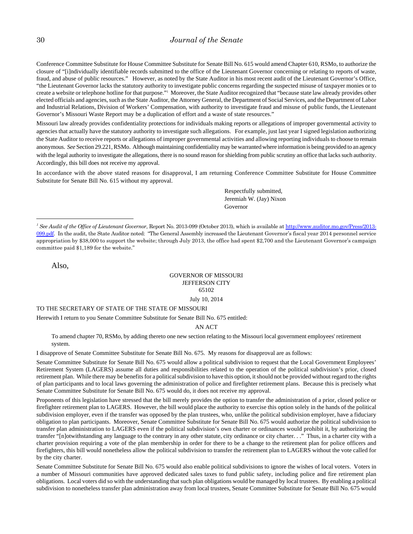Conference Committee Substitute for House Committee Substitute for Senate Bill No. 615 would amend Chapter 610, RSMo, to authorize the closure of "[i]ndividually identifiable records submitted to the office of the Lieutenant Governor concerning or relating to reports of waste, fraud, and abuse of public resources." However, as noted by the State Auditor in his most recent audit of the Lieutenant Governor's Office, "the Lieutenant Governor lacks the statutory authority to investigate public concerns regarding the suspected misuse of taxpayer monies or to create a website or telephone hotline for that purpose."<sup>1</sup> Moreover, the State Auditor recognized that "because state law already provides other elected officials and agencies, such as the State Auditor, the Attorney General, the Department of Social Services, and the Department of Labor and Industrial Relations, Division of Workers' Compensation, with authority to investigate fraud and misuse of public funds, the Lieutenant Governor's Missouri Waste Report may be a duplication of effort and a waste of state resources."

Missouri law already provides confidentiality protections for individuals making reports or allegations of improper governmental activity to agencies that actually have the statutory authority to investigate such allegations. For example, just last year I signed legislation authorizing the State Auditor to receive reports or allegations of improper governmental activities and allowing reporting individuals to choose to remain anonymous. *See* Section 29.221, RSMo. Although maintaining confidentiality may be warranted where information is being provided to an agency with the legal authority to investigate the allegations, there is no sound reason for shielding from public scrutiny an office that lacks such authority. Accordingly, this bill does not receive my approval.

In accordance with the above stated reasons for disapproval, I am returning Conference Committee Substitute for House Committee Substitute for Senate Bill No. 615 without my approval.

> Respectfully submitted, Jeremiah W. (Jay) Nixon Governor

Also,

#### GOVERNOR OF MISSOURI JEFFERSON CITY 65102

July 10, 2014

#### TO THE SECRETARY OF STATE OF THE STATE OF MISSOURI

Herewith I return to you Senate Committee Substitute for Senate Bill No. 675 entitled:

AN ACT

To amend chapter 70, RSMo, by adding thereto one new section relating to the Missouri local government employees' retirement system.

I disapprove of Senate Committee Substitute for Senate Bill No. 675. My reasons for disapproval are as follows:

Senate Committee Substitute for Senate Bill No. 675 would allow a political subdivision to request that the Local Government Employees' Retirement System (LAGERS) assume all duties and responsibilities related to the operation of the political subdivision's prior, closed retirement plan. While there may be benefits for a political subdivision to have this option, it should not be provided without regard to the rights of plan participants and to local laws governing the administration of police and firefighter retirement plans. Because this is precisely what Senate Committee Substitute for Senate Bill No. 675 would do, it does not receive my approval.

Proponents of this legislation have stressed that the bill merely provides the option to transfer the administration of a prior, closed police or firefighter retirement plan to LAGERS. However, the bill would place the authority to exercise this option solely in the hands of the political subdivision employer, even if the transfer was opposed by the plan trustees, who, unlike the political subdivision employer, have a fiduciary obligation to plan participants. Moreover, Senate Committee Substitute for Senate Bill No. 675 would authorize the political subdivision to transfer plan administration to LAGERS even if the political subdivision's own charter or ordinances would prohibit it, by authorizing the transfer "[n]otwithstanding any language to the contrary in any other statute, city ordinance or city charter. . ." Thus, in a charter city with a charter provision requiring a vote of the plan membership in order for there to be a change to the retirement plan for police officers and firefighters, this bill would nonetheless allow the political subdivision to transfer the retirement plan to LAGERS without the vote called for by the city charter.

Senate Committee Substitute for Senate Bill No. 675 would also enable political subdivisions to ignore the wishes of local voters. Voters in a number of Missouri communities have approved dedicated sales taxes to fund public safety, including police and fire retirement plan obligations. Local voters did so with the understanding that such plan obligations would be managed by local trustees. By enabling a political subdivision to nonetheless transfer plan administration away from local trustees, Senate Committee Substitute for Senate Bill No. 675 would

<sup>&</sup>lt;sup>1</sup> See Audit of the Office of Lieutenant Governor, Report No. 2013-099 (October 2013), which is available at http://www.auditor.mo.gov/Press/2013-099.pdf. In the audit, the State Auditor noted: "The General Assembly increased the Lieutenant Governor's fiscal year 2014 personnel service appropriation by \$38,000 to support the website; through July 2013, the office had spent \$2,700 and the Lieutenant Governor's campaign committee paid \$1,189 for the website."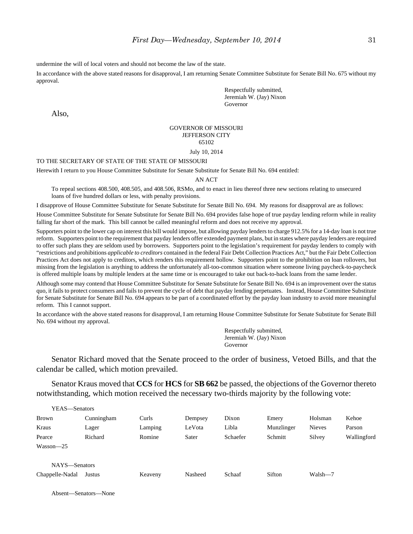undermine the will of local voters and should not become the law of the state.

In accordance with the above stated reasons for disapproval, I am returning Senate Committee Substitute for Senate Bill No. 675 without my approval.

> Respectfully submitted, Jeremiah W. (Jay) Nixon Governor

Also,

#### GOVERNOR OF MISSOURI JEFFERSON CITY 65102 July 10, 2014

#### TO THE SECRETARY OF STATE OF THE STATE OF MISSOURI

Herewith I return to you House Committee Substitute for Senate Substitute for Senate Bill No. 694 entitled:

#### AN ACT

To repeal sections 408.500, 408.505, and 408.506, RSMo, and to enact in lieu thereof three new sections relating to unsecured loans of five hundred dollars or less, with penalty provisions.

I disapprove of House Committee Substitute for Senate Substitute for Senate Bill No. 694. My reasons for disapproval are as follows:

House Committee Substitute for Senate Substitute for Senate Bill No. 694 provides false hope of true payday lending reform while in reality falling far short of the mark. This bill cannot be called meaningful reform and does not receive my approval.

Supporters point to the lower cap on interest this bill would impose, but allowing payday lenders to charge 912.5% for a 14-day loan is not true reform. Supporters point to the requirement that payday lenders offer extended payment plans, but in states where payday lenders are required to offer such plans they are seldom used by borrowers. Supporters point to the legislation's requirement for payday lenders to comply with "restrictions and prohibitions *applicable to creditors* contained in the federal Fair Debt Collection Practices Act," but the Fair Debt Collection Practices Act does not apply to creditors, which renders this requirement hollow. Supporters point to the prohibition on loan rollovers, but missing from the legislation is anything to address the unfortunately all-too-common situation where someone living paycheck-to-paycheck is offered multiple loans by multiple lenders at the same time or is encouraged to take out back-to-back loans from the same lender.

Although some may contend that House Committee Substitute for Senate Substitute for Senate Bill No. 694 is an improvement over the status quo, it fails to protect consumers and fails to prevent the cycle of debt that payday lending perpetuates. Instead, House Committee Substitute for Senate Substitute for Senate Bill No. 694 appears to be part of a coordinated effort by the payday loan industry to avoid more meaningful reform. This I cannot support.

In accordance with the above stated reasons for disapproval, I am returning House Committee Substitute for Senate Substitute for Senate Bill No. 694 without my approval.

> Respectfully submitted, Jeremiah W. (Jay) Nixon Governor

Senator Richard moved that the Senate proceed to the order of business, Vetoed Bills, and that the calendar be called, which motion prevailed.

Senator Kraus moved that **CCS** for **HCS** for **SB 662** be passed, the objections of the Governor thereto notwithstanding, which motion received the necessary two-thirds majority by the following vote:

| YEAS—Senators   |            |         |         |          |            |               |             |
|-----------------|------------|---------|---------|----------|------------|---------------|-------------|
| <b>Brown</b>    | Cunningham | Curls   | Dempsey | Dixon    | Emery      | Holsman       | Kehoe       |
| Kraus           | Lager      | Lamping | LeVota  | Libla    | Munzlinger | <b>Nieves</b> | Parson      |
| Pearce          | Richard    | Romine  | Sater   | Schaefer | Schmitt    | Silvey        | Wallingford |
| $Wasson - 25$   |            |         |         |          |            |               |             |
| NAYS-Senators   |            |         |         |          |            |               |             |
| Chappelle-Nadal | Justus     | Keaveny | Nasheed | Schaaf   | Sifton     | Walsh-7       |             |

Absent—Senators—None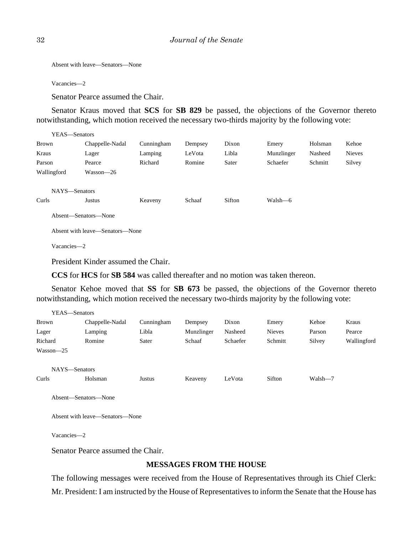Absent with leave—Senators—None

Vacancies—2

Senator Pearce assumed the Chair.

Senator Kraus moved that **SCS** for **SB 829** be passed, the objections of the Governor thereto notwithstanding, which motion received the necessary two-thirds majority by the following vote:

| YEAS—Senators |                                 |            |         |        |            |         |               |
|---------------|---------------------------------|------------|---------|--------|------------|---------|---------------|
| Brown         | Chappelle-Nadal                 | Cunningham | Dempsey | Dixon  | Emery      | Holsman | Kehoe         |
| Kraus         | Lager                           | Lamping    | LeVota  | Libla  | Munzlinger | Nasheed | <b>Nieves</b> |
| Parson        | Pearce                          | Richard    | Romine  | Sater  | Schaefer   | Schmitt | Silvey        |
| Wallingford   | Wasson-26                       |            |         |        |            |         |               |
|               |                                 |            |         |        |            |         |               |
| NAYS-Senators |                                 |            |         |        |            |         |               |
| Curls         | Justus                          | Keaveny    | Schaaf  | Sifton | Walsh—6    |         |               |
|               | Absent—Senators—None            |            |         |        |            |         |               |
|               | Absent with leave—Senators—None |            |         |        |            |         |               |
| Vacancies-2   |                                 |            |         |        |            |         |               |
|               |                                 |            |         |        |            |         |               |

President Kinder assumed the Chair.

**CCS** for **HCS** for **SB 584** was called thereafter and no motion was taken thereon.

Senator Kehoe moved that **SS** for **SB 673** be passed, the objections of the Governor thereto notwithstanding, which motion received the necessary two-thirds majority by the following vote:

|              | Y EAS—Senators                  |            |            |          |               |         |             |
|--------------|---------------------------------|------------|------------|----------|---------------|---------|-------------|
| <b>Brown</b> | Chappelle-Nadal                 | Cunningham | Dempsey    | Dixon    | Emery         | Kehoe   | Kraus       |
| Lager        | Lamping                         | Libla      | Munzlinger | Nasheed  | <b>Nieves</b> | Parson  | Pearce      |
| Richard      | Romine                          | Sater      | Schaaf     | Schaefer | Schmitt       | Silvey  | Wallingford |
| Wasson-25    |                                 |            |            |          |               |         |             |
|              |                                 |            |            |          |               |         |             |
|              | NAYS-Senators                   |            |            |          |               |         |             |
| Curls        | Holsman                         | Justus     | Keaveny    | LeVota   | Sifton        | Walsh-7 |             |
|              |                                 |            |            |          |               |         |             |
|              | Absent—Senators—None            |            |            |          |               |         |             |
|              |                                 |            |            |          |               |         |             |
|              | Absent with leave—Senators—None |            |            |          |               |         |             |

Vacancies—2

 $\overline{y}$ 

Senator Pearce assumed the Chair.

### **MESSAGES FROM THE HOUSE**

The following messages were received from the House of Representatives through its Chief Clerk: Mr. President: I am instructed by the House of Representatives to inform the Senate that the House has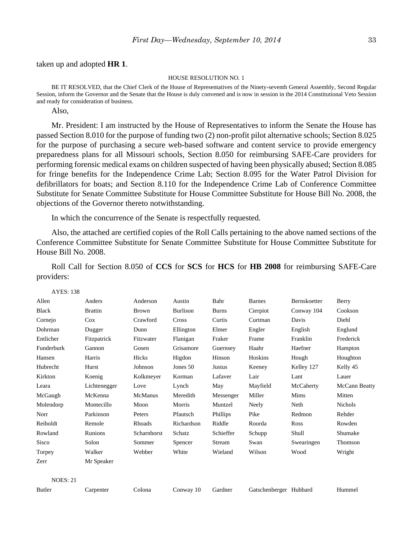taken up and adopted **HR 1**.

#### HOUSE RESOLUTION NO. 1

BE IT RESOLVED, that the Chief Clerk of the House of Representatives of the Ninety-seventh General Assembly, Second Regular Session, inform the Governor and the Senate that the House is duly convened and is now in session in the 2014 Constitutional Veto Session and ready for consideration of business.

Also,

Mr. President: I am instructed by the House of Representatives to inform the Senate the House has passed Section 8.010 for the purpose of funding two (2) non-profit pilot alternative schools; Section 8.025 for the purpose of purchasing a secure web-based software and content service to provide emergency preparedness plans for all Missouri schools, Section 8.050 for reimbursing SAFE-Care providers for performing forensic medical exams on children suspected of having been physically abused; Section 8.085 for fringe benefits for the Independence Crime Lab; Section 8.095 for the Water Patrol Division for defibrillators for boats; and Section 8.110 for the Independence Crime Lab of Conference Committee Substitute for Senate Committee Substitute for House Committee Substitute for House Bill No. 2008, the objections of the Governor thereto notwithstanding.

In which the concurrence of the Senate is respectfully requested.

Also, the attached are certified copies of the Roll Calls pertaining to the above named sections of the Conference Committee Substitute for Senate Committee Substitute for House Committee Substitute for House Bill No. 2008.

Roll Call for Section 8.050 of **CCS** for **SCS** for **HCS** for **HB 2008** for reimbursing SAFE-Care providers:

| Allen           | Anders         | Anderson     | Austin          | Bahr         | <b>Barnes</b>          | Bernskoetter | Berry          |
|-----------------|----------------|--------------|-----------------|--------------|------------------------|--------------|----------------|
| <b>Black</b>    | <b>Brattin</b> | <b>Brown</b> | <b>Burlison</b> | <b>Burns</b> | Cierpiot               | Conway 104   | Cookson        |
| Cornejo         | Cox            | Crawford     | Cross           | Curtis       | Curtman                | Davis        | Diehl          |
| Dohrman         | Dugger         | Dunn         | Ellington       | Elmer        | Engler                 | English      | Englund        |
| Entlicher       | Fitzpatrick    | Fitzwater    | Flanigan        | Fraker       | Frame                  | Franklin     | Frederick      |
| Funderburk      | Gannon         | Gosen        | Grisamore       | Guernsey     | Haahr                  | Haefner      | Hampton        |
| Hansen          | Harris         | Hicks        | Higdon          | Hinson       | Hoskins                | Hough        | Houghton       |
| Hubrecht        | Hurst          | Johnson      | Jones 50        | Justus       | Keeney                 | Kelley 127   | Kelly 45       |
| Kirkton         | Koenig         | Kolkmeyer    | Korman          | Lafaver      | Lair                   | Lant         | Lauer          |
| Leara           | Lichtenegger   | Love         | Lynch           | May          | Mayfield               | McCaherty    | McCann Beatty  |
| McGaugh         | McKenna        | McManus      | Meredith        | Messenger    | Miller                 | Mims         | Mitten         |
| Molendorp       | Montecillo     | Moon         | Morris          | Muntzel      | Neely                  | Neth         | <b>Nichols</b> |
| Norr            | Parkinson      | Peters       | Pfautsch        | Phillips     | Pike                   | Redmon       | Rehder         |
| Reiboldt        | Remole         | Rhoads       | Richardson      | Riddle       | Roorda                 | Ross         | Rowden         |
| Rowland         | Runions        | Scharnhorst  | Schatz          | Schieffer    | Schupp                 | Shull        | Shumake        |
| Sisco           | Solon          | Sommer       | Spencer         | Stream       | Swan                   | Swearingen   | Thomson        |
| Torpey          | Walker         | Webber       | White           | Wieland      | Wilson                 | Wood         | Wright         |
| Zerr            | Mr Speaker     |              |                 |              |                        |              |                |
| <b>NOES: 21</b> |                |              |                 |              |                        |              |                |
| Butler          | Carpenter      | Colona       | Conway 10       | Gardner      | Gatschenberger Hubbard |              | Hummel         |
|                 |                |              |                 |              |                        |              |                |

AYES: 138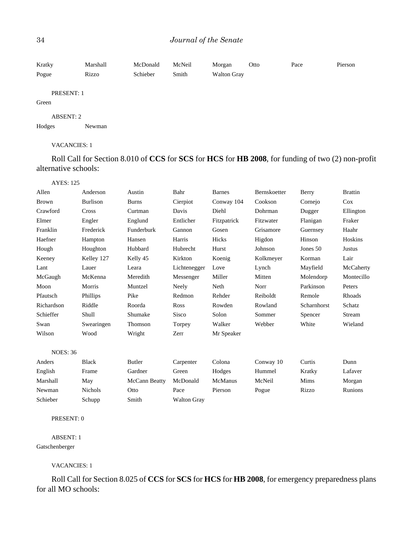| Kratky | Marshall | McDonald | McNeil | Morgan             | Otto | Pace | Pierson |
|--------|----------|----------|--------|--------------------|------|------|---------|
| Pogue  | Rizzo    | Schieber | Smith  | <b>Walton Gray</b> |      |      |         |

### PRESENT: 1

### Green

#### ABSENT: 2

```
Hodges Newman
```
### VACANCIES: 1

Roll Call for Section 8.010 of **CCS** for **SCS** for **HCS** for **HB 2008**, for funding of two (2) non-profit alternative schools:

| <b>AYES: 125</b> |                 |              |              |               |              |             |                |
|------------------|-----------------|--------------|--------------|---------------|--------------|-------------|----------------|
| Allen            | Anderson        | Austin       | Bahr         | <b>Barnes</b> | Bernskoetter | Berry       | <b>Brattin</b> |
| <b>Brown</b>     | <b>Burlison</b> | <b>Burns</b> | Cierpiot     | Conway 104    | Cookson      | Cornejo     | $\cos$         |
| Crawford         | Cross           | Curtman      | Davis        | Diehl         | Dohrman      | Dugger      | Ellington      |
| Elmer            | Engler          | Englund      | Entlicher    | Fitzpatrick   | Fitzwater    | Flanigan    | Fraker         |
| Franklin         | Frederick       | Funderburk   | Gannon       | Gosen         | Grisamore    | Guernsey    | Haahr          |
| Haefner          | Hampton         | Hansen       | Harris       | Hicks         | Higdon       | Hinson      | Hoskins        |
| Hough            | Houghton        | Hubbard      | Hubrecht     | Hurst         | Johnson      | Jones 50    | Justus         |
| Keeney           | Kelley 127      | Kelly 45     | Kirkton      | Koenig        | Kolkmeyer    | Korman      | Lair           |
| Lant             | Lauer           | Leara        | Lichtenegger | Love          | Lynch        | Mayfield    | McCaherty      |
| McGaugh          | McKenna         | Meredith     | Messenger    | Miller        | Mitten       | Molendorp   | Montecillo     |
| Moon             | Morris          | Muntzel      | Neely        | Neth          | Norr         | Parkinson   | Peters         |
| Pfautsch         | Phillips        | Pike         | Redmon       | Rehder        | Reiboldt     | Remole      | Rhoads         |
| Richardson       | Riddle          | Roorda       | Ross         | Rowden        | Rowland      | Scharnhorst | Schatz         |
| Schieffer        | Shull           | Shumake      | <b>Sisco</b> | Solon         | Sommer       | Spencer     | Stream         |
| Swan             | Swearingen      | Thomson      | Torpey       | Walker        | Webber       | White       | Wieland        |
| Wilson           | Wood            | Wright       | Zerr         | Mr Speaker    |              |             |                |
| <b>NOES: 36</b>  |                 |              |              |               |              |             |                |
| Anders           | <b>Black</b>    | Butler       | Carpenter    | Colona        | Conway 10    | Curtis      | Dunn           |
| English          | Frame           | Gardner      | Green        | Hodges        | Hummel       | Kratky      | Lafaver        |

| .        | -------        | -------       | $        -$        | ------  | $\sim$ $\sim$ $\sim$ $\sim$ $\sim$ $\sim$ $\sim$ | ------ | --------       |
|----------|----------------|---------------|--------------------|---------|--------------------------------------------------|--------|----------------|
| English  | Frame          | Gardner       | Green              | Hodges  | Hummel                                           | Kratky | Lafaver        |
| Marshall | May            | McCann Beatty | McDonald           | McManus | McNeil                                           | Mims   | Morgan         |
| Newman   | <b>Nichols</b> | Otto          | Pace               | Pierson | Pogue                                            | Rizzo  | <b>Runions</b> |
| Schieber | Schupp         | Smith         | <b>Walton Gray</b> |         |                                                  |        |                |

#### PRESENT: 0

### ABSENT: 1

#### Gatschenberger

### VACANCIES: 1

Roll Call for Section 8.025 of **CCS** for **SCS** for **HCS** for **HB 2008**, for emergency preparedness plans for all MO schools: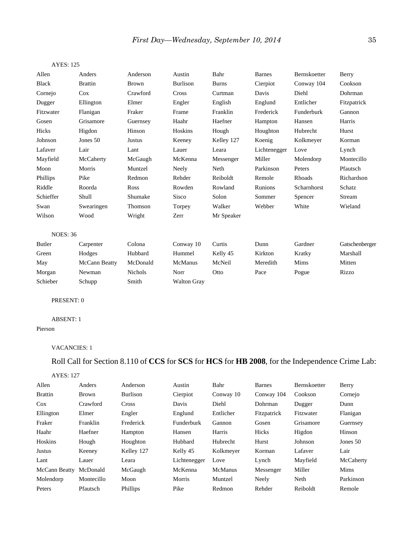| <b>AYES: 125</b> |                |                |                    |              |               |              |                |
|------------------|----------------|----------------|--------------------|--------------|---------------|--------------|----------------|
| Allen            | Anders         | Anderson       | Austin             | Bahr         | <b>Barnes</b> | Bernskoetter | Berry          |
| <b>Black</b>     | <b>Brattin</b> | <b>Brown</b>   | <b>Burlison</b>    | <b>Burns</b> | Cierpiot      | Conway 104   | Cookson        |
| Cornejo          | Cox            | Crawford       | Cross              | Curtman      | Davis         | Diehl        | Dohrman        |
| Dugger           | Ellington      | Elmer          | Engler             | English      | Englund       | Entlicher    | Fitzpatrick    |
| Fitzwater        | Flanigan       | Fraker         | Frame              | Franklin     | Frederick     | Funderburk   | Gannon         |
| Gosen            | Grisamore      | Guernsey       | Haahr              | Haefner      | Hampton       | Hansen       | Harris         |
| Hicks            | Higdon         | Hinson         | Hoskins            | Hough        | Houghton      | Hubrecht     | Hurst          |
| Johnson          | Jones 50       | Justus         | Keeney             | Kelley 127   | Koenig        | Kolkmeyer    | Korman         |
| Lafaver          | Lair           | Lant           | Lauer              | Leara        | Lichtenegger  | Love         | Lynch          |
| Mayfield         | McCaherty      | McGaugh        | McKenna            | Messenger    | Miller        | Molendorp    | Montecillo     |
| Moon             | Morris         | Muntzel        | Neely              | Neth         | Parkinson     | Peters       | Pfautsch       |
| Phillips         | Pike           | Redmon         | Rehder             | Reiboldt     | Remole        | Rhoads       | Richardson     |
| Riddle           | Roorda         | Ross           | Rowden             | Rowland      | Runions       | Scharnhorst  | Schatz         |
| Schieffer        | Shull          | Shumake        | Sisco              | Solon        | Sommer        | Spencer      | Stream         |
| Swan             | Swearingen     | Thomson        | Torpey             | Walker       | Webber        | White        | Wieland        |
| Wilson           | Wood           | Wright         | Zerr               | Mr Speaker   |               |              |                |
| <b>NOES: 36</b>  |                |                |                    |              |               |              |                |
| Butler           | Carpenter      | Colona         | Conway 10          | Curtis       | Dunn          | Gardner      | Gatschenberger |
| Green            | Hodges         | Hubbard        | Hummel             | Kelly 45     | Kirkton       | Kratky       | Marshall       |
| May              | McCann Beatty  | McDonald       | <b>McManus</b>     | McNeil       | Meredith      | Mims         | Mitten         |
| Morgan           | Newman         | <b>Nichols</b> | Norr               | Otto         | Pace          | Pogue        | Rizzo          |
| Schieber         | Schupp         | Smith          | <b>Walton Gray</b> |              |               |              |                |

### PRESENT: 0

### ABSENT: 1

Pierson

#### VACANCIES: 1

## Roll Call for Section 8.110 of **CCS** for **SCS** for **HCS** for **HB 2008**, for the Independence Crime Lab:

### AYES: 127

| Allen          | Anders       | Anderson     | Austin            | Bahr      | <b>Barnes</b> | <b>Bernskoetter</b> | Berry     |
|----------------|--------------|--------------|-------------------|-----------|---------------|---------------------|-----------|
| <b>Brattin</b> | <b>Brown</b> | Burlison     | Cierpiot          | Conway 10 | Conway 104    | Cookson             | Cornejo   |
| $\cos$         | Crawford     | <b>Cross</b> | Davis             | Diehl     | Dohrman       | Dugger              | Dunn      |
| Ellington      | Elmer        | Engler       | Englund           | Entlicher | Fitzpatrick   | Fitzwater           | Flanigan  |
| Fraker         | Franklin     | Frederick    | <b>Funderburk</b> | Gannon    | Gosen         | Grisamore           | Guernsey  |
| Haahr          | Haefner      | Hampton      | Hansen            | Harris    | Hicks         | Higdon              | Hinson    |
| Hoskins        | Hough        | Houghton     | Hubbard           | Hubrecht  | Hurst         | Johnson             | Jones 50  |
| Justus         | Keeney       | Kelley 127   | Kelly 45          | Kolkmeyer | Korman        | Lafaver             | Lair      |
| Lant           | Lauer        | Leara        | Lichtenegger      | Love      | Lynch         | Mayfield            | McCaherty |
| McCann Beatty  | McDonald     | McGaugh      | McKenna           | McManus   | Messenger     | Miller              | Mims      |
| Molendorp      | Montecillo   | Moon         | Morris            | Muntzel   | Neely         | Neth                | Parkinson |
| Peters         | Pfautsch     | Phillips     | Pike              | Redmon    | Rehder        | Reiboldt            | Remole    |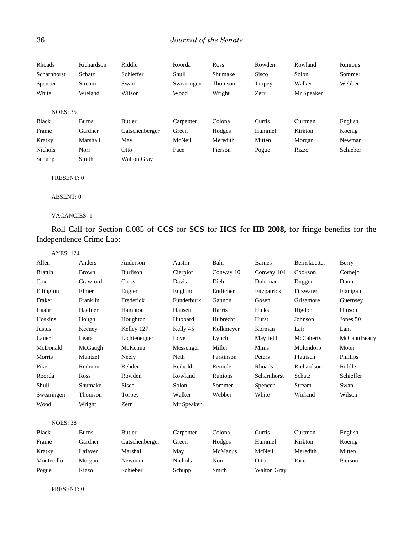| Rhoads          | Richardson   | Riddle             | Roorda     | <b>Ross</b> | Rowden       | Rowland    | Runions  |
|-----------------|--------------|--------------------|------------|-------------|--------------|------------|----------|
| Scharnhorst     | Schatz       | Schieffer          | Shull      | Shumake     | <b>Sisco</b> | Solon      | Sommer   |
| Spencer         | Stream       | Swan               | Swearingen | Thomson     | Torpey       | Walker     | Webber   |
| White           | Wieland      | Wilson             | Wood       | Wright      | Zerr         | Mr Speaker |          |
|                 |              |                    |            |             |              |            |          |
| <b>NOES: 35</b> |              |                    |            |             |              |            |          |
| <b>Black</b>    | <b>Burns</b> | Butler             | Carpenter  | Colona      | Curtis       | Curtman    | English  |
| Frame           | Gardner      | Gatschenberger     | Green      | Hodges      | Hummel       | Kirkton    | Koenig   |
| Kratky          | Marshall     | May                | McNeil     | Meredith    | Mitten       | Morgan     | Newman   |
| <b>Nichols</b>  | Norr         | Otto               | Pace       | Pierson     | Pogue        | Rizzo      | Schieber |
| Schupp          | Smith        | <b>Walton Gray</b> |            |             |              |            |          |

### PRESENT: 0

ABSENT: 0

### VACANCIES: 1

Roll Call for Section 8.085 of **CCS** for **SCS** for **HCS** for **HB 2008**, for fringe benefits for the Independence Crime Lab:

| <b>AYES: 124</b> |              |                 |                |                |                    |              |               |
|------------------|--------------|-----------------|----------------|----------------|--------------------|--------------|---------------|
| Allen            | Anders       | Anderson        | Austin         | Bahr           | <b>Barnes</b>      | Bernskoetter | Berry         |
| <b>Brattin</b>   | <b>Brown</b> | <b>Burlison</b> | Cierpiot       | Conway 10      | Conway 104         | Cookson      | Cornejo       |
| Cox              | Crawford     | Cross           | Davis          | Diehl          | Dohrman            | Dugger       | Dunn          |
| Ellington        | Elmer        | Engler          | Englund        | Entlicher      | Fitzpatrick        | Fitzwater    | Flanigan      |
| Fraker           | Franklin     | Frederick       | Funderburk     | Gannon         | Gosen              | Grisamore    | Guernsey      |
| Haahr            | Haefner      | Hampton         | Hansen         | Harris         | Hicks              | Higdon       | Hinson        |
| Hoskins          | Hough        | Houghton        | Hubbard        | Hubrecht       | Hurst              | Johnson      | Jones 50      |
| Justus           | Keeney       | Kelley 127      | Kelly 45       | Kolkmeyer      | Korman             | Lair         | Lant          |
| Lauer            | Leara        | Lichtenegger    | Love           | Lynch          | Mayfield           | McCaherty    | McCann Beatty |
| McDonald         | McGaugh      | McKenna         | Messenger      | Miller         | Mims               | Molendorp    | Moon          |
| Morris           | Muntzel      | Neely           | Neth           | Parkinson      | Peters             | Pfautsch     | Phillips      |
| Pike             | Redmon       | Rehder          | Reiboldt       | Remole         | Rhoads             | Richardson   | Riddle        |
| Roorda           | Ross         | Rowden          | Rowland        | Runions        | Scharnhorst        | Schatz       | Schieffer     |
| Shull            | Shumake      | Sisco           | Solon          | Sommer         | Spencer            | Stream       | Swan          |
| Swearingen       | Thomson      | Torpey          | Walker         | Webber         | White              | Wieland      | Wilson        |
| Wood             | Wright       | Zerr            | Mr Speaker     |                |                    |              |               |
| <b>NOES: 38</b>  |              |                 |                |                |                    |              |               |
| <b>Black</b>     | <b>Burns</b> | <b>Butler</b>   | Carpenter      | Colona         | Curtis             | Curtman      | English       |
| Frame            | Gardner      | Gatschenberger  | Green          | Hodges         | Hummel             | Kirkton      | Koenig        |
| Kratky           | Lafaver      | Marshall        | May            | <b>McManus</b> | McNeil             | Meredith     | Mitten        |
| Montecillo       | Morgan       | Newman          | <b>Nichols</b> | Norr           | Otto               | Pace         | Pierson       |
| Pogue            | Rizzo        | Schieber        | Schupp         | Smith          | <b>Walton Grav</b> |              |               |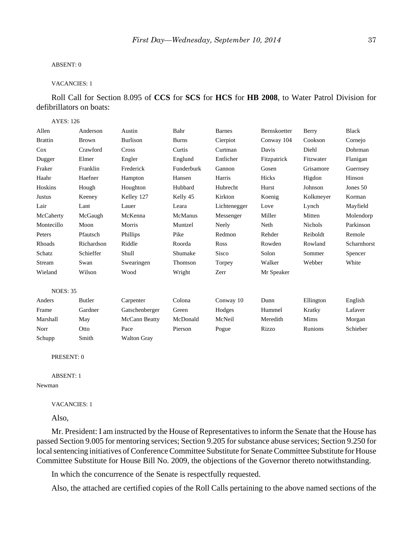### ABSENT: 0

### VACANCIES: 1

Roll Call for Section 8.095 of **CCS** for **SCS** for **HCS** for **HB 2008**, to Water Patrol Division for defibrillators on boats:

### AYES: 126

| Allen           | Anderson     | Austin             | Bahr         | <b>Barnes</b> | Bernskoetter | Berry          | <b>Black</b> |
|-----------------|--------------|--------------------|--------------|---------------|--------------|----------------|--------------|
| <b>Brattin</b>  | <b>Brown</b> | <b>Burlison</b>    | <b>Burns</b> | Cierpiot      | Conway 104   | Cookson        | Cornejo      |
| Cox             | Crawford     | Cross              | Curtis       | Curtman       | Davis        | Diehl          | Dohrman      |
| Dugger          | Elmer        | Engler             | Englund      | Entlicher     | Fitzpatrick  | Fitzwater      | Flanigan     |
| Fraker          | Franklin     | Frederick          | Funderburk   | Gannon        | Gosen        | Grisamore      | Guernsey     |
| Haahr           | Haefner      | Hampton            | Hansen       | Harris        | Hicks        | Higdon         | Hinson       |
| Hoskins         | Hough        | Houghton           | Hubbard      | Hubrecht      | Hurst        | Johnson        | Jones 50     |
| Justus          | Keeney       | Kelley 127         | Kelly 45     | Kirkton       | Koenig       | Kolkmeyer      | Korman       |
| Lair            | Lant         | Lauer              | Leara        | Lichtenegger  | Love         | Lynch          | Mayfield     |
| McCaherty       | McGaugh      | McKenna            | McManus      | Messenger     | Miller       | Mitten         | Molendorp    |
| Montecillo      | Moon         | Morris             | Muntzel      | Neely         | Neth         | <b>Nichols</b> | Parkinson    |
| Peters          | Pfautsch     | Phillips           | Pike         | Redmon        | Rehder       | Reiboldt       | Remole       |
| Rhoads          | Richardson   | Riddle             | Roorda       | Ross          | Rowden       | Rowland        | Scharnhorst  |
| Schatz          | Schieffer    | Shull              | Shumake      | Sisco         | Solon        | Sommer         | Spencer      |
| Stream          | Swan         | Swearingen         | Thomson      | Torpey        | Walker       | Webber         | White        |
| Wieland         | Wilson       | Wood               | Wright       | Zerr          | Mr Speaker   |                |              |
| <b>NOES: 35</b> |              |                    |              |               |              |                |              |
| Anders          | Butler       | Carpenter          | Colona       | Conway 10     | Dunn         | Ellington      | English      |
| Frame           | Gardner      | Gatschenberger     | Green        | Hodges        | Hummel       | Kratky         | Lafaver      |
| Marshall        | May          | McCann Beatty      | McDonald     | McNeil        | Meredith     | Mims           | Morgan       |
| Norr            | Otto         | Pace               | Pierson      | Pogue         | Rizzo        | Runions        | Schieber     |
| Schupp          | Smith        | <b>Walton Grav</b> |              |               |              |                |              |

## PRESENT: 0

#### ABSENT: 1

Newman

### VACANCIES: 1

Also,

Mr. President: I am instructed by the House of Representatives to inform the Senate that the House has passed Section 9.005 for mentoring services; Section 9.205 for substance abuse services; Section 9.250 for local sentencing initiatives of Conference Committee Substitute for Senate Committee Substitute for House Committee Substitute for House Bill No. 2009, the objections of the Governor thereto notwithstanding.

In which the concurrence of the Senate is respectfully requested.

Also, the attached are certified copies of the Roll Calls pertaining to the above named sections of the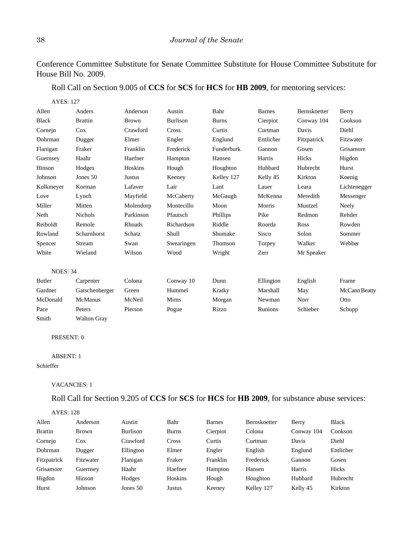Conference Committee Substitute for Senate Committee Substitute for House Committee Substitute for House Bill No. 2009.

Roll Call on Section 9.005 of **CCS** for **SCS** for **HCS** for **HB 2009**, for mentoring services:

AYES: 127

| Allen           | Anders             | Anderson      | Austin          | Bahr         | <b>Barnes</b> | Bernskoetter | Berry                |
|-----------------|--------------------|---------------|-----------------|--------------|---------------|--------------|----------------------|
| <b>Black</b>    | <b>Brattin</b>     | <b>Brown</b>  | <b>Burlison</b> | <b>Burns</b> | Cierpiot      | Conway 104   | Cookson              |
| Cornejo         | Cox                | Crawford      | Cross           | Curtis       | Curtman       | Davis        | Diehl                |
| Dohrman         | Dugger             | Elmer         | Engler          | Englund      | Entlicher     | Fitzpatrick  | Fitzwater            |
| Flanigan        | Fraker             | Franklin      | Frederick       | Funderburk   | Gannon        | Gosen        | Grisamore            |
| Guernsey        | Haahr              | Haefner       | Hampton         | Hansen       | Harris        | Hicks        | Higdon               |
| Hinson          | Hodges             | Hoskins       | Hough           | Houghton     | Hubbard       | Hubrecht     | Hurst                |
| Johnson         | Jones 50           | <b>Justus</b> | Keeney          | Kelley 127   | Kelly 45      | Kirkton      | Koenig               |
| Kolkmeyer       | Korman             | Lafaver       | Lair            | Lant         | Lauer         | Leara        | Lichtenegger         |
| Love            | Lynch              | Mayfield      | McCaherty       | McGaugh      | McKenna       | Meredith     | Messenger            |
| Miller          | Mitten             | Molendorp     | Montecillo      | Moon         | Morris        | Muntzel      | Neely                |
| Neth            | <b>Nichols</b>     | Parkinson     | Pfautsch        | Phillips     | Pike          | Redmon       | Rehder               |
| Reiboldt        | Remole             | Rhoads        | Richardson      | Riddle       | Roorda        | Ross         | Rowden               |
| Rowland         | Scharnhorst        | Schatz        | Shull           | Shumake      | <b>Sisco</b>  | Solon        | Sommer               |
| Spencer         | Stream             | Swan          | Swearingen      | Thomson      | Torpey        | Walker       | Webber               |
| White           | Wieland            | Wilson        | Wood            | Wright       | Zerr          | Mr Speaker   |                      |
| <b>NOES: 34</b> |                    |               |                 |              |               |              |                      |
| <b>Butler</b>   | Carpenter          | Colona        | Conway 10       | Dunn         | Ellington     | English      | Frame                |
| Gardner         | Gatschenberger     | Green         | Hummel          | Kratky       | Marshall      | May          | <b>McCann Beatty</b> |
| McDonald        | McManus            | McNeil        | Mims            | Morgan       | Newman        | Norr         | Otto                 |
| Pace            | Peters             | Pierson       | Pogue           | Rizzo        | Runions       | Schieber     | Schupp               |
| Smith           | <b>Walton Gray</b> |               |                 |              |               |              |                      |

### PRESENT: 0

# ABSENT: 1

# Schieffer

## VACANCIES: 1

Roll Call for Section 9.205 of **CCS** for **SCS** for **HCS** for **HB 2009**, for substance abuse services:

### AYES: 128

| Allen          | Anderson     | Austin     | Bahr           | <b>Barnes</b> | Bernskoetter | Berry      | <b>Black</b> |
|----------------|--------------|------------|----------------|---------------|--------------|------------|--------------|
| <b>Brattin</b> | <b>Brown</b> | Burlison   | <b>Burns</b>   | Cierpiot      | Colona       | Conway 104 | Cookson      |
| Cornejo        | Cox          | Crawford   | Cross          | Curtis        | Curtman      | Davis      | Diehl        |
| Dohrman        | Dugger       | Ellington  | Elmer          | Engler        | English      | Englund    | Entlicher    |
| Fitzpatrick    | Fitzwater    | Flanigan   | Fraker         | Franklin      | Frederick    | Gannon     | Gosen        |
| Grisamore      | Guernsey     | Haahr      | Haefner        | Hampton       | Hansen       | Harris     | Hicks        |
| Higdon         | Hinson       | Hodges     | <b>Hoskins</b> | Hough         | Houghton     | Hubbard    | Hubrecht     |
| Hurst          | Johnson      | Jones $50$ | Justus         | Keeney        | Kelley 127   | Kelly 45   | Kirkton      |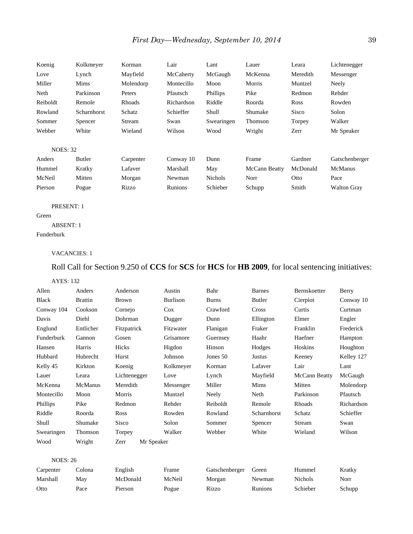| Koenig          | Kolkmeyer   | Korman    | Lair       | Lant           | Lauer         | Leara    | Lichtenegger       |
|-----------------|-------------|-----------|------------|----------------|---------------|----------|--------------------|
| Love            | Lynch       | Mayfield  | McCaherty  | McGaugh        | McKenna       | Meredith | Messenger          |
| Miller          | Mims        | Molendorp | Montecillo | Moon           | Morris        | Muntzel  | Neely              |
| Neth            | Parkinson   | Peters    | Pfautsch   | Phillips       | Pike          | Redmon   | Rehder             |
| Reiboldt        | Remole      | Rhoads    | Richardson | Riddle         | Roorda        | Ross     | Rowden             |
| Rowland         | Scharnhorst | Schatz    | Schieffer  | Shull          | Shumake       | Sisco    | Solon              |
| Sommer          | Spencer     | Stream    | Swan       | Swearingen     | Thomson       | Torpey   | Walker             |
| Webber          | White       | Wieland   | Wilson     | Wood           | Wright        | Zerr     | Mr Speaker         |
| <b>NOES: 32</b> |             |           |            |                |               |          |                    |
| Anders          | Butler      | Carpenter | Conway 10  | Dunn           | Frame         | Gardner  | Gatschenberger     |
| Hummel          | Kratky      | Lafaver   | Marshall   | May            | McCann Beatty | McDonald | <b>McManus</b>     |
| McNeil          | Mitten      | Morgan    | Newman     | <b>Nichols</b> | Norr          | Otto     | Pace               |
| Pierson         | Pogue       | Rizzo     | Runions    | Schieber       | Schupp        | Smith    | <b>Walton Gray</b> |

### PRESENT: 1

Green ABSENT: 1

Funderburk

### VACANCIES: 1

Roll Call for Section 9.250 of **CCS** for **SCS** for **HCS** for **HB 2009**, for local sentencing initiatives:

### AYES: 132

| Allen           | Anders         | Anderson           | Austin          | Bahr           | <b>Barnes</b> | Bernskoetter         | Berry      |
|-----------------|----------------|--------------------|-----------------|----------------|---------------|----------------------|------------|
| <b>Black</b>    | <b>Brattin</b> | <b>Brown</b>       | <b>Burlison</b> | <b>Burns</b>   | Butler        | Cierpiot             | Conway 10  |
| Conway 104      | Cookson        | Cornejo            | Cox             | Crawford       | Cross         | Curtis               | Curtman    |
| Davis           | Diehl          | Dohrman            | Dugger          | Dunn           | Ellington     | Elmer                | Engler     |
| Englund         | Entlicher      | Fitzpatrick        | Fitzwater       | Flanigan       | Fraker        | Franklin             | Frederick  |
| Funderburk      | Gannon         | Gosen              | Grisamore       | Guernsey       | Haahr         | Haefner              | Hampton    |
| Hansen          | Harris         | Hicks              | Higdon          | Hinson         | Hodges        | Hoskins              | Houghton   |
| Hubbard         | Hubrecht       | Hurst              | Johnson         | Jones 50       | <b>Justus</b> | Keeney               | Kelley 127 |
| Kelly 45        | Kirkton        | Koenig             | Kolkmeyer       | Korman         | Lafaver       | Lair                 | Lant       |
| Lauer           | Leara          | Lichtenegger       | Love            | Lynch          | Mayfield      | <b>McCann Beatty</b> | McGaugh    |
| McKenna         | McManus        | Meredith           | Messenger       | Miller         | Mims          | Mitten               | Molendorp  |
| Montecillo      | Moon           | Morris             | Muntzel         | Neely          | Neth          | Parkinson            | Pfautsch   |
| Phillips        | Pike           | Redmon             | Rehder          | Reiboldt       | Remole        | Rhoads               | Richardson |
| Riddle          | Roorda         | Ross               | Rowden          | Rowland        | Scharnhorst   | Schatz               | Schieffer  |
| Shull           | Shumake        | Sisco              | Solon           | Sommer         | Spencer       | Stream               | Swan       |
| Swearingen      | Thomson        | Torpey             | Walker          | Webber         | White         | Wieland              | Wilson     |
| Wood            | Wright         | Zerr<br>Mr Speaker |                 |                |               |                      |            |
| <b>NOES: 26</b> |                |                    |                 |                |               |                      |            |
| Carpenter       | Colona         | English            | Frame           | Gatschenberger | Green         | Hummel               | Kratky     |
| Marshall        | May            | McDonald           | McNeil          | Morgan         | Newman        | <b>Nichols</b>       | Norr       |

Otto Pace Pierson Pogue Rizzo Runions Schieber Schupp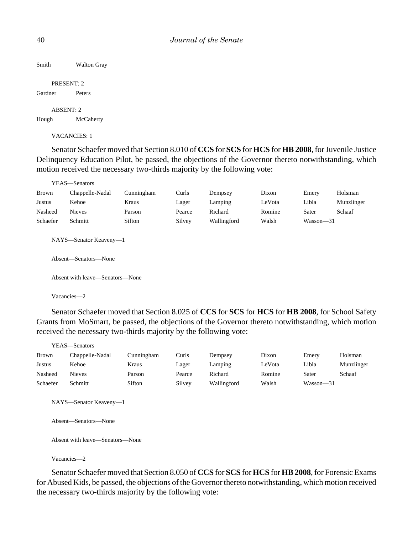Smith Walton Gray

PRESENT: 2 Gardner Peters

ABSENT: 2 Hough McCaherty

VACANCIES: 1

Senator Schaefer moved that Section 8.010 of **CCS** for **SCS** for **HCS** for **HB 2008**, for Juvenile Justice Delinquency Education Pilot, be passed, the objections of the Governor thereto notwithstanding, which motion received the necessary two-thirds majority by the following vote:

|               | YEAS—Senators                   |            |        |             |        |               |            |  |  |
|---------------|---------------------------------|------------|--------|-------------|--------|---------------|------------|--|--|
| <b>Brown</b>  | Chappelle-Nadal                 | Cunningham | Curls  | Dempsey     | Dixon  | Emery         | Holsman    |  |  |
| <b>Justus</b> | Kehoe                           | Kraus      | Lager  | Lamping     | LeVota | Libla         | Munzlinger |  |  |
| Nasheed       | <b>Nieves</b>                   | Parson     | Pearce | Richard     | Romine | Sater         | Schaaf     |  |  |
| Schaefer      | Schmitt                         | Sifton     | Silvey | Wallingford | Walsh  | $Wasson - 31$ |            |  |  |
|               | NAYS—Senator Keaveny—1          |            |        |             |        |               |            |  |  |
|               | Absent—Senators—None            |            |        |             |        |               |            |  |  |
|               | Absent with leave—Senators—None |            |        |             |        |               |            |  |  |

Vacancies—2

Senator Schaefer moved that Section 8.025 of **CCS** for **SCS** for **HCS** for **HB 2008**, for School Safety Grants from MoSmart, be passed, the objections of the Governor thereto notwithstanding, which motion received the necessary two-thirds majority by the following vote:

|              | YEAS—Senators   |            |        |             |        |               |            |
|--------------|-----------------|------------|--------|-------------|--------|---------------|------------|
| <b>Brown</b> | Chappelle-Nadal | Cunningham | Curls  | Dempsey     | Dixon  | Emery         | Holsman    |
| Justus       | Kehoe           | Kraus      | Lager  | Lamping     | LeVota | Libla         | Munzlinger |
| Nasheed      | <b>Nieves</b>   | Parson     | Pearce | Richard     | Romine | Sater         | Schaaf     |
| Schaefer     | Schmitt         | Sifton     | Silvey | Wallingford | Walsh  | $Wasson - 31$ |            |
|              |                 |            |        |             |        |               |            |

NAYS—Senator Keaveny—1

Absent—Senators—None

Absent with leave—Senators—None

Vacancies—2

Senator Schaefer moved that Section 8.050 of **CCS** for **SCS** for **HCS** for **HB2008**,for Forensic Exams for Abused Kids, be passed, the objections of the Governor thereto notwithstanding, which motion received the necessary two-thirds majority by the following vote: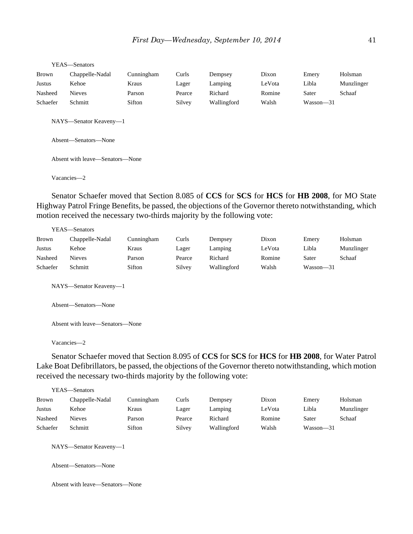|          | YEAS—Senators                                  |            |        |             |        |               |            |  |  |  |
|----------|------------------------------------------------|------------|--------|-------------|--------|---------------|------------|--|--|--|
| Brown    | Chappelle-Nadal                                | Cunningham | Curls  | Dempsey     | Dixon  | Emery         | Holsman    |  |  |  |
| Justus   | Kehoe                                          | Kraus      | Lager  | Lamping     | LeVota | Libla         | Munzlinger |  |  |  |
| Nasheed  | <b>Nieves</b>                                  | Parson     | Pearce | Richard     | Romine | Sater         | Schaaf     |  |  |  |
| Schaefer | Schmitt                                        | Sifton     | Silvey | Wallingford | Walsh  | $Wasson - 31$ |            |  |  |  |
|          | NAYS-Senator Keaveny-1<br>Absent-Senators-None |            |        |             |        |               |            |  |  |  |
|          | Absent with leave—Senators—None                |            |        |             |        |               |            |  |  |  |
|          | Vacancies-2                                    |            |        |             |        |               |            |  |  |  |

Senator Schaefer moved that Section 8.085 of **CCS** for **SCS** for **HCS** for **HB 2008**, for MO State Highway Patrol Fringe Benefits, be passed, the objections of the Governor thereto notwithstanding, which motion received the necessary two-thirds majority by the following vote:

|          | YEAS—Senators   |            |        |             |        |           |            |
|----------|-----------------|------------|--------|-------------|--------|-----------|------------|
| Brown    | Chappelle-Nadal | Cunningham | Curls  | Dempsey     | Dixon  | Emery     | Holsman    |
| Justus   | Kehoe           | Kraus      | Lager  | Lamping     | LeVota | Libla     | Munzlinger |
| Nasheed  | Nieves          | Parson     | Pearce | Richard     | Romine | Sater     | Schaaf     |
| Schaefer | Schmitt         | Sifton     | Silvey | Wallingford | Walsh  | Wasson—31 |            |

NAYS—Senator Keaveny—1

Absent—Senators—None

Absent with leave—Senators—None

Vacancies—2

Senator Schaefer moved that Section 8.095 of **CCS** for **SCS** for **HCS** for **HB 2008**, for Water Patrol Lake Boat Defibrillators, be passed, the objections of the Governor thereto notwithstanding, which motion received the necessary two-thirds majority by the following vote:

|              | YEAS—Senators   |            |        |             |        |               |            |
|--------------|-----------------|------------|--------|-------------|--------|---------------|------------|
| <b>Brown</b> | Chappelle-Nadal | Cunningham | Curls  | Dempsey     | Dixon  | Emery         | Holsman    |
| Justus       | Kehoe           | Kraus      | Lager  | Lamping     | LeVota | Libla         | Munzlinger |
| Nasheed      | <b>Nieves</b>   | Parson     | Pearce | Richard     | Romine | Sater         | Schaaf     |
| Schaefer     | Schmitt         | Sifton     | Silvey | Wallingford | Walsh  | $Wasson - 31$ |            |
|              |                 |            |        |             |        |               |            |

NAYS—Senator Keaveny—1

Absent—Senators—None

Absent with leave—Senators—None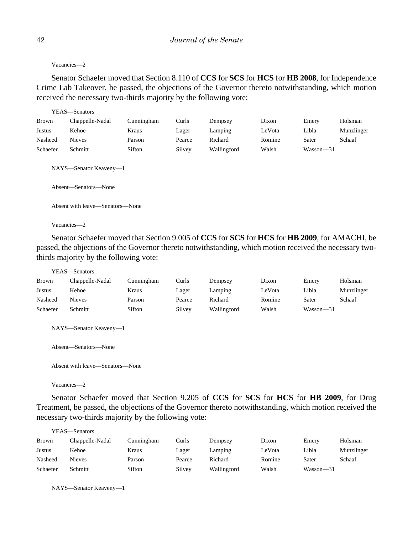Vacancies—2

Senator Schaefer moved that Section 8.110 of **CCS** for **SCS** for **HCS** for **HB 2008**, for Independence Crime Lab Takeover, be passed, the objections of the Governor thereto notwithstanding, which motion received the necessary two-thirds majority by the following vote:

|              | YEAS—Senators                                  |            |        |             |        |               |            |
|--------------|------------------------------------------------|------------|--------|-------------|--------|---------------|------------|
| <b>Brown</b> | Chappelle-Nadal                                | Cunningham | Curls  | Dempsey     | Dixon  | Emery         | Holsman    |
| Justus       | Kehoe                                          | Kraus      | Lager  | Lamping     | LeVota | Libla         | Munzlinger |
| Nasheed      | <b>Nieves</b>                                  | Parson     | Pearce | Richard     | Romine | Sater         | Schaaf     |
| Schaefer     | Schmitt                                        | Sifton     | Silvey | Wallingford | Walsh  | $Wasson - 31$ |            |
|              | NAYS-Senator Keaveny-1<br>Absent—Senators—None |            |        |             |        |               |            |
|              | Absent with leave—Senators—None                |            |        |             |        |               |            |
|              | Vacancies-2                                    |            |        |             |        |               |            |

Senator Schaefer moved that Section 9.005 of **CCS** for **SCS** for **HCS** for **HB 2009**, for AMACHI, be passed, the objections of the Governor thereto notwithstanding, which motion received the necessary twothirds majority by the following vote:

YEAS—Senators

| <b>Brown</b> | Chappelle-Nadal | Cunningham | Curls  | Dempsey     | Dixon  | Emery     | Holsman    |
|--------------|-----------------|------------|--------|-------------|--------|-----------|------------|
| Justus       | Kehoe           | Kraus      | Lager  | Lamping     | LeVota | Libla     | Munzlinger |
| Nasheed      | <b>Nieves</b>   | Parson     | Pearce | Richard     | Romine | Sater     | Schaaf     |
| Schaefer     | Schmitt         | Sifton     | Silvey | Wallingford | Walsh  | Wasson-31 |            |

NAYS—Senator Keaveny—1

Absent—Senators—None

Absent with leave—Senators—None

Vacancies—2

Senator Schaefer moved that Section 9.205 of **CCS** for **SCS** for **HCS** for **HB 2009**, for Drug Treatment, be passed, the objections of the Governor thereto notwithstanding, which motion received the necessary two-thirds majority by the following vote:

|              | YEAS—Senators   |            |        |             |        |           |            |
|--------------|-----------------|------------|--------|-------------|--------|-----------|------------|
| <b>Brown</b> | Chappelle-Nadal | Cunningham | Curls  | Dempsey     | Dixon  | Emery     | Holsman    |
| Justus       | Kehoe           | Kraus      | Lager  | Lamping     | LeVota | Libla     | Munzlinger |
| Nasheed      | Nieves          | Parson     | Pearce | Richard     | Romine | Sater     | Schaaf     |
| Schaefer     | Schmitt         | Sifton     | Silvey | Wallingford | Walsh  | Wasson—31 |            |

NAYS—Senator Keaveny—1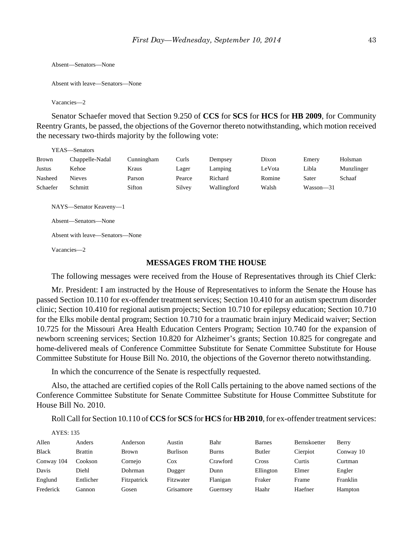```
Absent—Senators—None
```

```
Absent with leave—Senators—None
```
Vacancies—2

Senator Schaefer moved that Section 9.250 of **CCS** for **SCS** for **HCS** for **HB 2009**, for Community Reentry Grants, be passed, the objections of the Governor thereto notwithstanding, which motion received the necessary two-thirds majority by the following vote:

|          | YEAS—Senators                                                                                    |            |        |             |        |           |            |
|----------|--------------------------------------------------------------------------------------------------|------------|--------|-------------|--------|-----------|------------|
| Brown    | Chappelle-Nadal                                                                                  | Cunningham | Curls  | Dempsey     | Dixon  | Emery     | Holsman    |
| Justus   | Kehoe                                                                                            | Kraus      | Lager  | Lamping     | LeVota | Libla     | Munzlinger |
| Nasheed  | <b>Nieves</b>                                                                                    | Parson     | Pearce | Richard     | Romine | Sater     | Schaaf     |
| Schaefer | Schmitt                                                                                          | Sifton     | Silvey | Wallingford | Walsh  | Wasson-31 |            |
|          | NAYS—Senator Keaveny—1<br>Absent—Senators—None<br>Absent with leave—Senators—None<br>Vacancies-2 |            |        |             |        |           |            |

# **MESSAGES FROM THE HOUSE**

The following messages were received from the House of Representatives through its Chief Clerk:

Mr. President: I am instructed by the House of Representatives to inform the Senate the House has passed Section 10.110 for ex-offender treatment services; Section 10.410 for an autism spectrum disorder clinic; Section 10.410 for regional autism projects; Section 10.710 for epilepsy education; Section 10.710 for the Elks mobile dental program; Section 10.710 for a traumatic brain injury Medicaid waiver; Section 10.725 for the Missouri Area Health Education Centers Program; Section 10.740 for the expansion of newborn screening services; Section 10.820 for Alzheimer's grants; Section 10.825 for congregate and home-delivered meals of Conference Committee Substitute for Senate Committee Substitute for House Committee Substitute for House Bill No. 2010, the objections of the Governor thereto notwithstanding.

In which the concurrence of the Senate is respectfully requested.

Also, the attached are certified copies of the Roll Calls pertaining to the above named sections of the Conference Committee Substitute for Senate Committee Substitute for House Committee Substitute for House Bill No. 2010.

Roll Call for Section 10.110 of **CCS** for **SCS** for **HCS** for **HB 2010**, for ex-offender treatment services:

| <b>AYES: 135</b> |                |             |           |              |               |              |           |
|------------------|----------------|-------------|-----------|--------------|---------------|--------------|-----------|
| Allen            | Anders         | Anderson    | Austin    | Bahr         | <b>Barnes</b> | Bernskoetter | Berry     |
| <b>Black</b>     | <b>Brattin</b> | Brown       | Burlison  | <b>Burns</b> | Butler        | Cierpiot     | Conway 10 |
| Conway 104       | Cookson        | Cornejo     | Cox       | Crawford     | Cross         | Curtis       | Curtman   |
| Davis            | Diehl          | Dohrman     | Dugger    | Dunn         | Ellington     | Elmer        | Engler    |
| Englund          | Entlicher      | Fitzpatrick | Fitzwater | Flanigan     | Fraker        | Frame        | Franklin  |
| Frederick        | Gannon         | Gosen       | Grisamore | Guernsey     | Haahr         | Haefner      | Hampton   |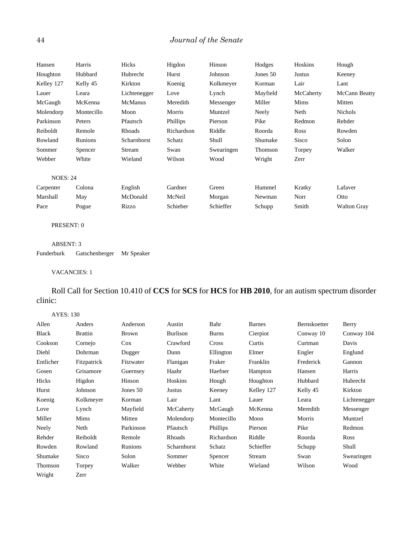# 44 *Journal of the Senate*

| Hansen          | Harris     | Hicks        | Higdon          | Hinson     | Hodges   | Hoskins   | Hough              |
|-----------------|------------|--------------|-----------------|------------|----------|-----------|--------------------|
| Houghton        | Hubbard    | Hubrecht     | Hurst           | Johnson    | Jones 50 | Justus    | Keeney             |
| Kelley 127      | Kelly 45   | Kirkton      | Koenig          | Kolkmeyer  | Korman   | Lair      | Lant               |
| Lauer           | Leara      | Lichtenegger | Love            | Lynch      | Mayfield | McCaherty | McCann Beatty      |
| McGaugh         | McKenna    | McManus      | Meredith        | Messenger  | Miller   | Mims      | Mitten             |
| Molendorp       | Montecillo | Moon         | Morris          | Muntzel    | Neely    | Neth      | <b>Nichols</b>     |
| Parkinson       | Peters     | Pfautsch     | <b>Phillips</b> | Pierson    | Pike     | Redmon    | Rehder             |
| Reiboldt        | Remole     | Rhoads       | Richardson      | Riddle     | Roorda   | Ross      | Rowden             |
| Rowland         | Runions    | Scharnhorst  | Schatz          | Shull      | Shumake  | Sisco     | Solon              |
| Sommer          | Spencer    | Stream       | Swan            | Swearingen | Thomson  | Torpey    | Walker             |
| Webber          | White      | Wieland      | Wilson          | Wood       | Wright   | Zerr      |                    |
| <b>NOES: 24</b> |            |              |                 |            |          |           |                    |
| Carpenter       | Colona     | English      | Gardner         | Green      | Hummel   | Kratky    | Lafaver            |
| Marshall        | May        | McDonald     | McNeil          | Morgan     | Newman   | Norr      | Otto               |
| Pace            | Pogue      | Rizzo        | Schieber        | Schieffer  | Schupp   | Smith     | <b>Walton Gray</b> |

PRESENT: 0

ABSENT: 3 Funderburk Gatschenberger Mr Speaker

VACANCIES: 1

Roll Call for Section 10.410 of **CCS** for **SCS** for **HCS** for **HB 2010**, for an autism spectrum disorder clinic:

AYES: 130

| Allen        | Anders         | Anderson  | Austin          | Bahr            | <b>Barnes</b> | Bernskoetter | Berry        |
|--------------|----------------|-----------|-----------------|-----------------|---------------|--------------|--------------|
| <b>Black</b> | <b>Brattin</b> | Brown     | <b>Burlison</b> | <b>Burns</b>    | Cierpiot      | Conway 10    | Conway 104   |
| Cookson      | Cornejo        | $\cos$    | Crawford        | <b>Cross</b>    | Curtis        | Curtman      | Davis        |
| Diehl        | Dohrman        | Dugger    | Dunn            | Ellington       | Elmer         | Engler       | Englund      |
| Entlicher    | Fitzpatrick    | Fitzwater | Flanigan        | Fraker          | Franklin      | Frederick    | Gannon       |
| Gosen        | Grisamore      | Guernsey  | Haahr           | Haefner         | Hampton       | Hansen       | Harris       |
| Hicks        | Higdon         | Hinson    | Hoskins         | Hough           | Houghton      | Hubbard      | Hubrecht     |
| Hurst        | Johnson        | Jones 50  | Justus          | Keeney          | Kelley 127    | Kelly 45     | Kirkton      |
| Koenig       | Kolkmeyer      | Korman    | Lair            | Lant            | Lauer         | Leara        | Lichtenegger |
| Love         | Lynch          | Mayfield  | McCaherty       | McGaugh         | McKenna       | Meredith     | Messenger    |
| Miller       | Mims           | Mitten    | Molendorp       | Montecillo      | Moon          | Morris       | Muntzel      |
| Neely        | Neth           | Parkinson | Pfautsch        | <b>Phillips</b> | Pierson       | Pike         | Redmon       |
| Rehder       | Reiboldt       | Remole    | Rhoads          | Richardson      | Riddle        | Roorda       | Ross         |
| Rowden       | Rowland        | Runions   | Scharnhorst     | Schatz          | Schieffer     | Schupp       | Shull        |
| Shumake      | Sisco          | Solon     | Sommer          | Spencer         | Stream        | Swan         | Swearingen   |
| Thomson      | Torpey         | Walker    | Webber          | White           | Wieland       | Wilson       | Wood         |
| Wright       | Zerr           |           |                 |                 |               |              |              |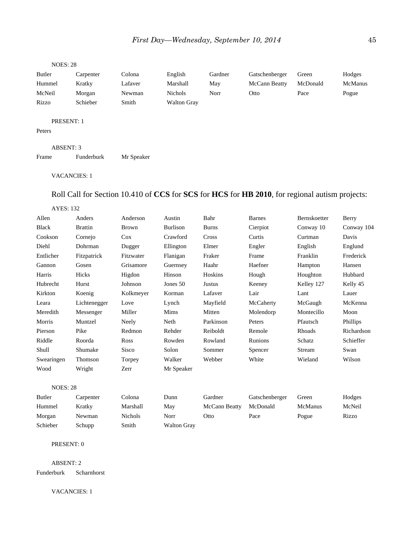### NOES: 28

| Butler                      | Carpenter | Colona  | English            | Gardner | Gatschenberger | Green    | Hodges         |
|-----------------------------|-----------|---------|--------------------|---------|----------------|----------|----------------|
| Hummel                      | Kratky    | Lafaver | Marshall           | May     | McCann Beatty  | McDonald | <b>McManus</b> |
| McNeil                      | Morgan    | Newman  | Nichols            | Norr    | Otto           | Pace     | Pogue          |
| Rizzo                       | Schieber  | Smith   | <b>Walton Gray</b> |         |                |          |                |
| <b>PRESENT: 1</b><br>Peters |           |         |                    |         |                |          |                |

# ABSENT: 3 Frame Funderburk Mr Speaker

### VACANCIES: 1

# Roll Call for Section 10.410 of **CCS** for **SCS** for **HCS** for **HB 2010**, for regional autism projects:

| AYES: |  |
|-------|--|
|-------|--|

| Allen           | Anders         | Anderson     | Austin          | Bahr          | <b>Barnes</b>  | Bernskoetter | Berry      |
|-----------------|----------------|--------------|-----------------|---------------|----------------|--------------|------------|
| <b>Black</b>    | <b>Brattin</b> | <b>Brown</b> | <b>Burlison</b> | <b>Burns</b>  | Cierpiot       | Conway 10    | Conway 104 |
| Cookson         | Cornejo        | Cox          | Crawford        | Cross         | Curtis         | Curtman      | Davis      |
| Diehl           | Dohrman        | Dugger       | Ellington       | Elmer         | Engler         | English      | Englund    |
| Entlicher       | Fitzpatrick    | Fitzwater    | Flanigan        | Fraker        | Frame          | Franklin     | Frederick  |
| Gannon          | Gosen          | Grisamore    | Guernsey        | Haahr         | Haefner        | Hampton      | Hansen     |
| Harris          | Hicks          | Higdon       | Hinson          | Hoskins       | Hough          | Houghton     | Hubbard    |
| Hubrecht        | Hurst          | Johnson      | Jones $50$      | <b>Justus</b> | Keeney         | Kelley 127   | Kelly 45   |
| Kirkton         | Koenig         | Kolkmeyer    | Korman          | Lafaver       | Lair           | Lant         | Lauer      |
| Leara           | Lichtenegger   | Love         | Lynch           | Mayfield      | McCaherty      | McGaugh      | McKenna    |
| Meredith        | Messenger      | Miller       | Mims            | Mitten        | Molendorp      | Montecillo   | Moon       |
| Morris          | Muntzel        | Neely        | Neth            | Parkinson     | Peters         | Pfautsch     | Phillips   |
| Pierson         | Pike           | Redmon       | Rehder          | Reiboldt      | Remole         | Rhoads       | Richardson |
| Riddle          | Roorda         | Ross         | Rowden          | Rowland       | Runions        | Schatz       | Schieffer  |
| Shull           | Shumake        | <b>Sisco</b> | Solon           | Sommer        | Spencer        | Stream       | Swan       |
| Swearingen      | Thomson        | Torpey       | Walker          | Webber        | White          | Wieland      | Wilson     |
| Wood            | Wright         | Zerr         | Mr Speaker      |               |                |              |            |
| <b>NOES: 28</b> |                |              |                 |               |                |              |            |
| Butler          | Carpenter      | Colona       | Dunn            | Gardner       | Gatschenberger | Green        | Hodges     |
| Hummel          | Kratky         | Marshall     | May             | McCann Beatty | McDonald       | McManus      | McNeil     |

Morgan Newman Nichols Norr Otto Pace Pogue Rizzo

# PRESENT: 0

Schieber Schupp Smith Walton Gray

ABSENT: 2 Funderburk Scharnhorst

VACANCIES: 1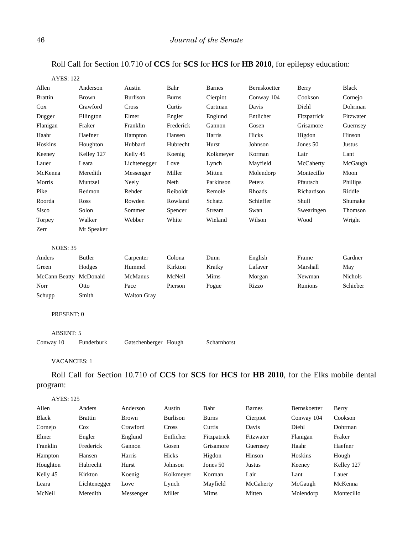# Roll Call for Section 10.710 of **CCS** for **SCS** for **HCS** for **HB 2010**, for epilepsy education:

| <b>AYES: 122</b>    |              |                      |              |               |              |             |                |
|---------------------|--------------|----------------------|--------------|---------------|--------------|-------------|----------------|
| Allen               | Anderson     | Austin               | Bahr         | <b>Barnes</b> | Bernskoetter | Berry       | <b>Black</b>   |
| <b>Brattin</b>      | <b>Brown</b> | <b>Burlison</b>      | <b>Burns</b> | Cierpiot      | Conway 104   | Cookson     | Cornejo        |
| Cox                 | Crawford     | Cross                | Curtis       | Curtman       | Davis        | Diehl       | Dohrman        |
| Dugger              | Ellington    | Elmer                | Engler       | Englund       | Entlicher    | Fitzpatrick | Fitzwater      |
| Flanigan            | Fraker       | Franklin             | Frederick    | Gannon        | Gosen        | Grisamore   | Guernsey       |
| Haahr               | Haefner      | Hampton              | Hansen       | Harris        | Hicks        | Higdon      | Hinson         |
| Hoskins             | Houghton     | Hubbard              | Hubrecht     | Hurst         | Johnson      | Jones 50    | <b>Justus</b>  |
| Keeney              | Kelley 127   | Kelly 45             | Koenig       | Kolkmeyer     | Korman       | Lair        | Lant           |
| Lauer               | Leara        | Lichtenegger         | Love         | Lynch         | Mayfield     | McCaherty   | McGaugh        |
| McKenna             | Meredith     | Messenger            | Miller       | Mitten        | Molendorp    | Montecillo  | Moon           |
| Morris              | Muntzel      | Neely                | Neth         | Parkinson     | Peters       | Pfautsch    | Phillips       |
| Pike                | Redmon       | Rehder               | Reiboldt     | Remole        | Rhoads       | Richardson  | Riddle         |
| Roorda              | Ross         | Rowden               | Rowland      | Schatz        | Schieffer    | Shull       | Shumake        |
| Sisco               | Solon        | Sommer               | Spencer      | Stream        | Swan         | Swearingen  | Thomson        |
| Torpey              | Walker       | Webber               | White        | Wieland       | Wilson       | Wood        | Wright         |
| Zerr                | Mr Speaker   |                      |              |               |              |             |                |
| <b>NOES: 35</b>     |              |                      |              |               |              |             |                |
| Anders              | Butler       | Carpenter            | Colona       | Dunn          | English      | Frame       | Gardner        |
| Green               | Hodges       | Hummel               | Kirkton      | Kratky        | Lafaver      | Marshall    | May            |
| McCann Beatty       | McDonald     | McManus              | McNeil       | Mims          | Morgan       | Newman      | <b>Nichols</b> |
| Norr                | Otto         | Pace                 | Pierson      | Pogue         | Rizzo        | Runions     | Schieber       |
| Schupp              | Smith        | <b>Walton Gray</b>   |              |               |              |             |                |
| PRESENT: 0          |              |                      |              |               |              |             |                |
| <b>ABSENT: 5</b>    |              |                      |              |               |              |             |                |
| Conway 10           | Funderburk   | Gatschenberger Hough |              | Scharnhorst   |              |             |                |
| <b>VACANCIES: 1</b> |              |                      |              |               |              |             |                |

Roll Call for Section 10.710 of **CCS** for **SCS** for **HCS** for **HB 2010**, for the Elks mobile dental program:

### AYES: 125

| Allen    | Anders         | Anderson     | Austin          | Bahr         | <b>Barnes</b> | Bernskoetter | Berry      |
|----------|----------------|--------------|-----------------|--------------|---------------|--------------|------------|
| Black    | <b>Brattin</b> | <b>Brown</b> | <b>Burlison</b> | <b>Burns</b> | Cierpiot      | Conway 104   | Cookson    |
| Cornejo  | $\cos$         | Crawford     | Cross           | Curtis       | Davis         | Diehl        | Dohrman    |
| Elmer    | Engler         | Englund      | Entlicher       | Fitzpatrick  | Fitzwater     | Flanigan     | Fraker     |
| Franklin | Frederick      | Gannon       | Gosen           | Grisamore    | Guernsey      | Haahr        | Haefner    |
| Hampton  | Hansen         | Harris       | Hicks           | Higdon       | Hinson        | Hoskins      | Hough      |
| Houghton | Hubrecht       | Hurst        | Johnson         | Jones 50     | Justus        | Keeney       | Kelley 127 |
| Kelly 45 | Kirkton        | Koenig       | Kolkmeyer       | Korman       | Lair          | Lant         | Lauer      |
| Leara    | Lichtenegger   | Love         | Lynch           | Mayfield     | McCaherty     | McGaugh      | McKenna    |
| McNeil   | Meredith       | Messenger    | Miller          | Mims         | Mitten        | Molendorp    | Montecillo |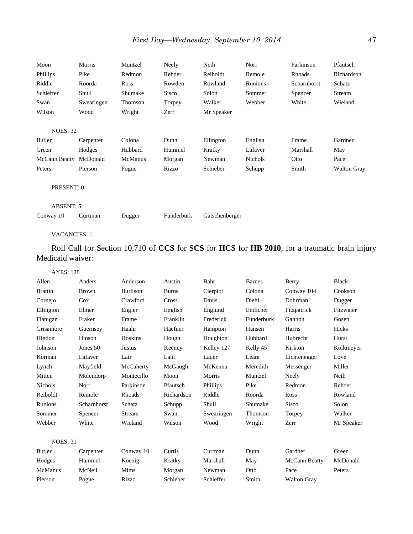| Moon<br>Phillips<br>Riddle<br>Schieffer<br>Swan<br>Wilson | Morris<br>Pike<br>Roorda<br>Shull<br>Swearingen<br>Wood | Muntzel<br>Redmon<br>Ross<br>Shumake<br>Thomson<br>Wright | Neely<br>Rehder<br>Rowden<br>Sisco<br>Torpey<br>Zerr | Neth<br>Reiboldt<br>Rowland<br>Solon<br>Walker<br>Mr Speaker | Norr<br>Remole<br>Runions<br>Sommer<br>Webber | Parkinson<br>Rhoads<br>Scharnhorst<br>Spencer<br>White | Pfautsch<br>Richardson<br>Schatz<br>Stream<br>Wieland |
|-----------------------------------------------------------|---------------------------------------------------------|-----------------------------------------------------------|------------------------------------------------------|--------------------------------------------------------------|-----------------------------------------------|--------------------------------------------------------|-------------------------------------------------------|
| <b>NOES: 32</b>                                           |                                                         |                                                           |                                                      |                                                              |                                               |                                                        |                                                       |
| Butler                                                    | Carpenter                                               | Colona                                                    | Dunn                                                 | Ellington                                                    | English                                       | Frame                                                  | Gardner                                               |
| Green                                                     | Hodges                                                  | Hubbard                                                   | Hummel                                               | Kratky                                                       | Lafaver                                       | Marshall                                               | May                                                   |
| McCann Beatty                                             | McDonald                                                | McManus                                                   | Morgan                                               | Newman                                                       | Nichols                                       | Otto                                                   | Pace                                                  |
| Peters                                                    | Pierson                                                 | Pogue                                                     | Rizzo                                                | Schieber                                                     | Schupp                                        | Smith                                                  | <b>Walton Gray</b>                                    |
| PRESENT: 0                                                |                                                         |                                                           |                                                      |                                                              |                                               |                                                        |                                                       |
| <b>ABSENT: 5</b>                                          |                                                         |                                                           |                                                      |                                                              |                                               |                                                        |                                                       |
| Conway 10                                                 | Curtman                                                 | Dugger                                                    | Funderburk                                           | Gatschenberger                                               |                                               |                                                        |                                                       |

Roll Call for Section 10.710 of **CCS** for **SCS** for **HCS** for **HB 2010**, for a traumatic brain injury Medicaid waiver:

AYES: 128

| Allen           | Anders       | Anderson        | Austin       | Bahr       | <b>Barnes</b> | Berry                | <b>Black</b> |
|-----------------|--------------|-----------------|--------------|------------|---------------|----------------------|--------------|
| <b>Brattin</b>  | <b>Brown</b> | <b>Burlison</b> | <b>Burns</b> | Cierpiot   | Colona        | Conway 104           | Cookson      |
| Cornejo         | $\cos$       | Crawford        | Cross        | Davis      | Diehl         | Dohrman              | Dugger       |
| Ellington       | Elmer        | Engler          | English      | Englund    | Entlicher     | Fitzpatrick          | Fitzwater    |
| Flanigan        | Fraker       | Frame           | Franklin     | Frederick  | Funderburk    | Gannon               | Gosen        |
| Grisamore       | Guernsey     | Haahr           | Haefner      | Hampton    | Hansen        | Harris               | Hicks        |
| Higdon          | Hinson       | Hoskins         | Hough        | Houghton   | Hubbard       | Hubrecht             | Hurst        |
| Johnson         | Jones 50     | Justus          | Keeney       | Kelley 127 | Kelly 45      | Kirkton              | Kolkmeyer    |
| Korman          | Lafaver      | Lair            | Lant         | Lauer      | Leara         | Lichtenegger         | Love         |
| Lynch           | Mayfield     | McCaherty       | McGaugh      | McKenna    | Meredith      | Messenger            | Miller       |
| Mitten          | Molendorp    | Montecillo      | Moon         | Morris     | Muntzel       | Neely                | Neth         |
| <b>Nichols</b>  | Norr         | Parkinson       | Pfautsch     | Phillips   | Pike          | Redmon               | Rehder       |
| Reiboldt        | Remole       | Rhoads          | Richardson   | Riddle     | Roorda        | <b>Ross</b>          | Rowland      |
| Runions         | Scharnhorst  | Schatz          | Schupp       | Shull      | Shumake       | <b>Sisco</b>         | Solon        |
| Sommer          | Spencer      | Stream          | Swan         | Swearingen | Thomson       | Torpey               | Walker       |
| Webber          | White        | Wieland         | Wilson       | Wood       | Wright        | Zerr                 | Mr Speaker   |
|                 |              |                 |              |            |               |                      |              |
| <b>NOES: 31</b> |              |                 |              |            |               |                      |              |
| Butler          | Carpenter    | Conway 10       | Curtis       | Curtman    | Dunn          | Gardner              | Green        |
| Hodges          | Hummel       | Koenig          | Kratky       | Marshall   | May           | <b>McCann Beatty</b> | McDonald     |
| <b>McManus</b>  | McNeil       | Mims            | Morgan       | Newman     | Otto          | Pace                 | Peters       |
| Pierson         | Pogue        | Rizzo           | Schieber     | Schieffer  | Smith         | <b>Walton Gray</b>   |              |
|                 |              |                 |              |            |               |                      |              |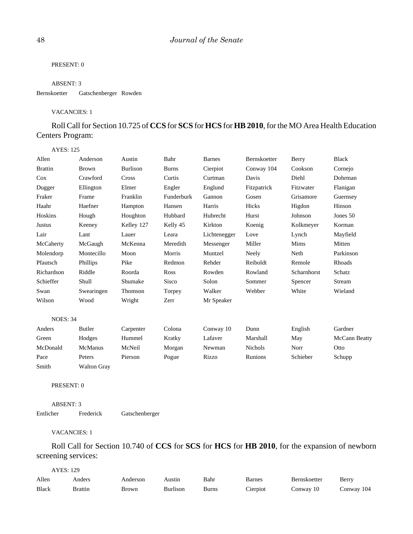## PRESENT: 0

### ABSENT: 3

### Bernskoetter Gatschenberger Rowden

### VACANCIES: 1

# Roll Call for Section 10.725 of **CCS** for **SCS** for **HCS** for **HB 2010**, for the MO Area Health Education Centers Program:

| <b>AYES: 125</b> |                    |                 |              |               |                |             |                      |
|------------------|--------------------|-----------------|--------------|---------------|----------------|-------------|----------------------|
| Allen            | Anderson           | Austin          | Bahr         | <b>Barnes</b> | Bernskoetter   | Berry       | <b>Black</b>         |
| <b>Brattin</b>   | <b>Brown</b>       | <b>Burlison</b> | <b>Burns</b> | Cierpiot      | Conway 104     | Cookson     | Cornejo              |
| Cox              | Crawford           | Cross           | Curtis       | Curtman       | Davis          | Diehl       | Dohrman              |
| Dugger           | Ellington          | Elmer           | Engler       | Englund       | Fitzpatrick    | Fitzwater   | Flanigan             |
| Fraker           | Frame              | Franklin        | Funderburk   | Gannon        | Gosen          | Grisamore   | Guernsey             |
| Haahr            | Haefner            | Hampton         | Hansen       | Harris        | Hicks          | Higdon      | Hinson               |
| Hoskins          | Hough              | Houghton        | Hubbard      | Hubrecht      | Hurst          | Johnson     | Jones 50             |
| <b>Justus</b>    | Keeney             | Kelley 127      | Kelly 45     | Kirkton       | Koenig         | Kolkmeyer   | Korman               |
| Lair             | Lant               | Lauer           | Leara        | Lichtenegger  | Love           | Lynch       | Mayfield             |
| McCaherty        | McGaugh            | McKenna         | Meredith     | Messenger     | Miller         | Mims        | Mitten               |
| Molendorp        | Montecillo         | Moon            | Morris       | Muntzel       | Neely          | Neth        | Parkinson            |
| Pfautsch         | Phillips           | Pike            | Redmon       | Rehder        | Reiboldt       | Remole      | Rhoads               |
| Richardson       | Riddle             | Roorda          | Ross         | Rowden        | Rowland        | Scharnhorst | Schatz               |
| Schieffer        | Shull              | Shumake         | Sisco        | Solon         | Sommer         | Spencer     | Stream               |
| Swan             | Swearingen         | Thomson         | Torpey       | Walker        | Webber         | White       | Wieland              |
| Wilson           | Wood               | Wright          | Zerr         | Mr Speaker    |                |             |                      |
| <b>NOES: 34</b>  |                    |                 |              |               |                |             |                      |
| Anders           | Butler             | Carpenter       | Colona       | Conway 10     | Dunn           | English     | Gardner              |
| Green            | Hodges             | Hummel          | Kratky       | Lafaver       | Marshall       | May         | <b>McCann Beatty</b> |
| McDonald         | McManus            | McNeil          | Morgan       | Newman        | <b>Nichols</b> | Norr        | Otto                 |
| Pace             | Peters             | Pierson         | Pogue        | Rizzo         | Runions        | Schieber    | Schupp               |
| Smith            | <b>Walton Gray</b> |                 |              |               |                |             |                      |

PRESENT: 0

ABSENT: 3 Entlicher Frederick Gatschenberger

VACANCIES: 1

Roll Call for Section 10.740 of **CCS** for **SCS** for **HCS** for **HB 2010**, for the expansion of newborn screening services:

| AYES: 129    |                |          |          |       |          |              |            |
|--------------|----------------|----------|----------|-------|----------|--------------|------------|
| Allen        | Anders         | Anderson | Austin   | Bahr  | Barnes   | Bernskoetter | Berry      |
| <b>Black</b> | <b>Brattin</b> | Brown    | Burlison | Burns | Cierpiot | Conway 10    | Conway 104 |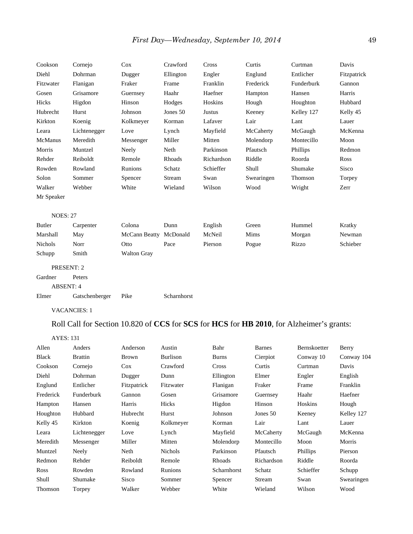| Cookson          | Cornejo        | Cox                | Crawford    | Cross      | Curtis     | Curtman    | Davis        |
|------------------|----------------|--------------------|-------------|------------|------------|------------|--------------|
| Diehl            | Dohrman        | Dugger             | Ellington   | Engler     | Englund    | Entlicher  | Fitzpatrick  |
| Fitzwater        | Flanigan       | Fraker             | Frame       | Franklin   | Frederick  | Funderburk | Gannon       |
| Gosen            | Grisamore      | Guernsey           | Haahr       | Haefner    | Hampton    | Hansen     | Harris       |
| Hicks            | Higdon         | Hinson             | Hodges      | Hoskins    | Hough      | Houghton   | Hubbard      |
| Hubrecht         | Hurst          | Johnson            | Jones 50    | Justus     | Keeney     | Kelley 127 | Kelly 45     |
| Kirkton          | Koenig         | Kolkmeyer          | Korman      | Lafaver    | Lair       | Lant       | Lauer        |
| Leara            | Lichtenegger   | Love               | Lynch       | Mayfield   | McCaherty  | McGaugh    | McKenna      |
| McManus          | Meredith       | Messenger          | Miller      | Mitten     | Molendorp  | Montecillo | Moon         |
| Morris           | Muntzel        | Neely              | Neth        | Parkinson  | Pfautsch   | Phillips   | Redmon       |
| Rehder           | Reiboldt       | Remole             | Rhoads      | Richardson | Riddle     | Roorda     | Ross         |
| Rowden           | Rowland        | Runions            | Schatz      | Schieffer  | Shull      | Shumake    | <b>Sisco</b> |
| Solon            | Sommer         | Spencer            | Stream      | Swan       | Swearingen | Thomson    | Torpey       |
| Walker           | Webber         | White              | Wieland     | Wilson     | Wood       | Wright     | Zerr         |
| Mr Speaker       |                |                    |             |            |            |            |              |
| <b>NOES: 27</b>  |                |                    |             |            |            |            |              |
| Butler           | Carpenter      | Colona             | Dunn        | English    | Green      | Hummel     | Kratky       |
| Marshall         | May            | McCann Beatty      | McDonald    | McNeil     | Mims       | Morgan     | Newman       |
| <b>Nichols</b>   | Norr           | Otto               | Pace        | Pierson    | Pogue      | Rizzo      | Schieber     |
| Schupp           | Smith          | <b>Walton Gray</b> |             |            |            |            |              |
| PRESENT: 2       |                |                    |             |            |            |            |              |
| Gardner          | Peters         |                    |             |            |            |            |              |
| <b>ABSENT: 4</b> |                |                    |             |            |            |            |              |
| Elmer            | Gatschenberger | Pike               | Scharnhorst |            |            |            |              |

# Roll Call for Section 10.820 of **CCS** for **SCS** for **HCS** for **HB 2010**, for Alzheimer's grants:

| <b>AYES: 131</b> |                |              |                 |              |               |              |            |
|------------------|----------------|--------------|-----------------|--------------|---------------|--------------|------------|
| Allen            | Anders         | Anderson     | Austin          | Bahr         | <b>Barnes</b> | Bernskoetter | Berry      |
| <b>Black</b>     | <b>Brattin</b> | <b>Brown</b> | <b>Burlison</b> | <b>Burns</b> | Cierpiot      | Conway 10    | Conway 104 |
| Cookson          | Cornejo        | $\cos$       | Crawford        | Cross        | Curtis        | Curtman      | Davis      |
| Diehl            | Dohrman        | Dugger       | Dunn            | Ellington    | Elmer         | Engler       | English    |
| Englund          | Entlicher      | Fitzpatrick  | Fitzwater       | Flanigan     | Fraker        | Frame        | Franklin   |
| Frederick        | Funderburk     | Gannon       | Gosen           | Grisamore    | Guernsey      | Haahr        | Haefner    |
| Hampton          | Hansen         | Harris       | Hicks           | Higdon       | Hinson        | Hoskins      | Hough      |
| Houghton         | Hubbard        | Hubrecht     | Hurst           | Johnson      | Jones 50      | Keeney       | Kelley 127 |
| Kelly 45         | Kirkton        | Koenig       | Kolkmeyer       | Korman       | Lair          | Lant         | Lauer      |
| Leara            | Lichtenegger   | Love         | Lynch           | Mayfield     | McCaherty     | McGaugh      | McKenna    |
| Meredith         | Messenger      | Miller       | Mitten          | Molendorp    | Montecillo    | Moon         | Morris     |
| Muntzel          | Neely          | Neth         | <b>Nichols</b>  | Parkinson    | Pfautsch      | Phillips     | Pierson    |
| Redmon           | Rehder         | Reiboldt     | Remole          | Rhoads       | Richardson    | Riddle       | Roorda     |
| <b>Ross</b>      | Rowden         | Rowland      | Runions         | Scharnhorst  | Schatz        | Schieffer    | Schupp     |
| Shull            | Shumake        | <b>Sisco</b> | Sommer          | Spencer      | Stream        | Swan         | Swearingen |
| Thomson          | Torpey         | Walker       | Webber          | White        | Wieland       | Wilson       | Wood       |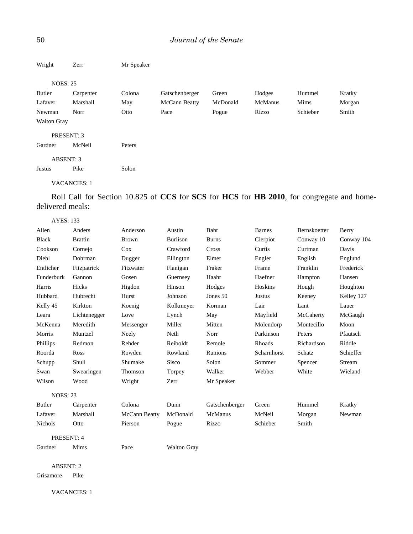| Wright             | Zerr                | Mr Speaker |                |          |         |          |        |
|--------------------|---------------------|------------|----------------|----------|---------|----------|--------|
| <b>NOES: 25</b>    |                     |            |                |          |         |          |        |
| Butler             | Carpenter           | Colona     | Gatschenberger | Green    | Hodges  | Hummel   | Kratky |
| Lafaver            | Marshall            | May        | McCann Beatty  | McDonald | McManus | Mims     | Morgan |
| Newman             | Norr                | Otto       | Pace           | Pogue    | Rizzo   | Schieber | Smith  |
| <b>Walton Gray</b> |                     |            |                |          |         |          |        |
|                    | PRESENT: 3          |            |                |          |         |          |        |
| Gardner            | McNeil              | Peters     |                |          |         |          |        |
|                    | <b>ABSENT: 3</b>    |            |                |          |         |          |        |
| Justus             | Pike                | Solon      |                |          |         |          |        |
|                    | <b>VACANCIES: 1</b> |            |                |          |         |          |        |

Roll Call for Section 10.825 of **CCS** for **SCS** for **HCS** for **HB 2010**, for congregate and homedelivered meals:

| <b>AYES: 133</b> |                |               |                    |                |               |              |            |
|------------------|----------------|---------------|--------------------|----------------|---------------|--------------|------------|
| Allen            | Anders         | Anderson      | Austin             | Bahr           | <b>Barnes</b> | Bernskoetter | Berry      |
| <b>Black</b>     | <b>Brattin</b> | <b>Brown</b>  | <b>Burlison</b>    | <b>Burns</b>   | Cierpiot      | Conway 10    | Conway 104 |
| Cookson          | Cornejo        | Cox           | Crawford           | Cross          | Curtis        | Curtman      | Davis      |
| Diehl            | Dohrman        | Dugger        | Ellington          | Elmer          | Engler        | English      | Englund    |
| Entlicher        | Fitzpatrick    | Fitzwater     | Flanigan           | Fraker         | Frame         | Franklin     | Frederick  |
| Funderburk       | Gannon         | Gosen         | Guernsey           | Haahr          | Haefner       | Hampton      | Hansen     |
| Harris           | Hicks          | Higdon        | Hinson             | Hodges         | Hoskins       | Hough        | Houghton   |
| Hubbard          | Hubrecht       | Hurst         | Johnson            | Jones $50$     | <b>Justus</b> | Keeney       | Kelley 127 |
| Kelly 45         | Kirkton        | Koenig        | Kolkmeyer          | Korman         | Lair          | Lant         | Lauer      |
| Leara            | Lichtenegger   | Love          | Lynch              | May            | Mayfield      | McCaherty    | McGaugh    |
| McKenna          | Meredith       | Messenger     | Miller             | Mitten         | Molendorp     | Montecillo   | Moon       |
| Morris           | Muntzel        | Neely         | Neth               | Norr           | Parkinson     | Peters       | Pfautsch   |
| Phillips         | Redmon         | Rehder        | Reiboldt           | Remole         | Rhoads        | Richardson   | Riddle     |
| Roorda           | <b>Ross</b>    | Rowden        | Rowland            | Runions        | Scharnhorst   | Schatz       | Schieffer  |
| Schupp           | Shull          | Shumake       | <b>Sisco</b>       | Solon          | Sommer        | Spencer      | Stream     |
| Swan             | Swearingen     | Thomson       | Torpey             | Walker         | Webber        | White        | Wieland    |
| Wilson           | Wood           | Wright        | Zerr               | Mr Speaker     |               |              |            |
| <b>NOES: 23</b>  |                |               |                    |                |               |              |            |
| Butler           | Carpenter      | Colona        | Dunn               | Gatschenberger | Green         | Hummel       | Kratky     |
| Lafaver          | Marshall       | McCann Beatty | McDonald           | McManus        | McNeil        | Morgan       | Newman     |
| Nichols          | Otto           | Pierson       | Pogue              | Rizzo          | Schieber      | Smith        |            |
| PRESENT: 4       |                |               |                    |                |               |              |            |
| Gardner          | Mims           | Pace          | <b>Walton Gray</b> |                |               |              |            |

ABSENT: 2 Grisamore Pike

VACANCIES: 1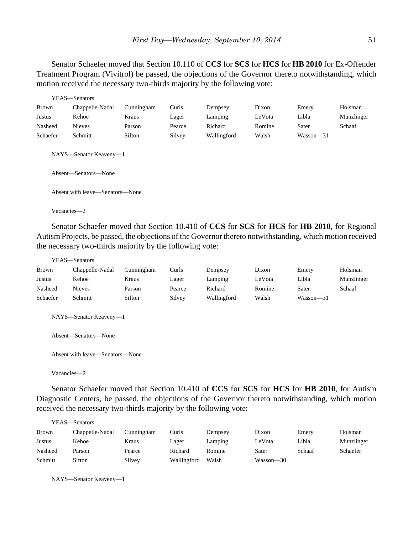Senator Schaefer moved that Section 10.110 of **CCS** for **SCS** for **HCS** for **HB 2010** for Ex-Offender Treatment Program (Vivitrol) be passed, the objections of the Governor thereto notwithstanding, which motion received the necessary two-thirds majority by the following vote:

|              | YEAS—Senators                                  |            |        |             |        |               |            |
|--------------|------------------------------------------------|------------|--------|-------------|--------|---------------|------------|
| <b>Brown</b> | Chappelle-Nadal                                | Cunningham | Curls  | Dempsey     | Dixon  | Emery         | Holsman    |
| Justus       | Kehoe                                          | Kraus      | Lager  | Lamping     | LeVota | Libla         | Munzlinger |
| Nasheed      | <b>Nieves</b>                                  | Parson     | Pearce | Richard     | Romine | Sater         | Schaaf     |
| Schaefer     | Schmitt                                        | Sifton     | Silvey | Wallingford | Walsh  | $Wasson - 31$ |            |
|              | NAYS-Senator Keaveny-1<br>Absent—Senators—None |            |        |             |        |               |            |
|              | Absent with leave—Senators—None                |            |        |             |        |               |            |
|              | Vacancies-2                                    |            |        |             |        |               |            |

Senator Schaefer moved that Section 10.410 of **CCS** for **SCS** for **HCS** for **HB 2010**, for Regional Autism Projects, be passed, the objections of the Governor thereto notwithstanding, which motion received the necessary two-thirds majority by the following vote:

|              | YEAS—Senators          |            |        |             |        |           |            |
|--------------|------------------------|------------|--------|-------------|--------|-----------|------------|
| <b>Brown</b> | Chappelle-Nadal        | Cunningham | Curls  | Dempsey     | Dixon  | Emery     | Holsman    |
| Justus       | Kehoe                  | Kraus      | Lager  | Lamping     | LeVota | Libla     | Munzlinger |
| Nasheed      | <b>Nieves</b>          | Parson     | Pearce | Richard     | Romine | Sater     | Schaaf     |
| Schaefer     | Schmitt                | Sifton     | Silvey | Wallingford | Walsh  | Wasson—31 |            |
|              | NAYS—Senator Keaveny—1 |            |        |             |        |           |            |
|              | Absent—Senators—None   |            |        |             |        |           |            |

Absent with leave—Senators—None

Vacancies—2

Senator Schaefer moved that Section 10.410 of **CCS** for **SCS** for **HCS** for **HB 2010**, for Autism Diagnostic Centers, be passed, the objections of the Governor thereto notwithstanding, which motion received the necessary two-thirds majority by the following vote:

|              | YEAS—Senators   |            |             |         |           |        |            |
|--------------|-----------------|------------|-------------|---------|-----------|--------|------------|
| <b>Brown</b> | Chappelle-Nadal | Cunningham | Curls       | Dempsey | Dixon     | Emery  | Holsman    |
| Justus       | Kehoe           | Kraus      | Lager       | Lamping | LeVota    | Libla  | Munzlinger |
| Nasheed      | Parson          | Pearce     | Richard     | Romine  | Sater     | Schaaf | Schaefer   |
| Schmitt      | Sifton          | Silvey     | Wallingford | Walsh   | Wasson—30 |        |            |

NAYS—Senator Keaveny—1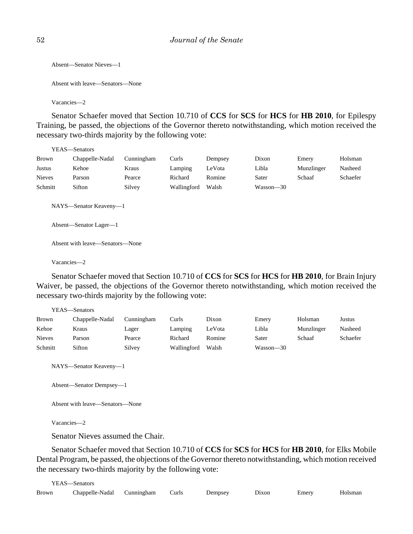```
Absent—Senator Nieves—1
```

```
Absent with leave—Senators—None
```
Vacancies—2

Senator Schaefer moved that Section 10.710 of **CCS** for **SCS** for **HCS** for **HB 2010**, for Epilespy Training, be passed, the objections of the Governor thereto notwithstanding, which motion received the necessary two-thirds majority by the following vote:

YEAS—Senators

| Brown         | Chappelle-Nadal | Cunningham | Curls       | Dempsey | Dixon     | Emery      | Holsman  |
|---------------|-----------------|------------|-------------|---------|-----------|------------|----------|
| Justus        | Kehoe           | Kraus      | Lamping     | LeVota  | Libla     | Munzlinger | Nasheed  |
| <b>Nieves</b> | Parson          | Pearce     | Richard     | Romine  | Sater     | Schaaf     | Schaefer |
| Schmitt       | Sifton          | Silvey     | Wallingford | Walsh   | Wasson—30 |            |          |

NAYS—Senator Keaveny—1

Absent—Senator Lager—1

Absent with leave—Senators—None

Vacancies—2

Senator Schaefer moved that Section 10.710 of **CCS** for **SCS** for **HCS** for **HB 2010**, for Brain Injury Waiver, be passed, the objections of the Governor thereto notwithstanding, which motion received the necessary two-thirds majority by the following vote:

YEAS—Senators

| <b>Brown</b>  | Chappelle-Nadal | Cunningham | Curls       | Dixon  | Emery     | Holsman    | Justus   |
|---------------|-----------------|------------|-------------|--------|-----------|------------|----------|
| Kehoe         | Kraus           | Lager      | Lamping     | LeVota | Libla     | Munzlinger | Nasheed  |
| <b>Nieves</b> | Parson          | Pearce     | Richard     | Romine | Sater     | Schaaf     | Schaefer |
| Schmitt       | Sifton          | Silvey     | Wallingford | Walsh  | Wasson—30 |            |          |

NAYS—Senator Keaveny—1

Absent—Senator Dempsey—1

Absent with leave—Senators—None

Vacancies—2

Senator Nieves assumed the Chair.

Senator Schaefer moved that Section 10.710 of **CCS** for **SCS** for **HCS** for **HB 2010**, for Elks Mobile Dental Program, be passed, the objections of the Governor thereto notwithstanding, which motion received the necessary two-thirds majority by the following vote:

|       | YEAS—Senators                    |  |         |       |       |         |
|-------|----------------------------------|--|---------|-------|-------|---------|
| Brown | Chappelle-Nadal Cunningham Curls |  | Dempsey | Dixon | Emery | Holsman |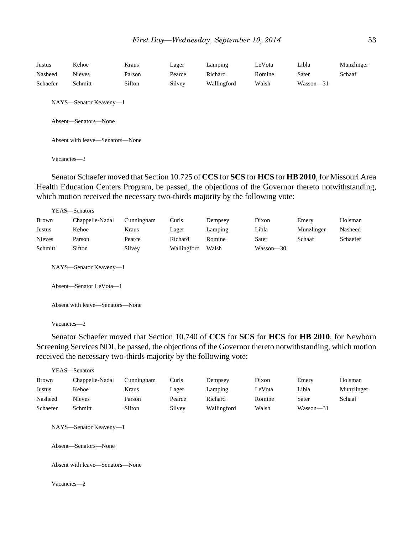| Justus      | Kehoe                           | Kraus  | Lager  | Lamping     | LeVota | Libla         | Munzlinger |  |  |  |
|-------------|---------------------------------|--------|--------|-------------|--------|---------------|------------|--|--|--|
| Nasheed     | <b>Nieves</b>                   | Parson | Pearce | Richard     | Romine | Sater         | Schaaf     |  |  |  |
| Schaefer    | Schmitt                         | Sifton | Silvey | Wallingford | Walsh  | $Wasson - 31$ |            |  |  |  |
|             | NAYS—Senator Keaveny—1          |        |        |             |        |               |            |  |  |  |
|             | Absent—Senators—None            |        |        |             |        |               |            |  |  |  |
|             | Absent with leave—Senators—None |        |        |             |        |               |            |  |  |  |
| Vacancies-2 |                                 |        |        |             |        |               |            |  |  |  |

Senator Schaefer moved that Section 10.725 of **CCS** for **SCS** for **HCS** for **HB 2010**, for Missouri Area Health Education Centers Program, be passed, the objections of the Governor thereto notwithstanding, which motion received the necessary two-thirds majority by the following vote:

|               | YEAS-Senators                                     |            |             |         |               |            |          |
|---------------|---------------------------------------------------|------------|-------------|---------|---------------|------------|----------|
| <b>Brown</b>  | Chappelle-Nadal                                   | Cunningham | Curls       | Dempsey | Dixon         | Emery      | Holsman  |
| Justus        | Kehoe                                             | Kraus      | Lager       | Lamping | Libla         | Munzlinger | Nasheed  |
| <b>Nieves</b> | Parson                                            | Pearce     | Richard     | Romine  | Sater         | Schaaf     | Schaefer |
| Schmitt       | Sifton                                            | Silvey     | Wallingford | Walsh   | $Wasson - 30$ |            |          |
|               | NAYS—Senator Keaveny—1<br>Absent—Senator LeVota—1 |            |             |         |               |            |          |
|               | Absent with leave—Senators—None                   |            |             |         |               |            |          |

Vacancies—2

Senator Schaefer moved that Section 10.740 of **CCS** for **SCS** for **HCS** for **HB 2010**, for Newborn Screening Services NDI, be passed, the objections of the Governor thereto notwithstanding, which motion received the necessary two-thirds majority by the following vote:

|          | YEAS—Senators                                  |            |        |             |        |           |            |
|----------|------------------------------------------------|------------|--------|-------------|--------|-----------|------------|
| Brown    | Chappelle-Nadal                                | Cunningham | Curls  | Dempsey     | Dixon  | Emery     | Holsman    |
| Justus   | Kehoe                                          | Kraus      | Lager  | Lamping     | LeVota | Libla     | Munzlinger |
| Nasheed  | <b>Nieves</b>                                  | Parson     | Pearce | Richard     | Romine | Sater     | Schaaf     |
| Schaefer | Schmitt                                        | Sifton     | Silvey | Wallingford | Walsh  | Wasson-31 |            |
|          | NAYS-Senator Keaveny-1<br>Absent—Senators—None |            |        |             |        |           |            |
|          | Absent with leave—Senators—None                |            |        |             |        |           |            |
|          | Vacancies-2                                    |            |        |             |        |           |            |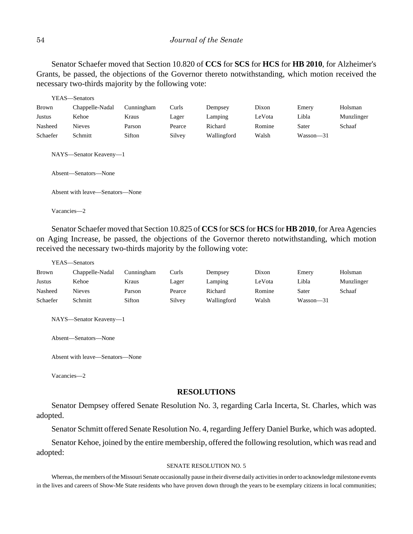Senator Schaefer moved that Section 10.820 of **CCS** for **SCS** for **HCS** for **HB 2010**, for Alzheimer's Grants, be passed, the objections of the Governor thereto notwithstanding, which motion received the necessary two-thirds majority by the following vote:

|          | YEAS—Senators                                  |            |        |             |        |           |            |
|----------|------------------------------------------------|------------|--------|-------------|--------|-----------|------------|
| Brown    | Chappelle-Nadal                                | Cunningham | Curls  | Dempsey     | Dixon  | Emery     | Holsman    |
| Justus   | Kehoe                                          | Kraus      | Lager  | Lamping     | LeVota | Libla     | Munzlinger |
| Nasheed  | <b>Nieves</b>                                  | Parson     | Pearce | Richard     | Romine | Sater     | Schaaf     |
| Schaefer | Schmitt                                        | Sifton     | Silvey | Wallingford | Walsh  | Wasson-31 |            |
|          | NAYS—Senator Keaveny—1<br>Absent-Senators-None |            |        |             |        |           |            |
|          | Absent with leave—Senators—None                |            |        |             |        |           |            |
|          | Vacancies-2                                    |            |        |             |        |           |            |

Senator Schaefer moved that Section 10.825 of **CCS** for **SCS** for **HCS** for **HB2010**, for Area Agencies on Aging Increase, be passed, the objections of the Governor thereto notwithstanding, which motion received the necessary two-thirds majority by the following vote:

|              | r EAS—Senators  |            |        |             |        |               |            |
|--------------|-----------------|------------|--------|-------------|--------|---------------|------------|
| <b>Brown</b> | Chappelle-Nadal | Cunningham | Curls  | Dempsey     | Dixon  | Emery         | Holsman    |
| Justus       | Kehoe           | Kraus      | Lager  | Lamping     | LeVota | Libla         | Munzlinger |
| Nasheed      | <b>Nieves</b>   | Parson     | Pearce | Richard     | Romine | Sater         | Schaaf     |
| Schaefer     | Schmitt         | Sifton     | Silvey | Wallingford | Walsh  | $Wasson - 31$ |            |

NAYS—Senator Keaveny—1

Absent—Senators—None

Absent with leave—Senators—None

Vacancies—2

 $YFAS$ 

### **RESOLUTIONS**

Senator Dempsey offered Senate Resolution No. 3, regarding Carla Incerta, St. Charles, which was adopted.

Senator Schmitt offered Senate Resolution No. 4, regarding Jeffery Daniel Burke, which was adopted.

Senator Kehoe, joined by the entire membership, offered the following resolution, which was read and adopted:

### SENATE RESOLUTION NO. 5

Whereas, the members of the Missouri Senate occasionally pause in their diverse daily activities in order to acknowledge milestone events in the lives and careers of Show-Me State residents who have proven down through the years to be exemplary citizens in local communities;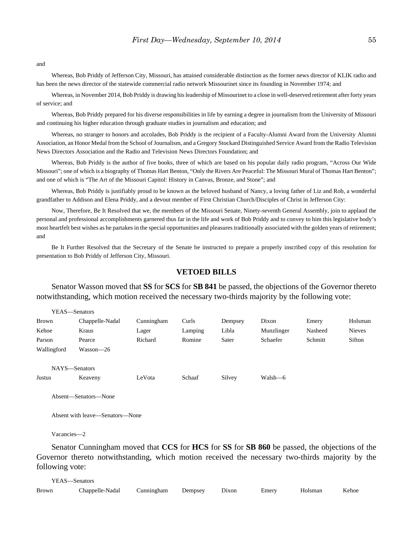and

Whereas, Bob Priddy of Jefferson City, Missouri, has attained considerable distinction as the former news director of KLIK radio and has been the news director of the statewide commercial radio network Missourinet since its founding in November 1974; and

Whereas, in November 2014, Bob Priddy is drawing his leadership of Missourinet to a close in well-deserved retirement after forty years of service; and

Whereas, Bob Priddy prepared for his diverse responsibilities in life by earning a degree in journalism from the University of Missouri and continuing his higher education through graduate studies in journalism and education; and

Whereas, no stranger to honors and accolades, Bob Priddy is the recipient of a Faculty-Alumni Award from the University Alumni Association, an Honor Medal from the School of Journalism, and a Gregory Stockard Distinguished Service Award from the Radio Television News Directors Association and the Radio and Television News Directors Foundation; and

Whereas, Bob Priddy is the author of five books, three of which are based on his popular daily radio program, "Across Our Wide Missouri"; one of which is a biography of Thomas Hart Benton, "Only the Rivers Are Peaceful: The Missouri Mural of Thomas Hart Benton"; and one of which is "The Art of the Missouri Capitol: History in Canvas, Bronze, and Stone"; and

Whereas, Bob Priddy is justifiably proud to be known as the beloved husband of Nancy, a loving father of Liz and Rob, a wonderful grandfather to Addison and Elena Priddy, and a devout member of First Christian Church/Disciples of Christ in Jefferson City:

Now, Therefore, Be It Resolved that we, the members of the Missouri Senate, Ninety-seventh General Assembly, join to applaud the personal and professional accomplishments garnered thus far in the life and work of Bob Priddy and to convey to him this legislative body's most heartfelt best wishes as he partakes in the special opportunities and pleasures traditionally associated with the golden years of retirement; and

Be It Further Resolved that the Secretary of the Senate be instructed to prepare a properly inscribed copy of this resolution for presentation to Bob Priddy of Jefferson City, Missouri.

## **VETOED BILLS**

Senator Wasson moved that **SS** for **SCS** for **SB 841** be passed, the objections of the Governor thereto notwithstanding, which motion received the necessary two-thirds majority by the following vote:

| <b>Brown</b>  | Chappelle-Nadal      | Cunningham | Curls   | Dempsey | Dixon      | Emery   | Holsman       |
|---------------|----------------------|------------|---------|---------|------------|---------|---------------|
| Kehoe         | Kraus                | Lager      | Lamping | Libla   | Munzlinger | Nasheed | <b>Nieves</b> |
| Parson        | Pearce               | Richard    | Romine  | Sater   | Schaefer   | Schmitt | Sifton        |
| Wallingford   | Wasson-26            |            |         |         |            |         |               |
|               |                      |            |         |         |            |         |               |
| NAYS-Senators |                      |            |         |         |            |         |               |
| Justus        | Keaveny              | LeVota     | Schaaf  | Silvey  | Walsh—6    |         |               |
|               |                      |            |         |         |            |         |               |
|               | Absent-Senators-None |            |         |         |            |         |               |
|               |                      |            |         |         |            |         |               |

Absent with leave—Senators—None

Vacancies—2

YEAS—Senators

Senator Cunningham moved that **CCS** for **HCS** for **SS** for **SB 860** be passed, the objections of the Governor thereto notwithstanding, which motion received the necessary two-thirds majority by the following vote:

| YEAS—Senators |                                          |  |  |  |       |         |       |
|---------------|------------------------------------------|--|--|--|-------|---------|-------|
| Brown         | Chappelle-Nadal Cunningham Dempsey Dixon |  |  |  | Emery | Holsman | Kehoe |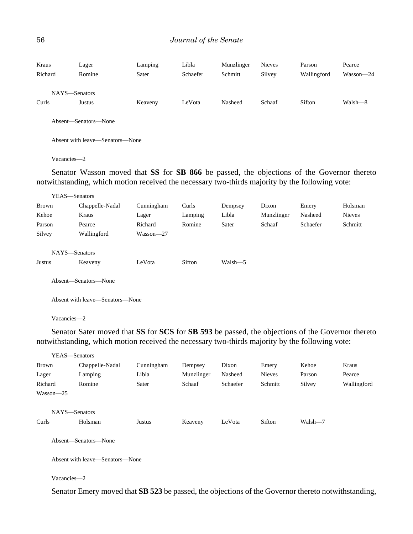| Kraus<br>Richard | Lager<br>Romine | Lamping<br>Sater | Libla<br>Schaefer | Munzlinger<br>Schmitt | <b>Nieves</b><br>Silvey | Parson<br>Wallingford | Pearce<br>Wasson-24 |
|------------------|-----------------|------------------|-------------------|-----------------------|-------------------------|-----------------------|---------------------|
|                  | NAYS-Senators   |                  |                   |                       |                         |                       |                     |
| Curls            | Justus          | Keaveny          | LeVota            | Nasheed               | Schaaf                  | Sifton                | Walsh-8             |
|                  | $\sim$ $\sim$   |                  |                   |                       |                         |                       |                     |

Absent—Senators—None

Absent with leave—Senators—None

Vacancies—2

Senator Wasson moved that **SS** for **SB 866** be passed, the objections of the Governor thereto notwithstanding, which motion received the necessary two-thirds majority by the following vote:

| YEAS—Senators |                      |            |         |         |            |          |               |
|---------------|----------------------|------------|---------|---------|------------|----------|---------------|
| <b>Brown</b>  | Chappelle-Nadal      | Cunningham | Curls   | Dempsey | Dixon      | Emery    | Holsman       |
| Kehoe         | Kraus                | Lager      | Lamping | Libla   | Munzlinger | Nasheed  | <b>Nieves</b> |
| Parson        | Pearce               | Richard    | Romine  | Sater   | Schaaf     | Schaefer | Schmitt       |
| Silvey        | Wallingford          | Wasson-27  |         |         |            |          |               |
|               |                      |            |         |         |            |          |               |
| NAYS-Senators |                      |            |         |         |            |          |               |
| Justus        | Keaveny              | LeVota     | Sifton  | Walsh-5 |            |          |               |
|               |                      |            |         |         |            |          |               |
|               | Absent—Senators—None |            |         |         |            |          |               |

Absent with leave—Senators—None

Vacancies—2

Senator Sater moved that **SS** for **SCS** for **SB 593** be passed, the objections of the Governor thereto notwithstanding, which motion received the necessary two-thirds majority by the following vote:

|               | YEAS-Senators                   |            |            |          |               |         |             |
|---------------|---------------------------------|------------|------------|----------|---------------|---------|-------------|
| <b>Brown</b>  | Chappelle-Nadal                 | Cunningham | Dempsey    | Dixon    | Emery         | Kehoe   | Kraus       |
| Lager         | Lamping                         | Libla      | Munzlinger | Nasheed  | <b>Nieves</b> | Parson  | Pearce      |
| Richard       | Romine                          | Sater      | Schaaf     | Schaefer | Schmitt       | Silvey  | Wallingford |
| $Wasson - 25$ |                                 |            |            |          |               |         |             |
|               | NAYS-Senators                   |            |            |          |               |         |             |
| Curls         | Holsman                         | Justus     | Keaveny    | LeVota   | Sifton        | Walsh-7 |             |
|               | Absent-Senators-None            |            |            |          |               |         |             |
|               | Absent with leave—Senators—None |            |            |          |               |         |             |
| Vacancies-2   |                                 |            |            |          |               |         |             |

Senator Emery moved that **SB 523** be passed, the objections of the Governor thereto notwithstanding,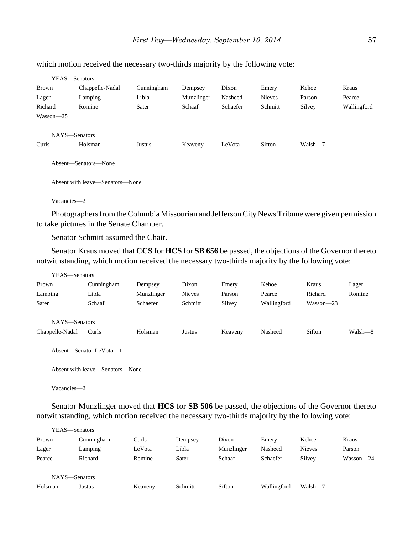| YEAS—Senators |                      |            |            |          |               |         |             |
|---------------|----------------------|------------|------------|----------|---------------|---------|-------------|
| <b>Brown</b>  | Chappelle-Nadal      | Cunningham | Dempsey    | Dixon    | Emery         | Kehoe   | Kraus       |
| Lager         | Lamping              | Libla      | Munzlinger | Nasheed  | <b>Nieves</b> | Parson  | Pearce      |
| Richard       | Romine               | Sater      | Schaaf     | Schaefer | Schmitt       | Silvey  | Wallingford |
| $Wasson - 25$ |                      |            |            |          |               |         |             |
| NAYS-Senators |                      |            |            |          |               |         |             |
| Curls         | Holsman              | Justus     | Keaveny    | LeVota   | Sifton        | Walsh-7 |             |
|               | Absent—Senators—None |            |            |          |               |         |             |

which motion received the necessary two-thirds majority by the following vote:

Absent with leave—Senators—None

Vacancies—2

Photographers from the Columbia Missourian and Jefferson City News Tribune were given permission to take pictures in the Senate Chamber.

Senator Schmitt assumed the Chair.

Senator Kraus moved that **CCS** for **HCS** for **SB 656** be passed, the objections of the Governor thereto notwithstanding, which motion received the necessary two-thirds majority by the following vote:

| YEAS—Senators                    |                         |            |               |         |             |               |         |
|----------------------------------|-------------------------|------------|---------------|---------|-------------|---------------|---------|
| Brown                            | Cunningham              | Dempsey    | Dixon         | Emery   | Kehoe       | Kraus         | Lager   |
| Lamping                          | Libla                   | Munzlinger | <b>Nieves</b> | Parson  | Pearce      | Richard       | Romine  |
| Sater                            | Schaaf                  | Schaefer   | Schmitt       | Silvey  | Wallingford | $Wasson - 23$ |         |
| NAYS-Senators<br>Chappelle-Nadal | Curls                   | Holsman    | Justus        | Keaveny | Nasheed     | Sifton        | Walsh—8 |
|                                  | Absent—Senator LeVota—1 |            |               |         |             |               |         |

Absent with leave—Senators—None

Vacancies—2

Senator Munzlinger moved that **HCS** for **SB 506** be passed, the objections of the Governor thereto notwithstanding, which motion received the necessary two-thirds majority by the following vote:

|              | YEAS—Senators |         |         |            |             |               |           |
|--------------|---------------|---------|---------|------------|-------------|---------------|-----------|
| <b>Brown</b> | Cunningham    | Curls   | Dempsey | Dixon      | Emery       | Kehoe         | Kraus     |
| Lager        | Lamping       | LeVota  | Libla   | Munzlinger | Nasheed     | <b>Nieves</b> | Parson    |
| Pearce       | Richard       | Romine  | Sater   | Schaaf     | Schaefer    | Silvey        | Wasson-24 |
|              | NAYS-Senators |         |         |            |             |               |           |
| Holsman      | Justus        | Keaveny | Schmitt | Sifton     | Wallingford | Walsh-7       |           |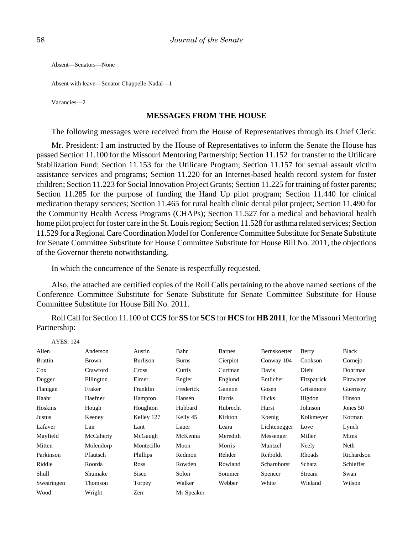Absent—Senators—None

Absent with leave—Senator Chappelle-Nadal—1

Vacancies—2

# **MESSAGES FROM THE HOUSE**

The following messages were received from the House of Representatives through its Chief Clerk:

Mr. President: I am instructed by the House of Representatives to inform the Senate the House has passed Section 11.100 for the Missouri Mentoring Partnership; Section 11.152 for transfer to the Utilicare Stabilization Fund; Section 11.153 for the Utilicare Program; Section 11.157 for sexual assault victim assistance services and programs; Section 11.220 for an Internet-based health record system for foster children; Section 11.223 for Social Innovation Project Grants; Section 11.225 for training of foster parents; Section 11.285 for the purpose of funding the Hand Up pilot program; Section 11.440 for clinical medication therapy services; Section 11.465 for rural health clinic dental pilot project; Section 11.490 for the Community Health Access Programs (CHAPs); Section 11.527 for a medical and behavioral health home pilot project for foster care in the St. Louis region; Section 11.528 for asthma related services; Section 11.529 for a Regional Care Coordination Model for Conference Committee Substitute for Senate Substitute for Senate Committee Substitute for House Committee Substitute for House Bill No. 2011, the objections of the Governor thereto notwithstanding.

In which the concurrence of the Senate is respectfully requested.

Also, the attached are certified copies of the Roll Calls pertaining to the above named sections of the Conference Committee Substitute for Senate Substitute for Senate Committee Substitute for House Committee Substitute for House Bill No. 2011.

Roll Call for Section 11.100 of **CCS** for **SS** for **SCS** for **HCS** for **HB 2011**, for the Missouri Mentoring Partnership:

| <b>AYES: 124</b> |           |                 |              |               |              |             |            |
|------------------|-----------|-----------------|--------------|---------------|--------------|-------------|------------|
| Allen            | Anderson  | Austin          | Bahr         | <b>Barnes</b> | Bernskoetter | Berry       | Black      |
| <b>Brattin</b>   | Brown     | <b>Burlison</b> | <b>Burns</b> | Cierpiot      | Conway 104   | Cookson     | Cornejo    |
| $\cos$           | Crawford  | Cross           | Curtis       | Curtman       | Davis        | Diehl       | Dohrman    |
| Dugger           | Ellington | Elmer           | Engler       | Englund       | Entlicher    | Fitzpatrick | Fitzwater  |
| Flanigan         | Fraker    | Franklin        | Frederick    | Gannon        | Gosen        | Grisamore   | Guernsey   |
| Haahr            | Haefner   | Hampton         | Hansen       | Harris        | Hicks        | Higdon      | Hinson     |
| Hoskins          | Hough     | Houghton        | Hubbard      | Hubrecht      | Hurst        | Johnson     | Jones 50   |
| Justus           | Keeney    | Kelley 127      | Kelly 45     | Kirkton       | Koenig       | Kolkmeyer   | Korman     |
| Lafaver          | Lair      | Lant            | Lauer        | Leara         | Lichtenegger | Love        | Lynch      |
| Mayfield         | McCaherty | McGaugh         | McKenna      | Meredith      | Messenger    | Miller      | Mims       |
| Mitten           | Molendorp | Montecillo      | Moon         | Morris        | Muntzel      | Neely       | Neth       |
| Parkinson        | Pfautsch  | Phillips        | Redmon       | Rehder        | Reiboldt     | Rhoads      | Richardson |
| Riddle           | Roorda    | Ross            | Rowden       | Rowland       | Scharnhorst  | Schatz      | Schieffer  |
| Shull            | Shumake   | <b>Sisco</b>    | Solon        | Sommer        | Spencer      | Stream      | Swan       |
| Swearingen       | Thomson   | Torpey          | Walker       | Webber        | White        | Wieland     | Wilson     |
| Wood             | Wright    | Zerr            | Mr Speaker   |               |              |             |            |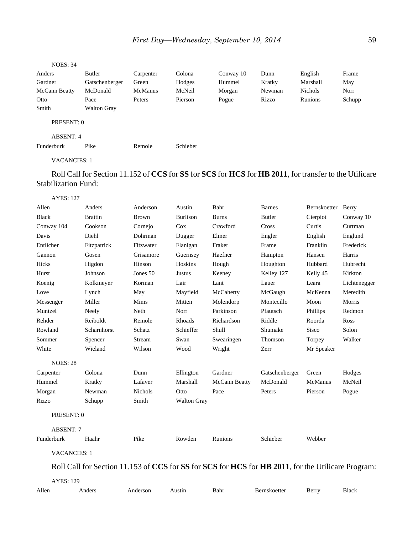| <b>NOES: 34</b> |                    |                |          |           |        |                |        |
|-----------------|--------------------|----------------|----------|-----------|--------|----------------|--------|
| Anders          | Butler             | Carpenter      | Colona   | Conway 10 | Dunn   | English        | Frame  |
| Gardner         | Gatschenberger     | Green          | Hodges   | Hummel    | Kratky | Marshall       | May    |
| McCann Beatty   | McDonald           | <b>McManus</b> | McNeil   | Morgan    | Newman | <b>Nichols</b> | Norr   |
| Otto            | Pace               | Peters         | Pierson  | Pogue     | Rizzo  | Runions        | Schupp |
| Smith           | <b>Walton Gray</b> |                |          |           |        |                |        |
| PRESENT: 0      |                    |                |          |           |        |                |        |
| ABSENT: 4       |                    |                |          |           |        |                |        |
| Funderburk      | Pike               | Remole         | Schieber |           |        |                |        |

# Roll Call for Section 11.152 of **CCS** for **SS** for **SCS** for **HCS** for **HB 2011**, for transfer to the Utilicare Stabilization Fund:

| Allen<br>Bahr<br>Anders<br>Anderson<br>Austin<br><b>Barnes</b><br>Bernskoetter<br>Berry<br><b>Burlison</b><br>Cierpiot<br><b>Black</b><br><b>Brattin</b><br><b>Burns</b><br>Butler<br>Conway 10<br><b>Brown</b><br>Conway 104<br>Crawford<br>Cookson<br>Cox<br>Cross<br>Curtis<br>Curtman<br>Cornejo<br>Davis<br>Diehl<br>Dohrman<br>Elmer<br>Englund<br>Dugger<br>Engler<br>English<br>Entlicher<br>Franklin<br>Frederick<br>Fitzpatrick<br>Fraker<br>Frame<br>Fitzwater<br>Flanigan<br>Haefner<br>Gannon<br>Gosen<br>Grisamore<br>Harris<br>Guernsey<br>Hampton<br>Hansen<br>Higdon<br>Hoskins<br>Hicks<br>Hinson<br>Hough<br>Houghton<br>Hubbard<br>Hubrecht<br>Johnson<br>Kirkton<br>Hurst<br>Jones $50$<br>Justus<br>Keeney<br>Kelley 127<br>Kelly 45 |  |
|------------------------------------------------------------------------------------------------------------------------------------------------------------------------------------------------------------------------------------------------------------------------------------------------------------------------------------------------------------------------------------------------------------------------------------------------------------------------------------------------------------------------------------------------------------------------------------------------------------------------------------------------------------------------------------------------------------------------------------------------------------|--|
|                                                                                                                                                                                                                                                                                                                                                                                                                                                                                                                                                                                                                                                                                                                                                            |  |
|                                                                                                                                                                                                                                                                                                                                                                                                                                                                                                                                                                                                                                                                                                                                                            |  |
|                                                                                                                                                                                                                                                                                                                                                                                                                                                                                                                                                                                                                                                                                                                                                            |  |
|                                                                                                                                                                                                                                                                                                                                                                                                                                                                                                                                                                                                                                                                                                                                                            |  |
|                                                                                                                                                                                                                                                                                                                                                                                                                                                                                                                                                                                                                                                                                                                                                            |  |
|                                                                                                                                                                                                                                                                                                                                                                                                                                                                                                                                                                                                                                                                                                                                                            |  |
|                                                                                                                                                                                                                                                                                                                                                                                                                                                                                                                                                                                                                                                                                                                                                            |  |
|                                                                                                                                                                                                                                                                                                                                                                                                                                                                                                                                                                                                                                                                                                                                                            |  |
| Korman<br>Lair<br>Lant<br>Lauer<br>Leara<br>Koenig<br>Kolkmeyer<br>Lichtenegger                                                                                                                                                                                                                                                                                                                                                                                                                                                                                                                                                                                                                                                                            |  |
| Meredith<br>Mayfield<br>McCaherty<br>McGaugh<br>McKenna<br>Love<br>Lynch<br>May                                                                                                                                                                                                                                                                                                                                                                                                                                                                                                                                                                                                                                                                            |  |
| Miller<br>Mitten<br>Montecillo<br>Messenger<br>Mims<br>Molendorp<br>Moon<br>Morris                                                                                                                                                                                                                                                                                                                                                                                                                                                                                                                                                                                                                                                                         |  |
| Parkinson<br>Muntzel<br>Norr<br>Pfautsch<br>Phillips<br>Redmon<br>Neely<br>Neth                                                                                                                                                                                                                                                                                                                                                                                                                                                                                                                                                                                                                                                                            |  |
| Reiboldt<br>Rehder<br>Remole<br>Rhoads<br>Richardson<br>Riddle<br>Roorda<br>Ross                                                                                                                                                                                                                                                                                                                                                                                                                                                                                                                                                                                                                                                                           |  |
| Rowland<br>Schieffer<br>Shull<br>Solon<br>Scharnhorst<br>Schatz<br>Shumake<br>Sisco                                                                                                                                                                                                                                                                                                                                                                                                                                                                                                                                                                                                                                                                        |  |
| Walker<br>Sommer<br>Spencer<br>Stream<br>Swan<br>Swearingen<br>Thomson<br>Torpey                                                                                                                                                                                                                                                                                                                                                                                                                                                                                                                                                                                                                                                                           |  |
| White<br>Wilson<br>Wood<br>Wieland<br>Wright<br>Mr Speaker<br>Zerr                                                                                                                                                                                                                                                                                                                                                                                                                                                                                                                                                                                                                                                                                         |  |
| <b>NOES: 28</b>                                                                                                                                                                                                                                                                                                                                                                                                                                                                                                                                                                                                                                                                                                                                            |  |
| Colona<br>Dunn<br>Gardner<br>Gatschenberger<br>Hodges<br>Carpenter<br>Ellington<br>Green                                                                                                                                                                                                                                                                                                                                                                                                                                                                                                                                                                                                                                                                   |  |
| McDonald<br>McNeil<br>Hummel<br>Kratky<br>Lafaver<br>Marshall<br>McCann Beatty<br>McManus                                                                                                                                                                                                                                                                                                                                                                                                                                                                                                                                                                                                                                                                  |  |
| Morgan<br>Newman<br><b>Nichols</b><br>Pace<br>Otto<br>Peters<br>Pierson<br>Pogue                                                                                                                                                                                                                                                                                                                                                                                                                                                                                                                                                                                                                                                                           |  |
| Smith<br>Rizzo<br>Schupp<br><b>Walton Gray</b>                                                                                                                                                                                                                                                                                                                                                                                                                                                                                                                                                                                                                                                                                                             |  |
| PRESENT: 0                                                                                                                                                                                                                                                                                                                                                                                                                                                                                                                                                                                                                                                                                                                                                 |  |
| <b>ABSENT: 7</b>                                                                                                                                                                                                                                                                                                                                                                                                                                                                                                                                                                                                                                                                                                                                           |  |
| Rowden<br>Schieber<br>Webber<br>Funderburk<br>Haahr<br>Pike<br>Runions                                                                                                                                                                                                                                                                                                                                                                                                                                                                                                                                                                                                                                                                                     |  |
| <b>VACANCIES: 1</b>                                                                                                                                                                                                                                                                                                                                                                                                                                                                                                                                                                                                                                                                                                                                        |  |
| Roll Call for Section 11.153 of CCS for SS for SCS for HCS for HB 2011, for the Utilicare Program:                                                                                                                                                                                                                                                                                                                                                                                                                                                                                                                                                                                                                                                         |  |
| <b>AYES: 129</b>                                                                                                                                                                                                                                                                                                                                                                                                                                                                                                                                                                                                                                                                                                                                           |  |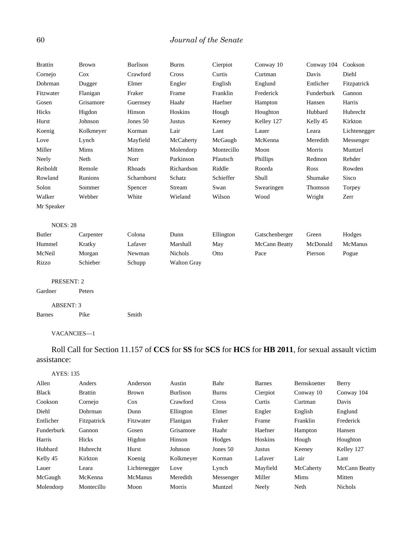# 60 *Journal of the Senate*

| <b>Brattin</b>   | <b>Brown</b> | <b>Burlison</b> | <b>Burns</b>       | Cierpiot   | Conway 10      | Conway 104 | Cookson      |
|------------------|--------------|-----------------|--------------------|------------|----------------|------------|--------------|
| Cornejo          | Cox          | Crawford        | Cross              | Curtis     | Curtman        | Davis      | Diehl        |
| Dohrman          | Dugger       | Elmer           | Engler             | English    | Englund        | Entlicher  | Fitzpatrick  |
| Fitzwater        | Flanigan     | Fraker          | Frame              | Franklin   | Frederick      | Funderburk | Gannon       |
| Gosen            | Grisamore    | Guernsey        | Haahr              | Haefner    | Hampton        | Hansen     | Harris       |
| Hicks            | Higdon       | Hinson          | Hoskins            | Hough      | Houghton       | Hubbard    | Hubrecht     |
| Hurst            | Johnson      | Jones 50        | Justus             | Keeney     | Kelley 127     | Kelly 45   | Kirkton      |
| Koenig           | Kolkmeyer    | Korman          | Lair               | Lant       | Lauer          | Leara      | Lichtenegger |
| Love             | Lynch        | Mayfield        | McCaherty          | McGaugh    | McKenna        | Meredith   | Messenger    |
| Miller           | Mims         | Mitten          | Molendorp          | Montecillo | Moon           | Morris     | Muntzel      |
| Neely            | Neth         | Norr            | Parkinson          | Pfautsch   | Phillips       | Redmon     | Rehder       |
| Reiboldt         | Remole       | Rhoads          | Richardson         | Riddle     | Roorda         | Ross       | Rowden       |
| Rowland          | Runions      | Scharnhorst     | Schatz             | Schieffer  | Shull          | Shumake    | Sisco        |
| Solon            | Sommer       | Spencer         | Stream             | Swan       | Swearingen     | Thomson    | Torpey       |
| Walker           | Webber       | White           | Wieland            | Wilson     | Wood           | Wright     | Zerr         |
| Mr Speaker       |              |                 |                    |            |                |            |              |
|                  |              |                 |                    |            |                |            |              |
| <b>NOES: 28</b>  |              |                 |                    |            |                |            |              |
| <b>Butler</b>    | Carpenter    | Colona          | Dunn               | Ellington  | Gatschenberger | Green      | Hodges       |
| Hummel           | Kratky       | Lafaver         | Marshall           | May        | McCann Beatty  | McDonald   | McManus      |
| McNeil           | Morgan       | Newman          | Nichols            | Otto       | Pace           | Pierson    | Pogue        |
| Rizzo            | Schieber     | Schupp          | <b>Walton Gray</b> |            |                |            |              |
|                  |              |                 |                    |            |                |            |              |
| PRESENT: 2       |              |                 |                    |            |                |            |              |
| Gardner          | Peters       |                 |                    |            |                |            |              |
| <b>ABSENT: 3</b> |              |                 |                    |            |                |            |              |
| <b>Barnes</b>    | Pike         | Smith           |                    |            |                |            |              |
|                  |              |                 |                    |            |                |            |              |

VACANCIES—1

Roll Call for Section 11.157 of **CCS** for **SS** for **SCS** for **HCS** for **HB 2011**, for sexual assault victim assistance:

### AYES: 135

| Allen        | Anders          | Anderson       | Austin    | Bahr         | Barnes   | <b>Bernskoetter</b> | Berry          |
|--------------|-----------------|----------------|-----------|--------------|----------|---------------------|----------------|
| <b>Black</b> | <b>Brattin</b>  | <b>Brown</b>   | Burlison  | <b>Burns</b> | Cierpiot | Conway 10           | Conway 104     |
| Cookson      | Cornejo         | $\cos$         | Crawford  | Cross        | Curtis   | Curtman             | Davis          |
| Diehl        | Dohrman         | Dunn           | Ellington | Elmer        | Engler   | English             | Englund        |
| Entlicher    | Fitzpatrick     | Fitzwater      | Flanigan  | Fraker       | Frame    | Franklin            | Frederick      |
| Funderburk   | Gannon          | Gosen          | Grisamore | Haahr        | Haefner  | Hampton             | Hansen         |
| Harris       | Hicks           | Higdon         | Hinson    | Hodges       | Hoskins  | Hough               | Houghton       |
| Hubbard      | <b>Hubrecht</b> | Hurst          | Johnson   | Jones $50$   | Justus   | Keeney              | Kelley 127     |
| Kelly 45     | Kirkton         | Koenig         | Kolkmeyer | Korman       | Lafaver  | Lair                | Lant           |
| Lauer        | Leara           | Lichtenegger   | Love      | Lynch        | Mayfield | McCaherty           | McCann Beatty  |
| McGaugh      | McKenna         | <b>McManus</b> | Meredith  | Messenger    | Miller   | Mims                | Mitten         |
| Molendorp    | Montecillo      | Moon           | Morris    | Muntzel      | Neely    | Neth                | <b>Nichols</b> |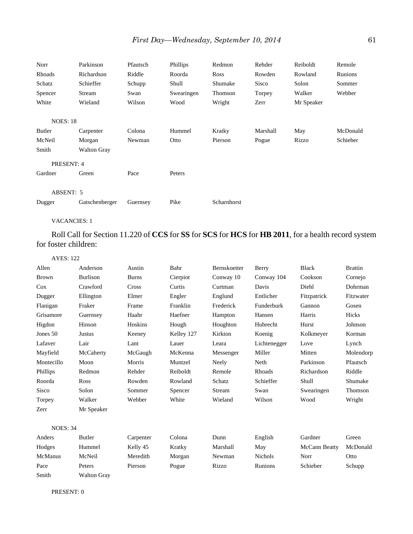| Norr            | Parkinson          | Pfautsch | Phillips   | Redmon      | Rehder   | Reiboldt   | Remole   |
|-----------------|--------------------|----------|------------|-------------|----------|------------|----------|
| Rhoads          | Richardson         | Riddle   | Roorda     | Ross        | Rowden   | Rowland    | Runions  |
| Schatz          | Schieffer          | Schupp   | Shull      | Shumake     | Sisco    | Solon      | Sommer   |
| Spencer         | Stream             | Swan     | Swearingen | Thomson     | Torpey   | Walker     | Webber   |
| White           | Wieland            | Wilson   | Wood       | Wright      | Zerr     | Mr Speaker |          |
| <b>NOES: 18</b> |                    |          |            |             |          |            |          |
| Butler          | Carpenter          | Colona   | Hummel     | Kratky      | Marshall | May        | McDonald |
| McNeil          | Morgan             | Newman   | Otto       | Pierson     | Pogue    | Rizzo      | Schieber |
| Smith           | <b>Walton Gray</b> |          |            |             |          |            |          |
| PRESENT: 4      |                    |          |            |             |          |            |          |
| Gardner         | Green              | Pace     | Peters     |             |          |            |          |
| ABSENT: 5       |                    |          |            |             |          |            |          |
| Dugger          | Gatschenberger     | Guernsey | Pike       | Scharnhorst |          |            |          |

Roll Call for Section 11.220 of **CCS** for **SS** for **SCS** for **HCS** for **HB 2011**, for a health record system for foster children:

| <b>AYES: 122</b> |                 |              |            |              |              |               |                |
|------------------|-----------------|--------------|------------|--------------|--------------|---------------|----------------|
| Allen            | Anderson        | Austin       | Bahr       | Bernskoetter | Berry        | <b>Black</b>  | <b>Brattin</b> |
| <b>Brown</b>     | <b>Burlison</b> | <b>Burns</b> | Cierpiot   | Conway 10    | Conway 104   | Cookson       | Cornejo        |
| Cox              | Crawford        | Cross        | Curtis     | Curtman      | Davis        | Diehl         | Dohrman        |
| Dugger           | Ellington       | Elmer        | Engler     | Englund      | Entlicher    | Fitzpatrick   | Fitzwater      |
| Flanigan         | Fraker          | Frame        | Franklin   | Frederick    | Funderburk   | Gannon        | Gosen          |
| Grisamore        | Guernsey        | Haahr        | Haefner    | Hampton      | Hansen       | Harris        | Hicks          |
| Higdon           | Hinson          | Hoskins      | Hough      | Houghton     | Hubrecht     | Hurst         | Johnson        |
| Jones 50         | <b>Justus</b>   | Keeney       | Kelley 127 | Kirkton      | Koenig       | Kolkmeyer     | Korman         |
| Lafaver          | Lair            | Lant         | Lauer      | Leara        | Lichtenegger | Love          | Lynch          |
| Mayfield         | McCaherty       | McGaugh      | McKenna    | Messenger    | Miller       | Mitten        | Molendorp      |
| Montecillo       | Moon            | Morris       | Muntzel    | Neely        | Neth         | Parkinson     | Pfautsch       |
| Phillips         | Redmon          | Rehder       | Reiboldt   | Remole       | Rhoads       | Richardson    | Riddle         |
| Roorda           | Ross            | Rowden       | Rowland    | Schatz       | Schieffer    | Shull         | Shumake        |
| Sisco            | Solon           | Sommer       | Spencer    | Stream       | Swan         | Swearingen    | Thomson        |
| Torpey           | Walker          | Webber       | White      | Wieland      | Wilson       | Wood          | Wright         |
| Zerr             | Mr Speaker      |              |            |              |              |               |                |
| <b>NOES: 34</b>  |                 |              |            |              |              |               |                |
| Anders           | Butler          | Carpenter    | Colona     | Dunn         | English      | Gardner       | Green          |
| Hodges           | Hummel          | Kelly 45     | Kratky     | Marshall     | May          | McCann Beatty | McDonald       |

McManus McNeil Meredith Morgan Newman Nichols Norr Otto

Pace Peters Pierson Pogue Rizzo Runions Schieber Schupp Smith Walton Gray

PRESENT: 0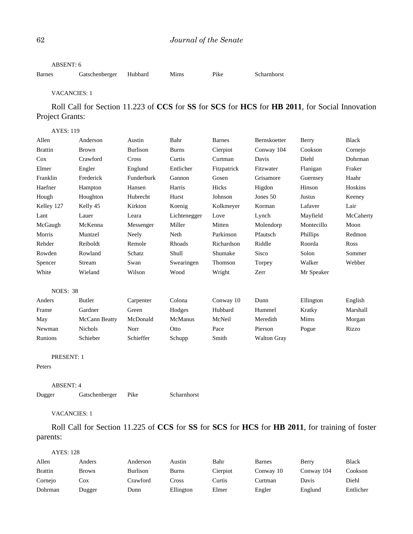### ABSENT: 6

Barnes Gatschenberger Hubbard Mims Pike Scharnhorst

## VACANCIES: 1

# Roll Call for Section 11.223 of **CCS** for **SS** for **SCS** for **HCS** for **HB 2011**, for Social Innovation Project Grants:

| <b>AYES: 119</b> |                |                 |               |               |                    |            |              |
|------------------|----------------|-----------------|---------------|---------------|--------------------|------------|--------------|
| Allen            | Anderson       | Austin          | Bahr          | <b>Barnes</b> | Bernskoetter       | Berry      | <b>Black</b> |
| <b>Brattin</b>   | <b>Brown</b>   | <b>Burlison</b> | <b>Burns</b>  | Cierpiot      | Conway 104         | Cookson    | Cornejo      |
| Cox              | Crawford       | Cross           | Curtis        | Curtman       | Davis              | Diehl      | Dohrman      |
| Elmer            | Engler         | Englund         | Entlicher     | Fitzpatrick   | Fitzwater          | Flanigan   | Fraker       |
| Franklin         | Frederick      | Funderburk      | Gannon        | Gosen         | Grisamore          | Guernsey   | Haahr        |
| Haefner          | Hampton        | Hansen          | Harris        | Hicks         | Higdon             | Hinson     | Hoskins      |
| Hough            | Houghton       | Hubrecht        | Hurst         | Johnson       | Jones 50           | Justus     | Keeney       |
| Kelley 127       | Kelly 45       | Kirkton         | Koenig        | Kolkmeyer     | Korman             | Lafaver    | Lair         |
| Lant             | Lauer          | Leara           | Lichtenegger  | Love          | Lynch              | Mayfield   | McCaherty    |
| McGaugh          | McKenna        | Messenger       | Miller        | Mitten        | Molendorp          | Montecillo | Moon         |
| Morris           | Muntzel        | Neely           | Neth          | Parkinson     | Pfautsch           | Phillips   | Redmon       |
| Rehder           | Reiboldt       | Remole          | <b>Rhoads</b> | Richardson    | Riddle             | Roorda     | <b>Ross</b>  |
| Rowden           | Rowland        | Schatz          | Shull         | Shumake       | <b>Sisco</b>       | Solon      | Sommer       |
| Spencer          | Stream         | Swan            | Swearingen    | Thomson       | Torpey             | Walker     | Webber       |
| White            | Wieland        | Wilson          | Wood          | Wright        | Zerr               | Mr Speaker |              |
| <b>NOES: 38</b>  |                |                 |               |               |                    |            |              |
| Anders           | <b>Butler</b>  | Carpenter       | Colona        | Conway 10     | Dunn               | Ellington  | English      |
| Frame            | Gardner        | Green           | Hodges        | Hubbard       | Hummel             | Kratky     | Marshall     |
| May              | McCann Beatty  | McDonald        | McManus       | McNeil        | Meredith           | Mims       | Morgan       |
| Newman           | <b>Nichols</b> | Norr            | Otto          | Pace          | Pierson            | Pogue      | Rizzo        |
| Runions          | Schieber       | Schieffer       | Schupp        | Smith         | <b>Walton Gray</b> |            |              |

PRESENT: 1

## Peters

ABSENT: 4

Dugger Gatschenberger Pike Scharnhorst

## VACANCIES: 1

Roll Call for Section 11.225 of **CCS** for **SS** for **SCS** for **HCS** for **HB 2011**, for training of foster parents:

## AYES: 128

| Allen          | Anders       | Anderson        | Austin       | Bahr     | <b>Barnes</b> | Berry      | Black     |
|----------------|--------------|-----------------|--------------|----------|---------------|------------|-----------|
| <b>Brattin</b> | <b>Brown</b> | <b>Burlison</b> | <b>Burns</b> | Cierpiot | Conway 10     | Conway 104 | Cookson   |
| Cornejo        | Cox          | Crawford        | .`ross       | Curtis   | Curtman       | Davis      | Diehl     |
| Dohrman        | Dugger       | Dunn            | Ellington    | Elmer    | Engler        | Englund    | Entlicher |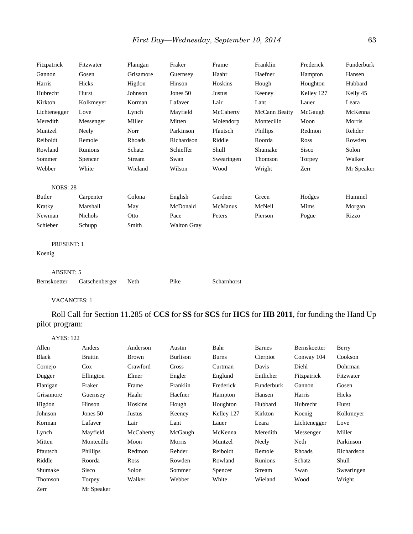| Fitzpatrick         | Fitzwater      | Flanigan  | Fraker             | Frame       | Franklin      | Frederick  | Funderburk |
|---------------------|----------------|-----------|--------------------|-------------|---------------|------------|------------|
| Gannon              | Gosen          | Grisamore | Guernsey           | Haahr       | Haefner       | Hampton    | Hansen     |
| Harris              | Hicks          | Higdon    | Hinson             | Hoskins     | Hough         | Houghton   | Hubbard    |
| Hubrecht            | Hurst          | Johnson   | Jones 50           | Justus      | Keeney        | Kelley 127 | Kelly 45   |
| Kirkton             | Kolkmeyer      | Korman    | Lafaver            | Lair        | Lant          | Lauer      | Leara      |
| Lichtenegger        | Love           | Lynch     | Mayfield           | McCaherty   | McCann Beatty | McGaugh    | McKenna    |
| Meredith            | Messenger      | Miller    | Mitten             | Molendorp   | Montecillo    | Moon       | Morris     |
| Muntzel             | Neely          | Norr      | Parkinson          | Pfautsch    | Phillips      | Redmon     | Rehder     |
| Reiboldt            | Remole         | Rhoads    | Richardson         | Riddle      | Roorda        | Ross       | Rowden     |
| Rowland             | Runions        | Schatz    | Schieffer          | Shull       | Shumake       | Sisco      | Solon      |
| Sommer              | Spencer        | Stream    | Swan               | Swearingen  | Thomson       | Torpey     | Walker     |
| Webber              | White          | Wieland   | Wilson             | Wood        | Wright        | Zerr       | Mr Speaker |
|                     |                |           |                    |             |               |            |            |
| <b>NOES: 28</b>     |                |           |                    |             |               |            |            |
| Butler              | Carpenter      | Colona    | English            | Gardner     | Green         | Hodges     | Hummel     |
| Kratky              | Marshall       | May       | McDonald           | McManus     | McNeil        | Mims       | Morgan     |
| Newman              | Nichols        | Otto      | Pace               | Peters      | Pierson       | Pogue      | Rizzo      |
| Schieber            | Schupp         | Smith     | <b>Walton Gray</b> |             |               |            |            |
| <b>PRESENT: 1</b>   |                |           |                    |             |               |            |            |
| Koenig              |                |           |                    |             |               |            |            |
|                     |                |           |                    |             |               |            |            |
| <b>ABSENT: 5</b>    |                |           |                    |             |               |            |            |
| Bernskoetter        | Gatschenberger | Neth      | Pike               | Scharnhorst |               |            |            |
| <b>VACANCIES: 1</b> |                |           |                    |             |               |            |            |

Roll Call for Section 11.285 of **CCS** for **SS** for **SCS** for **HCS** for **HB 2011**, for funding the Hand Up pilot program:

| <b>AYES: 122</b> |                |              |          |              |               |              |            |
|------------------|----------------|--------------|----------|--------------|---------------|--------------|------------|
| Allen            | Anders         | Anderson     | Austin   | Bahr         | <b>Barnes</b> | Bernskoetter | Berry      |
| <b>Black</b>     | <b>Brattin</b> | <b>Brown</b> | Burlison | <b>Burns</b> | Cierpiot      | Conway 104   | Cookson    |
| Cornejo          | $\cos$         | Crawford     | Cross    | Curtman      | Davis         | Diehl        | Dohrman    |
| Dugger           | Ellington      | Elmer        | Engler   | Englund      | Entlicher     | Fitzpatrick  | Fitzwater  |
| Flanigan         | Fraker         | Frame        | Franklin | Frederick    | Funderburk    | Gannon       | Gosen      |
| Grisamore        | Guernsey       | Haahr        | Haefner  | Hampton      | Hansen        | Harris       | Hicks      |
| Higdon           | Hinson         | Hoskins      | Hough    | Houghton     | Hubbard       | Hubrecht     | Hurst      |
| Johnson          | Jones 50       | Justus       | Keeney   | Kelley 127   | Kirkton       | Koenig       | Kolkmeyer  |
| Korman           | Lafaver        | Lair         | Lant     | Lauer        | Leara         | Lichtenegger | Love       |
| Lynch            | Mayfield       | McCaherty    | McGaugh  | McKenna      | Meredith      | Messenger    | Miller     |
| Mitten           | Montecillo     | Moon         | Morris   | Muntzel      | Neely         | Neth         | Parkinson  |
| Pfautsch         | Phillips       | Redmon       | Rehder   | Reiboldt     | Remole        | Rhoads       | Richardson |
| Riddle           | Roorda         | <b>Ross</b>  | Rowden   | Rowland      | Runions       | Schatz       | Shull      |
| Shumake          | <b>Sisco</b>   | Solon        | Sommer   | Spencer      | Stream        | Swan         | Swearingen |
| Thomson          | Torpey         | Walker       | Webber   | White        | Wieland       | Wood         | Wright     |
| Zerr             | Mr Speaker     |              |          |              |               |              |            |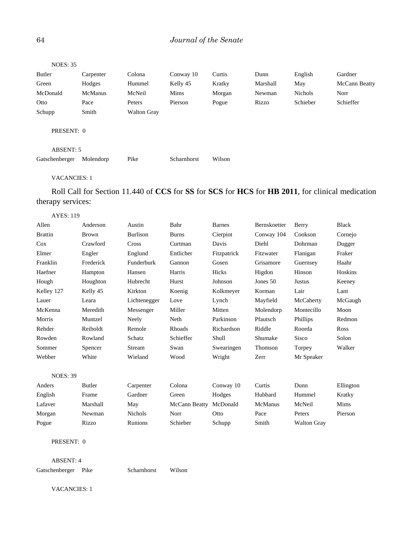# 64 *Journal of the Senate*

| <b>NOES: 35</b> |                |                    |             |        |          |                |               |
|-----------------|----------------|--------------------|-------------|--------|----------|----------------|---------------|
| <b>Butler</b>   | Carpenter      | Colona             | Conway 10   | Curtis | Dunn     | English        | Gardner       |
| Green           | Hodges         | Hummel             | Kelly 45    | Kratky | Marshall | May            | McCann Beatty |
| McDonald        | <b>McManus</b> | McNeil             | <b>Mims</b> | Morgan | Newman   | <b>Nichols</b> | Norr          |
| Otto            | Pace           | Peters             | Pierson     | Pogue  | Rizzo    | Schieber       | Schieffer     |
| Schupp          | Smith          | <b>Walton Gray</b> |             |        |          |                |               |
|                 | PRESENT: 0     |                    |             |        |          |                |               |
| ABSENT: 5       |                |                    |             |        |          |                |               |
| Gatschenberger  | Molendorp      | Pike               | Scharnhorst | Wilson |          |                |               |
|                 |                |                    |             |        |          |                |               |

# VACANCIES: 1

Roll Call for Section 11.440 of **CCS** for **SS** for **SCS** for **HCS** for **HB 2011**, for clinical medication therapy services:

| <b>AYES: 119</b> |
|------------------|
|------------------|

| Allen           | Anderson     | Austin          | Bahr          | <b>Barnes</b> | Bernskoetter | Berry              | <b>Black</b> |
|-----------------|--------------|-----------------|---------------|---------------|--------------|--------------------|--------------|
| <b>Brattin</b>  | <b>Brown</b> | <b>Burlison</b> | <b>Burns</b>  | Cierpiot      | Conway 104   | Cookson            | Cornejo      |
| Cox             | Crawford     | Cross           | Curtman       | Davis         | Diehl        | Dohrman            | Dugger       |
| Elmer           | Engler       | Englund         | Entlicher     | Fitzpatrick   | Fitzwater    | Flanigan           | Fraker       |
| Franklin        | Frederick    | Funderburk      | Gannon        | Gosen         | Grisamore    | Guernsey           | Haahr        |
| Haefner         | Hampton      | Hansen          | Harris        | Hicks         | Higdon       | Hinson             | Hoskins      |
| Hough           | Houghton     | Hubrecht        | Hurst         | Johnson       | Jones 50     | Justus             | Keeney       |
| Kelley 127      | Kelly 45     | Kirkton         | Koenig        | Kolkmeyer     | Korman       | Lair               | Lant         |
| Lauer           | Leara        | Lichtenegger    | Love          | Lynch         | Mayfield     | McCaherty          | McGaugh      |
| McKenna         | Meredith     | Messenger       | Miller        | Mitten        | Molendorp    | Montecillo         | Moon         |
| Morris          | Muntzel      | Neely           | Neth          | Parkinson     | Pfautsch     | Phillips           | Redmon       |
| Rehder          | Reiboldt     | Remole          | Rhoads        | Richardson    | Riddle       | Roorda             | Ross         |
| Rowden          | Rowland      | Schatz          | Schieffer     | Shull         | Shumake      | Sisco              | Solon        |
| Sommer          | Spencer      | Stream          | Swan          | Swearingen    | Thomson      | Torpey             | Walker       |
| Webber          | White        | Wieland         | Wood          | Wright        | Zerr         | Mr Speaker         |              |
|                 |              |                 |               |               |              |                    |              |
| <b>NOES: 39</b> |              |                 |               |               |              |                    |              |
| Anders          | Butler       | Carpenter       | Colona        | Conway 10     | Curtis       | Dunn               | Ellington    |
| English         | Frame        | Gardner         | Green         | Hodges        | Hubbard      | Hummel             | Kratky       |
| Lafaver         | Marshall     | May             | McCann Beatty | McDonald      | McManus      | McNeil             | Mims         |
| Morgan          | Newman       | <b>Nichols</b>  | Norr          | Otto          | Pace         | Peters             | Pierson      |
| Pogue           | Rizzo        | Runions         | Schieber      | Schupp        | Smith        | <b>Walton Gray</b> |              |
|                 |              |                 |               |               |              |                    |              |

PRESENT: 0

ABSENT: 4 Gatschenberger Pike Scharnhorst Wilson

VACANCIES: 1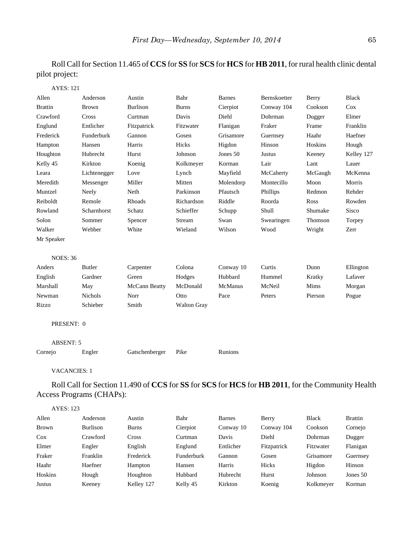Roll Call for Section 11.465 of **CCS** for **SS** for **SCS** for **HCS** for **HB 2011**, for rural health clinic dental pilot project:

| <b>AYES: 121</b> |                |                 |                    |               |               |         |              |
|------------------|----------------|-----------------|--------------------|---------------|---------------|---------|--------------|
| Allen            | Anderson       | Austin          | Bahr               | <b>Barnes</b> | Bernskoetter  | Berry   | <b>Black</b> |
| <b>Brattin</b>   | <b>Brown</b>   | <b>Burlison</b> | <b>Burns</b>       | Cierpiot      | Conway 104    | Cookson | Cox          |
| Crawford         | Cross          | Curtman         | Davis              | Diehl         | Dohrman       | Dugger  | Elmer        |
| Englund          | Entlicher      | Fitzpatrick     | Fitzwater          | Flanigan      | Fraker        | Frame   | Franklin     |
| Frederick        | Funderburk     | Gannon          | Gosen              | Grisamore     | Guernsey      | Haahr   | Haefner      |
| Hampton          | Hansen         | Harris          | Hicks              | Higdon        | Hinson        | Hoskins | Hough        |
| Houghton         | Hubrecht       | Hurst           | Johnson            | Jones 50      | <b>Justus</b> | Keeney  | Kelley 127   |
| Kelly 45         | Kirkton        | Koenig          | Kolkmeyer          | Korman        | Lair          | Lant    | Lauer        |
| Leara            | Lichtenegger   | Love            | Lynch              | Mayfield      | McCaherty     | McGaugh | McKenna      |
| Meredith         | Messenger      | Miller          | Mitten             | Molendorp     | Montecillo    | Moon    | Morris       |
| Muntzel          | Neely          | Neth            | Parkinson          | Pfautsch      | Phillips      | Redmon  | Rehder       |
| Reiboldt         | Remole         | Rhoads          | Richardson         | Riddle        | Roorda        | Ross    | Rowden       |
| Rowland          | Scharnhorst    | Schatz          | Schieffer          | Schupp        | Shull         | Shumake | Sisco        |
| Solon            | Sommer         | Spencer         | Stream             | Swan          | Swearingen    | Thomson | Torpey       |
| Walker           | Webber         | White           | Wieland            | Wilson        | Wood          | Wright  | Zerr         |
| Mr Speaker       |                |                 |                    |               |               |         |              |
| <b>NOES: 36</b>  |                |                 |                    |               |               |         |              |
| Anders           | <b>Butler</b>  | Carpenter       | Colona             | Conway 10     | Curtis        | Dunn    | Ellington    |
| English          | Gardner        | Green           | Hodges             | Hubbard       | Hummel        | Kratky  | Lafaver      |
| Marshall         | May            | McCann Beatty   | McDonald           | McManus       | McNeil        | Mims    | Morgan       |
| Newman           | <b>Nichols</b> | Norr            | Otto               | Pace          | Peters        | Pierson | Pogue        |
| Rizzo            | Schieber       | Smith           | <b>Walton Gray</b> |               |               |         |              |
| PRESENT: 0       |                |                 |                    |               |               |         |              |
| <b>ABSENT: 5</b> |                |                 |                    |               |               |         |              |
| Cornejo          | Engler         | Gatschenberger  | Pike               | Runions       |               |         |              |
|                  |                |                 |                    |               |               |         |              |

VACANCIES: 1

Roll Call for Section 11.490 of **CCS** for **SS** for **SCS** for **HCS** for **HB 2011**, for the Community Health Access Programs (CHAPs):

| <b>AYES: 123</b> |                 |            |            |               |             |              |                |
|------------------|-----------------|------------|------------|---------------|-------------|--------------|----------------|
| Allen            | Anderson        | Austin     | Bahr       | <b>Barnes</b> | Berry       | <b>Black</b> | <b>Brattin</b> |
| <b>Brown</b>     | <b>Burlison</b> | Burns      | Cierpiot   | Conway 10     | Conway 104  | Cookson      | Cornejo        |
| $\cos$           | Crawford        | Cross      | Curtman    | Davis         | Diehl       | Dohrman      | Dugger         |
| Elmer            | Engler          | English    | Englund    | Entlicher     | Fitzpatrick | Fitzwater    | Flanigan       |
| Fraker           | Franklin        | Frederick  | Funderburk | Gannon        | Gosen       | Grisamore    | Guernsey       |
| Haahr            | Haefner         | Hampton    | Hansen     | Harris        | Hicks       | Higdon       | Hinson         |
| Hoskins          | Hough           | Houghton   | Hubbard    | Hubrecht      | Hurst       | Johnson      | Jones 50       |
| Justus           | Keeney          | Kelley 127 | Kelly 45   | Kirkton       | Koenig      | Kolkmeyer    | Korman         |
|                  |                 |            |            |               |             |              |                |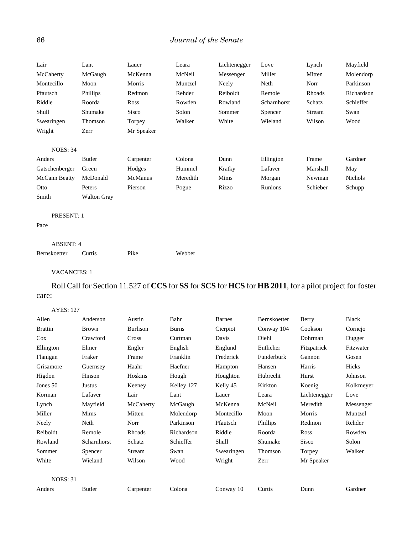# 66 *Journal of the Senate*

| Lair            | Lant               | Lauer          | Leara    | Lichtenegger | Love        | Lynch    | Mayfield       |
|-----------------|--------------------|----------------|----------|--------------|-------------|----------|----------------|
| McCaherty       | McGaugh            | McKenna        | McNeil   | Messenger    | Miller      | Mitten   | Molendorp      |
| Montecillo      | Moon               | Morris         | Muntzel  | Neely        | Neth        | Norr     | Parkinson      |
| Pfautsch        | <b>Phillips</b>    | Redmon         | Rehder   | Reiboldt     | Remole      | Rhoads   | Richardson     |
| Riddle          | Roorda             | <b>Ross</b>    | Rowden   | Rowland      | Scharnhorst | Schatz   | Schieffer      |
| Shull           | Shumake            | Sisco          | Solon    | Sommer       | Spencer     | Stream   | Swan           |
| Swearingen      | Thomson            | Torpey         | Walker   | White        | Wieland     | Wilson   | Wood           |
| Wright          | Zerr               | Mr Speaker     |          |              |             |          |                |
| <b>NOES: 34</b> |                    |                |          |              |             |          |                |
| Anders          | Butler             | Carpenter      | Colona   | Dunn         | Ellington   | Frame    | Gardner        |
| Gatschenberger  | Green              | Hodges         | Hummel   | Kratky       | Lafaver     | Marshall | May            |
| McCann Beatty   | McDonald           | <b>McManus</b> | Meredith | Mims         | Morgan      | Newman   | <b>Nichols</b> |
| Otto            | Peters             | Pierson        | Pogue    | Rizzo        | Runions     | Schieber | Schupp         |
| Smith           | <b>Walton Gray</b> |                |          |              |             |          |                |

## PRESENT: 1

Pace

### ABSENT: 4

Bernskoetter Curtis Pike Webber

## VACANCIES: 1

# Roll Call for Section 11.527 of **CCS** for **SS** for **SCS** for **HCS** for **HB 2011**, for a pilot project for foster care:

### AYES: 127

| Allen           | Anderson      | Austin    | Bahr         | <b>Barnes</b> | Bernskoetter | Berry        | <b>Black</b> |
|-----------------|---------------|-----------|--------------|---------------|--------------|--------------|--------------|
| <b>Brattin</b>  | Brown         | Burlison  | <b>Burns</b> | Cierpiot      | Conway 104   | Cookson      | Cornejo      |
| Cox             | Crawford      | Cross     | Curtman      | Davis         | Diehl        | Dohrman      | Dugger       |
| Ellington       | Elmer         | Engler    | English      | Englund       | Entlicher    | Fitzpatrick  | Fitzwater    |
| Flanigan        | Fraker        | Frame     | Franklin     | Frederick     | Funderburk   | Gannon       | Gosen        |
| Grisamore       | Guernsey      | Haahr     | Haefner      | Hampton       | Hansen       | Harris       | Hicks        |
| Higdon          | Hinson        | Hoskins   | Hough        | Houghton      | Hubrecht     | Hurst        | Johnson      |
| Jones 50        | Justus        | Keeney    | Kelley 127   | Kelly 45      | Kirkton      | Koenig       | Kolkmeyer    |
| Korman          | Lafaver       | Lair      | Lant         | Lauer         | Leara        | Lichtenegger | Love         |
| Lynch           | Mayfield      | McCaherty | McGaugh      | McKenna       | McNeil       | Meredith     | Messenger    |
| Miller          | Mims          | Mitten    | Molendorp    | Montecillo    | Moon         | Morris       | Muntzel      |
| Neely           | Neth          | Norr      | Parkinson    | Pfautsch      | Phillips     | Redmon       | Rehder       |
| Reiboldt        | Remole        | Rhoads    | Richardson   | Riddle        | Roorda       | Ross         | Rowden       |
| Rowland         | Scharnhorst   | Schatz    | Schieffer    | Shull         | Shumake      | Sisco        | Solon        |
| Sommer          | Spencer       | Stream    | Swan         | Swearingen    | Thomson      | Torpey       | Walker       |
| White           | Wieland       | Wilson    | Wood         | Wright        | Zerr         | Mr Speaker   |              |
| <b>NOES: 31</b> |               |           |              |               |              |              |              |
| Anders          | <b>Butler</b> | Carpenter | Colona       | Conway 10     | Curtis       | Dunn         | Gardner      |
|                 |               |           |              |               |              |              |              |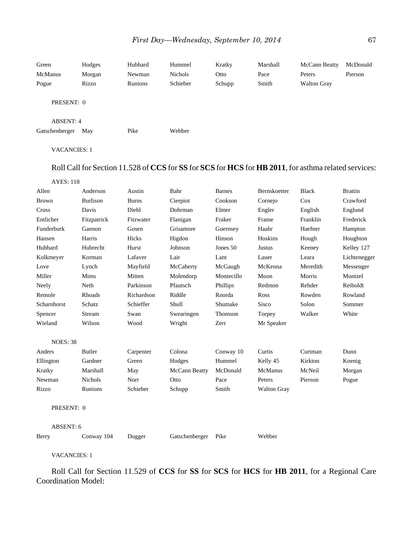| Green<br><b>McManus</b><br>Pogue | Hodges<br>Morgan<br>Rizzo | Hubbard<br>Newman<br>Runions | Hummel<br><b>Nichols</b><br>Schieber | Kratky<br>Otto<br>Schupp | Marshall<br>Pace<br>Smith | McCann Beatty<br>Peters<br><b>Walton Gray</b> | McDonald<br>Pierson |
|----------------------------------|---------------------------|------------------------------|--------------------------------------|--------------------------|---------------------------|-----------------------------------------------|---------------------|
| PRESENT: 0                       |                           |                              |                                      |                          |                           |                                               |                     |
| ABSENT: 4<br>Gatschenberger      | May                       | Pike                         | Webber                               |                          |                           |                                               |                     |
| <b>VACANCIES: 1</b>              |                           |                              |                                      |                          |                           |                                               |                     |

# Roll Call for Section 11.528 of **CCS** for **SS** for **SCS** for **HCS** for **HB 2011**, for asthma related services:

| <b>AYES: 118</b> |                |              |               |               |                    |              |                |
|------------------|----------------|--------------|---------------|---------------|--------------------|--------------|----------------|
| Allen            | Anderson       | Austin       | Bahr          | <b>Barnes</b> | Bernskoetter       | <b>Black</b> | <b>Brattin</b> |
| <b>Brown</b>     | Burlison       | <b>Burns</b> | Cierpiot      | Cookson       | Cornejo            | Cox          | Crawford       |
| Cross            | Davis          | Diehl        | Dohrman       | Elmer         | Engler             | English      | Englund        |
| Entlicher        | Fitzpatrick    | Fitzwater    | Flanigan      | Fraker        | Frame              | Franklin     | Frederick      |
| Funderburk       | Gannon         | Gosen        | Grisamore     | Guernsey      | Haahr              | Haefner      | Hampton        |
| Hansen           | Harris         | Hicks        | Higdon        | Hinson        | Hoskins            | Hough        | Houghton       |
| Hubbard          | Hubrecht       | Hurst        | Johnson       | Jones 50      | Justus             | Keeney       | Kelley 127     |
| Kolkmeyer        | Korman         | Lafaver      | Lair          | Lant          | Lauer              | Leara        | Lichtenegger   |
| Love             | Lynch          | Mayfield     | McCaherty     | McGaugh       | McKenna            | Meredith     | Messenger      |
| Miller           | Mims           | Mitten       | Molendorp     | Montecillo    | Moon               | Morris       | Muntzel        |
| Neely            | Neth           | Parkinson    | Pfautsch      | Phillips      | Redmon             | Rehder       | Reiboldt       |
| Remole           | Rhoads         | Richardson   | Riddle        | Roorda        | Ross               | Rowden       | Rowland        |
| Scharnhorst      | Schatz         | Schieffer    | Shull         | Shumake       | Sisco              | Solon        | Sommer         |
| Spencer          | Stream         | Swan         | Swearingen    | Thomson       | Torpey             | Walker       | White          |
| Wieland          | Wilson         | Wood         | Wright        | Zerr          | Mr Speaker         |              |                |
| <b>NOES: 38</b>  |                |              |               |               |                    |              |                |
| Anders           | Butler         | Carpenter    | Colona        | Conway 10     | Curtis             | Curtman      | Dunn           |
| Ellington        | Gardner        | Green        | Hodges        | Hummel        | Kelly 45           | Kirkton      | Koenig         |
| Kratky           | Marshall       | May          | McCann Beatty | McDonald      | McManus            | McNeil       | Morgan         |
| Newman           | <b>Nichols</b> | Norr         | Otto          | Pace          | Peters             | Pierson      | Pogue          |
| Rizzo            | Runions        | Schieber     | Schupp        | Smith         | <b>Walton Gray</b> |              |                |
| PRESENT: 0       |                |              |               |               |                    |              |                |

ABSENT: 6

| Berry | Conway 104 | Dugger | Gatschenberger Pike |  | Webber |
|-------|------------|--------|---------------------|--|--------|
|-------|------------|--------|---------------------|--|--------|

VACANCIES: 1

Roll Call for Section 11.529 of **CCS** for **SS** for **SCS** for **HCS** for **HB 2011**, for a Regional Care Coordination Model: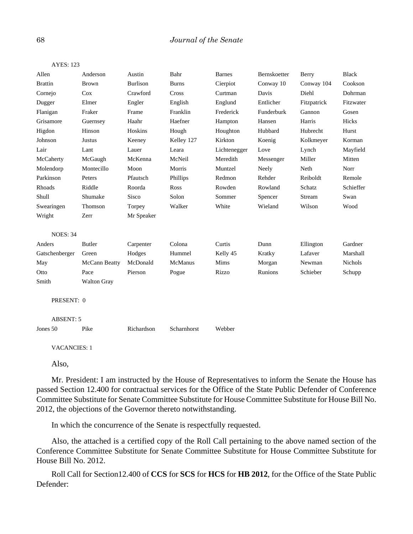| <b>AYES: 123</b> |                    |                 |              |               |              |             |              |
|------------------|--------------------|-----------------|--------------|---------------|--------------|-------------|--------------|
| Allen            | Anderson           | Austin          | Bahr         | <b>Barnes</b> | Bernskoetter | Berry       | <b>Black</b> |
| <b>Brattin</b>   | <b>Brown</b>       | <b>Burlison</b> | <b>Burns</b> | Cierpiot      | Conway 10    | Conway 104  | Cookson      |
| Cornejo          | Cox                | Crawford        | Cross        | Curtman       | Davis        | Diehl       | Dohrman      |
| Dugger           | Elmer              | Engler          | English      | Englund       | Entlicher    | Fitzpatrick | Fitzwater    |
| Flanigan         | Fraker             | Frame           | Franklin     | Frederick     | Funderburk   | Gannon      | Gosen        |
| Grisamore        | Guernsey           | Haahr           | Haefner      | Hampton       | Hansen       | Harris      | Hicks        |
| Higdon           | Hinson             | Hoskins         | Hough        | Houghton      | Hubbard      | Hubrecht    | Hurst        |
| Johnson          | Justus             | Keeney          | Kelley 127   | Kirkton       | Koenig       | Kolkmeyer   | Korman       |
| Lair             | Lant               | Lauer           | Leara        | Lichtenegger  | Love         | Lynch       | Mayfield     |
| McCaherty        | McGaugh            | McKenna         | McNeil       | Meredith      | Messenger    | Miller      | Mitten       |
| Molendorp        | Montecillo         | Moon            | Morris       | Muntzel       | Neely        | Neth        | Norr         |
| Parkinson        | Peters             | Pfautsch        | Phillips     | Redmon        | Rehder       | Reiboldt    | Remole       |
| Rhoads           | Riddle             | Roorda          | Ross         | Rowden        | Rowland      | Schatz      | Schieffer    |
| Shull            | Shumake            | Sisco           | Solon        | Sommer        | Spencer      | Stream      | Swan         |
| Swearingen       | Thomson            | Torpey          | Walker       | White         | Wieland      | Wilson      | Wood         |
| Wright           | Zerr               | Mr Speaker      |              |               |              |             |              |
|                  |                    |                 |              |               |              |             |              |
| <b>NOES: 34</b>  |                    |                 |              |               |              |             |              |
| Anders           | <b>Butler</b>      | Carpenter       | Colona       | Curtis        | Dunn         | Ellington   | Gardner      |
| Gatschenberger   | Green              | Hodges          | Hummel       | Kelly 45      | Kratky       | Lafaver     | Marshall     |
| May              | McCann Beatty      | McDonald        | McManus      | Mims          | Morgan       | Newman      | Nichols      |
| Otto             | Pace               | Pierson         | Pogue        | Rizzo         | Runions      | Schieber    | Schupp       |
| Smith            | <b>Walton Gray</b> |                 |              |               |              |             |              |
|                  |                    |                 |              |               |              |             |              |
| PRESENT: 0       |                    |                 |              |               |              |             |              |
|                  |                    |                 |              |               |              |             |              |
| <b>ABSENT: 5</b> |                    |                 |              |               |              |             |              |
| Jones 50         | Pike               | Richardson      | Scharnhorst  | Webber        |              |             |              |
|                  |                    |                 |              |               |              |             |              |

Also,

Mr. President: I am instructed by the House of Representatives to inform the Senate the House has passed Section 12.400 for contractual services for the Office of the State Public Defender of Conference Committee Substitute for Senate Committee Substitute for House Committee Substitute for House Bill No. 2012, the objections of the Governor thereto notwithstanding.

In which the concurrence of the Senate is respectfully requested.

Also, the attached is a certified copy of the Roll Call pertaining to the above named section of the Conference Committee Substitute for Senate Committee Substitute for House Committee Substitute for House Bill No. 2012.

Roll Call for Section12.400 of **CCS** for **SCS** for **HCS** for **HB 2012**, for the Office of the State Public Defender: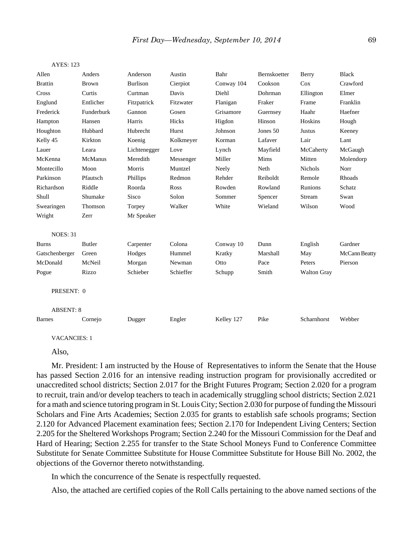| Allen            | Anders       | Anderson        | Austin      | Bahr       | Bernskoetter | Berry              | <b>Black</b>  |
|------------------|--------------|-----------------|-------------|------------|--------------|--------------------|---------------|
| <b>Brattin</b>   | <b>Brown</b> | <b>Burlison</b> | Cierpiot    | Conway 104 | Cookson      | Cox                | Crawford      |
| Cross            | Curtis       | Curtman         | Davis       | Diehl      | Dohrman      | Ellington          | Elmer         |
| Englund          | Entlicher    | Fitzpatrick     | Fitzwater   | Flanigan   | Fraker       | Frame              | Franklin      |
| Frederick        | Funderburk   | Gannon          | Gosen       | Grisamore  | Guernsey     | Haahr              | Haefner       |
| Hampton          | Hansen       | Harris          | Hicks       | Higdon     | Hinson       | Hoskins            | Hough         |
| Houghton         | Hubbard      | Hubrecht        | Hurst       | Johnson    | Jones 50     | Justus             | Keeney        |
| Kelly 45         | Kirkton      | Koenig          | Kolkmeyer   | Korman     | Lafaver      | Lair               | Lant          |
| Lauer            | Leara        | Lichtenegger    | Love        | Lynch      | Mayfield     | McCaherty          | McGaugh       |
| McKenna          | McManus      | Meredith        | Messenger   | Miller     | Mims         | Mitten             | Molendorp     |
| Montecillo       | Moon         | Morris          | Muntzel     | Neely      | Neth         | Nichols            | Norr          |
| Parkinson        | Pfautsch     | Phillips        | Redmon      | Rehder     | Reiboldt     | Remole             | Rhoads        |
| Richardson       | Riddle       | Roorda          | <b>Ross</b> | Rowden     | Rowland      | Runions            | Schatz        |
| Shull            | Shumake      | Sisco           | Solon       | Sommer     | Spencer      | Stream             | Swan          |
| Swearingen       | Thomson      | Torpey          | Walker      | White      | Wieland      | Wilson             | Wood          |
| Wright           | Zerr         | Mr Speaker      |             |            |              |                    |               |
| <b>NOES: 31</b>  |              |                 |             |            |              |                    |               |
| <b>Burns</b>     | Butler       | Carpenter       | Colona      | Conway 10  | Dunn         | English            | Gardner       |
| Gatschenberger   | Green        | Hodges          | Hummel      | Kratky     | Marshall     | May                | McCann Beatty |
| McDonald         | McNeil       | Morgan          | Newman      | Otto       | Pace         | Peters             | Pierson       |
| Pogue            | Rizzo        | Schieber        | Schieffer   | Schupp     | Smith        | <b>Walton Gray</b> |               |
| PRESENT: 0       |              |                 |             |            |              |                    |               |
| <b>ABSENT: 8</b> |              |                 |             |            |              |                    |               |
| <b>Barnes</b>    | Cornejo      | Dugger          | Engler      | Kelley 127 | Pike         | Scharnhorst        | Webber        |
|                  |              |                 |             |            |              |                    |               |

```
AYES: 123
```
Also,

Mr. President: I am instructed by the House of Representatives to inform the Senate that the House has passed Section 2.016 for an intensive reading instruction program for provisionally accredited or unaccredited school districts; Section 2.017 for the Bright Futures Program; Section 2.020 for a program to recruit, train and/or develop teachers to teach in academically struggling school districts; Section 2.021 for a math and science tutoring program in St. Louis City; Section 2.030 for purpose of funding the Missouri Scholars and Fine Arts Academies; Section 2.035 for grants to establish safe schools programs; Section 2.120 for Advanced Placement examination fees; Section 2.170 for Independent Living Centers; Section 2.205 for the Sheltered Workshops Program; Section 2.240 for the Missouri Commission for the Deaf and Hard of Hearing; Section 2.255 for transfer to the State School Moneys Fund to Conference Committee Substitute for Senate Committee Substitute for House Committee Substitute for House Bill No. 2002, the objections of the Governor thereto notwithstanding.

In which the concurrence of the Senate is respectfully requested.

Also, the attached are certified copies of the Roll Calls pertaining to the above named sections of the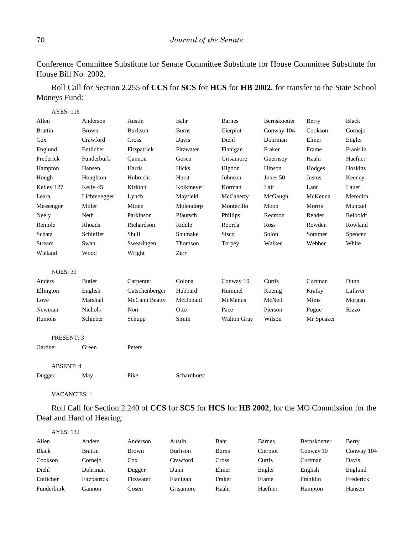Conference Committee Substitute for Senate Committee Substitute for House Committee Substitute for House Bill No. 2002.

Roll Call for Section 2.255 of **CCS** for **SCS** for **HCS** for **HB 2002**, for transfer to the State School Moneys Fund:

| <b>AYES: 116</b> |                |                 |              |                    |              |            |              |
|------------------|----------------|-----------------|--------------|--------------------|--------------|------------|--------------|
| Allen            | Anderson       | Austin          | Bahr         | <b>Barnes</b>      | Bernskoetter | Berry      | <b>Black</b> |
| <b>Brattin</b>   | <b>Brown</b>   | <b>Burlison</b> | <b>Burns</b> | Cierpiot           | Conway 104   | Cookson    | Cornejo      |
| Cox              | Crawford       | Cross           | Davis        | Diehl              | Dohrman      | Elmer      | Engler       |
| Englund          | Entlicher      | Fitzpatrick     | Fitzwater    | Flanigan           | Fraker       | Frame      | Franklin     |
| Frederick        | Funderburk     | Gannon          | Gosen        | Grisamore          | Guernsey     | Haahr      | Haefner      |
| Hampton          | Hansen         | Harris          | Hicks        | Higdon             | Hinson       | Hodges     | Hoskins      |
| Hough            | Houghton       | Hubrecht        | Hurst        | Johnson            | Jones 50     | Justus     | Keeney       |
| Kelley 127       | Kelly 45       | Kirkton         | Kolkmeyer    | Korman             | Lair         | Lant       | Lauer        |
| Leara            | Lichtenegger   | Lynch           | Mayfield     | McCaherty          | McGaugh      | McKenna    | Meredith     |
| Messenger        | Miller         | Mitten          | Molendorp    | Montecillo         | Moon         | Morris     | Muntzel      |
| Neely            | Neth           | Parkinson       | Pfautsch     | Phillips           | Redmon       | Rehder     | Reiboldt     |
| Remole           | Rhoads         | Richardson      | Riddle       | Roorda             | Ross         | Rowden     | Rowland      |
| Schatz           | Schieffer      | Shull           | Shumake      | Sisco              | Solon        | Sommer     | Spencer      |
| Stream           | Swan           | Swearingen      | Thomson      | Torpey             | Walker       | Webber     | White        |
| Wieland          | Wood           | Wright          | Zerr         |                    |              |            |              |
| <b>NOES: 39</b>  |                |                 |              |                    |              |            |              |
| Anders           | <b>Butler</b>  | Carpenter       | Colona       | Conway 10          | Curtis       | Curtman    | Dunn         |
| Ellington        | English        | Gatschenberger  | Hubbard      | Hummel             | Koenig       | Kratky     | Lafaver      |
| Love             | Marshall       | McCann Beatty   | McDonald     | McManus            | McNeil       | Mims       | Morgan       |
| Newman           | <b>Nichols</b> | Norr            | Otto         | Pace               | Pierson      | Pogue      | Rizzo        |
| <b>Runions</b>   | Schieber       | Schupp          | Smith        | <b>Walton Gray</b> | Wilson       | Mr Speaker |              |
| PRESENT: 3       |                |                 |              |                    |              |            |              |
| Gardner          | Green          | Peters          |              |                    |              |            |              |
| <b>ABSENT: 4</b> |                |                 |              |                    |              |            |              |
| Dugger           | May            | Pike            | Scharnhorst  |                    |              |            |              |

VACANCIES: 1

Roll Call for Section 2.240 of **CCS** for **SCS** for **HCS** for **HB 2002**, for the MO Commission for the Deaf and Hard of Hearing:

| AYES: 132    |                |              |                 |              |               |              |            |
|--------------|----------------|--------------|-----------------|--------------|---------------|--------------|------------|
| Allen        | Anders         | Anderson     | Austin          | Bahr         | <b>Barnes</b> | Bernskoetter | Berry      |
| <b>Black</b> | <b>Brattin</b> | <b>Brown</b> | <b>Burlison</b> | <b>Burns</b> | Cierpiot      | Conway 10    | Conway 104 |
| Cookson      | Cornejo        | $\cos$       | Crawford        | Cross        | Curtis        | Curtman      | Davis      |
| Diehl        | Dohrman        | Dugger       | Dunn            | Elmer        | Engler        | English      | Englund    |
| Entlicher    | Fitzpatrick    | Fitzwater    | Flanigan        | Fraker       | Frame         | Franklin     | Frederick  |
| Funderburk   | Gannon         | Gosen        | Grisamore       | Haahr        | Haefner       | Hampton      | Hansen     |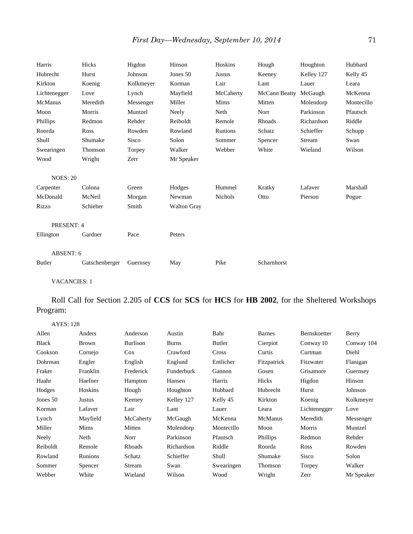| Harris          | Hicks          | Higdon       | Hinson             | Hoskins        | Hough         | Houghton   | Hubbard    |
|-----------------|----------------|--------------|--------------------|----------------|---------------|------------|------------|
| Hubrecht        | Hurst          | Johnson      | Jones 50           | Justus         | Keeney        | Kelley 127 | Kelly 45   |
| Kirkton         | Koenig         | Kolkmeyer    | Korman             | Lair           | Lant          | Lauer      | Leara      |
| Lichtenegger    | Love           | Lynch        | Mayfield           | McCaherty      | McCann Beatty | McGaugh    | McKenna    |
| McManus         | Meredith       | Messenger    | Miller             | Mims           | Mitten        | Molendorp  | Montecillo |
| Moon            | Morris         | Muntzel      | Neely              | Neth           | Norr          | Parkinson  | Pfautsch   |
| Phillips        | Redmon         | Rehder       | Reiboldt           | Remole         | Rhoads        | Richardson | Riddle     |
| Roorda          | Ross           | Rowden       | Rowland            | Runions        | Schatz        | Schieffer  | Schupp     |
| Shull           | Shumake        | <b>Sisco</b> | Solon              | Sommer         | Spencer       | Stream     | Swan       |
| Swearingen      | Thomson        | Torpey       | Walker             | Webber         | White         | Wieland    | Wilson     |
| Wood            | Wright         | Zerr         | Mr Speaker         |                |               |            |            |
| <b>NOES: 20</b> |                |              |                    |                |               |            |            |
| Carpenter       | Colona         | Green        | Hodges             | Hummel         | Kratky        | Lafaver    | Marshall   |
| McDonald        | McNeil         | Morgan       | Newman             | <b>Nichols</b> | Otto          | Pierson    | Pogue      |
| Rizzo           | Schieber       | Smith        | <b>Walton Gray</b> |                |               |            |            |
| PRESENT: 4      |                |              |                    |                |               |            |            |
| Ellington       | Gardner        | Pace         | Peters             |                |               |            |            |
| ABSENT: 6       |                |              |                    |                |               |            |            |
| Butler          | Gatschenberger | Guernsey     | May                | Pike           | Scharnhorst   |            |            |

Roll Call for Section 2.205 of **CCS** for **SCS** for **HCS** for **HB 2002**, for the Sheltered Workshops Program:

| <b>AYES: 128</b> |              |           |              |            |                |              |            |
|------------------|--------------|-----------|--------------|------------|----------------|--------------|------------|
| Allen            | Anders       | Anderson  | Austin       | Bahr       | <b>Barnes</b>  | Bernskoetter | Berry      |
| Black            | <b>Brown</b> | Burlison  | <b>Burns</b> | Butler     | Cierpiot       | Conway 10    | Conway 104 |
| Cookson          | Cornejo      | $\cos$    | Crawford     | Cross      | Curtis         | Curtman      | Diehl      |
| Dohrman          | Engler       | English   | Englund      | Entlicher  | Fitzpatrick    | Fitzwater    | Flanigan   |
| Fraker           | Franklin     | Frederick | Funderburk   | Gannon     | Gosen          | Grisamore    | Guernsey   |
| Haahr            | Haefner      | Hampton   | Hansen       | Harris     | Hicks          | Higdon       | Hinson     |
| Hodges           | Hoskins      | Hough     | Houghton     | Hubbard    | Hubrecht       | Hurst        | Johnson    |
| Jones 50         | Justus       | Keeney    | Kelley 127   | Kelly 45   | Kirkton        | Koenig       | Kolkmeyer  |
| Korman           | Lafaver      | Lair      | Lant         | Lauer      | Leara          | Lichtenegger | Love       |
| Lynch            | Mayfield     | McCaherty | McGaugh      | McKenna    | <b>McManus</b> | Meredith     | Messenger  |
| Miller           | Mims         | Mitten    | Molendorp    | Montecillo | Moon           | Morris       | Muntzel    |
| Neely            | Neth         | Norr      | Parkinson    | Pfautsch   | Phillips       | Redmon       | Rehder     |
| Reiboldt         | Remole       | Rhoads    | Richardson   | Riddle     | Roorda         | Ross         | Rowden     |
| Rowland          | Runions      | Schatz    | Schieffer    | Shull      | Shumake        | Sisco        | Solon      |
| Sommer           | Spencer      | Stream    | Swan         | Swearingen | Thomson        | Torpey       | Walker     |
| Webber           | White        | Wieland   | Wilson       | Wood       | Wright         | Zerr         | Mr Speaker |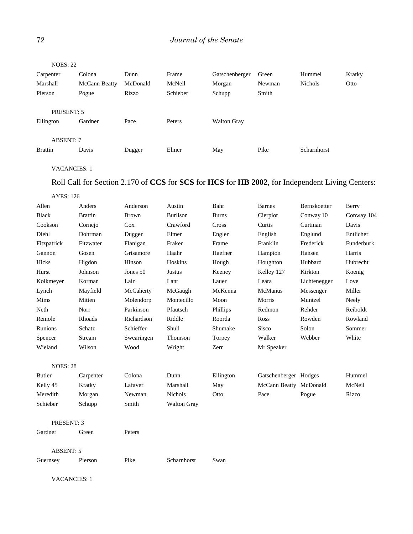| <b>NOES: 22</b>         |               |          |          |                    |        |                |        |
|-------------------------|---------------|----------|----------|--------------------|--------|----------------|--------|
| Carpenter               | Colona        | Dunn     | Frame    | Gatschenberger     | Green  | Hummel         | Kratky |
| Marshall                | McCann Beatty | McDonald | McNeil   | Morgan             | Newman | <b>Nichols</b> | Otto   |
| Pierson                 | Pogue         | Rizzo    | Schieber | Schupp             | Smith  |                |        |
| PRESENT: 5<br>Ellington | Gardner       | Pace     | Peters   | <b>Walton Gray</b> |        |                |        |
| <b>ABSENT: 7</b>        |               |          |          |                    |        |                |        |
| <b>Brattin</b>          | Davis         | Dugger   | Elmer    | May                | Pike   | Scharnhorst    |        |
|                         |               |          |          |                    |        |                |        |

# Roll Call for Section 2.170 of **CCS** for **SCS** for **HCS** for **HB 2002**, for Independent Living Centers:

| <b>AYES: 126</b> |                |              |                    |              |                        |              |            |
|------------------|----------------|--------------|--------------------|--------------|------------------------|--------------|------------|
| Allen            | Anders         | Anderson     | Austin             | Bahr         | <b>Barnes</b>          | Bernskoetter | Berry      |
| <b>Black</b>     | <b>Brattin</b> | <b>Brown</b> | <b>Burlison</b>    | <b>Burns</b> | Cierpiot               | Conway 10    | Conway 104 |
| Cookson          | Cornejo        | Cox          | Crawford           | Cross        | Curtis                 | Curtman      | Davis      |
| Diehl            | Dohrman        | Dugger       | Elmer              | Engler       | English                | Englund      | Entlicher  |
| Fitzpatrick      | Fitzwater      | Flanigan     | Fraker             | Frame        | Franklin               | Frederick    | Funderburk |
| Gannon           | Gosen          | Grisamore    | Haahr              | Haefner      | Hampton                | Hansen       | Harris     |
| Hicks            | Higdon         | Hinson       | Hoskins            | Hough        | Houghton               | Hubbard      | Hubrecht   |
| Hurst            | Johnson        | Jones 50     | Justus             | Keeney       | Kelley 127             | Kirkton      | Koenig     |
| Kolkmeyer        | Korman         | Lair         | Lant               | Lauer        | Leara                  | Lichtenegger | Love       |
| Lynch            | Mayfield       | McCaherty    | McGaugh            | McKenna      | McManus                | Messenger    | Miller     |
| Mims             | Mitten         | Molendorp    | Montecillo         | Moon         | Morris                 | Muntzel      | Neely      |
| Neth             | Norr           | Parkinson    | Pfautsch           | Phillips     | Redmon                 | Rehder       | Reiboldt   |
| Remole           | Rhoads         | Richardson   | Riddle             | Roorda       | Ross                   | Rowden       | Rowland    |
| <b>Runions</b>   | Schatz         | Schieffer    | Shull              | Shumake      | Sisco                  | Solon        | Sommer     |
| Spencer          | Stream         | Swearingen   | Thomson            | Torpey       | Walker                 | Webber       | White      |
| Wieland          | Wilson         | Wood         | Wright             | Zerr         | Mr Speaker             |              |            |
| <b>NOES: 28</b>  |                |              |                    |              |                        |              |            |
| Butler           | Carpenter      | Colona       | Dunn               | Ellington    | Gatschenberger Hodges  |              | Hummel     |
| Kelly 45         | Kratky         | Lafaver      | Marshall           | May          | McCann Beatty McDonald |              | McNeil     |
| Meredith         | Morgan         | Newman       | Nichols            | Otto         | Pace                   | Pogue        | Rizzo      |
| Schieber         | Schupp         | Smith        | <b>Walton Gray</b> |              |                        |              |            |
| PRESENT: 3       |                |              |                    |              |                        |              |            |
| Gardner          | Green          | Peters       |                    |              |                        |              |            |
| <b>ABSENT: 5</b> |                |              |                    |              |                        |              |            |
| Guernsey         | Pierson        | Pike         | Scharnhorst        | Swan         |                        |              |            |

VACANCIES: 1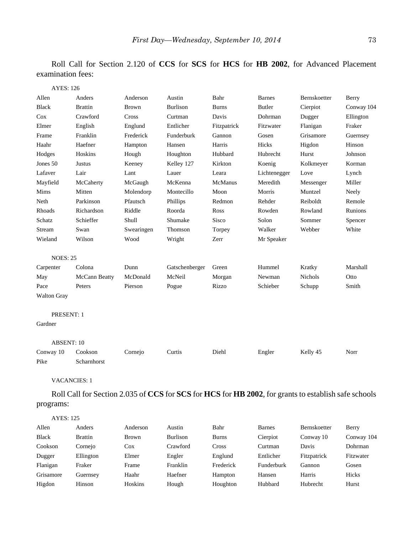Roll Call for Section 2.120 of **CCS** for **SCS** for **HCS** for **HB 2002**, for Advanced Placement examination fees:

| <b>AYES: 126</b>   |                |              |                 |              |               |                |            |
|--------------------|----------------|--------------|-----------------|--------------|---------------|----------------|------------|
| Allen              | Anders         | Anderson     | Austin          | Bahr         | <b>Barnes</b> | Bernskoetter   | Berry      |
| <b>Black</b>       | <b>Brattin</b> | <b>Brown</b> | <b>Burlison</b> | <b>Burns</b> | <b>Butler</b> | Cierpiot       | Conway 104 |
| Cox                | Crawford       | Cross        | Curtman         | Davis        | Dohrman       | Dugger         | Ellington  |
| Elmer              | English        | Englund      | Entlicher       | Fitzpatrick  | Fitzwater     | Flanigan       | Fraker     |
| Frame              | Franklin       | Frederick    | Funderburk      | Gannon       | Gosen         | Grisamore      | Guernsey   |
| Haahr              | Haefner        | Hampton      | Hansen          | Harris       | Hicks         | Higdon         | Hinson     |
| Hodges             | Hoskins        | Hough        | Houghton        | Hubbard      | Hubrecht      | Hurst          | Johnson    |
| Jones 50           | Justus         | Keeney       | Kelley 127      | Kirkton      | Koenig        | Kolkmeyer      | Korman     |
| Lafaver            | Lair           | Lant         | Lauer           | Leara        | Lichtenegger  | Love           | Lynch      |
| Mayfield           | McCaherty      | McGaugh      | McKenna         | McManus      | Meredith      | Messenger      | Miller     |
| Mims               | Mitten         | Molendorp    | Montecillo      | Moon         | Morris        | Muntzel        | Neely      |
| Neth               | Parkinson      | Pfautsch     | Phillips        | Redmon       | Rehder        | Reiboldt       | Remole     |
| Rhoads             | Richardson     | Riddle       | Roorda          | Ross         | Rowden        | Rowland        | Runions    |
| Schatz             | Schieffer      | Shull        | Shumake         | <b>Sisco</b> | Solon         | Sommer         | Spencer    |
| Stream             | Swan           | Swearingen   | Thomson         | Torpey       | Walker        | Webber         | White      |
| Wieland            | Wilson         | Wood         | Wright          | Zerr         | Mr Speaker    |                |            |
| <b>NOES: 25</b>    |                |              |                 |              |               |                |            |
| Carpenter          | Colona         | Dunn         | Gatschenberger  | Green        | Hummel        | Kratky         | Marshall   |
| May                | McCann Beatty  | McDonald     | McNeil          | Morgan       | Newman        | <b>Nichols</b> | Otto       |
| Pace               | Peters         | Pierson      | Pogue           | Rizzo        | Schieber      | Schupp         | Smith      |
| <b>Walton Gray</b> |                |              |                 |              |               |                |            |
| PRESENT: 1         |                |              |                 |              |               |                |            |
| Gardner            |                |              |                 |              |               |                |            |
| <b>ABSENT: 10</b>  |                |              |                 |              |               |                |            |
| Conway 10          | Cookson        | Cornejo      | Curtis          | Diehl        | Engler        | Kelly 45       | Norr       |
| Pike               | Scharnhorst    |              |                 |              |               |                |            |

VACANCIES: 1

Roll Call for Section 2.035 of **CCS** for **SCS** for **HCS** for **HB 2002**, for grants to establish safe schools programs:

| <b>AYES: 125</b> |                |              |                 |              |               |                     |            |
|------------------|----------------|--------------|-----------------|--------------|---------------|---------------------|------------|
| Allen            | Anders         | Anderson     | Austin          | Bahr         | <b>Barnes</b> | <b>Bernskoetter</b> | Berry      |
| <b>Black</b>     | <b>Brattin</b> | <b>Brown</b> | <b>Burlison</b> | <b>Burns</b> | Cierpiot      | Conway 10           | Conway 104 |
| Cookson          | Cornejo        | Cox          | Crawford        | Cross        | Curtman       | Davis               | Dohrman    |
| Dugger           | Ellington      | Elmer        | Engler          | Englund      | Entlicher     | Fitzpatrick         | Fitzwater  |
| Flanigan         | Fraker         | Frame        | Franklin        | Frederick    | Funderburk    | Gannon              | Gosen      |
| Grisamore        | Guernsey       | Haahr        | Haefner         | Hampton      | Hansen        | Harris              | Hicks      |
| Higdon           | Hinson         | Hoskins      | Hough           | Houghton     | Hubbard       | Hubrecht            | Hurst      |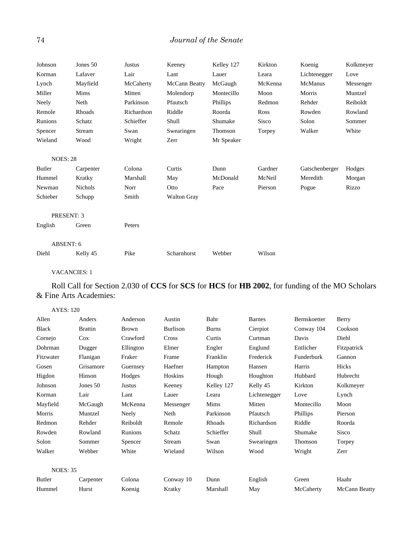# 74 *Journal of the Senate*

| Johnson         | Jones 50       | <b>Justus</b> | Keeney             | Kelley 127 | Kirkton | Koenig         | Kolkmeyer |
|-----------------|----------------|---------------|--------------------|------------|---------|----------------|-----------|
| Korman          | Lafaver        | Lair          | Lant               | Lauer      | Leara   | Lichtenegger   | Love      |
| Lynch           | Mayfield       | McCaherty     | McCann Beatty      | McGaugh    | McKenna | <b>McManus</b> | Messenger |
| Miller          | Mims           | Mitten        | Molendorp          | Montecillo | Moon    | Morris         | Muntzel   |
| Neely           | Neth           | Parkinson     | Pfautsch           | Phillips   | Redmon  | Rehder         | Reiboldt  |
| Remole          | Rhoads         | Richardson    | Riddle             | Roorda     | Ross    | Rowden         | Rowland   |
| Runions         | Schatz         | Schieffer     | Shull              | Shumake    | Sisco   | Solon          | Sommer    |
| Spencer         | Stream         | Swan          | Swearingen         | Thomson    | Torpey  | Walker         | White     |
| Wieland         | Wood           | Wright        | Zerr               | Mr Speaker |         |                |           |
| <b>NOES: 28</b> |                |               |                    |            |         |                |           |
| Butler          | Carpenter      | Colona        | Curtis             | Dunn       | Gardner | Gatschenberger | Hodges    |
| Hummel          | Kratky         | Marshall      | May                | McDonald   | McNeil  | Meredith       | Morgan    |
| Newman          | <b>Nichols</b> | Norr          | Otto               | Pace       | Pierson | Pogue          | Rizzo     |
| Schieber        | Schupp         | Smith         | <b>Walton Gray</b> |            |         |                |           |
|                 | PRESENT: 3     |               |                    |            |         |                |           |
| English         | Green          | Peters        |                    |            |         |                |           |
| ABSENT: 6       |                |               |                    |            |         |                |           |
| Diehl           | Kelly 45       | Pike          | Scharnhorst        | Webber     | Wilson  |                |           |

## VACANCIES: 1

# Roll Call for Section 2.030 of **CCS** for **SCS** for **HCS** for **HB 2002**, for funding of the MO Scholars & Fine Arts Academies:

#### AYES: 120

| Allen           | Anders         | Anderson     | Austin    | Bahr         | <b>Barnes</b> | Bernskoetter | Berry         |
|-----------------|----------------|--------------|-----------|--------------|---------------|--------------|---------------|
| <b>Black</b>    | <b>Brattin</b> | <b>Brown</b> | Burlison  | <b>Burns</b> | Cierpiot      | Conway 104   | Cookson       |
| Cornejo         | Cox            | Crawford     | Cross     | Curtis       | Curtman       | Davis        | Diehl         |
| Dohrman         | Dugger         | Ellington    | Elmer     | Engler       | Englund       | Entlicher    | Fitzpatrick   |
| Fitzwater       | Flanigan       | Fraker       | Frame     | Franklin     | Frederick     | Funderburk   | Gannon        |
| Gosen           | Grisamore      | Guernsey     | Haefner   | Hampton      | Hansen        | Harris       | Hicks         |
| Higdon          | Hinson         | Hodges       | Hoskins   | Hough        | Houghton      | Hubbard      | Hubrecht      |
| Johnson         | Jones 50       | Justus       | Keeney    | Kelley 127   | Kelly 45      | Kirkton      | Kolkmeyer     |
| Korman          | Lair           | Lant         | Lauer     | Leara        | Lichtenegger  | Love         | Lynch         |
| Mayfield        | McGaugh        | McKenna      | Messenger | Mims         | Mitten        | Montecillo   | Moon          |
| Morris          | Muntzel        | Neely        | Neth      | Parkinson    | Pfautsch      | Phillips     | Pierson       |
| Redmon          | Rehder         | Reiboldt     | Remole    | Rhoads       | Richardson    | Riddle       | Roorda        |
| Rowden          | Rowland        | Runions      | Schatz    | Schieffer    | Shull         | Shumake      | Sisco         |
| Solon           | Sommer         | Spencer      | Stream    | Swan         | Swearingen    | Thomson      | Torpey        |
| Walker          | Webber         | White        | Wieland   | Wilson       | Wood          | Wright       | Zerr          |
|                 |                |              |           |              |               |              |               |
| <b>NOES: 35</b> |                |              |           |              |               |              |               |
| Butler          | Carpenter      | Colona       | Conway 10 | Dunn         | English       | Green        | Haahr         |
| Hummel          | Hurst          | Koenig       | Kratky    | Marshall     | May           | McCaherty    | McCann Beatty |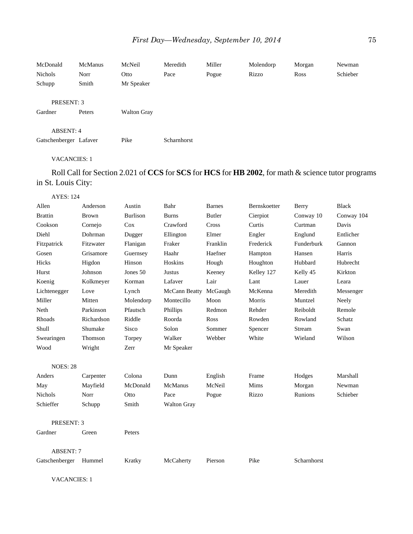| McDonald<br>Nichols<br>Schupp | <b>McManus</b><br>Norr<br>Smith | McNeil<br>Otto<br>Mr Speaker | Meredith<br>Pace | Miller<br>Pogue | Molendorp<br>Rizzo | Morgan<br>Ross | Newman<br>Schieber |
|-------------------------------|---------------------------------|------------------------------|------------------|-----------------|--------------------|----------------|--------------------|
| <b>PRESENT: 3</b>             |                                 |                              |                  |                 |                    |                |                    |
| Gardner                       | Peters                          | <b>Walton Gray</b>           |                  |                 |                    |                |                    |
| ABSENT: 4                     |                                 |                              |                  |                 |                    |                |                    |
| Gatschenberger Lafaver        |                                 | Pike                         | Scharnhorst      |                 |                    |                |                    |

VACANCIES: 1

# Roll Call for Section 2.021 of **CCS** for **SCS** for **HCS** for **HB 2002**, for math & science tutor programs in St. Louis City:

AYES: 124

| Allen            | Anderson     | Austin          | Bahr               | <b>Barnes</b> | Bernskoetter | Berry       | <b>Black</b> |
|------------------|--------------|-----------------|--------------------|---------------|--------------|-------------|--------------|
| <b>Brattin</b>   | <b>Brown</b> | <b>Burlison</b> | <b>Burns</b>       | <b>Butler</b> | Cierpiot     | Conway 10   | Conway 104   |
| Cookson          | Cornejo      | Cox             | Crawford           | Cross         | Curtis       | Curtman     | Davis        |
| Diehl            | Dohrman      | Dugger          | Ellington          | Elmer         | Engler       | Englund     | Entlicher    |
| Fitzpatrick      | Fitzwater    | Flanigan        | Fraker             | Franklin      | Frederick    | Funderburk  | Gannon       |
| Gosen            | Grisamore    | Guernsey        | Haahr              | Haefner       | Hampton      | Hansen      | Harris       |
| Hicks            | Higdon       | Hinson          | Hoskins            | Hough         | Houghton     | Hubbard     | Hubrecht     |
| Hurst            | Johnson      | Jones 50        | Justus             | Keeney        | Kelley 127   | Kelly 45    | Kirkton      |
| Koenig           | Kolkmeyer    | Korman          | Lafaver            | Lair          | Lant         | Lauer       | Leara        |
| Lichtenegger     | Love         | Lynch           | McCann Beatty      | McGaugh       | McKenna      | Meredith    | Messenger    |
| Miller           | Mitten       | Molendorp       | Montecillo         | Moon          | Morris       | Muntzel     | Neely        |
| Neth             | Parkinson    | Pfautsch        | Phillips           | Redmon        | Rehder       | Reiboldt    | Remole       |
| Rhoads           | Richardson   | Riddle          | Roorda             | Ross          | Rowden       | Rowland     | Schatz       |
| Shull            | Shumake      | Sisco           | Solon              | Sommer        | Spencer      | Stream      | Swan         |
| Swearingen       | Thomson      | Torpey          | Walker             | Webber        | White        | Wieland     | Wilson       |
| Wood             | Wright       | Zerr            | Mr Speaker         |               |              |             |              |
| <b>NOES: 28</b>  |              |                 |                    |               |              |             |              |
| Anders           | Carpenter    | Colona          | Dunn               | English       | Frame        | Hodges      | Marshall     |
| May              | Mayfield     | McDonald        | McManus            | McNeil        | Mims         | Morgan      | Newman       |
| <b>Nichols</b>   | Norr         | Otto            | Pace               | Pogue         | Rizzo        | Runions     | Schieber     |
| Schieffer        | Schupp       | Smith           | <b>Walton Gray</b> |               |              |             |              |
| PRESENT: 3       |              |                 |                    |               |              |             |              |
| Gardner          | Green        | Peters          |                    |               |              |             |              |
| <b>ABSENT: 7</b> |              |                 |                    |               |              |             |              |
| Gatschenberger   | Hummel       | Kratky          | McCaherty          | Pierson       | Pike         | Scharnhorst |              |
|                  |              |                 |                    |               |              |             |              |

VACANCIES: 1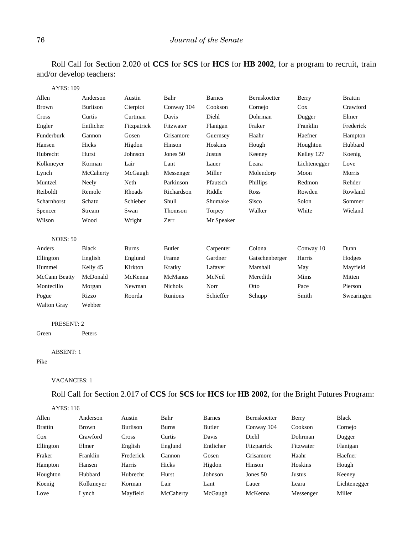Roll Call for Section 2.020 of **CCS** for **SCS** for **HCS** for **HB 2002**, for a program to recruit, train and/or develop teachers:

| <b>AYES: 109</b>     |                 |              |                |               |                |              |                |
|----------------------|-----------------|--------------|----------------|---------------|----------------|--------------|----------------|
| Allen                | Anderson        | Austin       | Bahr           | <b>Barnes</b> | Bernskoetter   | Berry        | <b>Brattin</b> |
| <b>Brown</b>         | <b>Burlison</b> | Cierpiot     | Conway 104     | Cookson       | Cornejo        | Cox          | Crawford       |
| Cross                | Curtis          | Curtman      | Davis          | Diehl         | Dohrman        | Dugger       | Elmer          |
| Engler               | Entlicher       | Fitzpatrick  | Fitzwater      | Flanigan      | Fraker         | Franklin     | Frederick      |
| Funderburk           | Gannon          | Gosen        | Grisamore      | Guernsey      | Haahr          | Haefner      | Hampton        |
| Hansen               | Hicks           | Higdon       | Hinson         | Hoskins       | Hough          | Houghton     | Hubbard        |
| Hubrecht             | Hurst           | Johnson      | Jones 50       | Justus        | Keeney         | Kelley 127   | Koenig         |
| Kolkmeyer            | Korman          | Lair         | Lant           | Lauer         | Leara          | Lichtenegger | Love           |
| Lynch                | McCaherty       | McGaugh      | Messenger      | Miller        | Molendorp      | Moon         | Morris         |
| Muntzel              | Neely           | Neth         | Parkinson      | Pfautsch      | Phillips       | Redmon       | Rehder         |
| Reiboldt             | Remole          | Rhoads       | Richardson     | Riddle        | Ross           | Rowden       | Rowland        |
| Scharnhorst          | Schatz          | Schieber     | Shull          | Shumake       | <b>Sisco</b>   | Solon        | Sommer         |
| Spencer              | Stream          | Swan         | Thomson        | Torpey        | Walker         | White        | Wieland        |
| Wilson               | Wood            | Wright       | Zerr           | Mr Speaker    |                |              |                |
| <b>NOES: 50</b>      |                 |              |                |               |                |              |                |
| Anders               | <b>Black</b>    | <b>Burns</b> | <b>Butler</b>  | Carpenter     | Colona         | Conway 10    | Dunn           |
| Ellington            | English         | Englund      | Frame          | Gardner       | Gatschenberger | Harris       | Hodges         |
| Hummel               | Kelly 45        | Kirkton      | Kratky         | Lafaver       | Marshall       | May          | Mayfield       |
| <b>McCann Beatty</b> | McDonald        | McKenna      | McManus        | McNeil        | Meredith       | Mims         | Mitten         |
| Montecillo           | Morgan          | Newman       | <b>Nichols</b> | Norr          | Otto           | Pace         | Pierson        |
| Pogue                | Rizzo           | Roorda       | Runions        | Schieffer     | Schupp         | Smith        | Swearingen     |
| <b>Walton Gray</b>   | Webber          |              |                |               |                |              |                |

#### PRESENT: 2

Green Peters

#### ABSENT: 1

#### Pike

VACANCIES: 1

Roll Call for Section 2.017 of **CCS** for **SCS** for **HCS** for **HB 2002**, for the Bright Futures Program:

| <b>AYES: 116</b> |              |                 |              |               |                     |           |              |
|------------------|--------------|-----------------|--------------|---------------|---------------------|-----------|--------------|
| Allen            | Anderson     | Austin          | Bahr         | <b>Barnes</b> | <b>Bernskoetter</b> | Berry     | <b>Black</b> |
| <b>Brattin</b>   | <b>Brown</b> | <b>Burlison</b> | <b>Burns</b> | Butler        | Conway 104          | Cookson   | Cornejo      |
| Cox              | Crawford     | Cross           | Curtis       | Davis         | Diehl               | Dohrman   | Dugger       |
| Ellington        | Elmer        | English         | Englund      | Entlicher     | Fitzpatrick         | Fitzwater | Flanigan     |
| Fraker           | Franklin     | Frederick       | Gannon       | Gosen         | Grisamore           | Haahr     | Haefner      |
| Hampton          | Hansen       | Harris          | Hicks        | Higdon        | Hinson              | Hoskins   | Hough        |
| Houghton         | Hubbard      | <b>Hubrecht</b> | Hurst        | Johnson       | Jones $50$          | Justus    | Keeney       |
| Koenig           | Kolkmeyer    | Korman          | Lair         | Lant          | Lauer               | Leara     | Lichtenegger |
| Love             | Lynch        | Mayfield        | McCaherty    | McGaugh       | McKenna             | Messenger | Miller       |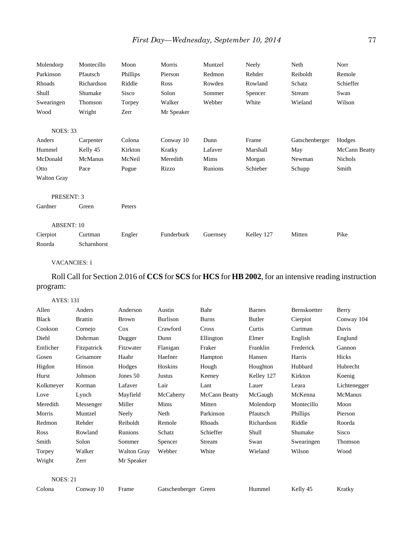| Molendorp          | Montecillo  | Moon     | Morris     | Muntzel  | Neely      | Neth           | Norr          |
|--------------------|-------------|----------|------------|----------|------------|----------------|---------------|
| Parkinson          | Pfautsch    | Phillips | Pierson    | Redmon   | Rehder     | Reiboldt       | Remole        |
| Rhoads             | Richardson  | Riddle   | Ross       | Rowden   | Rowland    | Schatz         | Schieffer     |
| Shull              | Shumake     | Sisco    | Solon      | Sommer   | Spencer    | Stream         | Swan          |
| Swearingen         | Thomson     | Torpey   | Walker     | Webber   | White      | Wieland        | Wilson        |
| Wood               | Wright      | Zerr     | Mr Speaker |          |            |                |               |
| <b>NOES: 33</b>    |             |          |            |          |            |                |               |
| Anders             | Carpenter   | Colona   | Conway 10  | Dunn     | Frame      | Gatschenberger | Hodges        |
| Hummel             | Kelly 45    | Kirkton  | Kratky     | Lafaver  | Marshall   | May            | McCann Beatty |
| McDonald           | McManus     | McNeil   | Meredith   | Mims     | Morgan     | Newman         | Nichols       |
| Otto               | Pace        | Pogue    | Rizzo      | Runions  | Schieber   | Schupp         | Smith         |
| <b>Walton Gray</b> |             |          |            |          |            |                |               |
| PRESENT: 3         |             |          |            |          |            |                |               |
| Gardner            | Green       | Peters   |            |          |            |                |               |
| <b>ABSENT: 10</b>  |             |          |            |          |            |                |               |
| Cierpiot           | Curtman     | Engler   | Funderburk | Guernsey | Kelley 127 | Mitten         | Pike          |
| Roorda             | Scharnhorst |          |            |          |            |                |               |

#### VACANCIES: 1

Roll Call for Section 2.016 of **CCS** for **SCS** for **HCS** for **HB 2002**, for an intensive reading instruction program:

AYES: 131

| Allen           | Anders         | Anderson           | Austin          | Bahr          | <b>Barnes</b> | Bernskoetter | Berry        |
|-----------------|----------------|--------------------|-----------------|---------------|---------------|--------------|--------------|
| <b>Black</b>    | <b>Brattin</b> | <b>Brown</b>       | <b>Burlison</b> | <b>Burns</b>  | <b>Butler</b> | Cierpiot     | Conway 104   |
| Cookson         | Cornejo        | Cox                | Crawford        | Cross         | Curtis        | Curtman      | Davis        |
| Diehl           | Dohrman        | Dugger             | Dunn            | Ellington     | Elmer         | English      | Englund      |
| Entlicher       | Fitzpatrick    | Fitzwater          | Flanigan        | Fraker        | Franklin      | Frederick    | Gannon       |
| Gosen           | Grisamore      | Haahr              | Haefner         | Hampton       | Hansen        | Harris       | Hicks        |
| Higdon          | Hinson         | Hodges             | Hoskins         | Hough         | Houghton      | Hubbard      | Hubrecht     |
| Hurst           | Johnson        | Jones 50           | Justus          | Keeney        | Kelley 127    | Kirkton      | Koenig       |
| Kolkmeyer       | Korman         | Lafaver            | Lair            | Lant          | Lauer         | Leara        | Lichtenegger |
| Love            | Lynch          | Mayfield           | McCaherty       | McCann Beatty | McGaugh       | McKenna      | McManus      |
| Meredith        | Messenger      | Miller             | Mims            | Mitten        | Molendorp     | Montecillo   | Moon         |
| Morris          | Muntzel        | Neely              | Neth            | Parkinson     | Pfautsch      | Phillips     | Pierson      |
| Redmon          | Rehder         | Reiboldt           | Remole          | Rhoads        | Richardson    | Riddle       | Roorda       |
| Ross            | Rowland        | Runions            | Schatz          | Schieffer     | Shull         | Shumake      | Sisco        |
| Smith           | Solon          | Sommer             | Spencer         | Stream        | Swan          | Swearingen   | Thomson      |
| Torpey          | Walker         | <b>Walton Gray</b> | Webber          | White         | Wieland       | Wilson       | Wood         |
| Wright          | Zerr           | Mr Speaker         |                 |               |               |              |              |
|                 |                |                    |                 |               |               |              |              |
| <b>NOES: 21</b> |                |                    |                 |               |               |              |              |

Colona Conway 10 Frame Gatschenberger Green Hummel Kelly 45 Kratky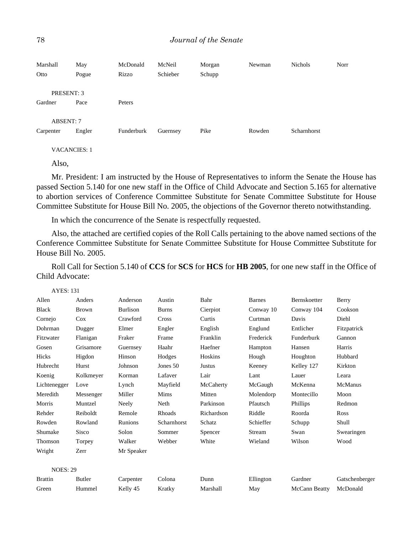| Marshall<br>Otto | May<br>Pogue | McDonald<br>Rizzo | McNeil<br>Schieber | Morgan<br>Schupp | Newman | <b>Nichols</b> | Norr |
|------------------|--------------|-------------------|--------------------|------------------|--------|----------------|------|
| PRESENT: 3       |              |                   |                    |                  |        |                |      |
| Gardner          | Pace         | Peters            |                    |                  |        |                |      |
| <b>ABSENT: 7</b> |              |                   |                    |                  |        |                |      |
| Carpenter        | Engler       | Funderburk        | Guernsey           | Pike             | Rowden | Scharnhorst    |      |

VACANCIES: 1

Also,

Mr. President: I am instructed by the House of Representatives to inform the Senate the House has passed Section 5.140 for one new staff in the Office of Child Advocate and Section 5.165 for alternative to abortion services of Conference Committee Substitute for Senate Committee Substitute for House Committee Substitute for House Bill No. 2005, the objections of the Governor thereto notwithstanding.

In which the concurrence of the Senate is respectfully requested.

Also, the attached are certified copies of the Roll Calls pertaining to the above named sections of the Conference Committee Substitute for Senate Committee Substitute for House Committee Substitute for House Bill No. 2005.

Roll Call for Section 5.140 of **CCS** for **SCS** for **HCS** for **HB 2005**, for one new staff in the Office of Child Advocate:

| <b>AYES: 131</b> |               |                 |              |               |               |                     |                |
|------------------|---------------|-----------------|--------------|---------------|---------------|---------------------|----------------|
| Allen            | Anders        | Anderson        | Austin       | Bahr          | <b>Barnes</b> | <b>Bernskoetter</b> | Berry          |
| <b>Black</b>     | <b>Brown</b>  | <b>Burlison</b> | <b>Burns</b> | Cierpiot      | Conway 10     | Conway 104          | Cookson        |
| Cornejo          | Cox           | Crawford        | Cross        | Curtis        | Curtman       | Davis               | Diehl          |
| Dohrman          | Dugger        | Elmer           | Engler       | English       | Englund       | Entlicher           | Fitzpatrick    |
| Fitzwater        | Flanigan      | Fraker          | Frame        | Franklin      | Frederick     | Funderburk          | Gannon         |
| Gosen            | Grisamore     | Guernsey        | Haahr        | Haefner       | Hampton       | Hansen              | Harris         |
| Hicks            | Higdon        | Hinson          | Hodges       | Hoskins       | Hough         | Houghton            | Hubbard        |
| Hubrecht         | Hurst         | Johnson         | Jones 50     | <b>Justus</b> | Keeney        | Kelley 127          | Kirkton        |
| Koenig           | Kolkmeyer     | Korman          | Lafaver      | Lair          | Lant          | Lauer               | Leara          |
| Lichtenegger     | Love          | Lynch           | Mayfield     | McCaherty     | McGaugh       | McKenna             | <b>McManus</b> |
| Meredith         | Messenger     | Miller          | Mims         | Mitten        | Molendorp     | Montecillo          | Moon           |
| Morris           | Muntzel       | Neely           | Neth         | Parkinson     | Pfautsch      | Phillips            | Redmon         |
| Rehder           | Reiboldt      | Remole          | Rhoads       | Richardson    | Riddle        | Roorda              | Ross           |
| Rowden           | Rowland       | Runions         | Scharnhorst  | Schatz        | Schieffer     | Schupp              | Shull          |
| Shumake          | Sisco         | Solon           | Sommer       | Spencer       | Stream        | Swan                | Swearingen     |
| Thomson          | Torpey        | Walker          | Webber       | White         | Wieland       | Wilson              | Wood           |
| Wright           | Zerr          | Mr Speaker      |              |               |               |                     |                |
|                  |               |                 |              |               |               |                     |                |
| <b>NOES: 29</b>  |               |                 |              |               |               |                     |                |
| <b>Brattin</b>   | <b>Butler</b> | Carpenter       | Colona       | Dunn          | Ellington     | Gardner             | Gatschenberger |
| Green            | Hummel        | Kelly 45        | Kratky       | Marshall      | May           | McCann Beatty       | McDonald       |
|                  |               |                 |              |               |               |                     |                |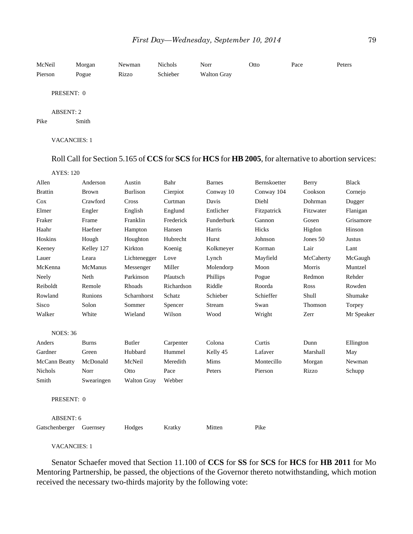| McNeil<br>Pierson        | Morgan<br>Pogue | Newman<br>Rizzo | Nichols<br>Schieber | Norr<br><b>Walton Gray</b> | Otto | Pace | Peters |
|--------------------------|-----------------|-----------------|---------------------|----------------------------|------|------|--------|
| PRESENT: 0               |                 |                 |                     |                            |      |      |        |
| <b>ABSENT: 2</b><br>Pike | Smith           |                 |                     |                            |      |      |        |
| <b>VACANCIES: 1</b>      |                 |                 |                     |                            |      |      |        |

Roll Call for Section 5.165 of **CCS** for **SCS** for **HCS** for **HB 2005**, for alternative to abortion services:

| ι.<br>ч.<br>T.<br>v<br>۰.<br>× |  |
|--------------------------------|--|
|                                |  |

| Allen           | Anderson       | Austin             | Bahr       | <b>Barnes</b> | Bernskoetter | Berry     | <b>Black</b>  |
|-----------------|----------------|--------------------|------------|---------------|--------------|-----------|---------------|
| <b>Brattin</b>  | <b>Brown</b>   | <b>Burlison</b>    | Cierpiot   | Conway 10     | Conway 104   | Cookson   | Cornejo       |
| Cox             | Crawford       | Cross              | Curtman    | Davis         | Diehl        | Dohrman   | Dugger        |
| Elmer           | Engler         | English            | Englund    | Entlicher     | Fitzpatrick  | Fitzwater | Flanigan      |
| Fraker          | Frame          | Franklin           | Frederick  | Funderburk    | Gannon       | Gosen     | Grisamore     |
| Haahr           | Haefner        | Hampton            | Hansen     | Harris        | Hicks        | Higdon    | Hinson        |
| Hoskins         | Hough          | Houghton           | Hubrecht   | Hurst         | Johnson      | Jones 50  | <b>Justus</b> |
| Keeney          | Kelley 127     | Kirkton            | Koenig     | Kolkmeyer     | Korman       | Lair      | Lant          |
| Lauer           | Leara          | Lichtenegger       | Love       | Lynch         | Mayfield     | McCaherty | McGaugh       |
| McKenna         | McManus        | Messenger          | Miller     | Molendorp     | Moon         | Morris    | Muntzel       |
| Neely           | Neth           | Parkinson          | Pfautsch   | Phillips      | Pogue        | Redmon    | Rehder        |
| Reiboldt        | Remole         | Rhoads             | Richardson | Riddle        | Roorda       | Ross      | Rowden        |
| Rowland         | <b>Runions</b> | Scharnhorst        | Schatz     | Schieber      | Schieffer    | Shull     | Shumake       |
| Sisco           | Solon          | Sommer             | Spencer    | Stream        | Swan         | Thomson   | Torpey        |
| Walker          | White          | Wieland            | Wilson     | Wood          | Wright       | Zerr      | Mr Speaker    |
| <b>NOES: 36</b> |                |                    |            |               |              |           |               |
| Anders          | <b>Burns</b>   | <b>Butler</b>      | Carpenter  | Colona        | Curtis       | Dunn      | Ellington     |
| Gardner         | Green          | Hubbard            | Hummel     | Kelly 45      | Lafaver      | Marshall  | May           |
| McCann Beatty   | McDonald       | McNeil             | Meredith   | Mims          | Montecillo   | Morgan    | Newman        |
| Nichols         | Norr           | Otto               | Pace       | Peters        | Pierson      | Rizzo     | Schupp        |
| Smith           | Swearingen     | <b>Walton Gray</b> | Webber     |               |              |           |               |
| PRESENT: 0      |                |                    |            |               |              |           |               |
| ABSENT: 6       |                |                    |            |               |              |           |               |
| Gatschenberger  | Guernsey       | Hodges             | Kratky     | Mitten        | Pike         |           |               |

VACANCIES: 1

Senator Schaefer moved that Section 11.100 of **CCS** for **SS** for **SCS** for **HCS** for **HB 2011** for Mo Mentoring Partnership, be passed, the objections of the Governor thereto notwithstanding, which motion received the necessary two-thirds majority by the following vote: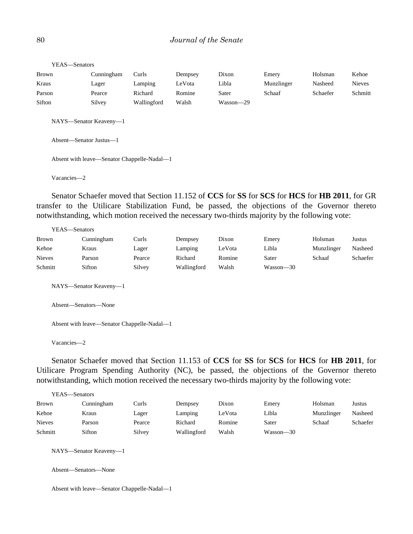## 80 *Journal of the Senate*

| YEAS-Senators           |                                             |             |         |                                                                                             |            |          |               |
|-------------------------|---------------------------------------------|-------------|---------|---------------------------------------------------------------------------------------------|------------|----------|---------------|
| Brown                   | Cunningham                                  | Curls       | Dempsey | Dixon                                                                                       | Emery      | Holsman  | Kehoe         |
| Kraus                   | Lager                                       | Lamping     | LeVota  | Libla                                                                                       | Munzlinger | Nasheed  | <b>Nieves</b> |
| Parson                  | Pearce                                      | Richard     | Romine  | Sater                                                                                       | Schaaf     | Schaefer | Schmitt       |
| Sifton                  | Silvey                                      | Wallingford | Walsh   | Wasson-29                                                                                   |            |          |               |
| Absent—Senator Justus—1 | NAYS-Senator Keaveny-1                      |             |         |                                                                                             |            |          |               |
|                         | Absent with leave—Senator Chappelle-Nadal—1 |             |         |                                                                                             |            |          |               |
| Vacancies-2             |                                             |             |         |                                                                                             |            |          |               |
|                         |                                             |             |         | $\alpha$ , at $\alpha$ , the $\alpha$ , then coordenance one though the order than $\alpha$ |            |          |               |

Senator Schaefer moved that Section 11.152 of **CCS** for **SS** for **SCS** for **HCS** for **HB 2011**, for GR transfer to the Utilicare Stabilization Fund, be passed, the objections of the Governor thereto notwithstanding, which motion received the necessary two-thirds majority by the following vote:

| YEAS—Senators |        |             |        |           |            |          |
|---------------|--------|-------------|--------|-----------|------------|----------|
| Cunningham    | Curls  | Dempsey     | Dixon  | Emery     | Holsman    | Justus   |
| Kraus         | Lager  | Lamping     | LeVota | Libla     | Munzlinger | Nasheed  |
| Parson        | Pearce | Richard     | Romine | Sater     | Schaaf     | Schaefer |
| Sifton        | Silvey | Wallingford | Walsh  | Wasson—30 |            |          |
|               |        |             |        |           |            |          |

NAYS—Senator Keaveny—1

Absent—Senators—None

Absent with leave—Senator Chappelle-Nadal—1

Vacancies—2

Senator Schaefer moved that Section 11.153 of **CCS** for **SS** for **SCS** for **HCS** for **HB 2011**, for Utilicare Program Spending Authority (NC), be passed, the objections of the Governor thereto notwithstanding, which motion received the necessary two-thirds majority by the following vote:

| YEAS—Senators |            |        |             |        |           |            |          |
|---------------|------------|--------|-------------|--------|-----------|------------|----------|
| Brown         | Cunningham | Curls  | Dempsey     | Dixon  | Emery     | Holsman    | Justus   |
| Kehoe         | Kraus      | Lager  | Lamping     | LeVota | Libla     | Munzlinger | Nasheed  |
| <b>Nieves</b> | Parson     | Pearce | Richard     | Romine | Sater     | Schaaf     | Schaefer |
| Schmitt       | Sifton     | Silvey | Wallingford | Walsh  | Wasson—30 |            |          |

NAYS—Senator Keaveny—1

Absent—Senators—None

Absent with leave—Senator Chappelle-Nadal—1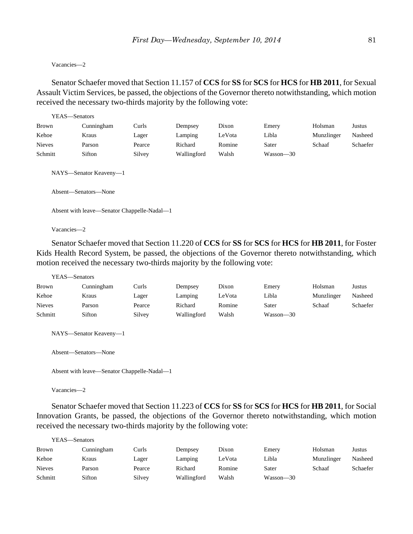#### Vacancies—2

Senator Schaefer moved that Section 11.157 of **CCS** for **SS** for **SCS** for **HCS** for **HB 2011**, for Sexual Assault Victim Services, be passed, the objections of the Governor thereto notwithstanding, which motion received the necessary two-thirds majority by the following vote:

| YEAS—Senators |                                                                                               |        |             |        |           |            |          |
|---------------|-----------------------------------------------------------------------------------------------|--------|-------------|--------|-----------|------------|----------|
| Brown         | Cunningham                                                                                    | Curls  | Dempsey     | Dixon  | Emery     | Holsman    | Justus   |
| Kehoe         | Kraus                                                                                         | Lager  | Lamping     | LeVota | Libla     | Munzlinger | Nasheed  |
| <b>Nieves</b> | Parson                                                                                        | Pearce | Richard     | Romine | Sater     | Schaaf     | Schaefer |
| Schmitt       | Sifton                                                                                        | Silvey | Wallingford | Walsh  | Wasson-30 |            |          |
|               | NAYS—Senator Keaveny—1<br>Absent-Senators-None<br>Absent with leave—Senator Chappelle-Nadal—1 |        |             |        |           |            |          |

Vacancies—2

Senator Schaefer moved that Section 11.220 of **CCS** for **SS** for **SCS** for **HCS** for **HB 2011**, for Foster Kids Health Record System, be passed, the objections of the Governor thereto notwithstanding, which motion received the necessary two-thirds majority by the following vote:

```
YEAS—Senators
```

| <b>Brown</b>  | Cunningham | Curls  | Dempsey     | Dixon  | Emery     | Holsman    | Justus   |
|---------------|------------|--------|-------------|--------|-----------|------------|----------|
| Kehoe         | Kraus      | Lager  | Lamping     | .eVota | Libla     | Munzlinger | Nasheed  |
| <b>Nieves</b> | Parson     | Pearce | Richard     | Romine | Sater     | Schaaf     | Schaefer |
| Schmitt       | Sifton     | Silvey | Wallingford | Walsh  | Wasson—30 |            |          |

NAYS—Senator Keaveny—1

```
Absent—Senators—None
```

```
Absent with leave—Senator Chappelle-Nadal—1
```
Vacancies—2

Senator Schaefer moved that Section 11.223 of **CCS** for **SS** for **SCS** for **HCS** for **HB 2011**, for Social Innovation Grants, be passed, the objections of the Governor thereto notwithstanding, which motion received the necessary two-thirds majority by the following vote:

| YEAS—Senators |            |        |             |        |           |            |          |
|---------------|------------|--------|-------------|--------|-----------|------------|----------|
| Brown         | Cunningham | Curls  | Dempsey     | Dixon  | Emery     | Holsman    | Justus   |
| Kehoe         | Kraus      | Lager  | Lamping     | LeVota | Libla     | Munzlinger | Nasheed  |
| <b>Nieves</b> | Parson     | Pearce | Richard     | Romine | Sater     | Schaaf     | Schaefer |
| Schmitt       | Sifton     | Silvey | Wallingford | Walsh  | Wasson-30 |            |          |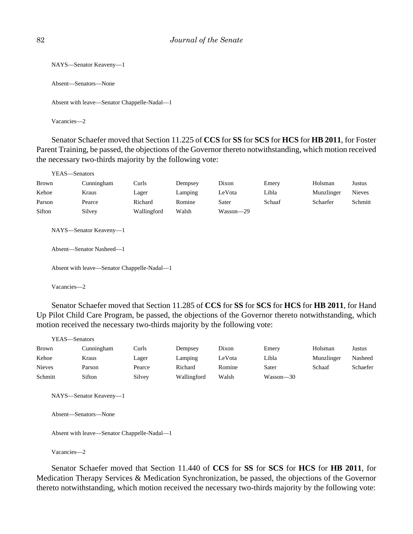```
NAYS—Senator Keaveny—1
Absent—Senators—None
Absent with leave—Senator Chappelle-Nadal—1
Vacancies—2
```
Senator Schaefer moved that Section 11.225 of **CCS** for **SS** for **SCS** for **HCS** for **HB 2011**, for Foster Parent Training, be passed, the objections of the Governor thereto notwithstanding, which motion received the necessary two-thirds majority by the following vote:

|                                                                                                   | YEAS—Senators |             |         |           |        |            |               |
|---------------------------------------------------------------------------------------------------|---------------|-------------|---------|-----------|--------|------------|---------------|
| <b>Brown</b>                                                                                      | Cunningham    | Curls       | Dempsey | Dixon     | Emery  | Holsman    | Justus        |
| Kehoe                                                                                             | Kraus         | Lager       | Lamping | LeVota    | Libla  | Munzlinger | <b>Nieves</b> |
| Parson                                                                                            | Pearce        | Richard     | Romine  | Sater     | Schaaf | Schaefer   | Schmitt       |
| Sifton                                                                                            | Silvey        | Wallingford | Walsh   | Wasson-29 |        |            |               |
| NAYS-Senator Keaveny-1<br>Absent—Senator Nasheed—1<br>Absent with leave—Senator Chappelle-Nadal—1 |               |             |         |           |        |            |               |
|                                                                                                   |               |             |         |           |        |            |               |

Vacancies—2

Senator Schaefer moved that Section 11.285 of **CCS** for **SS** for **SCS** for **HCS** for **HB 2011**, for Hand Up Pilot Child Care Program, be passed, the objections of the Governor thereto notwithstanding, which motion received the necessary two-thirds majority by the following vote:

| YEAS—Senators |            |        |             |        |           |            |          |
|---------------|------------|--------|-------------|--------|-----------|------------|----------|
| <b>Brown</b>  | Cunningham | Curls  | Dempsey     | Dixon  | Emery     | Holsman    | Justus   |
| Kehoe         | Kraus      | Lager  | Lamping     | LeVota | Libla     | Munzlinger | Nasheed  |
| <b>Nieves</b> | Parson     | Pearce | Richard     | Romine | Sater     | Schaaf     | Schaefer |
| Schmitt       | Sifton     | Silvey | Wallingford | Walsh  | Wasson-30 |            |          |

NAYS—Senator Keaveny—1

Absent—Senators—None

Absent with leave—Senator Chappelle-Nadal—1

Vacancies—2

Senator Schaefer moved that Section 11.440 of **CCS** for **SS** for **SCS** for **HCS** for **HB 2011**, for Medication Therapy Services & Medication Synchronization, be passed, the objections of the Governor thereto notwithstanding, which motion received the necessary two-thirds majority by the following vote: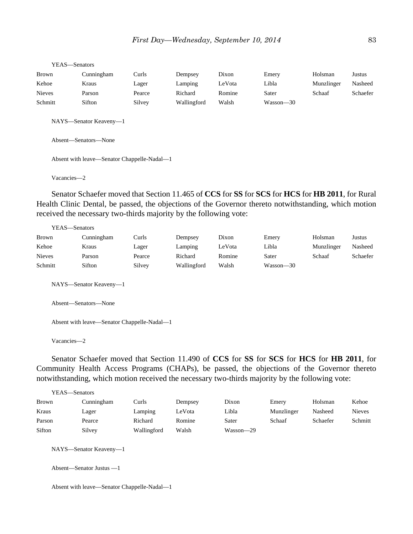| r EAS—Senators                              |                                                |        |             |        |           |            |          |
|---------------------------------------------|------------------------------------------------|--------|-------------|--------|-----------|------------|----------|
| Brown                                       | Cunningham                                     | Curls  | Dempsey     | Dixon  | Emery     | Holsman    | Justus   |
| Kehoe                                       | Kraus                                          | Lager  | Lamping     | LeVota | Libla     | Munzlinger | Nasheed  |
| <b>Nieves</b>                               | Parson                                         | Pearce | Richard     | Romine | Sater     | Schaaf     | Schaefer |
| Schmitt                                     | Sifton                                         | Silvey | Wallingford | Walsh  | Wasson-30 |            |          |
|                                             | NAYS-Senator Keaveny-1<br>Absent-Senators-None |        |             |        |           |            |          |
| Absent with leave—Senator Chappelle-Nadal—1 |                                                |        |             |        |           |            |          |
| Vacancies-2                                 |                                                |        |             |        |           |            |          |

Senator Schaefer moved that Section 11.465 of **CCS** for **SS** for **SCS** for **HCS** for **HB 2011**, for Rural Health Clinic Dental, be passed, the objections of the Governor thereto notwithstanding, which motion received the necessary two-thirds majority by the following vote:

| YEAS—Senators |            |        |             |        |           |            |          |
|---------------|------------|--------|-------------|--------|-----------|------------|----------|
| <b>Brown</b>  | Cunningham | Curls  | Dempsey     | Dixon  | Emery     | Holsman    | Justus   |
| Kehoe         | Kraus      | Lager  | Lamping     | LeVota | Libla     | Munzlinger | Nasheed  |
| <b>Nieves</b> | Parson     | Pearce | Richard     | Romine | Sater     | Schaaf     | Schaefer |
| Schmitt       | Sifton     | Silvey | Wallingford | Walsh  | Wasson—30 |            |          |

NAYS—Senator Keaveny—1

Absent—Senators—None

Absent with leave—Senator Chappelle-Nadal—1

Vacancies—2

 $YFAS = S$ 

Senator Schaefer moved that Section 11.490 of **CCS** for **SS** for **SCS** for **HCS** for **HB 2011**, for Community Health Access Programs (CHAPs), be passed, the objections of the Governor thereto notwithstanding, which motion received the necessary two-thirds majority by the following vote:

| YEAS—Senators |            |             |         |           |            |          |               |
|---------------|------------|-------------|---------|-----------|------------|----------|---------------|
| <b>Brown</b>  | Cunningham | Curls       | Dempsey | Dixon     | Emery      | Holsman  | Kehoe         |
| Kraus         | Lager      | Lamping     | LeVota  | Libla     | Munzlinger | Nasheed  | <b>Nieves</b> |
| Parson        | Pearce     | Richard     | Romine  | Sater     | Schaaf     | Schaefer | Schmitt       |
| Sifton        | Silvey     | Wallingford | Walsh   | Wasson—29 |            |          |               |

NAYS—Senator Keaveny—1

Absent—Senator Justus —1

Absent with leave—Senator Chappelle-Nadal—1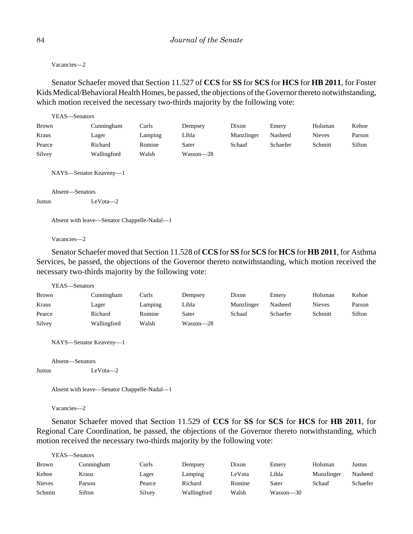Vacancies—2

Senator Schaefer moved that Section 11.527 of **CCS** for **SS** for **SCS** for **HCS** for **HB 2011**, for Foster Kids Medical/Behavioral Health Homes, be passed, the objections of the Governor thereto notwithstanding, which motion received the necessary two-thirds majority by the following vote:

| YEAS—Senators   |                                             |         |           |            |          |               |        |
|-----------------|---------------------------------------------|---------|-----------|------------|----------|---------------|--------|
| <b>Brown</b>    | Cunningham                                  | Curls   | Dempsey   | Dixon      | Emery    | Holsman       | Kehoe  |
| Kraus           | Lager                                       | Lamping | Libla     | Munzlinger | Nasheed  | <b>Nieves</b> | Parson |
| Pearce          | Richard                                     | Romine  | Sater     | Schaaf     | Schaefer | Schmitt       | Sifton |
| Silvey          | Wallingford                                 | Walsh   | Wasson-28 |            |          |               |        |
| Absent—Senators | NAYS—Senator Keaveny—1                      |         |           |            |          |               |        |
| Justus          | $LeVota-2$                                  |         |           |            |          |               |        |
|                 | Absent with leave—Senator Chappelle-Nadal—1 |         |           |            |          |               |        |

Vacancies—2

Senator Schaefer moved that Section 11.528 of **CCS** for **SS** for **SCS** for **HCS** for **HB 2011**, for Asthma Services, be passed, the objections of the Governor thereto notwithstanding, which motion received the necessary two-thirds majority by the following vote:

YEAS—Senators

| <b>Brown</b> | Cunningham  | Curls   | Dempsey   | Dixon      | Emery    | Holsman       | Kehoe  |
|--------------|-------------|---------|-----------|------------|----------|---------------|--------|
| Kraus        | Lager       | Lamping | Libla     | Munzlinger | Nasheed  | <b>Nieves</b> | Parson |
| Pearce       | Richard     | Romine  | Sater     | Schaaf     | Schaefer | Schmitt       | Sifton |
| Silvey       | Wallingford | Walsh   | Wasson—28 |            |          |               |        |

NAYS—Senator Keaveny—1

Absent—Senators

Justus LeVota—2

```
Absent with leave—Senator Chappelle-Nadal—1
```
Vacancies—2

Senator Schaefer moved that Section 11.529 of **CCS** for **SS** for **SCS** for **HCS** for **HB 2011**, for Regional Care Coordination, be passed, the objections of the Governor thereto notwithstanding, which motion received the necessary two-thirds majority by the following vote:

| YEAS—Senators |            |        |             |        |           |            |          |
|---------------|------------|--------|-------------|--------|-----------|------------|----------|
| <b>Brown</b>  | Cunningham | Curls  | Dempsey     | Dixon  | Emery     | Holsman    | Justus   |
| Kehoe         | Kraus      | Lager  | Lamping     | LeVota | Libla     | Munzlinger | Nasheed  |
| <b>Nieves</b> | Parson     | Pearce | Richard     | Romine | Sater     | Schaaf     | Schaefer |
| Schmitt       | Sifton     | Silvey | Wallingford | Walsh  | Wasson—30 |            |          |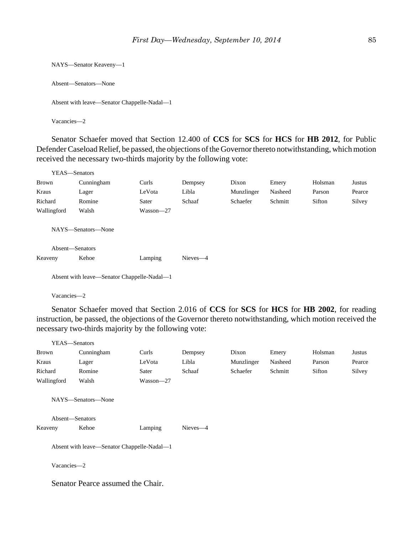```
NAYS—Senator Keaveny—1
Absent—Senators—None
Absent with leave—Senator Chappelle-Nadal—1
Vacancies—2
```
Senator Schaefer moved that Section 12.400 of **CCS** for **SCS** for **HCS** for **HB 2012**, for Public Defender Caseload Relief, be passed, the objections of the Governor thereto notwithstanding, which motion received the necessary two-thirds majority by the following vote:

| YEAS—Senators   |                    |           |          |            |         |         |        |
|-----------------|--------------------|-----------|----------|------------|---------|---------|--------|
| <b>Brown</b>    | Cunningham         | Curls     | Dempsey  | Dixon      | Emery   | Holsman | Justus |
| Kraus           | Lager              | LeVota    | Libla    | Munzlinger | Nasheed | Parson  | Pearce |
| Richard         | Romine             | Sater     | Schaaf   | Schaefer   | Schmitt | Sifton  | Silvey |
| Wallingford     | Walsh              | Wasson-27 |          |            |         |         |        |
|                 | NAYS—Senators—None |           |          |            |         |         |        |
| Absent-Senators |                    |           |          |            |         |         |        |
| Keaveny         | Kehoe              | Lamping   | Nieves-4 |            |         |         |        |
|                 |                    |           |          |            |         |         |        |

Absent with leave—Senator Chappelle-Nadal—1

Vacancies—2

Senator Schaefer moved that Section 2.016 of **CCS** for **SCS** for **HCS** for **HB 2002**, for reading instruction, be passed, the objections of the Governor thereto notwithstanding, which motion received the necessary two-thirds majority by the following vote:

| YEAS—Senators              |                                             |               |          |            |         |         |        |
|----------------------------|---------------------------------------------|---------------|----------|------------|---------|---------|--------|
| <b>Brown</b>               | Cunningham                                  | Curls         | Dempsey  | Dixon      | Emery   | Holsman | Justus |
| Kraus                      | Lager                                       | LeVota        | Libla    | Munzlinger | Nasheed | Parson  | Pearce |
| Richard                    | Romine                                      | Sater         | Schaaf   | Schaefer   | Schmitt | Sifton  | Silvey |
| Wallingford                | Walsh                                       | $Wasson - 27$ |          |            |         |         |        |
| Absent-Senators<br>Keaveny | NAYS—Senators—None<br>Kehoe                 | Lamping       | Nieves-4 |            |         |         |        |
|                            | Absent with leave—Senator Chappelle-Nadal—1 |               |          |            |         |         |        |
| Vacancies-2                |                                             |               |          |            |         |         |        |

Senator Pearce assumed the Chair.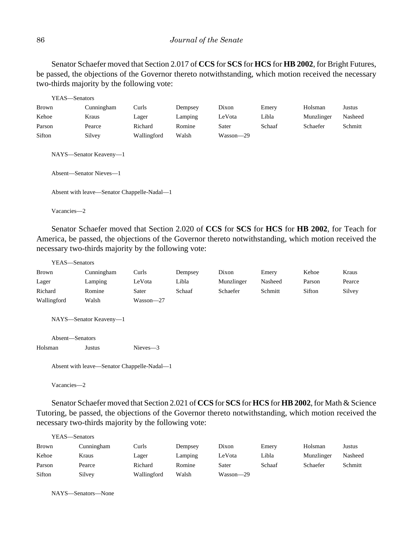Senator Schaefer moved that Section 2.017 of **CCS** for **SCS** for **HCS** for **HB 2002**, for Bright Futures, be passed, the objections of the Governor thereto notwithstanding, which motion received the necessary two-thirds majority by the following vote:

|              | YEAS—Senators                                     |             |         |           |        |            |         |
|--------------|---------------------------------------------------|-------------|---------|-----------|--------|------------|---------|
| <b>Brown</b> | Cunningham                                        | Curls       | Dempsey | Dixon     | Emery  | Holsman    | Justus  |
| Kehoe        | Kraus                                             | Lager       | Lamping | LeVota    | Libla  | Munzlinger | Nasheed |
| Parson       | Pearce                                            | Richard     | Romine  | Sater     | Schaaf | Schaefer   | Schmitt |
| Sifton       | Silvey                                            | Wallingford | Walsh   | Wasson-29 |        |            |         |
|              | NAYS—Senator Keaveny—1<br>Absent—Senator Nieves—1 |             |         |           |        |            |         |
|              | Absent with leave—Senator Chappelle-Nadal—1       |             |         |           |        |            |         |
| Vacancies-2  |                                                   |             |         |           |        |            |         |

Senator Schaefer moved that Section 2.020 of **CCS** for **SCS** for **HCS** for **HB 2002**, for Teach for America, be passed, the objections of the Governor thereto notwithstanding, which motion received the necessary two-thirds majority by the following vote:

| YEAS—Senators   |                                             |             |         |            |         |        |        |
|-----------------|---------------------------------------------|-------------|---------|------------|---------|--------|--------|
| Brown           | Cunningham                                  | Curls       | Dempsey | Dixon      | Emery   | Kehoe  | Kraus  |
| Lager           | Lamping                                     | LeVota      | Libla   | Munzlinger | Nasheed | Parson | Pearce |
| Richard         | Romine                                      | Sater       | Schaaf  | Schaefer   | Schmitt | Sifton | Silvey |
| Wallingford     | Walsh                                       | Wasson-27   |         |            |         |        |        |
| Absent-Senators | NAYS-Senator Keaveny-1                      |             |         |            |         |        |        |
| Holsman         | Justus                                      | $Nieves -3$ |         |            |         |        |        |
|                 | Absent with leave—Senator Chappelle-Nadal—1 |             |         |            |         |        |        |

Vacancies—2

Senator Schaefer moved that Section 2.021 of **CCS** for **SCS** for **HCS** for **HB 2002**, for Math & Science Tutoring, be passed, the objections of the Governor thereto notwithstanding, which motion received the necessary two-thirds majority by the following vote:

|              | YEAS—Senators |             |         |           |        |            |         |  |  |
|--------------|---------------|-------------|---------|-----------|--------|------------|---------|--|--|
| <b>Brown</b> | Cunningham    | Curls       | Dempsey | Dixon     | Emery  | Holsman    | Justus  |  |  |
| Kehoe        | Kraus         | Lager       | Lamping | LeVota    | Libla  | Munzlinger | Nasheed |  |  |
| Parson       | Pearce        | Richard     | Romine  | Sater     | Schaaf | Schaefer   | Schmitt |  |  |
| Sifton       | Silvey        | Wallingford | Walsh   | Wasson—29 |        |            |         |  |  |

NAYS—Senators—None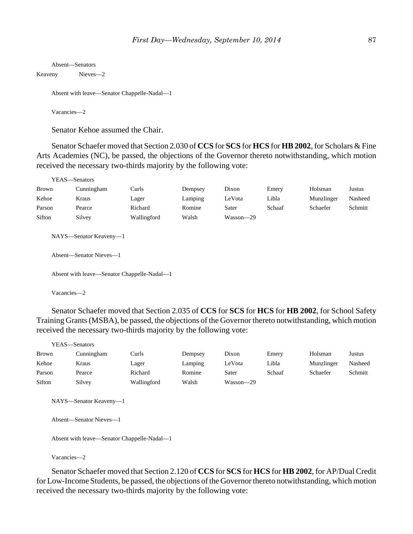```
Absent—Senators
Keaveny Nieves—2
    Absent with leave—Senator Chappelle-Nadal—1
```
Vacancies—2

Senator Kehoe assumed the Chair.

Senator Schaefer moved that Section 2.030 of **CCS** for **SCS** for **HCS** for **HB2002**, for Scholars & Fine Arts Academies (NC), be passed, the objections of the Governor thereto notwithstanding, which motion received the necessary two-thirds majority by the following vote:

|        | YEAS—Senators                                     |                                             |         |           |        |            |         |
|--------|---------------------------------------------------|---------------------------------------------|---------|-----------|--------|------------|---------|
| Brown  | Cunningham                                        | Curls                                       | Dempsey | Dixon     | Emery  | Holsman    | Justus  |
| Kehoe  | Kraus                                             | Lager                                       | Lamping | LeVota    | Libla  | Munzlinger | Nasheed |
| Parson | Pearce                                            | Richard                                     | Romine  | Sater     | Schaaf | Schaefer   | Schmitt |
| Sifton | Silvey                                            | Wallingford                                 | Walsh   | Wasson-29 |        |            |         |
|        | NAYS—Senator Keaveny—1<br>Absent—Senator Nieves—1 |                                             |         |           |        |            |         |
|        |                                                   | Absent with leave—Senator Chappelle-Nadal—1 |         |           |        |            |         |
|        | Vacancies-2                                       |                                             |         |           |        |            |         |

Senator Schaefer moved that Section 2.035 of **CCS** for **SCS** for **HCS** for **HB 2002**, for School Safety Training Grants (MSBA), be passed, the objections of the Governor thereto notwithstanding, which motion received the necessary two-thirds majority by the following vote:

| YEAS—Senators |            |             |         |           |        |            |         |
|---------------|------------|-------------|---------|-----------|--------|------------|---------|
| <b>Brown</b>  | Cunningham | Curls       | Dempsey | Dixon     | Emery  | Holsman    | Justus  |
| Kehoe         | Kraus      | Lager       | Lamping | LeVota    | Libla  | Munzlinger | Nasheed |
| Parson        | Pearce     | Richard     | Romine  | Sater     | Schaaf | Schaefer   | Schmitt |
| Sifton        | Silvey     | Wallingford | Walsh   | Wasson-29 |        |            |         |

NAYS—Senator Keaveny—1

Absent—Senator Nieves—1

Absent with leave—Senator Chappelle-Nadal—1

Vacancies—2

Senator Schaefer moved that Section 2.120 of **CCS** for **SCS** for **HCS** for **HB 2002**, for AP/Dual Credit for Low-Income Students, be passed, the objections of the Governor thereto notwithstanding, which motion received the necessary two-thirds majority by the following vote: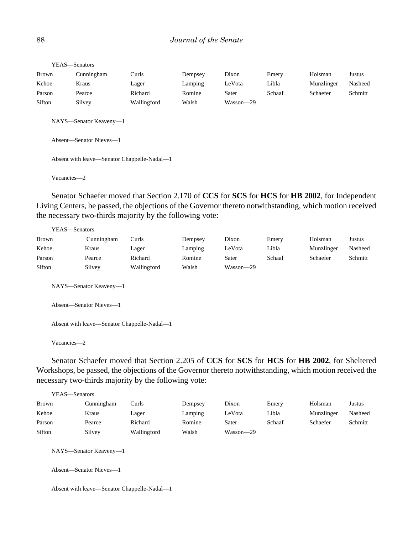| YEAS-Senators |                                             |             |         |           |        |            |         |  |  |
|---------------|---------------------------------------------|-------------|---------|-----------|--------|------------|---------|--|--|
| Brown         | Cunningham                                  | Curls       | Dempsey | Dixon     | Emery  | Holsman    | Justus  |  |  |
| Kehoe         | Kraus                                       | Lager       | Lamping | LeVota    | Libla  | Munzlinger | Nasheed |  |  |
| Parson        | Pearce                                      | Richard     | Romine  | Sater     | Schaaf | Schaefer   | Schmitt |  |  |
| Sifton        | Silvey                                      | Wallingford | Walsh   | Wasson-29 |        |            |         |  |  |
|               | NAYS-Senator Keaveny-1                      |             |         |           |        |            |         |  |  |
|               | Absent—Senator Nieves—1                     |             |         |           |        |            |         |  |  |
|               | Absent with leave—Senator Chappelle-Nadal—1 |             |         |           |        |            |         |  |  |
| Vacancies-2   |                                             |             |         |           |        |            |         |  |  |

Senator Schaefer moved that Section 2.170 of **CCS** for **SCS** for **HCS** for **HB 2002**, for Independent Living Centers, be passed, the objections of the Governor thereto notwithstanding, which motion received the necessary two-thirds majority by the following vote:

YEAS—Senators

| <b>Brown</b> | Cunningham | Curls       | Dempsey | Dixon     | Emery  | Holsman    | Justus  |
|--------------|------------|-------------|---------|-----------|--------|------------|---------|
| Kehoe        | Kraus      | Lager       | Lamping | LeVota    | Libla  | Munzlinger | Nasheed |
| Parson       | Pearce     | Richard     | Romine  | Sater     | Schaaf | Schaefer   | Schmitt |
| Sifton       | Silvey     | Wallingford | Walsh   | Wasson-29 |        |            |         |

NAYS—Senator Keaveny—1

Absent—Senator Nieves—1

Absent with leave—Senator Chappelle-Nadal—1

Vacancies—2

Senator Schaefer moved that Section 2.205 of **CCS** for **SCS** for **HCS** for **HB 2002**, for Sheltered Workshops, be passed, the objections of the Governor thereto notwithstanding, which motion received the necessary two-thirds majority by the following vote:

| YEAS—Senators |            |             |         |           |        |            |         |  |  |
|---------------|------------|-------------|---------|-----------|--------|------------|---------|--|--|
| <b>Brown</b>  | Cunningham | Curls       | Dempsey | Dixon     | Emery  | Holsman    | Justus  |  |  |
| Kehoe         | Kraus      | Lager       | Lamping | LeVota    | Libla  | Munzlinger | Nasheed |  |  |
| Parson        | Pearce     | Richard     | Romine  | Sater     | Schaaf | Schaefer   | Schmitt |  |  |
| Sifton        | Silvey     | Wallingford | Walsh   | Wasson—29 |        |            |         |  |  |

NAYS—Senator Keaveny—1

Absent—Senator Nieves—1

Absent with leave—Senator Chappelle-Nadal—1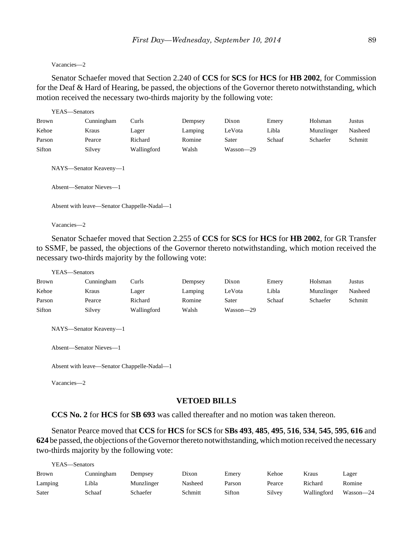#### Vacancies—2

Senator Schaefer moved that Section 2.240 of **CCS** for **SCS** for **HCS** for **HB 2002**, for Commission for the Deaf & Hard of Hearing, be passed, the objections of the Governor thereto notwithstanding, which motion received the necessary two-thirds majority by the following vote:

|        | YEAS-Senators                                                                                    |             |         |           |        |            |         |  |  |
|--------|--------------------------------------------------------------------------------------------------|-------------|---------|-----------|--------|------------|---------|--|--|
| Brown  | Cunningham                                                                                       | Curls       | Dempsey | Dixon     | Emery  | Holsman    | Justus  |  |  |
| Kehoe  | Kraus                                                                                            | Lager       | Lamping | LeVota    | Libla  | Munzlinger | Nasheed |  |  |
| Parson | Pearce                                                                                           | Richard     | Romine  | Sater     | Schaaf | Schaefer   | Schmitt |  |  |
| Sifton | Silvey                                                                                           | Wallingford | Walsh   | Wasson-29 |        |            |         |  |  |
|        | NAYS-Senator Keaveny-1<br>Absent—Senator Nieves—1<br>Absent with leave—Senator Chappelle-Nadal—1 |             |         |           |        |            |         |  |  |

Vacancies—2

Senator Schaefer moved that Section 2.255 of **CCS** for **SCS** for **HCS** for **HB 2002**, for GR Transfer to SSMF, be passed, the objections of the Governor thereto notwithstanding, which motion received the necessary two-thirds majority by the following vote:

```
YEAS—Senators
```

| Brown  | Cunningham | Curls       | Dempsey | Dixon     | Emery  | Holsman    | Justus  |
|--------|------------|-------------|---------|-----------|--------|------------|---------|
| Kehoe  | Kraus      | Lager       | Lamping | LeVota    | Libla  | Munzlinger | Nasheed |
| Parson | Pearce     | Richard     | Romine  | Sater     | Schaaf | Schaefer   | Schmitt |
| Sifton | Silvey     | Wallingford | Walsh   | Wasson-29 |        |            |         |

NAYS—Senator Keaveny—1

Absent—Senator Nieves—1

Absent with leave—Senator Chappelle-Nadal—1

Vacancies—2

 $Y = 16$ 

## **VETOED BILLS**

**CCS No. 2** for **HCS** for **SB 693** was called thereafter and no motion was taken thereon.

Senator Pearce moved that **CCS** for **HCS** for **SCS** for **SBs 493**, **485**, **495**, **516**, **534**, **545**, **595**, **616** and **624** be passed, the objections of the Governor thereto notwithstanding, which motion received the necessary two-thirds majority by the following vote:

| r EAS—Senators |            |            |         |        |        |             |           |
|----------------|------------|------------|---------|--------|--------|-------------|-----------|
| <b>Brown</b>   | Cunningham | Dempsey    | Dixon   | Emerv  | Kehoe  | Kraus       | Lager     |
| Lamping        | Libla      | Munzlinger | Nasheed | Parson | Pearce | Richard     | Romine    |
| Sater          | Schaaf     | Schaefer   | Schmitt | Sifton | Silvey | Wallingford | Wasson-24 |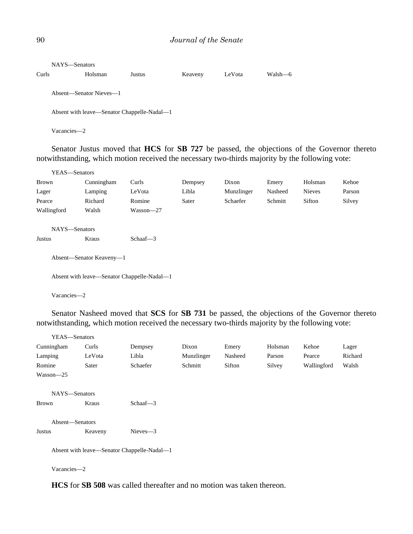|       | NAYS—Senators           |         |                                             |         |        |         |
|-------|-------------------------|---------|---------------------------------------------|---------|--------|---------|
| Curls |                         | Holsman | Justus                                      | Keaveny | LeVota | Walsh-6 |
|       | Absent—Senator Nieves—1 |         |                                             |         |        |         |
|       |                         |         | Absent with leave—Senator Chappelle-Nadal—1 |         |        |         |
|       | Vacancies-2             |         |                                             |         |        |         |

Senator Justus moved that **HCS** for **SB 727** be passed, the objections of the Governor thereto notwithstanding, which motion received the necessary two-thirds majority by the following vote:

| YEAS-Senators |                          |             |         |            |         |               |        |
|---------------|--------------------------|-------------|---------|------------|---------|---------------|--------|
| Brown         | Cunningham               | Curls       | Dempsey | Dixon      | Emery   | Holsman       | Kehoe  |
| Lager         | Lamping                  | LeVota      | Libla   | Munzlinger | Nasheed | <b>Nieves</b> | Parson |
| Pearce        | Richard                  | Romine      | Sater   | Schaefer   | Schmitt | Sifton        | Silvey |
| Wallingford   | Walsh                    | Wasson-27   |         |            |         |               |        |
| NAYS-Senators |                          |             |         |            |         |               |        |
| Justus        | Kraus                    | Schaaf $-3$ |         |            |         |               |        |
|               | Absent—Senator Keaveny—1 |             |         |            |         |               |        |

Absent with leave—Senator Chappelle-Nadal—1

Vacancies—2

Senator Nasheed moved that **SCS** for **SB 731** be passed, the objections of the Governor thereto notwithstanding, which motion received the necessary two-thirds majority by the following vote:

| YEAS-Senators   |                                             |             |            |         |         |             |         |
|-----------------|---------------------------------------------|-------------|------------|---------|---------|-------------|---------|
| Cunningham      | Curls                                       | Dempsey     | Dixon      | Emery   | Holsman | Kehoe       | Lager   |
| Lamping         | LeVota                                      | Libla       | Munzlinger | Nasheed | Parson  | Pearce      | Richard |
| Romine          | Sater                                       | Schaefer    | Schmitt    | Sifton  | Silvey  | Wallingford | Walsh   |
| Wasson—25       |                                             |             |            |         |         |             |         |
| NAYS-Senators   |                                             |             |            |         |         |             |         |
| <b>Brown</b>    | Kraus                                       | Schaaf $-3$ |            |         |         |             |         |
| Absent-Senators |                                             |             |            |         |         |             |         |
| Justus          | Keaveny                                     | $Nieves -3$ |            |         |         |             |         |
|                 | Absent with leave—Senator Chappelle-Nadal—1 |             |            |         |         |             |         |

Vacancies—2

**HCS** for **SB 508** was called thereafter and no motion was taken thereon.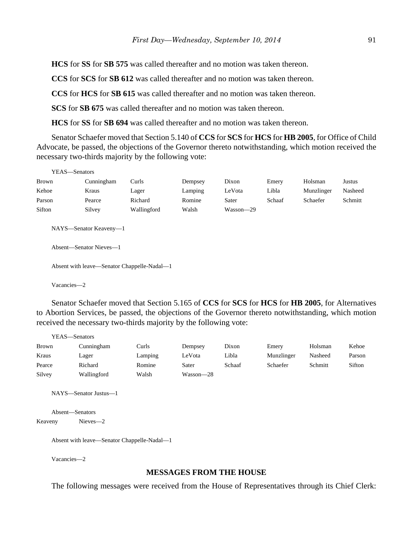**HCS** for **SS** for **SB 575** was called thereafter and no motion was taken thereon.

**CCS** for **SCS** for **SB 612** was called thereafter and no motion was taken thereon.

**CCS** for **HCS** for **SB 615** was called thereafter and no motion was taken thereon.

**SCS** for **SB 675** was called thereafter and no motion was taken thereon.

**HCS** for **SS** for **SB 694** was called thereafter and no motion was taken thereon.

Senator Schaefer moved that Section 5.140 of **CCS** for **SCS** for **HCS** for **HB 2005**, for Office of Child Advocate, be passed, the objections of the Governor thereto notwithstanding, which motion received the necessary two-thirds majority by the following vote:

| YEAS—Senators |                         |             |         |               |        |            |         |
|---------------|-------------------------|-------------|---------|---------------|--------|------------|---------|
| Brown         | Cunningham              | Curls       | Dempsey | Dixon         | Emery  | Holsman    | Justus  |
| Kehoe         | Kraus                   | Lager       | Lamping | LeVota        | Libla  | Munzlinger | Nasheed |
| Parson        | Pearce                  | Richard     | Romine  | Sater         | Schaaf | Schaefer   | Schmitt |
| Sifton        | Silvey                  | Wallingford | Walsh   | $Wasson - 29$ |        |            |         |
|               | NAYS—Senator Keaveny—1  |             |         |               |        |            |         |
|               | Absent—Senator Nieves—1 |             |         |               |        |            |         |

Absent with leave—Senator Chappelle-Nadal—1

Vacancies—2

Senator Schaefer moved that Section 5.165 of **CCS** for **SCS** for **HCS** for **HB 2005**, for Alternatives to Abortion Services, be passed, the objections of the Governor thereto notwithstanding, which motion received the necessary two-thirds majority by the following vote:

| YEAS—Senators |             |         |           |        |            |         |        |
|---------------|-------------|---------|-----------|--------|------------|---------|--------|
| <b>Brown</b>  | Cunningham  | Curls   | Dempsey   | Dixon  | Emery      | Holsman | Kehoe  |
| Kraus         | Lager       | Lamping | LeVota    | Libla  | Munzlinger | Nasheed | Parson |
| Pearce        | Richard     | Romine  | Sater     | Schaaf | Schaefer   | Schmitt | Sifton |
| Silvey        | Wallingford | Walsh   | Wasson-28 |        |            |         |        |

NAYS—Senator Justus—1

Absent—Senators Keaveny Nieves—2

Absent with leave—Senator Chappelle-Nadal—1

Vacancies—2

### **MESSAGES FROM THE HOUSE**

The following messages were received from the House of Representatives through its Chief Clerk: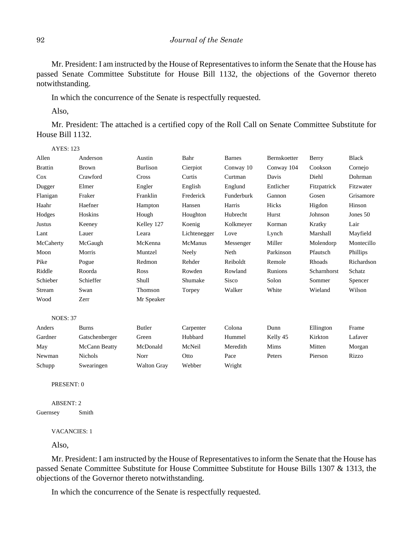Mr. President: I am instructed by the House of Representatives to inform the Senate that the House has passed Senate Committee Substitute for House Bill 1132, the objections of the Governor thereto notwithstanding.

In which the concurrence of the Senate is respectfully requested.

Also,

AYES: 123

Mr. President: The attached is a certified copy of the Roll Call on Senate Committee Substitute for House Bill 1132.

| Allen           | Anderson       | Austin             | Bahr           | <b>Barnes</b> | Bernskoetter | Berry       | <b>Black</b> |
|-----------------|----------------|--------------------|----------------|---------------|--------------|-------------|--------------|
| <b>Brattin</b>  | <b>Brown</b>   | <b>Burlison</b>    | Cierpiot       | Conway 10     | Conway 104   | Cookson     | Cornejo      |
| Cox             | Crawford       | <b>Cross</b>       | Curtis         | Curtman       | Davis        | Diehl       | Dohrman      |
| Dugger          | Elmer          | Engler             | English        | Englund       | Entlicher    | Fitzpatrick | Fitzwater    |
| Flanigan        | Fraker         | Franklin           | Frederick      | Funderburk    | Gannon       | Gosen       | Grisamore    |
| Haahr           | Haefner        | Hampton            | Hansen         | Harris        | Hicks        | Higdon      | Hinson       |
| Hodges          | Hoskins        | Hough              | Houghton       | Hubrecht      | Hurst        | Johnson     | Jones 50     |
| <b>Justus</b>   | Keeney         | Kelley 127         | Koenig         | Kolkmeyer     | Korman       | Kratky      | Lair         |
| Lant            | Lauer          | Leara              | Lichtenegger   | Love          | Lynch        | Marshall    | Mayfield     |
| McCaherty       | McGaugh        | McKenna            | <b>McManus</b> | Messenger     | Miller       | Molendorp   | Montecillo   |
| Moon            | Morris         | Muntzel            | Neely          | Neth          | Parkinson    | Pfautsch    | Phillips     |
| Pike            | Pogue          | Redmon             | Rehder         | Reiboldt      | Remole       | Rhoads      | Richardson   |
| Riddle          | Roorda         | Ross               | Rowden         | Rowland       | Runions      | Scharnhorst | Schatz       |
| Schieber        | Schieffer      | Shull              | Shumake        | Sisco         | Solon        | Sommer      | Spencer      |
| Stream          | Swan           | Thomson            | Torpey         | Walker        | White        | Wieland     | Wilson       |
| Wood            | Zerr           | Mr Speaker         |                |               |              |             |              |
| <b>NOES: 37</b> |                |                    |                |               |              |             |              |
| Anders          | <b>Burns</b>   | Butler             | Carpenter      | Colona        | Dunn         | Ellington   | Frame        |
| Gardner         | Gatschenberger | Green              | Hubbard        | Hummel        | Kelly 45     | Kirkton     | Lafaver      |
| May             | McCann Beatty  | McDonald           | McNeil         | Meredith      | Mims         | Mitten      | Morgan       |
| Newman          | <b>Nichols</b> | Norr               | Otto           | Pace          | Peters       | Pierson     | Rizzo        |
| Schupp          | Swearingen     | <b>Walton Gray</b> | Webber         | Wright        |              |             |              |

PRESENT: 0

ABSENT: 2 Guernsey Smith

VACANCIES: 1

Also,

Mr. President: I am instructed by the House of Representatives to inform the Senate that the House has passed Senate Committee Substitute for House Committee Substitute for House Bills 1307 & 1313, the objections of the Governor thereto notwithstanding.

In which the concurrence of the Senate is respectfully requested.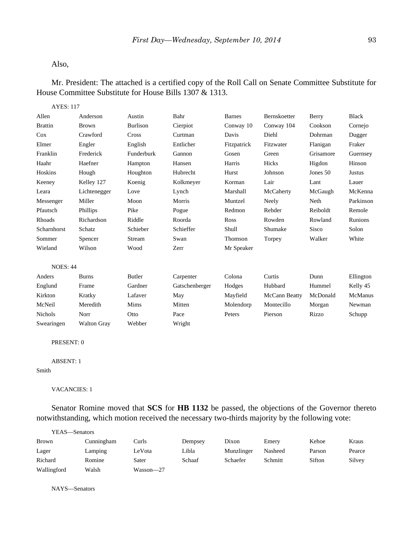#### Also,

# Mr. President: The attached is a certified copy of the Roll Call on Senate Committee Substitute for House Committee Substitute for House Bills 1307 & 1313.

AYES: 117

| Allen           | Anderson        | Austin     | Bahr      | Barnes      | Bernskoetter | Berry     | Black     |
|-----------------|-----------------|------------|-----------|-------------|--------------|-----------|-----------|
| <b>Brattin</b>  | Brown           | Burlison   | Cierpiot  | Conway 10   | Conway 104   | Cookson   | Cornejo   |
| Cox             | Crawford        | Cross      | Curtman   | Davis       | Diehl        | Dohrman   | Dugger    |
| Elmer           | Engler          | English    | Entlicher | Fitzpatrick | Fitzwater    | Flanigan  | Fraker    |
| Franklin        | Frederick       | Funderburk | Gannon    | Gosen       | Green        | Grisamore | Guernsey  |
| Haahr           | Haefner         | Hampton    | Hansen    | Harris      | Hicks        | Higdon    | Hinson    |
| Hoskins         | Hough           | Houghton   | Hubrecht  | Hurst       | Johnson      | Jones 50  | Justus    |
| Keeney          | Kelley 127      | Koenig     | Kolkmeyer | Korman      | Lair         | Lant      | Lauer     |
| Leara           | Lichtenegger    | Love       | Lynch     | Marshall    | McCaherty    | McGaugh   | McKenna   |
| Messenger       | Miller          | Moon       | Morris    | Muntzel     | Neely        | Neth      | Parkinson |
| Pfautsch        | <b>Phillips</b> | Pike       | Pogue     | Redmon      | Rehder       | Reiboldt  | Remole    |
| Rhoads          | Richardson      | Riddle     | Roorda    | Ross        | Rowden       | Rowland   | Runions   |
| Scharnhorst     | Schatz          | Schieber   | Schieffer | Shull       | Shumake      | Sisco     | Solon     |
| Sommer          | Spencer         | Stream     | Swan      | Thomson     | Torpey       | Walker    | White     |
| Wieland         | Wilson          | Wood       | Zerr      | Mr Speaker  |              |           |           |
|                 |                 |            |           |             |              |           |           |
| <b>NOES: 44</b> |                 |            |           |             |              |           |           |

| Anders         | <b>Burns</b>       | Butler  | Carpenter      | Colona    | Curtis        | Dunn     | Ellington |
|----------------|--------------------|---------|----------------|-----------|---------------|----------|-----------|
| Englund        | Frame              | Gardner | Gatschenberger | Hodges    | Hubbard       | Hummel   | Kelly 45  |
| Kirkton        | Kratky             | Lafaver | May            | Mayfield  | McCann Beatty | McDonald | McManus   |
| McNeil         | Meredith           | Mims    | Mitten         | Molendorp | Montecillo    | Morgan   | Newman    |
| <b>Nichols</b> | Norr               | Otto    | Pace           | Peters    | Pierson       | Rizzo    | Schupp    |
| Swearingen     | <b>Walton Gray</b> | Webber  | Wright         |           |               |          |           |

PRESENT: 0

```
ABSENT: 1
```
Smith

### VACANCIES: 1

Senator Romine moved that **SCS** for **HB 1132** be passed, the objections of the Governor thereto notwithstanding, which motion received the necessary two-thirds majority by the following vote:

| YEAS—Senators |            |           |         |            |         |        |        |
|---------------|------------|-----------|---------|------------|---------|--------|--------|
| <b>Brown</b>  | Cunningham | Curls     | Dempsey | Dixon      | Emery   | Kehoe  | Kraus  |
| Lager         | Lamping    | LeVota    | Libla   | Munzlinger | Nasheed | Parson | Pearce |
| Richard       | Romine     | Sater     | Schaaf  | Schaefer   | Schmitt | Sifton | Silvey |
| Wallingford   | Walsh      | Wasson—27 |         |            |         |        |        |

NAYS—Senators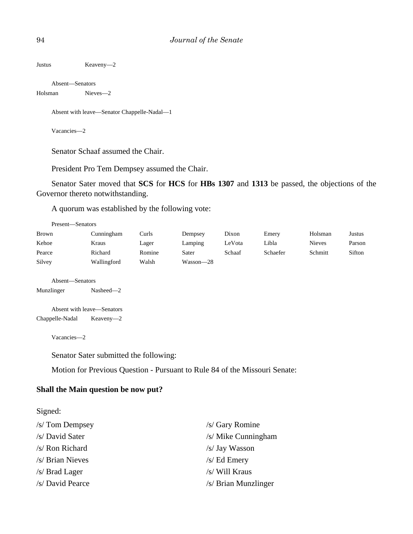Justus Keaveny—2

Absent—Senators Holsman Nieves—2

Absent with leave—Senator Chappelle-Nadal—1

Vacancies—2

Senator Schaaf assumed the Chair.

President Pro Tem Dempsey assumed the Chair.

Senator Sater moved that **SCS** for **HCS** for **HBs 1307** and **1313** be passed, the objections of the Governor thereto notwithstanding.

A quorum was established by the following vote:

| Present-Senators |             |        |           |        |          |               |        |
|------------------|-------------|--------|-----------|--------|----------|---------------|--------|
| Brown            | Cunningham  | Curls  | Dempsey   | Dixon  | Emery    | Holsman       | Justus |
| Kehoe            | Kraus       | Lager  | Lamping   | LeVota | Libla    | <b>Nieves</b> | Parson |
| Pearce           | Richard     | Romine | Sater     | Schaaf | Schaefer | Schmitt       | Sifton |
| Silvey           | Wallingford | Walsh  | Wasson—28 |        |          |               |        |
| Absent—Senators  |             |        |           |        |          |               |        |
| Munzlinger       | $Nashed -2$ |        |           |        |          |               |        |

Absent with leave—Senators Chappelle-Nadal Keaveny—2

Vacancies—2

Senator Sater submitted the following:

Motion for Previous Question - Pursuant to Rule 84 of the Missouri Senate:

## **Shall the Main question be now put?**

Signed:

| /s/ Tom Dempsey  | /s/ Gary Romine      |
|------------------|----------------------|
| /s/ David Sater  | /s/ Mike Cunningham  |
| /s/ Ron Richard  | /s/ Jay Wasson       |
| /s/ Brian Nieves | $/s$ Ed Emery        |
| $/s/$ Brad Lager | /s/ Will Kraus       |
| /s/ David Pearce | /s/ Brian Munzlinger |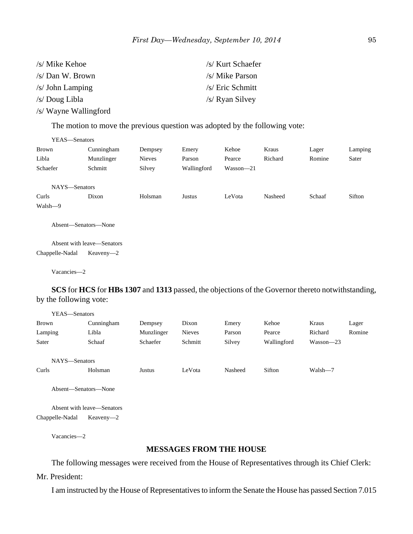| /s/ Mike Kehoe        | /s/ Kurt Schaefer |
|-----------------------|-------------------|
| $/s/Dan$ W. Brown     | /s/ Mike Parson   |
| $/s/$ John Lamping    | /s/ Eric Schmitt  |
| /s/ Doug Libla        | /s/ Ryan Silvey   |
| /s/ Wayne Wallingford |                   |

The motion to move the previous question was adopted by the following vote:

| YEAS—Senators        |                            |               |             |               |         |        |         |
|----------------------|----------------------------|---------------|-------------|---------------|---------|--------|---------|
| Brown                | Cunningham                 | Dempsey       | Emery       | Kehoe         | Kraus   | Lager  | Lamping |
| Libla                | Munzlinger                 | <b>Nieves</b> | Parson      | Pearce        | Richard | Romine | Sater   |
| Schaefer             | Schmitt                    | Silvey        | Wallingford | $Wasson - 21$ |         |        |         |
| NAYS-Senators        |                            |               |             |               |         |        |         |
| Curls                | Dixon                      | Holsman       | Justus      | LeVota        | Nasheed | Schaaf | Sifton  |
| Walsh-9              |                            |               |             |               |         |        |         |
| Absent—Senators—None |                            |               |             |               |         |        |         |
|                      | Absent with leave—Senators |               |             |               |         |        |         |
| Chappelle-Nadal      | $Keaveny-2$                |               |             |               |         |        |         |

Vacancies—2

**SCS** for **HCS** for **HBs 1307** and **1313** passed, the objections of the Governor thereto notwithstanding, by the following vote:

| YEAS—Senators |            |            |               |         |             |               |        |
|---------------|------------|------------|---------------|---------|-------------|---------------|--------|
| <b>Brown</b>  | Cunningham | Dempsey    | Dixon         | Emery   | Kehoe       | Kraus         | Lager  |
| Lamping       | Libla      | Munzlinger | <b>Nieves</b> | Parson  | Pearce      | Richard       | Romine |
| Sater         | Schaaf     | Schaefer   | Schmitt       | Silvey  | Wallingford | $Wasson - 23$ |        |
| NAYS-Senators |            |            |               |         |             |               |        |
| Curls         | Holsman    | Justus     | LeVota        | Nasheed | Sifton      | Walsh-7       |        |

Absent—Senators—None

Absent with leave—Senators Chappelle-Nadal Keaveny—2

Vacancies—2

### **MESSAGES FROM THE HOUSE**

The following messages were received from the House of Representatives through its Chief Clerk: Mr. President:

I am instructed by the House of Representatives to inform the Senate the House has passed Section 7.015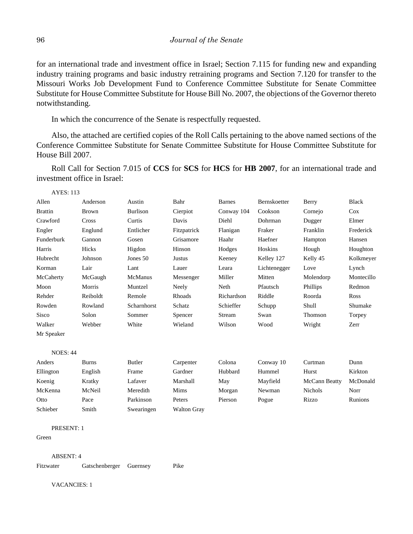for an international trade and investment office in Israel; Section 7.115 for funding new and expanding industry training programs and basic industry retraining programs and Section 7.120 for transfer to the Missouri Works Job Development Fund to Conference Committee Substitute for Senate Committee Substitute for House Committee Substitute for House Bill No. 2007, the objections of the Governor thereto notwithstanding.

In which the concurrence of the Senate is respectfully requested.

Also, the attached are certified copies of the Roll Calls pertaining to the above named sections of the Conference Committee Substitute for Senate Committee Substitute for House Committee Substitute for House Bill 2007.

Roll Call for Section 7.015 of **CCS** for **SCS** for **HCS** for **HB 2007**, for an international trade and investment office in Israel:

AYES: 113

| Allen           | Anderson     | Austin          | Bahr        | Barnes     | Bernskoetter | Berry     | <b>Black</b> |
|-----------------|--------------|-----------------|-------------|------------|--------------|-----------|--------------|
| <b>Brattin</b>  | Brown        | <b>Burlison</b> | Cierpiot    | Conway 104 | Cookson      | Cornejo   | Cox          |
| Crawford        | Cross        | Curtis          | Davis       | Diehl      | Dohrman      | Dugger    | Elmer        |
| Engler          | Englund      | Entlicher       | Fitzpatrick | Flanigan   | Fraker       | Franklin  | Frederick    |
| Funderburk      | Gannon       | Gosen           | Grisamore   | Haahr      | Haefner      | Hampton   | Hansen       |
| Harris          | Hicks        | Higdon          | Hinson      | Hodges     | Hoskins      | Hough     | Houghton     |
| Hubrecht        | Johnson      | Jones 50        | Justus      | Keeney     | Kelley 127   | Kelly 45  | Kolkmeyer    |
| Korman          | Lair         | Lant            | Lauer       | Leara      | Lichtenegger | Love      | Lynch        |
| McCaherty       | McGaugh      | McManus         | Messenger   | Miller     | Mitten       | Molendorp | Montecillo   |
| Moon            | Morris       | Muntzel         | Neely       | Neth       | Pfautsch     | Phillips  | Redmon       |
| Rehder          | Reiboldt     | Remole          | Rhoads      | Richardson | Riddle       | Roorda    | <b>Ross</b>  |
| Rowden          | Rowland      | Scharnhorst     | Schatz      | Schieffer  | Schupp       | Shull     | Shumake      |
| <b>Sisco</b>    | Solon        | Sommer          | Spencer     | Stream     | Swan         | Thomson   | Torpey       |
| Walker          | Webber       | White           | Wieland     | Wilson     | Wood         | Wright    | Zerr         |
| Mr Speaker      |              |                 |             |            |              |           |              |
| <b>NOES: 44</b> |              |                 |             |            |              |           |              |
| Anders          | <b>Burns</b> | Butler          | Carpenter   | Colona     | Conway 10    | Curtman   | Dunn         |

| Anders    | Burns   | Butler     | Carpenter   | Colona  | Conway 10 | Curtman        | Dunn     |
|-----------|---------|------------|-------------|---------|-----------|----------------|----------|
| Ellington | English | Frame      | Gardner     | Hubbard | Hummel    | Hurst          | Kirkton  |
| Koenig    | Kratky  | Lafaver    | Marshall    | May     | Mayfield  | McCann Beatty  | McDonald |
| McKenna   | McNeil  | Meredith   | Mims        | Morgan  | Newman    | <b>Nichols</b> | Norr     |
| Otto      | Pace    | Parkinson  | Peters      | Pierson | Pogue     | Rizzo          | Runions  |
| Schieber  | Smith   | Swearingen | Walton Gray |         |           |                |          |

PRESENT: 1

Green

ABSENT: 4

Fitzwater Gatschenberger Guernsey Pike

VACANCIES: 1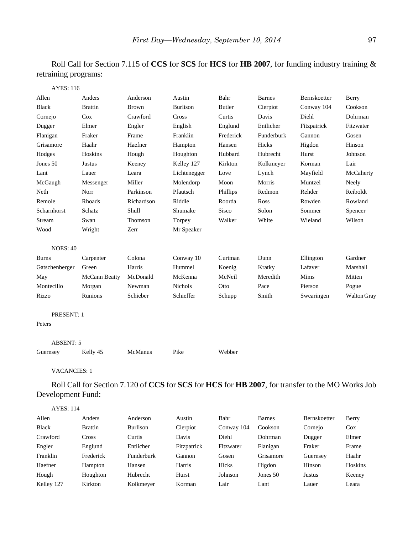Roll Call for Section 7.115 of **CCS** for **SCS** for **HCS** for **HB 2007**, for funding industry training & retraining programs:

| <b>AYES: 116</b>  |                |              |                 |               |               |              |             |
|-------------------|----------------|--------------|-----------------|---------------|---------------|--------------|-------------|
| Allen             | Anders         | Anderson     | Austin          | Bahr          | <b>Barnes</b> | Bernskoetter | Berry       |
| <b>Black</b>      | <b>Brattin</b> | <b>Brown</b> | <b>Burlison</b> | <b>Butler</b> | Cierpiot      | Conway 104   | Cookson     |
| Cornejo           | Cox            | Crawford     | Cross           | Curtis        | Davis         | Diehl        | Dohrman     |
| Dugger            | Elmer          | Engler       | English         | Englund       | Entlicher     | Fitzpatrick  | Fitzwater   |
| Flanigan          | Fraker         | Frame        | Franklin        | Frederick     | Funderburk    | Gannon       | Gosen       |
| Grisamore         | Haahr          | Haefner      | Hampton         | Hansen        | Hicks         | Higdon       | Hinson      |
| Hodges            | Hoskins        | Hough        | Houghton        | Hubbard       | Hubrecht      | Hurst        | Johnson     |
| Jones 50          | Justus         | Keeney       | Kelley 127      | Kirkton       | Kolkmeyer     | Korman       | Lair        |
| Lant              | Lauer          | Leara        | Lichtenegger    | Love          | Lynch         | Mayfield     | McCaherty   |
| McGaugh           | Messenger      | Miller       | Molendorp       | Moon          | Morris        | Muntzel      | Neely       |
| Neth              | Norr           | Parkinson    | Pfautsch        | Phillips      | Redmon        | Rehder       | Reiboldt    |
| Remole            | Rhoads         | Richardson   | Riddle          | Roorda        | Ross          | Rowden       | Rowland     |
| Scharnhorst       | Schatz         | Shull        | Shumake         | Sisco         | Solon         | Sommer       | Spencer     |
| Stream            | Swan           | Thomson      | Torpey          | Walker        | White         | Wieland      | Wilson      |
| Wood              | Wright         | Zerr         | Mr Speaker      |               |               |              |             |
| <b>NOES: 40</b>   |                |              |                 |               |               |              |             |
| <b>Burns</b>      | Carpenter      | Colona       | Conway 10       | Curtman       | Dunn          | Ellington    | Gardner     |
| Gatschenberger    | Green          | Harris       | Hummel          | Koenig        | Kratky        | Lafaver      | Marshall    |
| May               | McCann Beatty  | McDonald     | McKenna         | McNeil        | Meredith      | Mims         | Mitten      |
| Montecillo        | Morgan         | Newman       | Nichols         | Otto          | Pace          | Pierson      | Pogue       |
| Rizzo             | Runions        | Schieber     | Schieffer       | Schupp        | Smith         | Swearingen   | Walton Gray |
| <b>PRESENT: 1</b> |                |              |                 |               |               |              |             |
| Peters            |                |              |                 |               |               |              |             |
| <b>ABSENT: 5</b>  |                |              |                 |               |               |              |             |
| Guernsey          | Kelly 45       | McManus      | Pike            | Webber        |               |              |             |
|                   |                |              |                 |               |               |              |             |

VACANCIES: 1

Roll Call for Section 7.120 of **CCS** for **SCS** for **HCS** for **HB 2007**, for transfer to the MO Works Job Development Fund:

| <b>AYES: 114</b> |                |                 |             |            |               |              |         |
|------------------|----------------|-----------------|-------------|------------|---------------|--------------|---------|
| Allen            | Anders         | Anderson        | Austin      | Bahr       | <b>Barnes</b> | Bernskoetter | Berry   |
| Black            | <b>Brattin</b> | <b>Burlison</b> | Cierpiot    | Conway 104 | Cookson       | Cornejo      | $\cos$  |
| Crawford         | Cross          | Curtis          | Davis       | Diehl      | Dohrman       | Dugger       | Elmer   |
| Engler           | Englund        | Entlicher       | Fitzpatrick | Fitzwater  | Flanigan      | Fraker       | Frame   |
| Franklin         | Frederick      | Funderburk      | Gannon      | Gosen      | Grisamore     | Guernsey     | Haahr   |
| Haefner          | Hampton        | Hansen          | Harris      | Hicks      | Higdon        | Hinson       | Hoskins |
| Hough            | Houghton       | Hubrecht        | Hurst       | Johnson    | Jones 50      | Justus       | Keeney  |
| Kelley 127       | Kirkton        | Kolkmeyer       | Korman      | Lair       | Lant          | Lauer        | Leara   |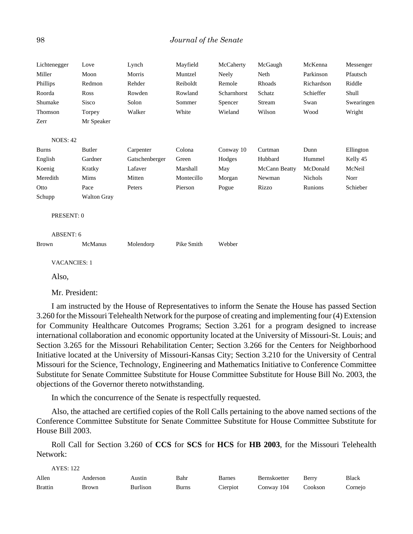| Lichtenegger        | Love               | Lynch          | Mayfield   | McCaherty   | McGaugh       | McKenna        | Messenger  |
|---------------------|--------------------|----------------|------------|-------------|---------------|----------------|------------|
| Miller              | Moon               | Morris         | Muntzel    | Neely       | Neth          | Parkinson      | Pfautsch   |
| Phillips            | Redmon             | Rehder         | Reiboldt   | Remole      | Rhoads        | Richardson     | Riddle     |
| Roorda              | Ross               | Rowden         | Rowland    | Scharnhorst | Schatz        | Schieffer      | Shull      |
| Shumake             | <b>Sisco</b>       | Solon          | Sommer     | Spencer     | Stream        | Swan           | Swearingen |
| Thomson             | Torpey             | Walker         | White      | Wieland     | Wilson        | Wood           | Wright     |
| Zerr                | Mr Speaker         |                |            |             |               |                |            |
|                     |                    |                |            |             |               |                |            |
| <b>NOES: 42</b>     |                    |                |            |             |               |                |            |
| <b>Burns</b>        | <b>Butler</b>      | Carpenter      | Colona     | Conway 10   | Curtman       | Dunn           | Ellington  |
| English             | Gardner            | Gatschenberger | Green      | Hodges      | Hubbard       | Hummel         | Kelly 45   |
| Koenig              | Kratky             | Lafaver        | Marshall   | May         | McCann Beatty | McDonald       | McNeil     |
| Meredith            | Mims               | Mitten         | Montecillo | Morgan      | Newman        | <b>Nichols</b> | Norr       |
| Otto                | Pace               | Peters         | Pierson    | Pogue       | Rizzo         | Runions        | Schieber   |
| Schupp              | <b>Walton Gray</b> |                |            |             |               |                |            |
|                     |                    |                |            |             |               |                |            |
| PRESENT: 0          |                    |                |            |             |               |                |            |
| ABSENT: 6           |                    |                |            |             |               |                |            |
| <b>Brown</b>        | McManus            | Molendorp      | Pike Smith | Webber      |               |                |            |
|                     |                    |                |            |             |               |                |            |
| <b>VACANCIES: 1</b> |                    |                |            |             |               |                |            |

Also,

Mr. President:

I am instructed by the House of Representatives to inform the Senate the House has passed Section 3.260 for the Missouri Telehealth Network for the purpose of creating and implementing four (4) Extension for Community Healthcare Outcomes Programs; Section 3.261 for a program designed to increase international collaboration and economic opportunity located at the University of Missouri-St. Louis; and Section 3.265 for the Missouri Rehabilitation Center; Section 3.266 for the Centers for Neighborhood Initiative located at the University of Missouri-Kansas City; Section 3.210 for the University of Central Missouri for the Science, Technology, Engineering and Mathematics Initiative to Conference Committee Substitute for Senate Committee Substitute for House Committee Substitute for House Bill No. 2003, the objections of the Governor thereto notwithstanding.

In which the concurrence of the Senate is respectfully requested.

Also, the attached are certified copies of the Roll Calls pertaining to the above named sections of the Conference Committee Substitute for Senate Committee Substitute for House Committee Substitute for House Bill 2003.

Roll Call for Section 3.260 of **CCS** for **SCS** for **HCS** for **HB 2003**, for the Missouri Telehealth Network:

| AYES: 122      |          |          |       |          |              |         |              |  |  |
|----------------|----------|----------|-------|----------|--------------|---------|--------------|--|--|
| Allen          | Anderson | Austın   | Bahr  | Barnes   | Bernskoetter | Berry   | <b>Black</b> |  |  |
| <b>Brattin</b> | Brown    | Burlison | Burns | Cierpiot | Conway 104   | Cookson | Corneio      |  |  |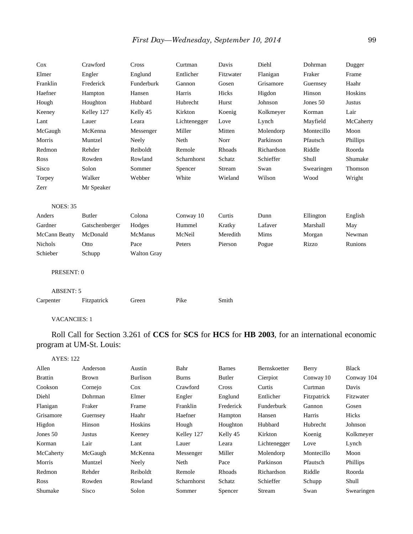| Cox                 | Crawford       | Cross              | Curtman      | Davis     | Diehl      | Dohrman    | Dugger        |
|---------------------|----------------|--------------------|--------------|-----------|------------|------------|---------------|
| Elmer               | Engler         | Englund            | Entlicher    | Fitzwater | Flanigan   | Fraker     | Frame         |
| Franklin            | Frederick      | Funderburk         | Gannon       | Gosen     | Grisamore  | Guernsey   | Haahr         |
| Haefner             | Hampton        | Hansen             | Harris       | Hicks     | Higdon     | Hinson     | Hoskins       |
| Hough               | Houghton       | Hubbard            | Hubrecht     | Hurst     | Johnson    | Jones 50   | <b>Justus</b> |
| Keeney              | Kelley 127     | Kelly 45           | Kirkton      | Koenig    | Kolkmeyer  | Korman     | Lair          |
| Lant                | Lauer          | Leara              | Lichtenegger | Love      | Lynch      | Mayfield   | McCaherty     |
| McGaugh             | McKenna        | Messenger          | Miller       | Mitten    | Molendorp  | Montecillo | Moon          |
| Morris              | Muntzel        | Neely              | Neth         | Norr      | Parkinson  | Pfautsch   | Phillips      |
| Redmon              | Rehder         | Reiboldt           | Remole       | Rhoads    | Richardson | Riddle     | Roorda        |
| Ross                | Rowden         | Rowland            | Scharnhorst  | Schatz    | Schieffer  | Shull      | Shumake       |
| Sisco               | Solon          | Sommer             | Spencer      | Stream    | Swan       | Swearingen | Thomson       |
| Torpey              | Walker         | Webber             | White        | Wieland   | Wilson     | Wood       | Wright        |
| Zerr                | Mr Speaker     |                    |              |           |            |            |               |
|                     |                |                    |              |           |            |            |               |
| <b>NOES: 35</b>     |                |                    |              |           |            |            |               |
| Anders              | <b>Butler</b>  | Colona             | Conway 10    | Curtis    | Dunn       | Ellington  | English       |
| Gardner             | Gatschenberger | Hodges             | Hummel       | Kratky    | Lafaver    | Marshall   | May           |
| McCann Beatty       | McDonald       | McManus            | McNeil       | Meredith  | Mims       | Morgan     | Newman        |
| <b>Nichols</b>      | Otto           | Pace               | Peters       | Pierson   | Pogue      | Rizzo      | Runions       |
| Schieber            | Schupp         | <b>Walton Gray</b> |              |           |            |            |               |
|                     |                |                    |              |           |            |            |               |
| PRESENT: 0          |                |                    |              |           |            |            |               |
|                     |                |                    |              |           |            |            |               |
| <b>ABSENT: 5</b>    |                |                    |              |           |            |            |               |
| Carpenter           | Fitzpatrick    | Green              | Pike         | Smith     |            |            |               |
|                     |                |                    |              |           |            |            |               |
| <b>VACANCIES: 1</b> |                |                    |              |           |            |            |               |

Roll Call for Section 3.261 of **CCS** for **SCS** for **HCS** for **HB 2003**, for an international economic program at UM-St. Louis:

| <b>AYES: 122</b> |              |                 |              |               |                   |             |                 |
|------------------|--------------|-----------------|--------------|---------------|-------------------|-------------|-----------------|
| Allen            | Anderson     | Austin          | Bahr         | <b>Barnes</b> | Bernskoetter      | Berry       | Black           |
| <b>Brattin</b>   | <b>Brown</b> | <b>Burlison</b> | <b>Burns</b> | Butler        | Cierpiot          | Conway 10   | Conway 104      |
| Cookson          | Cornejo      | $\cos$          | Crawford     | <b>Cross</b>  | Curtis            | Curtman     | Davis           |
| Diehl            | Dohrman      | Elmer           | Engler       | Englund       | Entlicher         | Fitzpatrick | Fitzwater       |
| Flanigan         | Fraker       | Frame           | Franklin     | Frederick     | <b>Funderburk</b> | Gannon      | Gosen           |
| Grisamore        | Guernsey     | Haahr           | Haefner      | Hampton       | Hansen            | Harris      | Hicks           |
| Higdon           | Hinson       | Hoskins         | Hough        | Houghton      | Hubbard           | Hubrecht    | Johnson         |
| Jones 50         | Justus       | Keeney          | Kelley 127   | Kelly 45      | Kirkton           | Koenig      | Kolkmeyer       |
| Korman           | Lair         | Lant            | Lauer        | Leara         | Lichtenegger      | Love        | Lynch           |
| McCaherty        | McGaugh      | McKenna         | Messenger    | Miller        | Molendorp         | Montecillo  | Moon            |
| Morris           | Muntzel      | Neely           | Neth         | Pace          | Parkinson         | Pfautsch    | <b>Phillips</b> |
| Redmon           | Rehder       | Reiboldt        | Remole       | Rhoads        | Richardson        | Riddle      | Roorda          |
| Ross             | Rowden       | Rowland         | Scharnhorst  | Schatz        | Schieffer         | Schupp      | Shull           |
| Shumake          | Sisco        | Solon           | Sommer       | Spencer       | Stream            | Swan        | Swearingen      |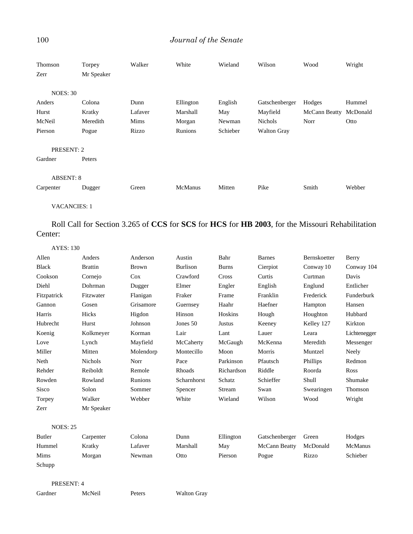## 100 *Journal of the Senate*

| Thomson             | Torpey     | Walker  | White          | Wieland  | Wilson             | Wood          | Wright   |
|---------------------|------------|---------|----------------|----------|--------------------|---------------|----------|
| Zerr                | Mr Speaker |         |                |          |                    |               |          |
| <b>NOES: 30</b>     |            |         |                |          |                    |               |          |
| Anders              | Colona     | Dunn    | Ellington      | English  | Gatschenberger     | Hodges        | Hummel   |
| Hurst               | Kratky     | Lafaver | Marshall       | May      | Mayfield           | McCann Beatty | McDonald |
| McNeil              | Meredith   | Mims    | Morgan         | Newman   | Nichols            | Norr          | Otto     |
| Pierson             | Pogue      | Rizzo   | Runions        | Schieber | <b>Walton Gray</b> |               |          |
| PRESENT: 2          |            |         |                |          |                    |               |          |
| Gardner             | Peters     |         |                |          |                    |               |          |
| <b>ABSENT: 8</b>    |            |         |                |          |                    |               |          |
| Carpenter           | Dugger     | Green   | <b>McManus</b> | Mitten   | Pike               | Smith         | Webber   |
| <b>VACANCIES: 1</b> |            |         |                |          |                    |               |          |

Roll Call for Section 3.265 of **CCS** for **SCS** for **HCS** for **HB 2003**, for the Missouri Rehabilitation Center:

| <b>AYES: 130</b> |                |              |                 |              |                |              |              |
|------------------|----------------|--------------|-----------------|--------------|----------------|--------------|--------------|
| Allen            | Anders         | Anderson     | Austin          | Bahr         | <b>Barnes</b>  | Bernskoetter | Berry        |
| <b>Black</b>     | <b>Brattin</b> | <b>Brown</b> | <b>Burlison</b> | <b>Burns</b> | Cierpiot       | Conway 10    | Conway 104   |
| Cookson          | Cornejo        | $\cos$       | Crawford        | Cross        | Curtis         | Curtman      | Davis        |
| Diehl            | Dohrman        | Dugger       | Elmer           | Engler       | English        | Englund      | Entlicher    |
| Fitzpatrick      | Fitzwater      | Flanigan     | Fraker          | Frame        | Franklin       | Frederick    | Funderburk   |
| Gannon           | Gosen          | Grisamore    | Guernsey        | Haahr        | Haefner        | Hampton      | Hansen       |
| Harris           | Hicks          | Higdon       | Hinson          | Hoskins      | Hough          | Houghton     | Hubbard      |
| Hubrecht         | Hurst          | Johnson      | Jones 50        | Justus       | Keeney         | Kelley 127   | Kirkton      |
| Koenig           | Kolkmeyer      | Korman       | Lair            | Lant         | Lauer          | Leara        | Lichtenegger |
| Love             | Lynch          | Mayfield     | McCaherty       | McGaugh      | McKenna        | Meredith     | Messenger    |
| Miller           | Mitten         | Molendorp    | Montecillo      | Moon         | Morris         | Muntzel      | Neely        |
| Neth             | <b>Nichols</b> | Norr         | Pace            | Parkinson    | Pfautsch       | Phillips     | Redmon       |
| Rehder           | Reiboldt       | Remole       | Rhoads          | Richardson   | Riddle         | Roorda       | Ross         |
| Rowden           | Rowland        | Runions      | Scharnhorst     | Schatz       | Schieffer      | Shull        | Shumake      |
| <b>Sisco</b>     | Solon          | Sommer       | Spencer         | Stream       | Swan           | Swearingen   | Thomson      |
| Torpey           | Walker         | Webber       | White           | Wieland      | Wilson         | Wood         | Wright       |
| Zerr             | Mr Speaker     |              |                 |              |                |              |              |
|                  |                |              |                 |              |                |              |              |
| <b>NOES: 25</b>  |                |              |                 |              |                |              |              |
| Butler           | Carpenter      | Colona       | Dunn            | Ellington    | Gatschenberger | Green        | Hodges       |
| Hummel           | Kratky         | Lafaver      | Marshall        | May          | McCann Beatty  | McDonald     | McManus      |
|                  |                |              |                 |              |                |              |              |

PRESENT: 4

Schupp

Gardner McNeil Peters Walton Gray

Mims Morgan Newman Otto Pierson Pogue Rizzo Schieber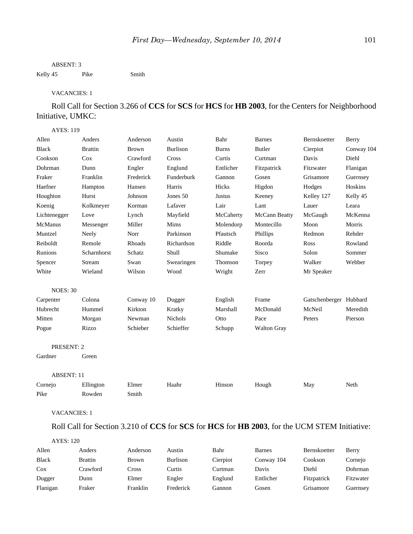#### ABSENT: 3

Kelly 45 Pike Smith

#### VACANCIES: 1

Roll Call for Section 3.266 of **CCS** for **SCS** for **HCS** for **HB 2003**, for the Centers for Neighborhood Initiative, UMKC:

### AYES: 119

| Allen               | Anders         | Anderson     | Austin          | Bahr         | <b>Barnes</b>                                                                                | Bernskoetter           | Berry      |
|---------------------|----------------|--------------|-----------------|--------------|----------------------------------------------------------------------------------------------|------------------------|------------|
| <b>Black</b>        | <b>Brattin</b> | <b>Brown</b> | <b>Burlison</b> | <b>Burns</b> | <b>Butler</b>                                                                                | Cierpiot               | Conway 104 |
| Cookson             | Cox            | Crawford     | Cross           | Curtis       | Curtman                                                                                      | Davis                  | Diehl      |
| Dohrman             | Dunn           | Engler       | Englund         | Entlicher    | Fitzpatrick                                                                                  | Fitzwater              | Flanigan   |
| Fraker              | Franklin       | Frederick    | Funderburk      | Gannon       | Gosen                                                                                        | Grisamore              | Guernsey   |
| Haefner             | Hampton        | Hansen       | Harris          | Hicks        | Higdon                                                                                       | Hodges                 | Hoskins    |
| Houghton            | Hurst          | Johnson      | Jones 50        | Justus       | Keeney                                                                                       | Kelley 127             | Kelly 45   |
| Koenig              | Kolkmeyer      | Korman       | Lafaver         | Lair         | Lant                                                                                         | Lauer                  | Leara      |
| Lichtenegger        | Love           | Lynch        | Mayfield        | McCaherty    | McCann Beatty                                                                                | McGaugh                | McKenna    |
| McManus             | Messenger      | Miller       | Mims            | Molendorp    | Montecillo                                                                                   | Moon                   | Morris     |
| Muntzel             | Neely          | Norr         | Parkinson       | Pfautsch     | Phillips                                                                                     | Redmon                 | Rehder     |
| Reiboldt            | Remole         | Rhoads       | Richardson      | Riddle       | Roorda                                                                                       | Ross                   | Rowland    |
| Runions             | Scharnhorst    | Schatz       | Shull           | Shumake      | Sisco                                                                                        | Solon                  | Sommer     |
| Spencer             | Stream         | Swan         | Swearingen      | Thomson      | Torpey                                                                                       | Walker                 | Webber     |
| White               | Wieland        | Wilson       | Wood            | Wright       | Zerr                                                                                         | Mr Speaker             |            |
| <b>NOES: 30</b>     |                |              |                 |              |                                                                                              |                        |            |
| Carpenter           | Colona         | Conway 10    | Dugger          | English      | Frame                                                                                        | Gatschenberger Hubbard |            |
| Hubrecht            | Hummel         | Kirkton      | Kratky          | Marshall     | McDonald                                                                                     | McNeil                 | Meredith   |
| Mitten              | Morgan         | Newman       | <b>Nichols</b>  | Otto         | Pace                                                                                         | Peters                 | Pierson    |
| Pogue               | Rizzo          | Schieber     | Schieffer       | Schupp       | <b>Walton Gray</b>                                                                           |                        |            |
| PRESENT: 2          |                |              |                 |              |                                                                                              |                        |            |
| Gardner             | Green          |              |                 |              |                                                                                              |                        |            |
| <b>ABSENT: 11</b>   |                |              |                 |              |                                                                                              |                        |            |
| Cornejo             | Ellington      | Elmer        | Haahr           | Hinson       | Hough                                                                                        | May                    | Neth       |
| Pike                | Rowden         | Smith        |                 |              |                                                                                              |                        |            |
| <b>VACANCIES: 1</b> |                |              |                 |              |                                                                                              |                        |            |
|                     |                |              |                 |              | Roll Call for Section 3.210 of CCS for SCS for HCS for HB 2003, for the UCM STEM Initiative: |                        |            |
|                     |                |              |                 |              |                                                                                              |                        |            |

## AYES: 120 Allen Anders Anderson Austin Bahr Barnes Bernskoetter Berry Black Brattin Brown Burlison Cierpiot Conway 104 Cookson Cornejo Cox Crawford Cross Curtis Curtman Davis Diehl Dohrman Dugger Dunn Elmer Engler Englund Entlicher Fitzpatrick Fitzwater

Flanigan Fraker Franklin Frederick Gannon Gosen Grisamore Guernsey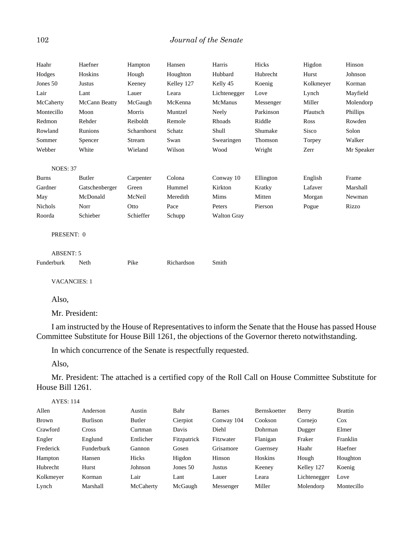| Haahr               | Haefner        | Hampton     | Hansen     | Harris             | Hicks     | Higdon    | Hinson     |
|---------------------|----------------|-------------|------------|--------------------|-----------|-----------|------------|
| Hodges              | Hoskins        | Hough       | Houghton   | Hubbard            | Hubrecht  | Hurst     | Johnson    |
| Jones 50            | Justus         | Keeney      | Kelley 127 | Kelly 45           | Koenig    | Kolkmeyer | Korman     |
| Lair                | Lant           | Lauer       | Leara      | Lichtenegger       | Love      | Lynch     | Mayfield   |
| McCaherty           | McCann Beatty  | McGaugh     | McKenna    | McManus            | Messenger | Miller    | Molendorp  |
| Montecillo          | Moon           | Morris      | Muntzel    | Neely              | Parkinson | Pfautsch  | Phillips   |
| Redmon              | Rehder         | Reiboldt    | Remole     | Rhoads             | Riddle    | Ross      | Rowden     |
| Rowland             | Runions        | Scharnhorst | Schatz     | Shull              | Shumake   | Sisco     | Solon      |
| Sommer              | Spencer        | Stream      | Swan       | Swearingen         | Thomson   | Torpey    | Walker     |
| Webber              | White          | Wieland     | Wilson     | Wood               | Wright    | Zerr      | Mr Speaker |
|                     |                |             |            |                    |           |           |            |
| <b>NOES: 37</b>     |                |             |            |                    |           |           |            |
| <b>Burns</b>        | Butler         | Carpenter   | Colona     | Conway 10          | Ellington | English   | Frame      |
| Gardner             | Gatschenberger | Green       | Hummel     | Kirkton            | Kratky    | Lafaver   | Marshall   |
| May                 | McDonald       | McNeil      | Meredith   | Mims               | Mitten    | Morgan    | Newman     |
| <b>Nichols</b>      | Norr           | Otto        | Pace       | Peters             | Pierson   | Pogue     | Rizzo      |
| Roorda              | Schieber       | Schieffer   | Schupp     | <b>Walton Gray</b> |           |           |            |
| PRESENT: 0          |                |             |            |                    |           |           |            |
| <b>ABSENT: 5</b>    |                |             |            |                    |           |           |            |
| Funderburk          | Neth           | Pike        | Richardson | Smith              |           |           |            |
| <b>VACANCIES: 1</b> |                |             |            |                    |           |           |            |

Also,

Mr. President:

I am instructed by the House of Representatives to inform the Senate that the House has passed House Committee Substitute for House Bill 1261, the objections of the Governor thereto notwithstanding.

In which concurrence of the Senate is respectfully requested.

Also,

Mr. President: The attached is a certified copy of the Roll Call on House Committee Substitute for House Bill 1261.

AYES: 114

| Allen        | Anderson        | Austin    | Bahr        | Barnes     | Bernskoetter | Berry        | <b>Brattin</b> |
|--------------|-----------------|-----------|-------------|------------|--------------|--------------|----------------|
| <b>Brown</b> | <b>Burlison</b> | Butler    | Cierpiot    | Conway 104 | Cookson      | Cornejo      | $\cos$         |
| Crawford     | Cross           | Curtman   | Davis       | Diehl      | Dohrman      | Dugger       | Elmer          |
| Engler       | Englund         | Entlicher | Fitzpatrick | Fitzwater  | Flanigan     | Fraker       | Franklin       |
| Frederick    | Funderburk      | Gannon    | Gosen       | Grisamore  | Guernsey     | Haahr        | Haefner        |
| Hampton      | Hansen          | Hicks     | Higdon      | Hinson     | Hoskins      | Hough        | Houghton       |
| Hubrecht     | Hurst           | Johnson   | Jones $50$  | Justus     | Keeney       | Kelley 127   | Koenig         |
| Kolkmeyer    | Korman          | Lair      | Lant        | Lauer      | Leara        | Lichtenegger | Love           |
| Lynch        | Marshall        | McCaherty | McGaugh     | Messenger  | Miller       | Molendorp    | Montecillo     |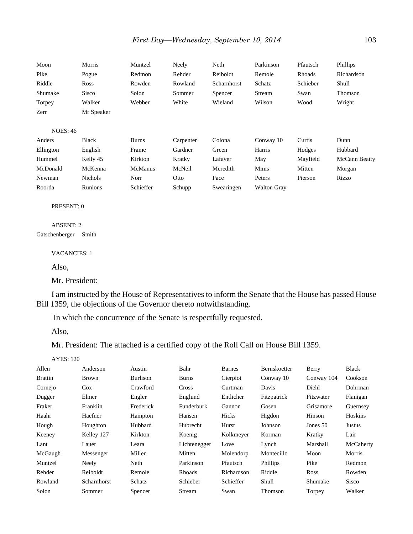| Moon            | Morris         | Muntzel        | Neely     | Neth        | Parkinson          | Pfautsch | Phillips      |
|-----------------|----------------|----------------|-----------|-------------|--------------------|----------|---------------|
| Pike            | Pogue          | Redmon         | Rehder    | Reiboldt    | Remole             | Rhoads   | Richardson    |
| Riddle          | Ross           | Rowden         | Rowland   | Scharnhorst | Schatz             | Schieber | Shull         |
| Shumake         | Sisco          | Solon          | Sommer    | Spencer     | Stream             | Swan     | Thomson       |
| Torpey          | Walker         | Webber         | White     | Wieland     | Wilson             | Wood     | Wright        |
| Zerr            | Mr Speaker     |                |           |             |                    |          |               |
|                 |                |                |           |             |                    |          |               |
| <b>NOES: 46</b> |                |                |           |             |                    |          |               |
| Anders          | Black          | <b>Burns</b>   | Carpenter | Colona      | Conway 10          | Curtis   | Dunn          |
| Ellington       | English        | Frame          | Gardner   | Green       | Harris             | Hodges   | Hubbard       |
| Hummel          | Kelly 45       | Kirkton        | Kratky    | Lafaver     | May                | Mayfield | McCann Beatty |
| McDonald        | McKenna        | <b>McManus</b> | McNeil    | Meredith    | Mims               | Mitten   | Morgan        |
| Newman          | <b>Nichols</b> | Norr           | Otto      | Pace        | Peters             | Pierson  | Rizzo         |
| Roorda          | <b>Runions</b> | Schieffer      | Schupp    | Swearingen  | <b>Walton Gray</b> |          |               |

#### PRESENT: 0

ABSENT: 2 Gatschenberger Smith

VACANCIES: 1

Also,

Mr. President:

I am instructed by the House of Representatives to inform the Senate that the House has passed House Bill 1359, the objections of the Governor thereto notwithstanding.

In which the concurrence of the Senate is respectfully requested.

Also,

Mr. President: The attached is a certified copy of the Roll Call on House Bill 1359.

AYES: 120

| Allen          | Anderson     | Austin    | Bahr         | Barnes     | Bernskoetter | Berry       | Black        |
|----------------|--------------|-----------|--------------|------------|--------------|-------------|--------------|
| <b>Brattin</b> | <b>Brown</b> | Burlison  | <b>Burns</b> | Cierpiot   | Conway 10    | Conway 104  | Cookson      |
| Cornejo        | <b>Cox</b>   | Crawford  | Cross        | Curtman    | Davis        | Diehl       | Dohrman      |
| Dugger         | Elmer        | Engler    | Englund      | Entlicher  | Fitzpatrick  | Fitzwater   | Flanigan     |
| Fraker         | Franklin     | Frederick | Funderburk   | Gannon     | Gosen        | Grisamore   | Guernsey     |
| Haahr          | Haefner      | Hampton   | Hansen       | Hicks      | Higdon       | Hinson      | Hoskins      |
| Hough          | Houghton     | Hubbard   | Hubrecht     | Hurst      | Johnson      | Jones $50$  | Justus       |
| Keeney         | Kelley 127   | Kirkton   | Koenig       | Kolkmeyer  | Korman       | Kratky      | Lair         |
| Lant           | Lauer        | Leara     | Lichtenegger | Love       | Lynch        | Marshall    | McCaherty    |
| McGaugh        | Messenger    | Miller    | Mitten       | Molendorp  | Montecillo   | Moon        | Morris       |
| Muntzel        | Neely        | Neth      | Parkinson    | Pfautsch   | Phillips     | Pike        | Redmon       |
| Rehder         | Reiboldt     | Remole    | Rhoads       | Richardson | Riddle       | <b>Ross</b> | Rowden       |
| Rowland        | Scharnhorst  | Schatz    | Schieber     | Schieffer  | Shull        | Shumake     | <b>Sisco</b> |
| Solon          | Sommer       | Spencer   | Stream       | Swan       | Thomson      | Torpey      | Walker       |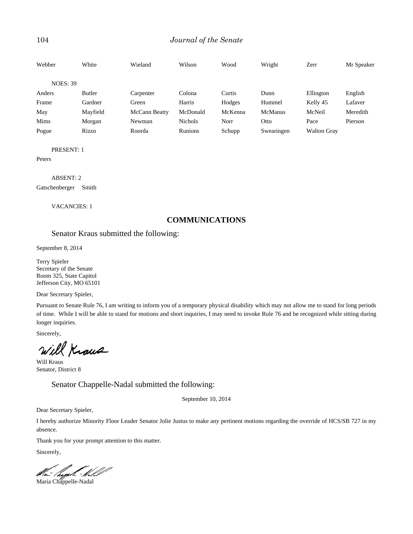### 104 *Journal of the Senate*

| Webber          | White    | Wieland       | Wilson         | Wood    | Wright         | Zerr               | Mr Speaker |
|-----------------|----------|---------------|----------------|---------|----------------|--------------------|------------|
| <b>NOES: 39</b> |          |               |                |         |                |                    |            |
| Anders          | Butler   | Carpenter     | Colona         | Curtis  | Dunn           | Ellington          | English    |
| Frame           | Gardner  | Green         | Harris         | Hodges  | Hummel         | Kelly 45           | Lafaver    |
| May             | Mayfield | McCann Beatty | McDonald       | McKenna | <b>McManus</b> | McNeil             | Meredith   |
| Mims            | Morgan   | Newman        | <b>Nichols</b> | Norr    | Otto           | Pace               | Pierson    |
| Pogue           | Rizzo    | Roorda        | Runions        | Schupp  | Swearingen     | <b>Walton Gray</b> |            |

PRESENT: 1

Peters

ABSENT: 2 Gatschenberger Smith

VACANCIES: 1

## **COMMUNICATIONS**

Senator Kraus submitted the following:

September 8, 2014

Terry Spieler Secretary of the Senate Room 325, State Capitol Jefferson City, MO 65101

Dear Secretary Spieler,

Pursuant to Senate Rule 76, I am writing to inform you of a temporary physical disability which may not allow me to stand for long periods of time. While I will be able to stand for motions and short inquiries, I may need to invoke Rule 76 and be recognized while sitting during longer inquiries.

Sincerely,

Will Kraus

Will Kraus Senator, District 8

Senator Chappelle-Nadal submitted the following:

September 10, 2014

Dear Secretary Spieler,

I hereby authorize Minority Floor Leader Senator Jolie Justus to make any pertinent motions regarding the override of HCS/SB 727 in my absence.

Thank you for your prompt attention to this matter.

Sincerely,

Maria Chappelle-Nadal